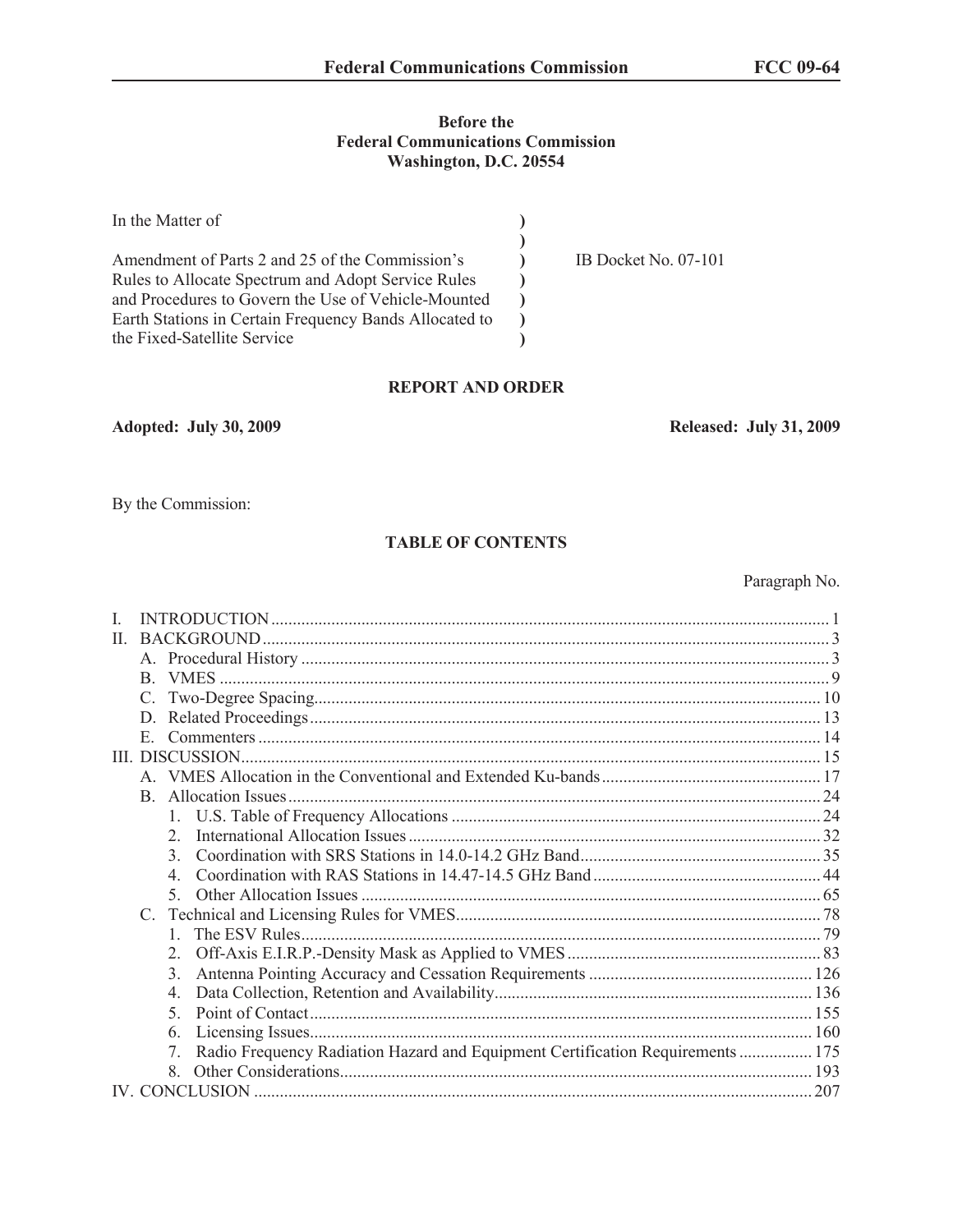#### **Before the Federal Communications Commission Washington, D.C. 20554**

| In the Matter of                                       |                        |
|--------------------------------------------------------|------------------------|
|                                                        |                        |
| Amendment of Parts 2 and 25 of the Commission's        | IB Docket No. $07-101$ |
| Rules to Allocate Spectrum and Adopt Service Rules     |                        |
| and Procedures to Govern the Use of Vehicle-Mounted    |                        |
| Earth Stations in Certain Frequency Bands Allocated to |                        |
| the Fixed-Satellite Service                            |                        |

#### **REPORT AND ORDER**

## **Adopted: July 30, 2009 Released: July 31, 2009**

By the Commission:

## **TABLE OF CONTENTS**

Paragraph No.

| H. |                                                                                     |     |
|----|-------------------------------------------------------------------------------------|-----|
|    |                                                                                     |     |
|    |                                                                                     |     |
|    |                                                                                     |     |
|    | D.                                                                                  |     |
|    | E.                                                                                  |     |
|    | III. DISCUSSION                                                                     |     |
|    |                                                                                     |     |
|    | B.                                                                                  |     |
|    |                                                                                     |     |
|    | $\mathfrak{2}$                                                                      |     |
|    | $\mathcal{L}$                                                                       |     |
|    |                                                                                     |     |
|    | $\sim$                                                                              |     |
|    |                                                                                     |     |
|    |                                                                                     |     |
|    |                                                                                     |     |
|    | 3.                                                                                  |     |
|    | $\overline{4}$ .                                                                    |     |
|    | $\mathcal{F}$                                                                       |     |
|    | 6.                                                                                  |     |
|    | Radio Frequency Radiation Hazard and Equipment Certification Requirements  175<br>7 |     |
|    |                                                                                     |     |
|    |                                                                                     | 207 |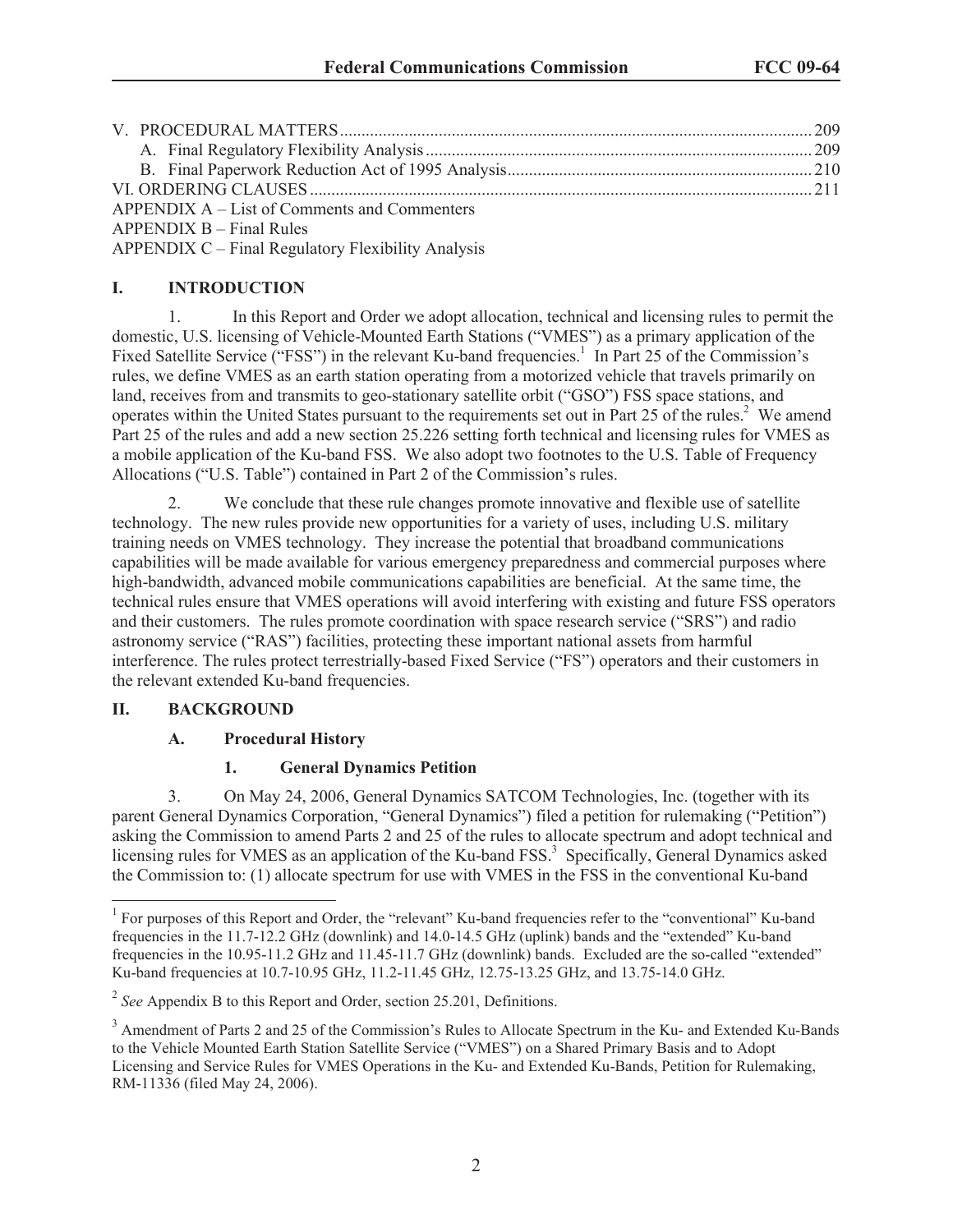| APPENDIX A – List of Comments and Commenters |  |
|----------------------------------------------|--|
| $APPENDIX B - Final Rules$                   |  |
|                                              |  |

APPENDIX C – Final Regulatory Flexibility Analysis

## **I. INTRODUCTION**

1. In this Report and Order we adopt allocation, technical and licensing rules to permit the domestic, U.S. licensing of Vehicle-Mounted Earth Stations ("VMES") as a primary application of the Fixed Satellite Service ("FSS") in the relevant Ku-band frequencies.<sup>1</sup> In Part 25 of the Commission's rules, we define VMES as an earth station operating from a motorized vehicle that travels primarily on land, receives from and transmits to geo-stationary satellite orbit ("GSO") FSS space stations, and operates within the United States pursuant to the requirements set out in Part 25 of the rules.<sup>2</sup> We amend Part 25 of the rules and add a new section 25.226 setting forth technical and licensing rules for VMES as a mobile application of the Ku-band FSS. We also adopt two footnotes to the U.S. Table of Frequency Allocations ("U.S. Table") contained in Part 2 of the Commission's rules.

2. We conclude that these rule changes promote innovative and flexible use of satellite technology. The new rules provide new opportunities for a variety of uses, including U.S. military training needs on VMES technology. They increase the potential that broadband communications capabilities will be made available for various emergency preparedness and commercial purposes where high-bandwidth, advanced mobile communications capabilities are beneficial. At the same time, the technical rules ensure that VMES operations will avoid interfering with existing and future FSS operators and their customers. The rules promote coordination with space research service ("SRS") and radio astronomy service ("RAS") facilities, protecting these important national assets from harmful interference. The rules protect terrestrially-based Fixed Service ("FS") operators and their customers in the relevant extended Ku-band frequencies.

## **II. BACKGROUND**

## **A. Procedural History**

## **1. General Dynamics Petition**

3. On May 24, 2006, General Dynamics SATCOM Technologies, Inc. (together with its parent General Dynamics Corporation, "General Dynamics") filed a petition for rulemaking ("Petition") asking the Commission to amend Parts 2 and 25 of the rules to allocate spectrum and adopt technical and licensing rules for VMES as an application of the Ku-band FSS.<sup>3</sup> Specifically, General Dynamics asked the Commission to: (1) allocate spectrum for use with VMES in the FSS in the conventional Ku-band

<sup>&</sup>lt;sup>1</sup> For purposes of this Report and Order, the "relevant" Ku-band frequencies refer to the "conventional" Ku-band frequencies in the 11.7-12.2 GHz (downlink) and 14.0-14.5 GHz (uplink) bands and the "extended" Ku-band frequencies in the 10.95-11.2 GHz and 11.45-11.7 GHz (downlink) bands. Excluded are the so-called "extended" Ku-band frequencies at 10.7-10.95 GHz, 11.2-11.45 GHz, 12.75-13.25 GHz, and 13.75-14.0 GHz.

<sup>&</sup>lt;sup>2</sup> See Appendix B to this Report and Order, section 25.201, Definitions.

<sup>&</sup>lt;sup>3</sup> Amendment of Parts 2 and 25 of the Commission's Rules to Allocate Spectrum in the Ku- and Extended Ku-Bands to the Vehicle Mounted Earth Station Satellite Service ("VMES") on a Shared Primary Basis and to Adopt Licensing and Service Rules for VMES Operations in the Ku- and Extended Ku-Bands, Petition for Rulemaking, RM-11336 (filed May 24, 2006).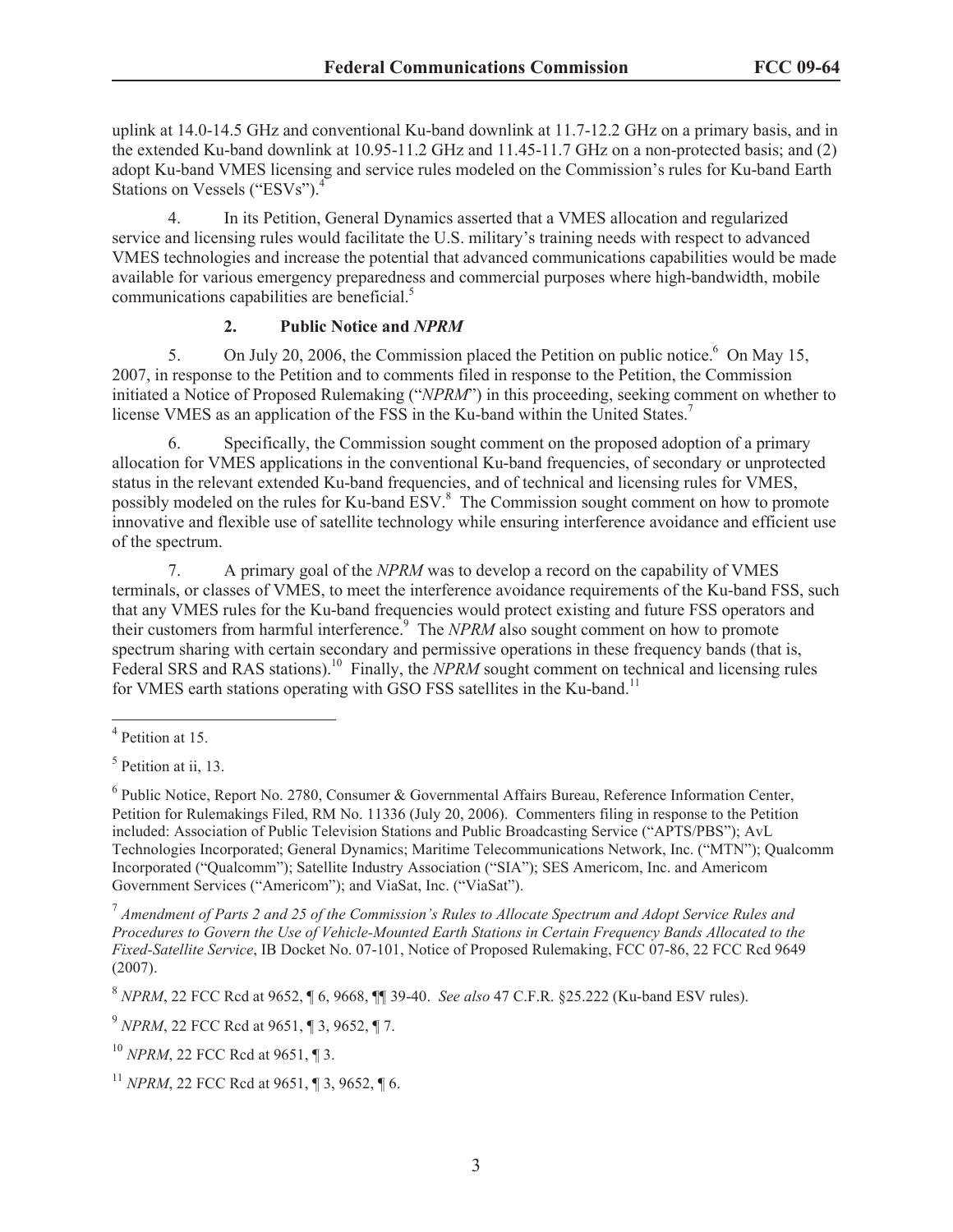uplink at 14.0-14.5 GHz and conventional Ku-band downlink at 11.7-12.2 GHz on a primary basis, and in the extended Ku-band downlink at 10.95-11.2 GHz and 11.45-11.7 GHz on a non-protected basis; and (2) adopt Ku-band VMES licensing and service rules modeled on the Commission's rules for Ku-band Earth Stations on Vessels ("ESVs").<sup>4</sup>

4. In its Petition, General Dynamics asserted that a VMES allocation and regularized service and licensing rules would facilitate the U.S. military's training needs with respect to advanced VMES technologies and increase the potential that advanced communications capabilities would be made available for various emergency preparedness and commercial purposes where high-bandwidth, mobile communications capabilities are beneficial.<sup>5</sup>

## **2. Public Notice and** *NPRM*

5. On July 20, 2006, the Commission placed the Petition on public notice.<sup>6</sup> On May 15, 2007, in response to the Petition and to comments filed in response to the Petition, the Commission initiated a Notice of Proposed Rulemaking ("*NPRM*") in this proceeding, seeking comment on whether to license VMES as an application of the FSS in the Ku-band within the United States.<sup>7</sup>

6. Specifically, the Commission sought comment on the proposed adoption of a primary allocation for VMES applications in the conventional Ku-band frequencies, of secondary or unprotected status in the relevant extended Ku-band frequencies, and of technical and licensing rules for VMES, possibly modeled on the rules for Ku-band ESV.<sup>8</sup> The Commission sought comment on how to promote innovative and flexible use of satellite technology while ensuring interference avoidance and efficient use of the spectrum.

7. A primary goal of the *NPRM* was to develop a record on the capability of VMES terminals, or classes of VMES, to meet the interference avoidance requirements of the Ku-band FSS, such that any VMES rules for the Ku-band frequencies would protect existing and future FSS operators and their customers from harmful interference.<sup>9</sup> The *NPRM* also sought comment on how to promote spectrum sharing with certain secondary and permissive operations in these frequency bands (that is, Federal SRS and RAS stations).<sup>10</sup> Finally, the *NPRM* sought comment on technical and licensing rules for VMES earth stations operating with GSO FSS satellites in the Ku-band.<sup>11</sup>

7 *Amendment of Parts 2 and 25 of the Commission's Rules to Allocate Spectrum and Adopt Service Rules and Procedures to Govern the Use of Vehicle-Mounted Earth Stations in Certain Frequency Bands Allocated to the Fixed-Satellite Service*, IB Docket No. 07-101, Notice of Proposed Rulemaking, FCC 07-86, 22 FCC Rcd 9649 (2007).

8 *NPRM*, 22 FCC Rcd at 9652, ¶ 6, 9668, ¶¶ 39-40. *See also* 47 C.F.R. §25.222 (Ku-band ESV rules).

9 *NPRM*, 22 FCC Rcd at 9651, ¶ 3, 9652, ¶ 7.

<sup>10</sup> *NPRM*, 22 FCC Rcd at 9651, ¶ 3.

<sup>4</sup> Petition at 15.

<sup>&</sup>lt;sup>5</sup> Petition at ii, 13.

<sup>&</sup>lt;sup>6</sup> Public Notice, Report No. 2780, Consumer & Governmental Affairs Bureau, Reference Information Center, Petition for Rulemakings Filed, RM No. 11336 (July 20, 2006). Commenters filing in response to the Petition included: Association of Public Television Stations and Public Broadcasting Service ("APTS/PBS"); AvL Technologies Incorporated; General Dynamics; Maritime Telecommunications Network, Inc. ("MTN"); Qualcomm Incorporated ("Qualcomm"); Satellite Industry Association ("SIA"); SES Americom, Inc. and Americom Government Services ("Americom"); and ViaSat, Inc. ("ViaSat").

<sup>11</sup> *NPRM*, 22 FCC Rcd at 9651, ¶ 3, 9652, ¶ 6.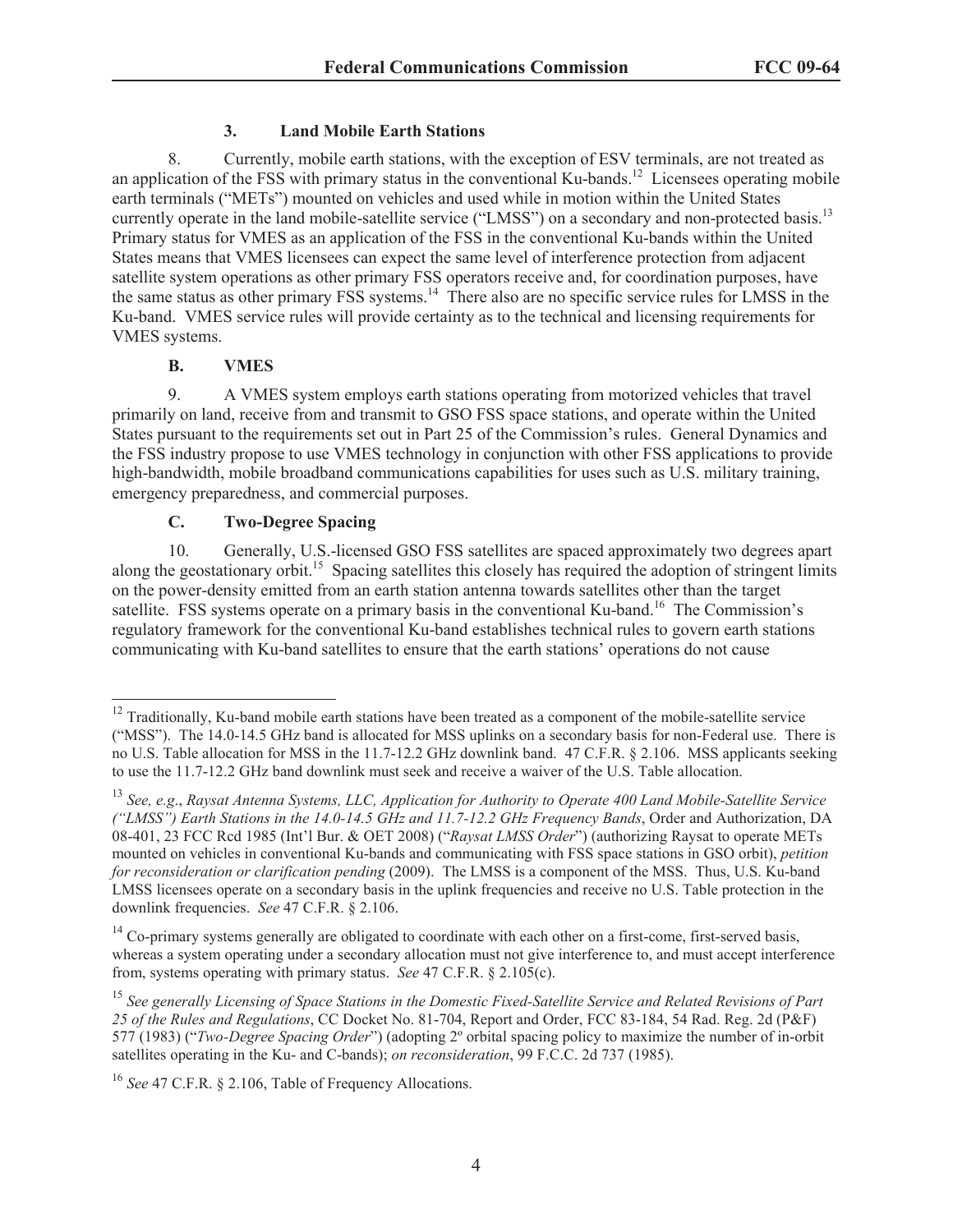# **3. Land Mobile Earth Stations**

8. Currently, mobile earth stations, with the exception of ESV terminals, are not treated as an application of the FSS with primary status in the conventional Ku-bands.<sup>12</sup> Licensees operating mobile earth terminals ("METs") mounted on vehicles and used while in motion within the United States currently operate in the land mobile-satellite service ("LMSS") on a secondary and non-protected basis.<sup>13</sup> Primary status for VMES as an application of the FSS in the conventional Ku-bands within the United States means that VMES licensees can expect the same level of interference protection from adjacent satellite system operations as other primary FSS operators receive and, for coordination purposes, have the same status as other primary FSS systems.<sup>14</sup> There also are no specific service rules for LMSS in the Ku-band. VMES service rules will provide certainty as to the technical and licensing requirements for VMES systems.

# **B. VMES**

9. A VMES system employs earth stations operating from motorized vehicles that travel primarily on land, receive from and transmit to GSO FSS space stations, and operate within the United States pursuant to the requirements set out in Part 25 of the Commission's rules. General Dynamics and the FSS industry propose to use VMES technology in conjunction with other FSS applications to provide high-bandwidth, mobile broadband communications capabilities for uses such as U.S. military training, emergency preparedness, and commercial purposes.

# **C. Two-Degree Spacing**

10. Generally, U.S.-licensed GSO FSS satellites are spaced approximately two degrees apart along the geostationary orbit.<sup>15</sup> Spacing satellites this closely has required the adoption of stringent limits on the power-density emitted from an earth station antenna towards satellites other than the target satellite. FSS systems operate on a primary basis in the conventional Ku-band.<sup>16</sup> The Commission's regulatory framework for the conventional Ku-band establishes technical rules to govern earth stations communicating with Ku-band satellites to ensure that the earth stations' operations do not cause

<sup>&</sup>lt;sup>12</sup> Traditionally, Ku-band mobile earth stations have been treated as a component of the mobile-satellite service ("MSS"). The 14.0-14.5 GHz band is allocated for MSS uplinks on a secondary basis for non-Federal use. There is no U.S. Table allocation for MSS in the 11.7-12.2 GHz downlink band. 47 C.F.R. § 2.106. MSS applicants seeking to use the 11.7-12.2 GHz band downlink must seek and receive a waiver of the U.S. Table allocation.

<sup>13</sup> *See, e.g*., *Raysat Antenna Systems, LLC, Application for Authority to Operate 400 Land Mobile-Satellite Service ("LMSS") Earth Stations in the 14.0-14.5 GHz and 11.7-12.2 GHz Frequency Bands*, Order and Authorization, DA 08-401, 23 FCC Rcd 1985 (Int'l Bur. & OET 2008) ("*Raysat LMSS Order*") (authorizing Raysat to operate METs mounted on vehicles in conventional Ku-bands and communicating with FSS space stations in GSO orbit), *petition for reconsideration or clarification pending* (2009). The LMSS is a component of the MSS. Thus, U.S. Ku-band LMSS licensees operate on a secondary basis in the uplink frequencies and receive no U.S. Table protection in the downlink frequencies. *See* 47 C.F.R. § 2.106.

 $14$  Co-primary systems generally are obligated to coordinate with each other on a first-come, first-served basis, whereas a system operating under a secondary allocation must not give interference to, and must accept interference from, systems operating with primary status. *See* 47 C.F.R. § 2.105(c).

<sup>15</sup> *See generally Licensing of Space Stations in the Domestic Fixed-Satellite Service and Related Revisions of Part 25 of the Rules and Regulations*, CC Docket No. 81-704, Report and Order, FCC 83-184, 54 Rad. Reg. 2d (P&F) 577 (1983) ("*Two-Degree Spacing Order*") (adopting 2º orbital spacing policy to maximize the number of in-orbit satellites operating in the Ku- and C-bands); *on reconsideration*, 99 F.C.C. 2d 737 (1985).

<sup>16</sup> *See* 47 C.F.R. § 2.106, Table of Frequency Allocations.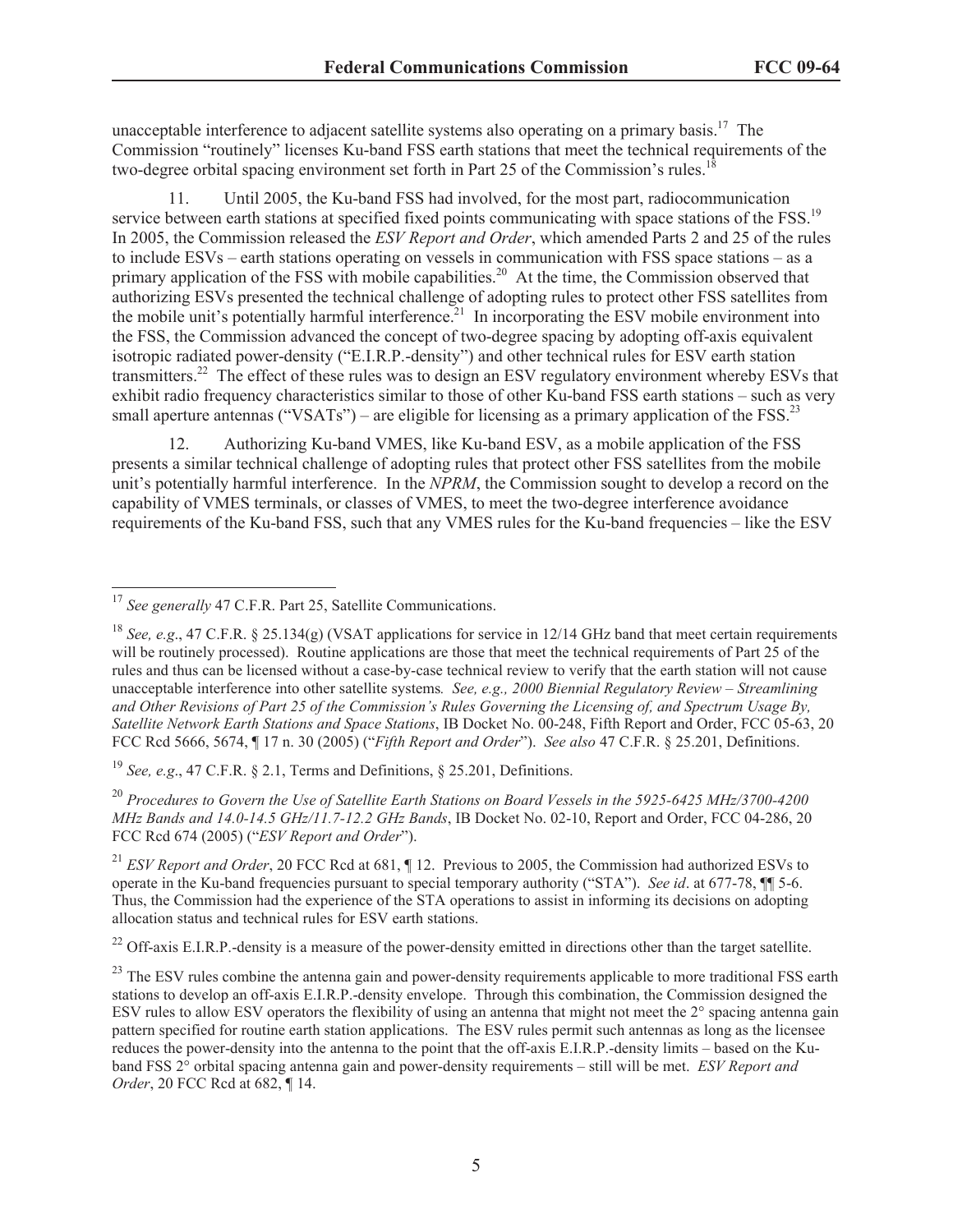unacceptable interference to adjacent satellite systems also operating on a primary basis.<sup>17</sup> The Commission "routinely" licenses Ku-band FSS earth stations that meet the technical requirements of the two-degree orbital spacing environment set forth in Part 25 of the Commission's rules.<sup>18</sup>

11. Until 2005, the Ku-band FSS had involved, for the most part, radiocommunication service between earth stations at specified fixed points communicating with space stations of the FSS.<sup>19</sup> In 2005, the Commission released the *ESV Report and Order*, which amended Parts 2 and 25 of the rules to include ESVs – earth stations operating on vessels in communication with FSS space stations – as a primary application of the FSS with mobile capabilities.<sup>20</sup> At the time, the Commission observed that authorizing ESVs presented the technical challenge of adopting rules to protect other FSS satellites from the mobile unit's potentially harmful interference.<sup>21</sup> In incorporating the ESV mobile environment into the FSS, the Commission advanced the concept of two-degree spacing by adopting off-axis equivalent isotropic radiated power-density ("E.I.R.P.-density") and other technical rules for ESV earth station transmitters.<sup>22</sup> The effect of these rules was to design an ESV regulatory environment whereby ESVs that exhibit radio frequency characteristics similar to those of other Ku-band FSS earth stations – such as very small aperture antennas ("VSATs") – are eligible for licensing as a primary application of the FSS.<sup>23</sup>

12. Authorizing Ku-band VMES, like Ku-band ESV, as a mobile application of the FSS presents a similar technical challenge of adopting rules that protect other FSS satellites from the mobile unit's potentially harmful interference. In the *NPRM*, the Commission sought to develop a record on the capability of VMES terminals, or classes of VMES, to meet the two-degree interference avoidance requirements of the Ku-band FSS, such that any VMES rules for the Ku-band frequencies – like the ESV

<sup>19</sup> *See, e.g*., 47 C.F.R. § 2.1, Terms and Definitions, § 25.201, Definitions.

<sup>20</sup> *Procedures to Govern the Use of Satellite Earth Stations on Board Vessels in the 5925-6425 MHz/3700-4200 MHz Bands and 14.0-14.5 GHz/11.7-12.2 GHz Bands*, IB Docket No. 02-10, Report and Order, FCC 04-286, 20 FCC Rcd 674 (2005) ("*ESV Report and Order*").

<sup>21</sup> *ESV Report and Order*, 20 FCC Rcd at 681, ¶ 12. Previous to 2005, the Commission had authorized ESVs to operate in the Ku-band frequencies pursuant to special temporary authority ("STA"). *See id*. at 677-78, ¶¶ 5-6. Thus, the Commission had the experience of the STA operations to assist in informing its decisions on adopting allocation status and technical rules for ESV earth stations.

 $^{22}$  Off-axis E.I.R.P.-density is a measure of the power-density emitted in directions other than the target satellite.

<sup>17</sup> *See generally* 47 C.F.R. Part 25, Satellite Communications.

<sup>&</sup>lt;sup>18</sup> *See, e.g.*, 47 C.F.R. § 25.134(g) (VSAT applications for service in 12/14 GHz band that meet certain requirements will be routinely processed). Routine applications are those that meet the technical requirements of Part 25 of the rules and thus can be licensed without a case-by-case technical review to verify that the earth station will not cause unacceptable interference into other satellite systems*. See, e.g., 2000 Biennial Regulatory Review – Streamlining and Other Revisions of Part 25 of the Commission's Rules Governing the Licensing of, and Spectrum Usage By, Satellite Network Earth Stations and Space Stations*, IB Docket No. 00-248, Fifth Report and Order, FCC 05-63, 20 FCC Rcd 5666, 5674, ¶ 17 n. 30 (2005) ("*Fifth Report and Order*"). *See also* 47 C.F.R. § 25.201, Definitions.

<sup>&</sup>lt;sup>23</sup> The ESV rules combine the antenna gain and power-density requirements applicable to more traditional FSS earth stations to develop an off-axis E.I.R.P.-density envelope. Through this combination, the Commission designed the ESV rules to allow ESV operators the flexibility of using an antenna that might not meet the 2° spacing antenna gain pattern specified for routine earth station applications. The ESV rules permit such antennas as long as the licensee reduces the power-density into the antenna to the point that the off-axis E.I.R.P.-density limits – based on the Kuband FSS 2° orbital spacing antenna gain and power-density requirements – still will be met. *ESV Report and Order*, 20 FCC Rcd at 682, ¶ 14.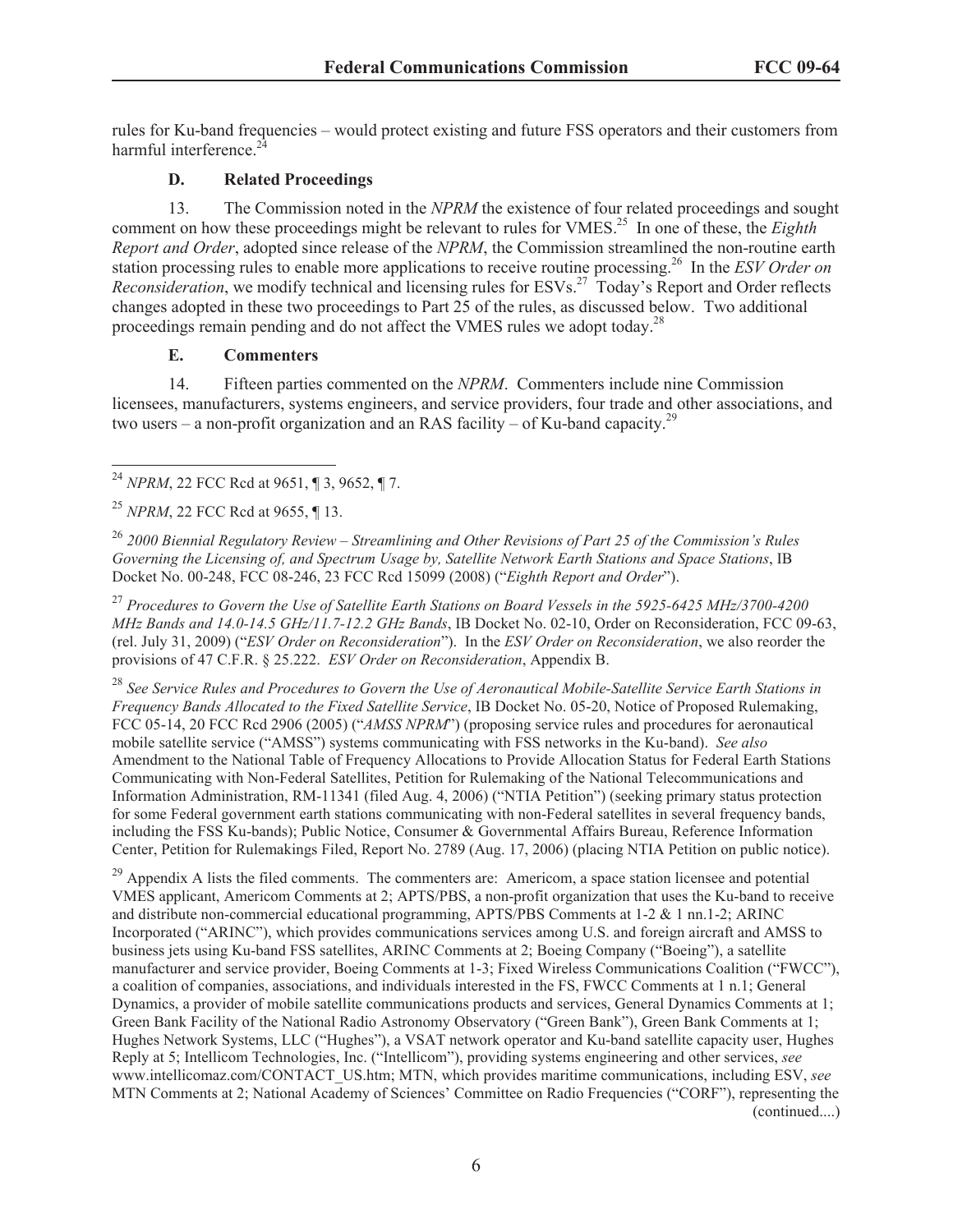rules for Ku-band frequencies – would protect existing and future FSS operators and their customers from harmful interference.<sup>2</sup>

## **D. Related Proceedings**

13. The Commission noted in the *NPRM* the existence of four related proceedings and sought comment on how these proceedings might be relevant to rules for VMES.<sup>25</sup> In one of these, the *Eighth Report and Order*, adopted since release of the *NPRM*, the Commission streamlined the non-routine earth station processing rules to enable more applications to receive routine processing.<sup>26</sup> In the *ESV Order on Reconsideration*, we modify technical and licensing rules for ESVs.<sup>27</sup> Today's Report and Order reflects changes adopted in these two proceedings to Part 25 of the rules, as discussed below. Two additional proceedings remain pending and do not affect the VMES rules we adopt today.<sup>28</sup>

## **E. Commenters**

14. Fifteen parties commented on the *NPRM*. Commenters include nine Commission licensees, manufacturers, systems engineers, and service providers, four trade and other associations, and two users – a non-profit organization and an RAS facility – of Ku-band capacity.<sup>29</sup>

<sup>25</sup> *NPRM*, 22 FCC Rcd at 9655, ¶ 13.

<sup>26</sup> *2000 Biennial Regulatory Review – Streamlining and Other Revisions of Part 25 of the Commission's Rules Governing the Licensing of, and Spectrum Usage by, Satellite Network Earth Stations and Space Stations*, IB Docket No. 00-248, FCC 08-246, 23 FCC Rcd 15099 (2008) ("*Eighth Report and Order*").

<sup>27</sup> *Procedures to Govern the Use of Satellite Earth Stations on Board Vessels in the 5925-6425 MHz/3700-4200 MHz Bands and 14.0-14.5 GHz/11.7-12.2 GHz Bands*, IB Docket No. 02-10, Order on Reconsideration, FCC 09-63, (rel. July 31, 2009) ("*ESV Order on Reconsideration*"). In the *ESV Order on Reconsideration*, we also reorder the provisions of 47 C.F.R. § 25.222. *ESV Order on Reconsideration*, Appendix B.

<sup>28</sup> *See Service Rules and Procedures to Govern the Use of Aeronautical Mobile-Satellite Service Earth Stations in Frequency Bands Allocated to the Fixed Satellite Service*, IB Docket No. 05-20, Notice of Proposed Rulemaking, FCC 05-14, 20 FCC Rcd 2906 (2005) ("*AMSS NPRM*") (proposing service rules and procedures for aeronautical mobile satellite service ("AMSS") systems communicating with FSS networks in the Ku-band). *See also* Amendment to the National Table of Frequency Allocations to Provide Allocation Status for Federal Earth Stations Communicating with Non-Federal Satellites, Petition for Rulemaking of the National Telecommunications and Information Administration, RM-11341 (filed Aug. 4, 2006) ("NTIA Petition") (seeking primary status protection for some Federal government earth stations communicating with non-Federal satellites in several frequency bands, including the FSS Ku-bands); Public Notice, Consumer & Governmental Affairs Bureau, Reference Information Center, Petition for Rulemakings Filed, Report No. 2789 (Aug. 17, 2006) (placing NTIA Petition on public notice).

 $^{29}$  Appendix A lists the filed comments. The commenters are: Americom, a space station licensee and potential VMES applicant, Americom Comments at 2; APTS/PBS, a non-profit organization that uses the Ku-band to receive and distribute non-commercial educational programming, APTS/PBS Comments at 1-2 & 1 nn.1-2; ARINC Incorporated ("ARINC"), which provides communications services among U.S. and foreign aircraft and AMSS to business jets using Ku-band FSS satellites, ARINC Comments at 2; Boeing Company ("Boeing"), a satellite manufacturer and service provider, Boeing Comments at 1-3; Fixed Wireless Communications Coalition ("FWCC"), a coalition of companies, associations, and individuals interested in the FS, FWCC Comments at 1 n.1; General Dynamics, a provider of mobile satellite communications products and services, General Dynamics Comments at 1; Green Bank Facility of the National Radio Astronomy Observatory ("Green Bank"), Green Bank Comments at 1; Hughes Network Systems, LLC ("Hughes"), a VSAT network operator and Ku-band satellite capacity user, Hughes Reply at 5; Intellicom Technologies, Inc. ("Intellicom"), providing systems engineering and other services, *see* www.intellicomaz.com/CONTACT\_US.htm; MTN, which provides maritime communications, including ESV, *see* MTN Comments at 2; National Academy of Sciences' Committee on Radio Frequencies ("CORF"), representing the (continued....)

<sup>24</sup> *NPRM*, 22 FCC Rcd at 9651, ¶ 3, 9652, ¶ 7.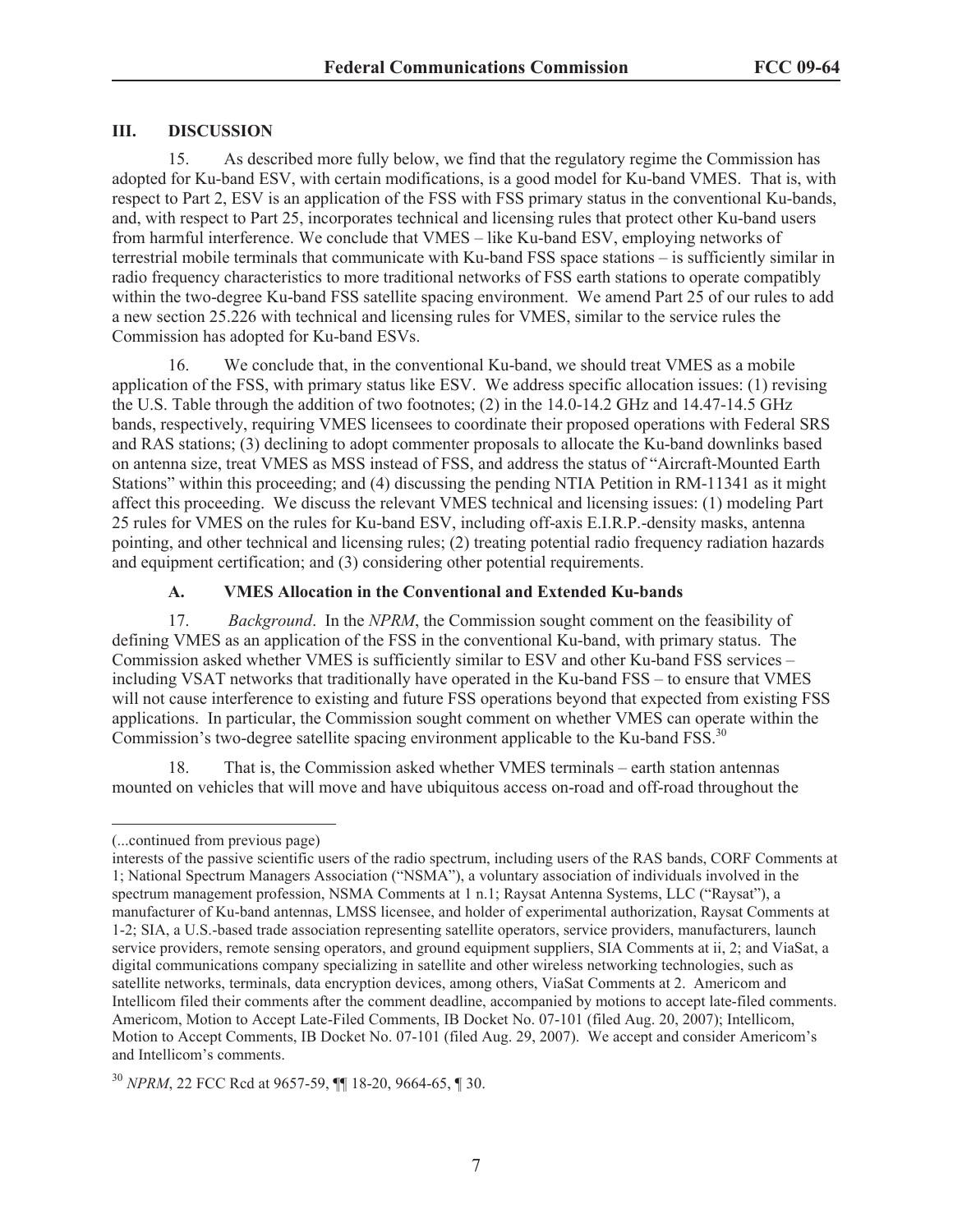#### **III. DISCUSSION**

15. As described more fully below, we find that the regulatory regime the Commission has adopted for Ku-band ESV, with certain modifications, is a good model for Ku-band VMES. That is, with respect to Part 2, ESV is an application of the FSS with FSS primary status in the conventional Ku-bands, and, with respect to Part 25, incorporates technical and licensing rules that protect other Ku-band users from harmful interference. We conclude that VMES – like Ku-band ESV, employing networks of terrestrial mobile terminals that communicate with Ku-band FSS space stations – is sufficiently similar in radio frequency characteristics to more traditional networks of FSS earth stations to operate compatibly within the two-degree Ku-band FSS satellite spacing environment. We amend Part 25 of our rules to add a new section 25.226 with technical and licensing rules for VMES, similar to the service rules the Commission has adopted for Ku-band ESVs.

16. We conclude that, in the conventional Ku-band, we should treat VMES as a mobile application of the FSS, with primary status like ESV. We address specific allocation issues: (1) revising the U.S. Table through the addition of two footnotes; (2) in the 14.0-14.2 GHz and 14.47-14.5 GHz bands, respectively, requiring VMES licensees to coordinate their proposed operations with Federal SRS and RAS stations; (3) declining to adopt commenter proposals to allocate the Ku-band downlinks based on antenna size, treat VMES as MSS instead of FSS, and address the status of "Aircraft-Mounted Earth Stations" within this proceeding; and (4) discussing the pending NTIA Petition in RM-11341 as it might affect this proceeding. We discuss the relevant VMES technical and licensing issues: (1) modeling Part 25 rules for VMES on the rules for Ku-band ESV, including off-axis E.I.R.P.-density masks, antenna pointing, and other technical and licensing rules; (2) treating potential radio frequency radiation hazards and equipment certification; and (3) considering other potential requirements.

## **A. VMES Allocation in the Conventional and Extended Ku-bands**

17. *Background*. In the *NPRM*, the Commission sought comment on the feasibility of defining VMES as an application of the FSS in the conventional Ku-band, with primary status. The Commission asked whether VMES is sufficiently similar to ESV and other Ku-band FSS services – including VSAT networks that traditionally have operated in the Ku-band FSS – to ensure that VMES will not cause interference to existing and future FSS operations beyond that expected from existing FSS applications. In particular, the Commission sought comment on whether VMES can operate within the Commission's two-degree satellite spacing environment applicable to the Ku-band FSS.<sup>30</sup>

18. That is, the Commission asked whether VMES terminals – earth station antennas mounted on vehicles that will move and have ubiquitous access on-road and off-road throughout the

<sup>(...</sup>continued from previous page)

interests of the passive scientific users of the radio spectrum, including users of the RAS bands, CORF Comments at 1; National Spectrum Managers Association ("NSMA"), a voluntary association of individuals involved in the spectrum management profession, NSMA Comments at 1 n.1; Raysat Antenna Systems, LLC ("Raysat"), a manufacturer of Ku-band antennas, LMSS licensee, and holder of experimental authorization, Raysat Comments at 1-2; SIA, a U.S.-based trade association representing satellite operators, service providers, manufacturers, launch service providers, remote sensing operators, and ground equipment suppliers, SIA Comments at ii, 2; and ViaSat, a digital communications company specializing in satellite and other wireless networking technologies, such as satellite networks, terminals, data encryption devices, among others, ViaSat Comments at 2. Americom and Intellicom filed their comments after the comment deadline, accompanied by motions to accept late-filed comments. Americom, Motion to Accept Late-Filed Comments, IB Docket No. 07-101 (filed Aug. 20, 2007); Intellicom, Motion to Accept Comments, IB Docket No. 07-101 (filed Aug. 29, 2007). We accept and consider Americom's and Intellicom's comments.

<sup>30</sup> *NPRM*, 22 FCC Rcd at 9657-59, ¶¶ 18-20, 9664-65, ¶ 30.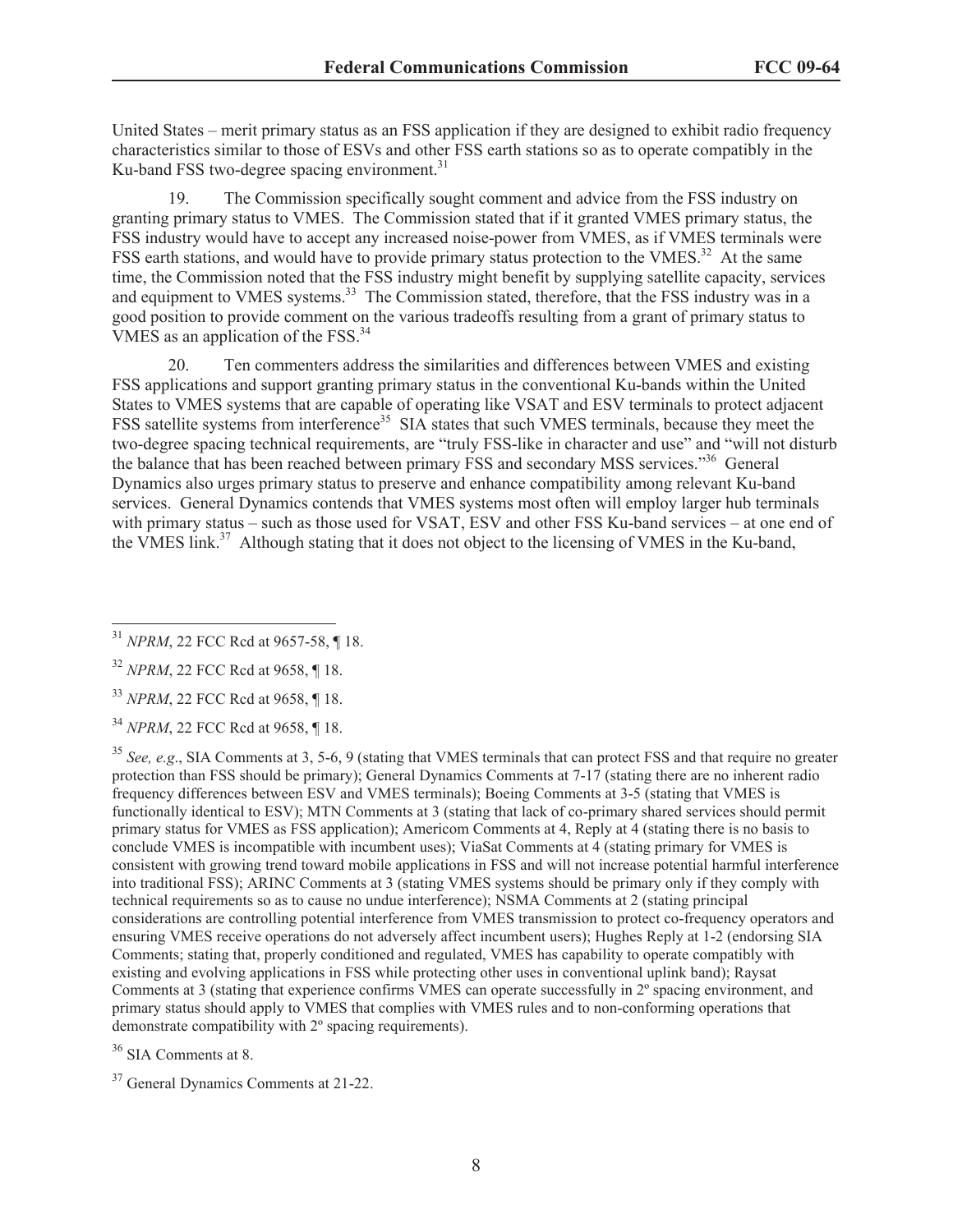United States – merit primary status as an FSS application if they are designed to exhibit radio frequency characteristics similar to those of ESVs and other FSS earth stations so as to operate compatibly in the Ku-band FSS two-degree spacing environment. $31$ 

19. The Commission specifically sought comment and advice from the FSS industry on granting primary status to VMES. The Commission stated that if it granted VMES primary status, the FSS industry would have to accept any increased noise-power from VMES, as if VMES terminals were FSS earth stations, and would have to provide primary status protection to the VMES.<sup>32</sup> At the same time, the Commission noted that the FSS industry might benefit by supplying satellite capacity, services and equipment to VMES systems.<sup>33</sup> The Commission stated, therefore, that the FSS industry was in a good position to provide comment on the various tradeoffs resulting from a grant of primary status to VMES as an application of the FSS.<sup>34</sup>

20. Ten commenters address the similarities and differences between VMES and existing FSS applications and support granting primary status in the conventional Ku-bands within the United States to VMES systems that are capable of operating like VSAT and ESV terminals to protect adjacent FSS satellite systems from interference<sup>35</sup> SIA states that such VMES terminals, because they meet the two-degree spacing technical requirements, are "truly FSS-like in character and use" and "will not disturb the balance that has been reached between primary FSS and secondary MSS services."<sup>36</sup> General Dynamics also urges primary status to preserve and enhance compatibility among relevant Ku-band services. General Dynamics contends that VMES systems most often will employ larger hub terminals with primary status – such as those used for VSAT, ESV and other FSS Ku-band services – at one end of the VMES  $\lim_{x \to 37} K^3$  Although stating that it does not object to the licensing of VMES in the Ku-band,

<sup>35</sup> *See, e.g*., SIA Comments at 3, 5-6, 9 (stating that VMES terminals that can protect FSS and that require no greater protection than FSS should be primary); General Dynamics Comments at 7-17 (stating there are no inherent radio frequency differences between ESV and VMES terminals); Boeing Comments at 3-5 (stating that VMES is functionally identical to ESV); MTN Comments at 3 (stating that lack of co-primary shared services should permit primary status for VMES as FSS application); Americom Comments at 4, Reply at 4 (stating there is no basis to conclude VMES is incompatible with incumbent uses); ViaSat Comments at 4 (stating primary for VMES is consistent with growing trend toward mobile applications in FSS and will not increase potential harmful interference into traditional FSS); ARINC Comments at 3 (stating VMES systems should be primary only if they comply with technical requirements so as to cause no undue interference); NSMA Comments at 2 (stating principal considerations are controlling potential interference from VMES transmission to protect co-frequency operators and ensuring VMES receive operations do not adversely affect incumbent users); Hughes Reply at 1-2 (endorsing SIA Comments; stating that, properly conditioned and regulated, VMES has capability to operate compatibly with existing and evolving applications in FSS while protecting other uses in conventional uplink band); Raysat Comments at 3 (stating that experience confirms VMES can operate successfully in 2º spacing environment, and primary status should apply to VMES that complies with VMES rules and to non-conforming operations that demonstrate compatibility with 2º spacing requirements).

<sup>36</sup> SIA Comments at 8.

<sup>37</sup> General Dynamics Comments at 21-22.

<sup>31</sup> *NPRM*, 22 FCC Rcd at 9657-58, ¶ 18.

<sup>32</sup> *NPRM*, 22 FCC Rcd at 9658, ¶ 18.

<sup>33</sup> *NPRM*, 22 FCC Rcd at 9658, ¶ 18.

<sup>34</sup> *NPRM*, 22 FCC Rcd at 9658, ¶ 18.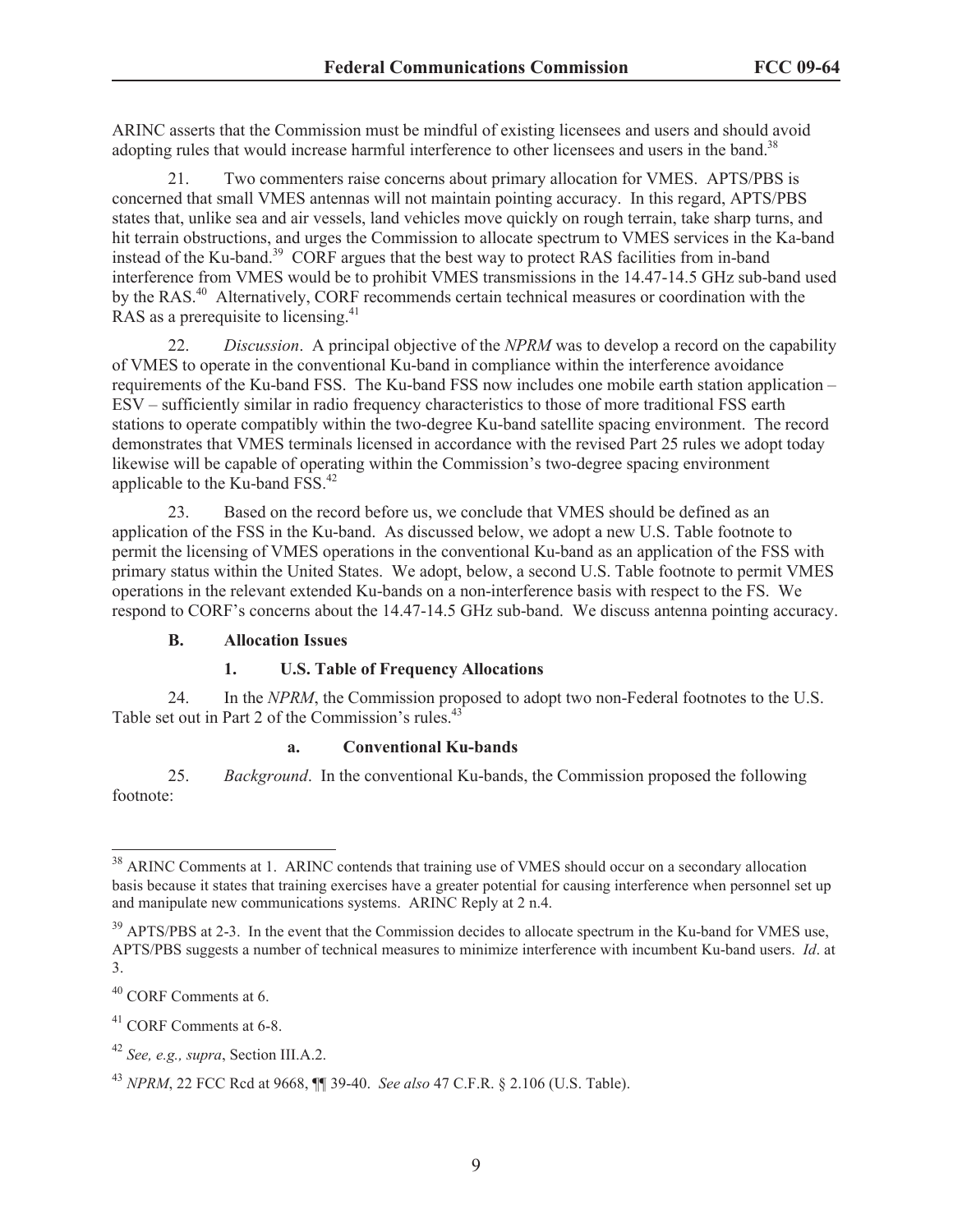ARINC asserts that the Commission must be mindful of existing licensees and users and should avoid adopting rules that would increase harmful interference to other licensees and users in the band.<sup>38</sup>

21. Two commenters raise concerns about primary allocation for VMES. APTS/PBS is concerned that small VMES antennas will not maintain pointing accuracy. In this regard, APTS/PBS states that, unlike sea and air vessels, land vehicles move quickly on rough terrain, take sharp turns, and hit terrain obstructions, and urges the Commission to allocate spectrum to VMES services in the Ka-band instead of the Ku-band.<sup>39</sup> CORF argues that the best way to protect RAS facilities from in-band interference from VMES would be to prohibit VMES transmissions in the 14.47-14.5 GHz sub-band used by the RAS.<sup>40</sup> Alternatively, CORF recommends certain technical measures or coordination with the RAS as a prerequisite to licensing.<sup>41</sup>

22. *Discussion*. A principal objective of the *NPRM* was to develop a record on the capability of VMES to operate in the conventional Ku-band in compliance within the interference avoidance requirements of the Ku-band FSS. The Ku-band FSS now includes one mobile earth station application – ESV – sufficiently similar in radio frequency characteristics to those of more traditional FSS earth stations to operate compatibly within the two-degree Ku-band satellite spacing environment. The record demonstrates that VMES terminals licensed in accordance with the revised Part 25 rules we adopt today likewise will be capable of operating within the Commission's two-degree spacing environment applicable to the Ku-band FSS.<sup>42</sup>

23. Based on the record before us, we conclude that VMES should be defined as an application of the FSS in the Ku-band. As discussed below, we adopt a new U.S. Table footnote to permit the licensing of VMES operations in the conventional Ku-band as an application of the FSS with primary status within the United States. We adopt, below, a second U.S. Table footnote to permit VMES operations in the relevant extended Ku-bands on a non-interference basis with respect to the FS. We respond to CORF's concerns about the 14.47-14.5 GHz sub-band. We discuss antenna pointing accuracy.

#### **B. Allocation Issues**

#### **1. U.S. Table of Frequency Allocations**

24. In the *NPRM*, the Commission proposed to adopt two non-Federal footnotes to the U.S. Table set out in Part 2 of the Commission's rules.<sup>43</sup>

#### **a. Conventional Ku-bands**

25. *Background*. In the conventional Ku-bands, the Commission proposed the following footnote:

<sup>&</sup>lt;sup>38</sup> ARINC Comments at 1. ARINC contends that training use of VMES should occur on a secondary allocation basis because it states that training exercises have a greater potential for causing interference when personnel set up and manipulate new communications systems. ARINC Reply at 2 n.4.

<sup>&</sup>lt;sup>39</sup> APTS/PBS at 2-3. In the event that the Commission decides to allocate spectrum in the Ku-band for VMES use, APTS/PBS suggests a number of technical measures to minimize interference with incumbent Ku-band users. *Id*. at 3.

<sup>40</sup> CORF Comments at 6.

<sup>41</sup> CORF Comments at 6-8.

<sup>42</sup> *See, e.g., supra*, Section III.A.2.

<sup>43</sup> *NPRM*, 22 FCC Rcd at 9668, ¶¶ 39-40. *See also* 47 C.F.R. § 2.106 (U.S. Table).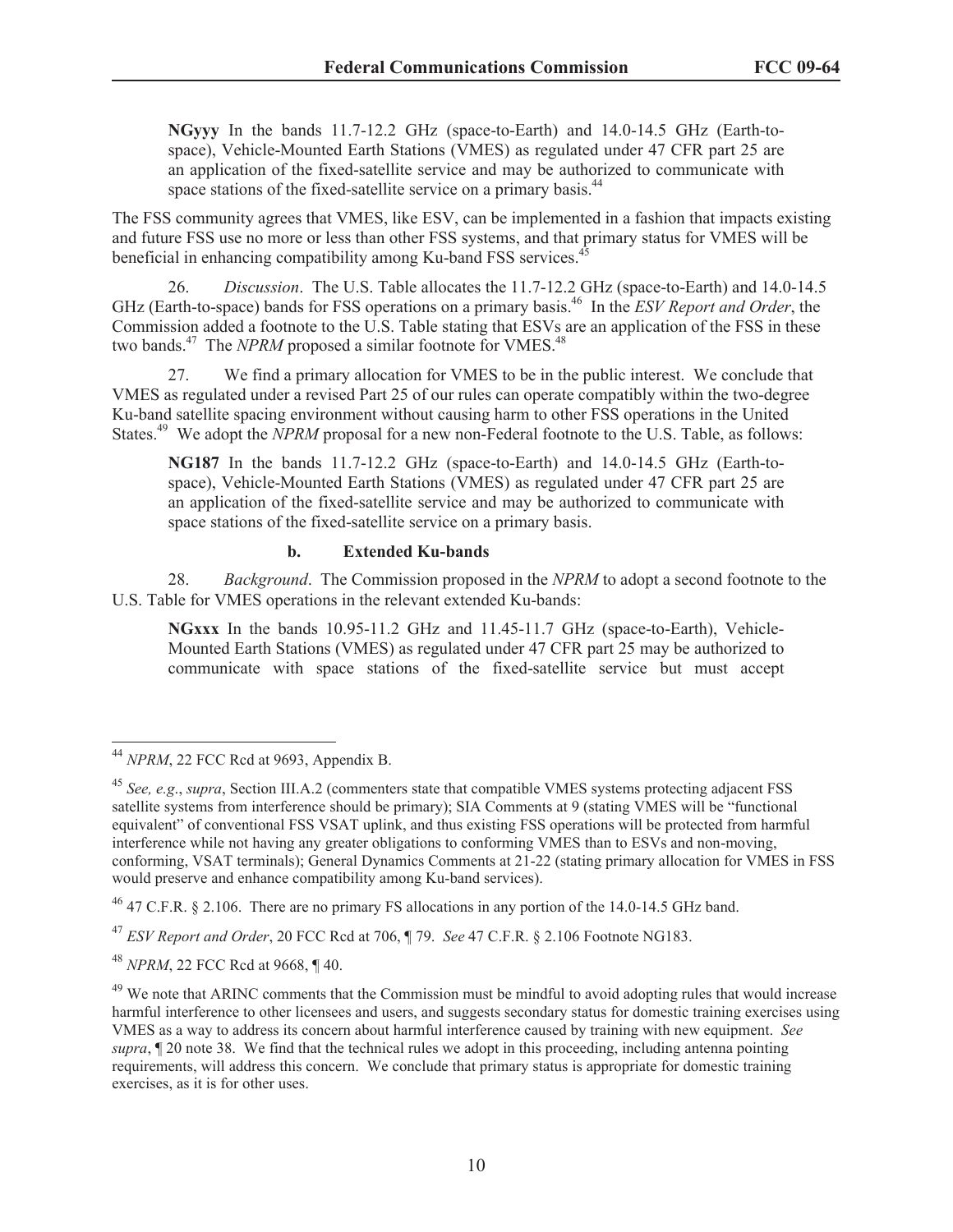**NGyyy** In the bands 11.7-12.2 GHz (space-to-Earth) and 14.0-14.5 GHz (Earth-tospace), Vehicle-Mounted Earth Stations (VMES) as regulated under 47 CFR part 25 are an application of the fixed-satellite service and may be authorized to communicate with space stations of the fixed-satellite service on a primary basis.<sup>44</sup>

The FSS community agrees that VMES, like ESV, can be implemented in a fashion that impacts existing and future FSS use no more or less than other FSS systems, and that primary status for VMES will be beneficial in enhancing compatibility among Ku-band FSS services.<sup>4</sup>

26. *Discussion*. The U.S. Table allocates the 11.7-12.2 GHz (space-to-Earth) and 14.0-14.5 GHz (Earth-to-space) bands for FSS operations on a primary basis.<sup>46</sup> In the *ESV Report and Order*, the Commission added a footnote to the U.S. Table stating that ESVs are an application of the FSS in these two bands.<sup>47</sup> The *NPRM* proposed a similar footnote for VMES.<sup>48</sup>

27. We find a primary allocation for VMES to be in the public interest. We conclude that VMES as regulated under a revised Part 25 of our rules can operate compatibly within the two-degree Ku-band satellite spacing environment without causing harm to other FSS operations in the United States.<sup>49</sup> We adopt the *NPRM* proposal for a new non-Federal footnote to the U.S. Table, as follows:

**NG187** In the bands 11.7-12.2 GHz (space-to-Earth) and 14.0-14.5 GHz (Earth-tospace), Vehicle-Mounted Earth Stations (VMES) as regulated under 47 CFR part 25 are an application of the fixed-satellite service and may be authorized to communicate with space stations of the fixed-satellite service on a primary basis.

#### **b. Extended Ku-bands**

28. *Background*. The Commission proposed in the *NPRM* to adopt a second footnote to the U.S. Table for VMES operations in the relevant extended Ku-bands:

**NGxxx** In the bands 10.95-11.2 GHz and 11.45-11.7 GHz (space-to-Earth), Vehicle-Mounted Earth Stations (VMES) as regulated under 47 CFR part 25 may be authorized to communicate with space stations of the fixed-satellite service but must accept

 $^{46}$  47 C.F.R. § 2.106. There are no primary FS allocations in any portion of the 14.0-14.5 GHz band.

<sup>44</sup> *NPRM*, 22 FCC Rcd at 9693, Appendix B.

<sup>45</sup> *See, e.g*., *supra*, Section III.A.2 (commenters state that compatible VMES systems protecting adjacent FSS satellite systems from interference should be primary); SIA Comments at 9 (stating VMES will be "functional equivalent" of conventional FSS VSAT uplink, and thus existing FSS operations will be protected from harmful interference while not having any greater obligations to conforming VMES than to ESVs and non-moving, conforming, VSAT terminals); General Dynamics Comments at 21-22 (stating primary allocation for VMES in FSS would preserve and enhance compatibility among Ku-band services).

<sup>47</sup> *ESV Report and Order*, 20 FCC Rcd at 706, ¶ 79. *See* 47 C.F.R. § 2.106 Footnote NG183.

<sup>48</sup> *NPRM*, 22 FCC Rcd at 9668, ¶ 40.

<sup>&</sup>lt;sup>49</sup> We note that ARINC comments that the Commission must be mindful to avoid adopting rules that would increase harmful interference to other licensees and users, and suggests secondary status for domestic training exercises using VMES as a way to address its concern about harmful interference caused by training with new equipment. *See supra*, ¶ 20 note 38. We find that the technical rules we adopt in this proceeding, including antenna pointing requirements, will address this concern. We conclude that primary status is appropriate for domestic training exercises, as it is for other uses.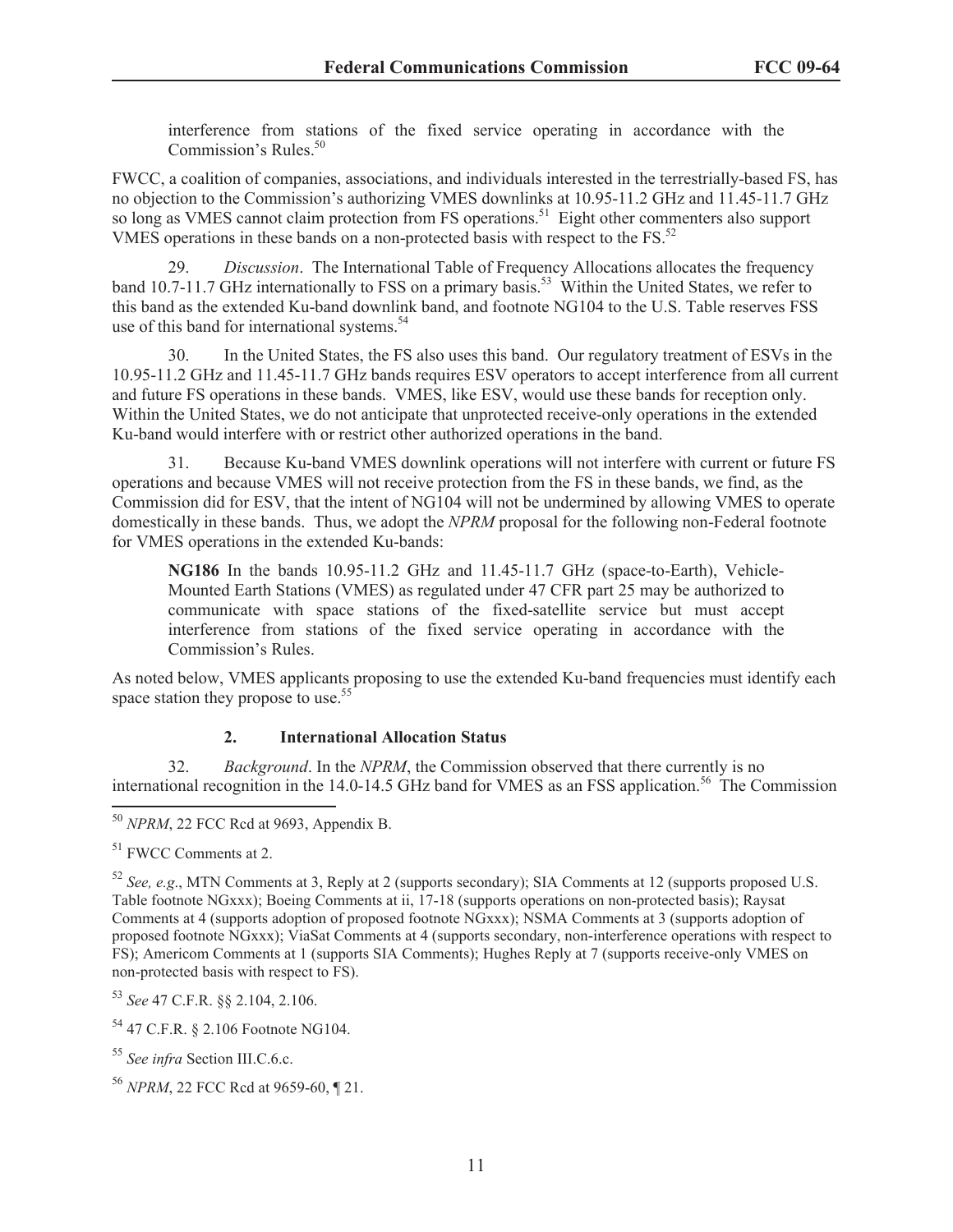interference from stations of the fixed service operating in accordance with the Commission's Rules.<sup>50</sup>

FWCC, a coalition of companies, associations, and individuals interested in the terrestrially-based FS, has no objection to the Commission's authorizing VMES downlinks at 10.95-11.2 GHz and 11.45-11.7 GHz so long as VMES cannot claim protection from FS operations.<sup>51</sup> Eight other commenters also support VMES operations in these bands on a non-protected basis with respect to the FS.<sup>52</sup>

29. *Discussion*. The International Table of Frequency Allocations allocates the frequency band 10.7-11.7 GHz internationally to FSS on a primary basis.<sup>53</sup> Within the United States, we refer to this band as the extended Ku-band downlink band, and footnote NG104 to the U.S. Table reserves FSS use of this band for international systems.<sup>54</sup>

30. In the United States, the FS also uses this band. Our regulatory treatment of ESVs in the 10.95-11.2 GHz and 11.45-11.7 GHz bands requires ESV operators to accept interference from all current and future FS operations in these bands. VMES, like ESV, would use these bands for reception only. Within the United States, we do not anticipate that unprotected receive-only operations in the extended Ku-band would interfere with or restrict other authorized operations in the band.

31. Because Ku-band VMES downlink operations will not interfere with current or future FS operations and because VMES will not receive protection from the FS in these bands, we find, as the Commission did for ESV, that the intent of NG104 will not be undermined by allowing VMES to operate domestically in these bands. Thus, we adopt the *NPRM* proposal for the following non-Federal footnote for VMES operations in the extended Ku-bands:

**NG186** In the bands 10.95-11.2 GHz and 11.45-11.7 GHz (space-to-Earth), Vehicle-Mounted Earth Stations (VMES) as regulated under 47 CFR part 25 may be authorized to communicate with space stations of the fixed-satellite service but must accept interference from stations of the fixed service operating in accordance with the Commission's Rules.

As noted below, VMES applicants proposing to use the extended Ku-band frequencies must identify each space station they propose to use.<sup>55</sup>

## **2. International Allocation Status**

32. *Background*. In the *NPRM*, the Commission observed that there currently is no international recognition in the 14.0-14.5 GHz band for VMES as an FSS application.<sup>56</sup> The Commission

<sup>53</sup> *See* 47 C.F.R. §§ 2.104, 2.106.

<sup>54</sup> 47 C.F.R. § 2.106 Footnote NG104.

<sup>55</sup> *See infra* Section III.C.6.c.

<sup>50</sup> *NPRM*, 22 FCC Rcd at 9693, Appendix B.

<sup>51</sup> FWCC Comments at 2.

<sup>52</sup> *See, e.g*., MTN Comments at 3, Reply at 2 (supports secondary); SIA Comments at 12 (supports proposed U.S. Table footnote NGxxx); Boeing Comments at ii, 17-18 (supports operations on non-protected basis); Raysat Comments at 4 (supports adoption of proposed footnote NGxxx); NSMA Comments at 3 (supports adoption of proposed footnote NGxxx); ViaSat Comments at 4 (supports secondary, non-interference operations with respect to FS); Americom Comments at 1 (supports SIA Comments); Hughes Reply at 7 (supports receive-only VMES on non-protected basis with respect to FS).

<sup>56</sup> *NPRM*, 22 FCC Rcd at 9659-60, ¶ 21.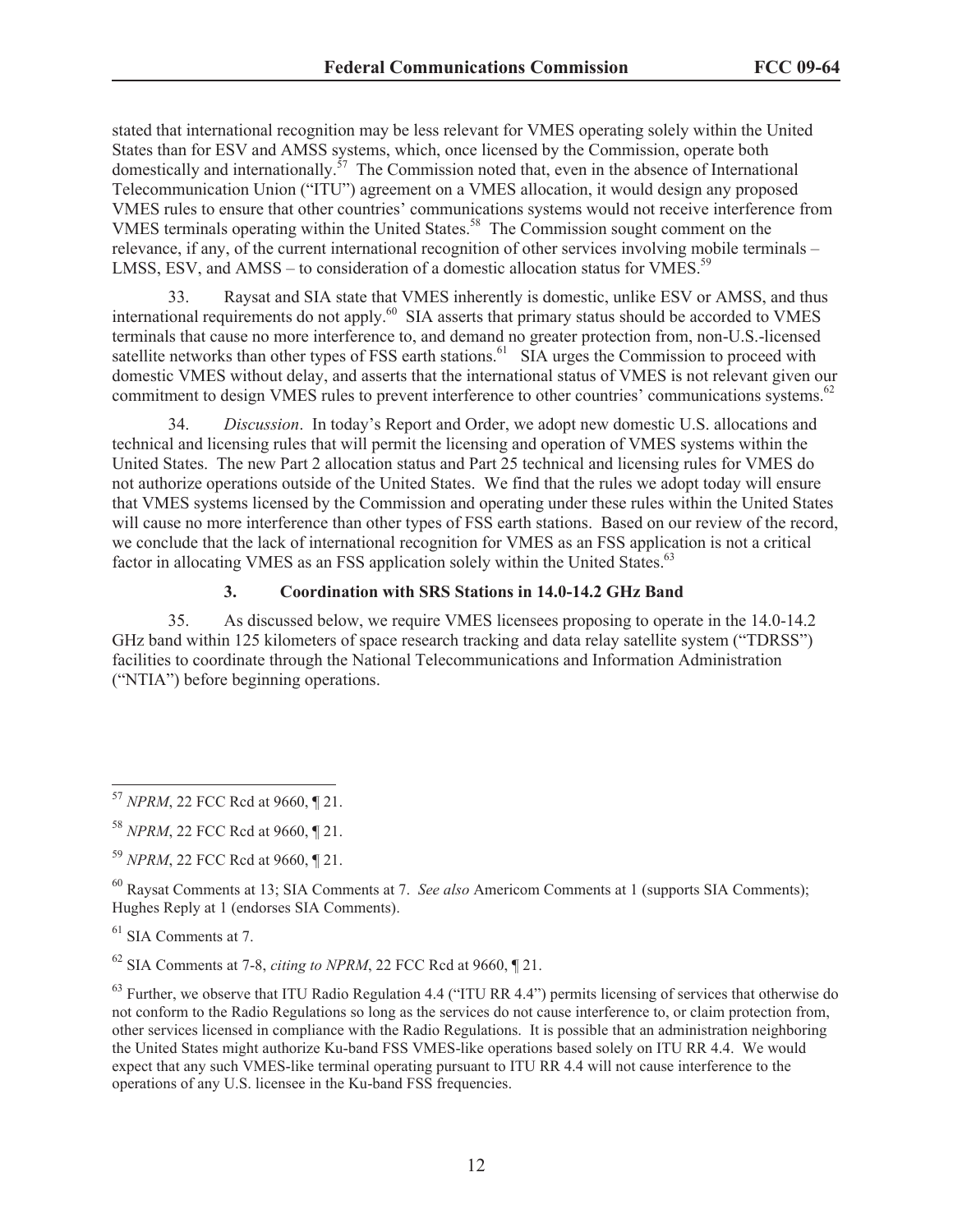stated that international recognition may be less relevant for VMES operating solely within the United States than for ESV and AMSS systems, which, once licensed by the Commission, operate both domestically and internationally.<sup>57</sup> The Commission noted that, even in the absence of International Telecommunication Union ("ITU") agreement on a VMES allocation, it would design any proposed VMES rules to ensure that other countries' communications systems would not receive interference from VMES terminals operating within the United States.<sup>58</sup> The Commission sought comment on the relevance, if any, of the current international recognition of other services involving mobile terminals – LMSS, ESV, and AMSS – to consideration of a domestic allocation status for VMES.<sup>59</sup>

33. Raysat and SIA state that VMES inherently is domestic, unlike ESV or AMSS, and thus international requirements do not apply.<sup>60</sup> SIA asserts that primary status should be accorded to VMES terminals that cause no more interference to, and demand no greater protection from, non-U.S.-licensed satellite networks than other types of FSS earth stations.<sup>61</sup> SIA urges the Commission to proceed with domestic VMES without delay, and asserts that the international status of VMES is not relevant given our commitment to design VMES rules to prevent interference to other countries' communications systems.<sup>62</sup>

34. *Discussion*. In today's Report and Order, we adopt new domestic U.S. allocations and technical and licensing rules that will permit the licensing and operation of VMES systems within the United States. The new Part 2 allocation status and Part 25 technical and licensing rules for VMES do not authorize operations outside of the United States. We find that the rules we adopt today will ensure that VMES systems licensed by the Commission and operating under these rules within the United States will cause no more interference than other types of FSS earth stations. Based on our review of the record, we conclude that the lack of international recognition for VMES as an FSS application is not a critical factor in allocating VMES as an FSS application solely within the United States.<sup>63</sup>

## **3. Coordination with SRS Stations in 14.0-14.2 GHz Band**

35. As discussed below, we require VMES licensees proposing to operate in the 14.0-14.2 GHz band within 125 kilometers of space research tracking and data relay satellite system ("TDRSS") facilities to coordinate through the National Telecommunications and Information Administration ("NTIA") before beginning operations.

<sup>60</sup> Raysat Comments at 13; SIA Comments at 7. *See also* Americom Comments at 1 (supports SIA Comments); Hughes Reply at 1 (endorses SIA Comments).

 $61$  SIA Comments at 7.

<sup>62</sup> SIA Comments at 7-8, *citing to NPRM*, 22 FCC Rcd at 9660, ¶ 21.

 $63$  Further, we observe that ITU Radio Regulation 4.4 ("ITU RR 4.4") permits licensing of services that otherwise do not conform to the Radio Regulations so long as the services do not cause interference to, or claim protection from, other services licensed in compliance with the Radio Regulations. It is possible that an administration neighboring the United States might authorize Ku-band FSS VMES-like operations based solely on ITU RR 4.4. We would expect that any such VMES-like terminal operating pursuant to ITU RR 4.4 will not cause interference to the operations of any U.S. licensee in the Ku-band FSS frequencies.

<sup>57</sup> *NPRM*, 22 FCC Rcd at 9660, ¶ 21.

<sup>58</sup> *NPRM*, 22 FCC Rcd at 9660, ¶ 21.

<sup>59</sup> *NPRM*, 22 FCC Rcd at 9660, ¶ 21.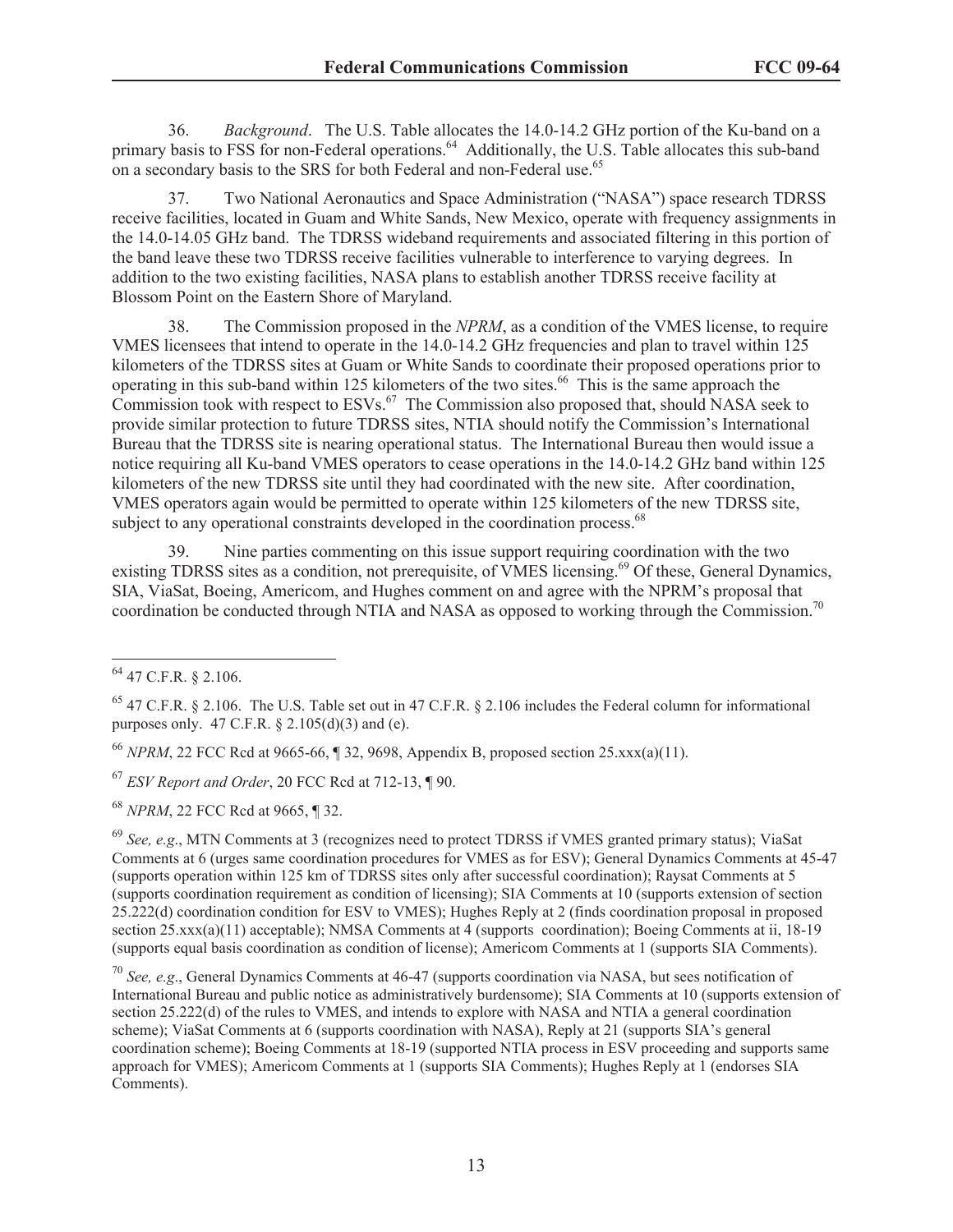36. *Background*. The U.S. Table allocates the 14.0-14.2 GHz portion of the Ku-band on a primary basis to FSS for non-Federal operations.<sup>64</sup> Additionally, the U.S. Table allocates this sub-band on a secondary basis to the SRS for both Federal and non-Federal use.<sup>65</sup>

37. Two National Aeronautics and Space Administration ("NASA") space research TDRSS receive facilities, located in Guam and White Sands, New Mexico, operate with frequency assignments in the 14.0-14.05 GHz band. The TDRSS wideband requirements and associated filtering in this portion of the band leave these two TDRSS receive facilities vulnerable to interference to varying degrees. In addition to the two existing facilities, NASA plans to establish another TDRSS receive facility at Blossom Point on the Eastern Shore of Maryland.

38. The Commission proposed in the *NPRM*, as a condition of the VMES license, to require VMES licensees that intend to operate in the 14.0-14.2 GHz frequencies and plan to travel within 125 kilometers of the TDRSS sites at Guam or White Sands to coordinate their proposed operations prior to operating in this sub-band within 125 kilometers of the two sites.<sup>66</sup> This is the same approach the Commission took with respect to  $ESVs<sup>67</sup>$  The Commission also proposed that, should NASA seek to provide similar protection to future TDRSS sites, NTIA should notify the Commission's International Bureau that the TDRSS site is nearing operational status. The International Bureau then would issue a notice requiring all Ku-band VMES operators to cease operations in the 14.0-14.2 GHz band within 125 kilometers of the new TDRSS site until they had coordinated with the new site. After coordination, VMES operators again would be permitted to operate within 125 kilometers of the new TDRSS site, subject to any operational constraints developed in the coordination process.<sup>68</sup>

39. Nine parties commenting on this issue support requiring coordination with the two existing TDRSS sites as a condition, not prerequisite, of VMES licensing.<sup>69</sup> Of these, General Dynamics, SIA, ViaSat, Boeing, Americom, and Hughes comment on and agree with the NPRM's proposal that coordination be conducted through NTIA and NASA as opposed to working through the Commission.<sup>70</sup>

<sup>70</sup> *See, e.g*., General Dynamics Comments at 46-47 (supports coordination via NASA, but sees notification of International Bureau and public notice as administratively burdensome); SIA Comments at 10 (supports extension of section 25.222(d) of the rules to VMES, and intends to explore with NASA and NTIA a general coordination scheme); ViaSat Comments at 6 (supports coordination with NASA), Reply at 21 (supports SIA's general coordination scheme); Boeing Comments at 18-19 (supported NTIA process in ESV proceeding and supports same approach for VMES); Americom Comments at 1 (supports SIA Comments); Hughes Reply at 1 (endorses SIA Comments).

<sup>64</sup> 47 C.F.R. § 2.106.

 $^{65}$  47 C.F.R. § 2.106. The U.S. Table set out in 47 C.F.R. § 2.106 includes the Federal column for informational purposes only. 47 C.F.R. § 2.105(d)(3) and (e).

<sup>66</sup> *NPRM*, 22 FCC Rcd at 9665-66, ¶ 32, 9698, Appendix B, proposed section 25.xxx(a)(11).

<sup>67</sup> *ESV Report and Order*, 20 FCC Rcd at 712-13, ¶ 90.

<sup>68</sup> *NPRM*, 22 FCC Rcd at 9665, ¶ 32.

<sup>69</sup> *See, e.g*., MTN Comments at 3 (recognizes need to protect TDRSS if VMES granted primary status); ViaSat Comments at 6 (urges same coordination procedures for VMES as for ESV); General Dynamics Comments at 45-47 (supports operation within 125 km of TDRSS sites only after successful coordination); Raysat Comments at 5 (supports coordination requirement as condition of licensing); SIA Comments at 10 (supports extension of section 25.222(d) coordination condition for ESV to VMES); Hughes Reply at 2 (finds coordination proposal in proposed section 25.xxx(a)(11) acceptable); NMSA Comments at 4 (supports coordination); Boeing Comments at ii, 18-19 (supports equal basis coordination as condition of license); Americom Comments at 1 (supports SIA Comments).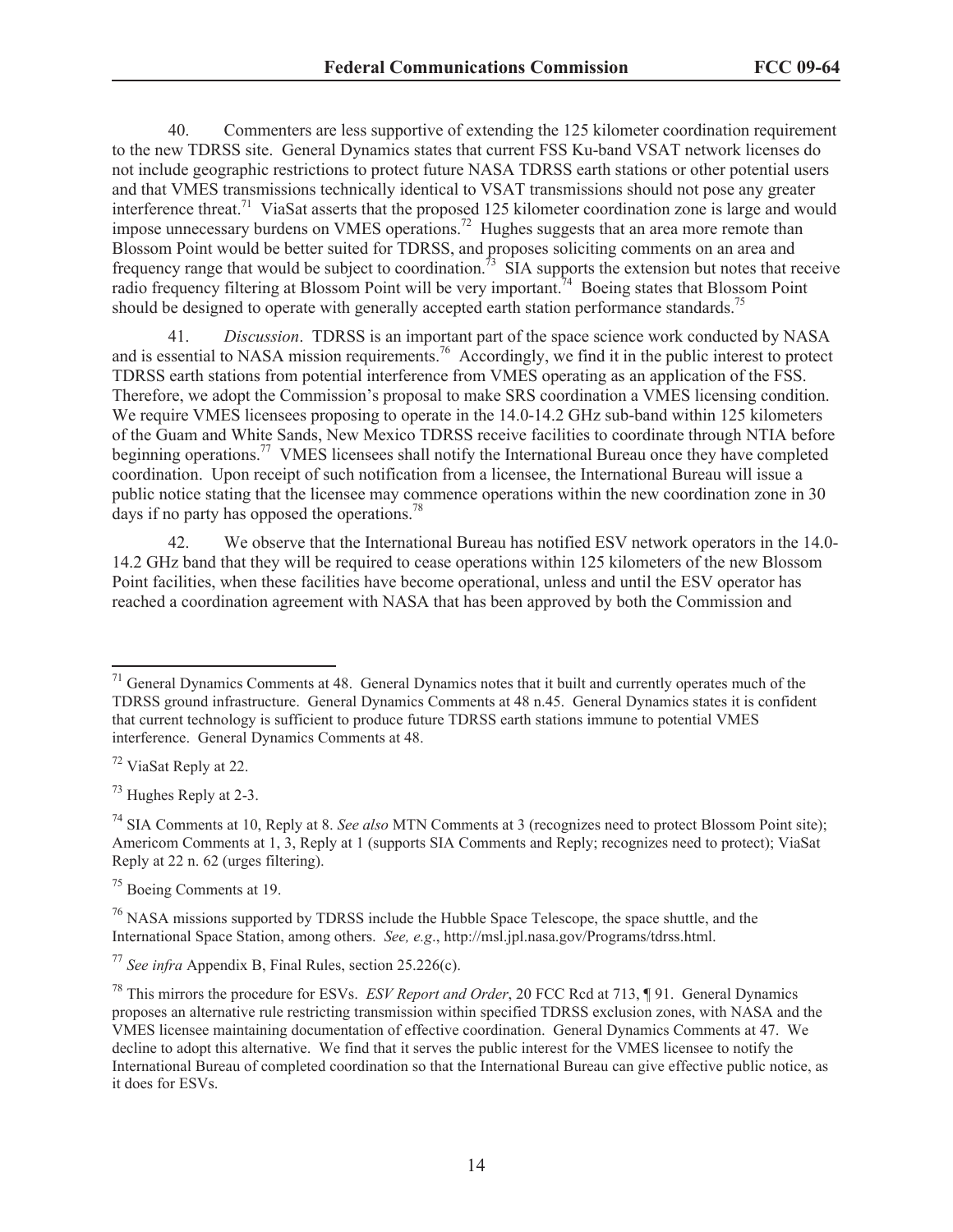40. Commenters are less supportive of extending the 125 kilometer coordination requirement to the new TDRSS site. General Dynamics states that current FSS Ku-band VSAT network licenses do not include geographic restrictions to protect future NASA TDRSS earth stations or other potential users and that VMES transmissions technically identical to VSAT transmissions should not pose any greater interference threat.<sup>71</sup> ViaSat asserts that the proposed 125 kilometer coordination zone is large and would impose unnecessary burdens on VMES operations.<sup>72</sup> Hughes suggests that an area more remote than Blossom Point would be better suited for TDRSS, and proposes soliciting comments on an area and frequency range that would be subject to coordination.<sup>73</sup> SIA supports the extension but notes that receive radio frequency filtering at Blossom Point will be very important.<sup>74</sup> Boeing states that Blossom Point should be designed to operate with generally accepted earth station performance standards.<sup>75</sup>

41. *Discussion*. TDRSS is an important part of the space science work conducted by NASA and is essential to NASA mission requirements.<sup>76</sup> Accordingly, we find it in the public interest to protect TDRSS earth stations from potential interference from VMES operating as an application of the FSS. Therefore, we adopt the Commission's proposal to make SRS coordination a VMES licensing condition. We require VMES licensees proposing to operate in the 14.0-14.2 GHz sub-band within 125 kilometers of the Guam and White Sands, New Mexico TDRSS receive facilities to coordinate through NTIA before beginning operations.<sup>77</sup> VMES licensees shall notify the International Bureau once they have completed coordination. Upon receipt of such notification from a licensee, the International Bureau will issue a public notice stating that the licensee may commence operations within the new coordination zone in 30 days if no party has opposed the operations.<sup>78</sup>

42. We observe that the International Bureau has notified ESV network operators in the 14.0- 14.2 GHz band that they will be required to cease operations within 125 kilometers of the new Blossom Point facilities, when these facilities have become operational, unless and until the ESV operator has reached a coordination agreement with NASA that has been approved by both the Commission and

<sup>73</sup> Hughes Reply at 2-3.

<sup>75</sup> Boeing Comments at 19.

<sup>76</sup> NASA missions supported by TDRSS include the Hubble Space Telescope, the space shuttle, and the International Space Station, among others. *See, e.g*., http://msl.jpl.nasa.gov/Programs/tdrss.html.

<sup>&</sup>lt;sup>71</sup> General Dynamics Comments at 48. General Dynamics notes that it built and currently operates much of the TDRSS ground infrastructure. General Dynamics Comments at 48 n.45. General Dynamics states it is confident that current technology is sufficient to produce future TDRSS earth stations immune to potential VMES interference. General Dynamics Comments at 48.

<sup>72</sup> ViaSat Reply at 22.

<sup>74</sup> SIA Comments at 10, Reply at 8. *See also* MTN Comments at 3 (recognizes need to protect Blossom Point site); Americom Comments at 1, 3, Reply at 1 (supports SIA Comments and Reply; recognizes need to protect); ViaSat Reply at 22 n. 62 (urges filtering).

<sup>77</sup> *See infra* Appendix B, Final Rules, section 25.226(c).

<sup>78</sup> This mirrors the procedure for ESVs. *ESV Report and Order*, 20 FCC Rcd at 713, ¶ 91. General Dynamics proposes an alternative rule restricting transmission within specified TDRSS exclusion zones, with NASA and the VMES licensee maintaining documentation of effective coordination. General Dynamics Comments at 47. We decline to adopt this alternative. We find that it serves the public interest for the VMES licensee to notify the International Bureau of completed coordination so that the International Bureau can give effective public notice, as it does for ESVs.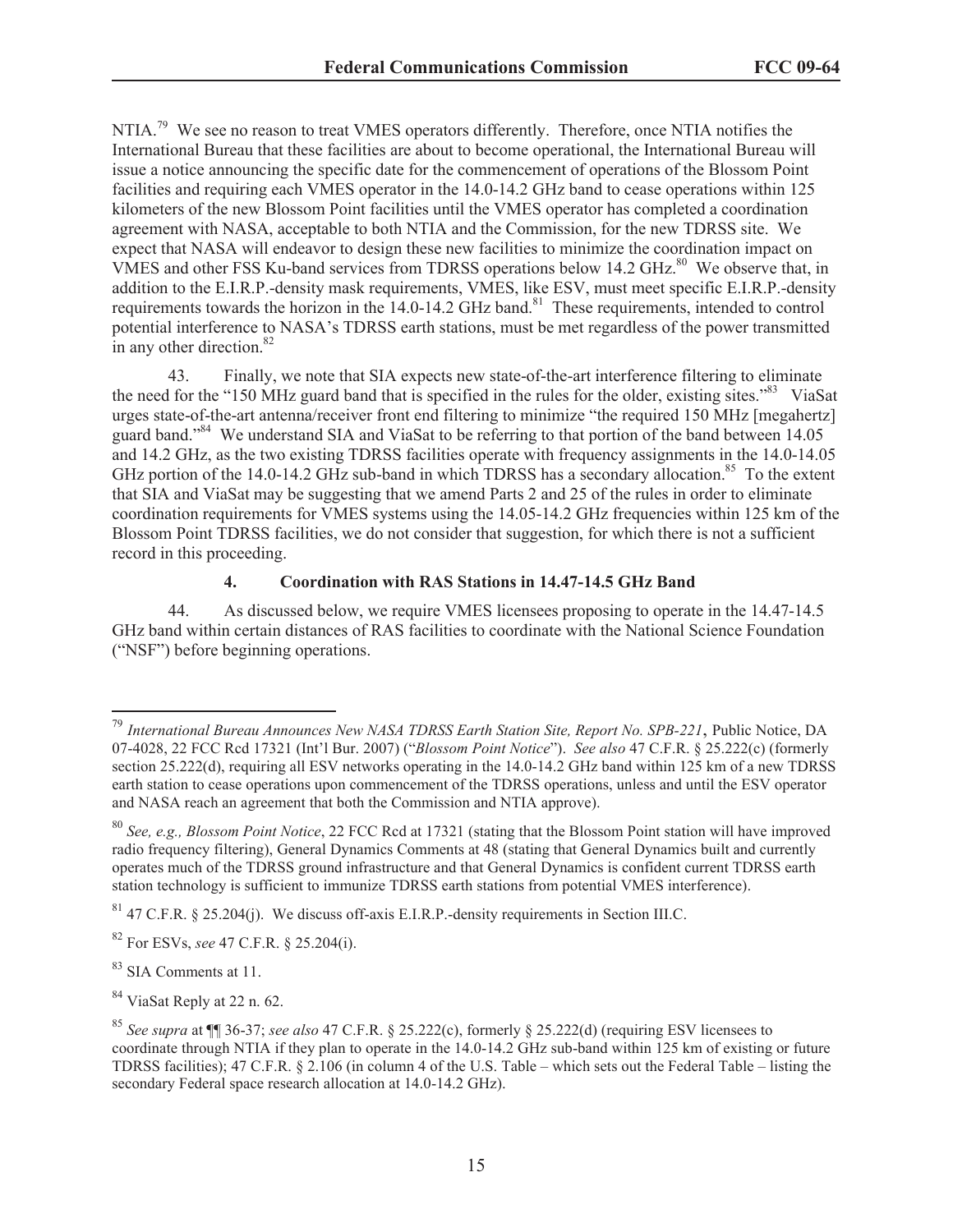NTIA.<sup>79</sup> We see no reason to treat VMES operators differently. Therefore, once NTIA notifies the International Bureau that these facilities are about to become operational, the International Bureau will issue a notice announcing the specific date for the commencement of operations of the Blossom Point facilities and requiring each VMES operator in the 14.0-14.2 GHz band to cease operations within 125 kilometers of the new Blossom Point facilities until the VMES operator has completed a coordination agreement with NASA, acceptable to both NTIA and the Commission, for the new TDRSS site. We expect that NASA will endeavor to design these new facilities to minimize the coordination impact on VMES and other FSS Ku-band services from TDRSS operations below 14.2 GHz.<sup>80</sup> We observe that, in addition to the E.I.R.P.-density mask requirements, VMES, like ESV, must meet specific E.I.R.P.-density requirements towards the horizon in the 14.0-14.2 GHz band.<sup>81</sup> These requirements, intended to control potential interference to NASA's TDRSS earth stations, must be met regardless of the power transmitted in any other direction.<sup>82</sup>

43. Finally, we note that SIA expects new state-of-the-art interference filtering to eliminate the need for the "150 MHz guard band that is specified in the rules for the older, existing sites."<sup>83</sup> ViaSat urges state-of-the-art antenna/receiver front end filtering to minimize "the required 150 MHz [megahertz] guard band."<sup>84</sup> We understand SIA and ViaSat to be referring to that portion of the band between 14.05 and 14.2 GHz, as the two existing TDRSS facilities operate with frequency assignments in the 14.0-14.05 GHz portion of the 14.0-14.2 GHz sub-band in which TDRSS has a secondary allocation.<sup>85</sup> To the extent that SIA and ViaSat may be suggesting that we amend Parts 2 and 25 of the rules in order to eliminate coordination requirements for VMES systems using the 14.05-14.2 GHz frequencies within 125 km of the Blossom Point TDRSS facilities, we do not consider that suggestion, for which there is not a sufficient record in this proceeding.

## **4. Coordination with RAS Stations in 14.47-14.5 GHz Band**

44. As discussed below, we require VMES licensees proposing to operate in the 14.47-14.5 GHz band within certain distances of RAS facilities to coordinate with the National Science Foundation ("NSF") before beginning operations.

<sup>83</sup> SIA Comments at 11.

<sup>84</sup> ViaSat Reply at 22 n. 62.

<sup>79</sup> *International Bureau Announces New NASA TDRSS Earth Station Site, Report No. SPB-221*, Public Notice, DA 07-4028, 22 FCC Rcd 17321 (Int'l Bur. 2007) ("*Blossom Point Notice*"). *See also* 47 C.F.R. § 25.222(c) (formerly section 25.222(d), requiring all ESV networks operating in the 14.0-14.2 GHz band within 125 km of a new TDRSS earth station to cease operations upon commencement of the TDRSS operations, unless and until the ESV operator and NASA reach an agreement that both the Commission and NTIA approve).

<sup>80</sup> *See, e.g., Blossom Point Notice*, 22 FCC Rcd at 17321 (stating that the Blossom Point station will have improved radio frequency filtering), General Dynamics Comments at 48 (stating that General Dynamics built and currently operates much of the TDRSS ground infrastructure and that General Dynamics is confident current TDRSS earth station technology is sufficient to immunize TDRSS earth stations from potential VMES interference).

 $81$  47 C.F.R. § 25.204(j). We discuss of f-axis E.I.R.P.-density requirements in Section III.C.

<sup>82</sup> For ESVs, *see* 47 C.F.R. § 25.204(i).

<sup>85</sup> *See supra* at ¶¶ 36-37; *see also* 47 C.F.R. § 25.222(c), formerly § 25.222(d) (requiring ESV licensees to coordinate through NTIA if they plan to operate in the 14.0-14.2 GHz sub-band within 125 km of existing or future TDRSS facilities); 47 C.F.R. § 2.106 (in column 4 of the U.S. Table – which sets out the Federal Table – listing the secondary Federal space research allocation at 14.0-14.2 GHz).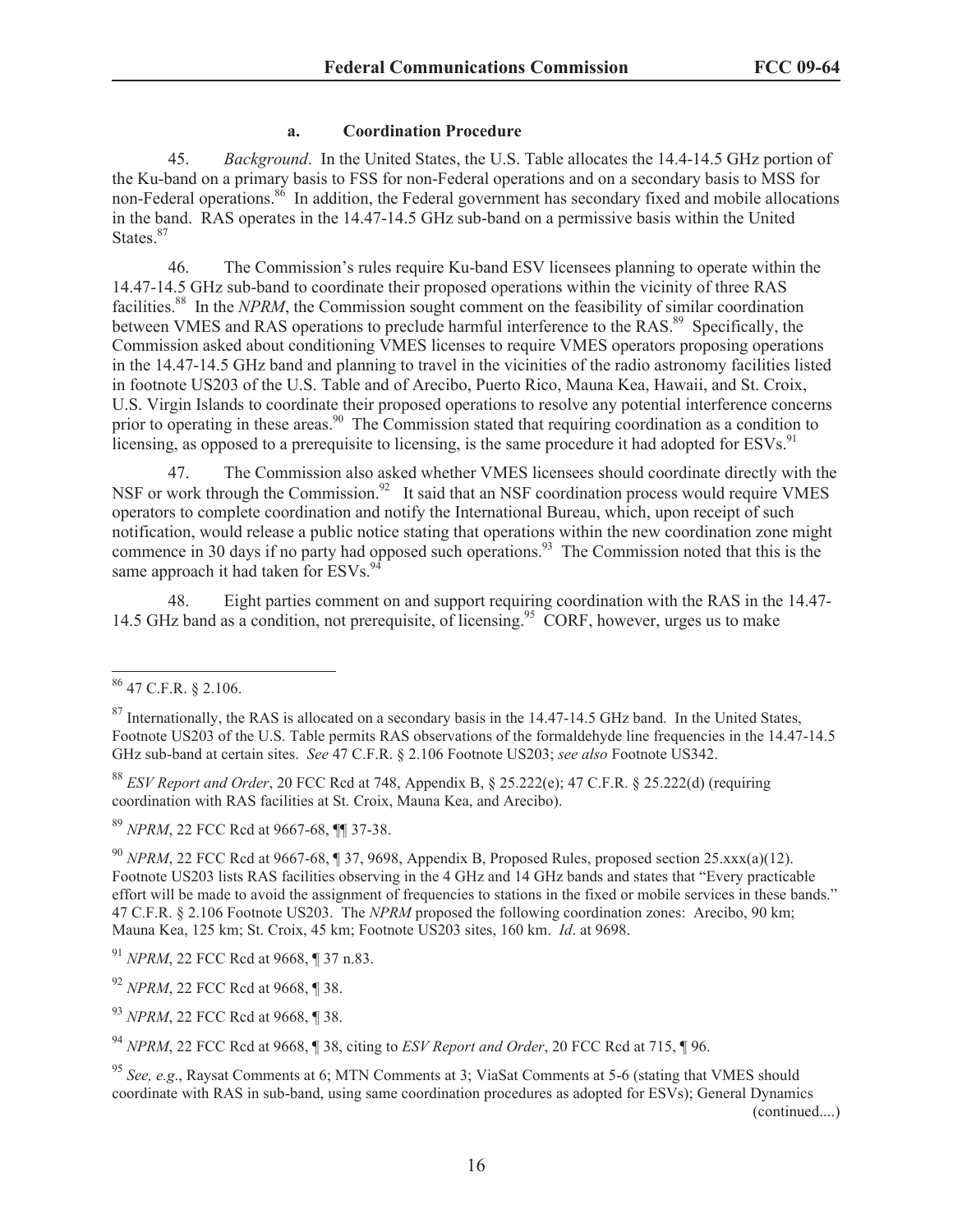#### **a. Coordination Procedure**

45. *Background*. In the United States, the U.S. Table allocates the 14.4-14.5 GHz portion of the Ku-band on a primary basis to FSS for non-Federal operations and on a secondary basis to MSS for non-Federal operations.<sup>86</sup> In addition, the Federal government has secondary fixed and mobile allocations in the band. RAS operates in the 14.47-14.5 GHz sub-band on a permissive basis within the United States.<sup>87</sup>

46. The Commission's rules require Ku-band ESV licensees planning to operate within the 14.47-14.5 GHz sub-band to coordinate their proposed operations within the vicinity of three RAS facilities.<sup>88</sup> In the *NPRM*, the Commission sought comment on the feasibility of similar coordination between VMES and RAS operations to preclude harmful interference to the RAS.<sup>89</sup> Specifically, the Commission asked about conditioning VMES licenses to require VMES operators proposing operations in the 14.47-14.5 GHz band and planning to travel in the vicinities of the radio astronomy facilities listed in footnote US203 of the U.S. Table and of Arecibo, Puerto Rico, Mauna Kea, Hawaii, and St. Croix, U.S. Virgin Islands to coordinate their proposed operations to resolve any potential interference concerns prior to operating in these areas.<sup>90</sup> The Commission stated that requiring coordination as a condition to licensing, as opposed to a prerequisite to licensing, is the same procedure it had adopted for ESVs.<sup>91</sup>

47. The Commission also asked whether VMES licensees should coordinate directly with the NSF or work through the Commission.<sup>92</sup> It said that an NSF coordination process would require VMES operators to complete coordination and notify the International Bureau, which, upon receipt of such notification, would release a public notice stating that operations within the new coordination zone might commence in 30 days if no party had opposed such operations.<sup>93</sup> The Commission noted that this is the same approach it had taken for ESVs.<sup>9</sup>

48. Eight parties comment on and support requiring coordination with the RAS in the 14.47- 14.5 GHz band as a condition, not prerequisite, of licensing.<sup>95</sup> CORF, however, urges us to make

<sup>88</sup> *ESV Report and Order*, 20 FCC Rcd at 748, Appendix B, § 25.222(e); 47 C.F.R. § 25.222(d) (requiring coordination with RAS facilities at St. Croix, Mauna Kea, and Arecibo).

<sup>89</sup> *NPRM*, 22 FCC Rcd at 9667-68, ¶¶ 37-38.

<sup>90</sup> *NPRM*, 22 FCC Rcd at 9667-68, ¶ 37, 9698, Appendix B, Proposed Rules, proposed section 25.xxx(a)(12). Footnote US203 lists RAS facilities observing in the 4 GHz and 14 GHz bands and states that "Every practicable effort will be made to avoid the assignment of frequencies to stations in the fixed or mobile services in these bands." 47 C.F.R. § 2.106 Footnote US203. The *NPRM* proposed the following coordination zones: Arecibo, 90 km; Mauna Kea, 125 km; St. Croix, 45 km; Footnote US203 sites, 160 km. *Id*. at 9698.

(continued....)

<sup>86</sup> 47 C.F.R. § 2.106.

<sup>&</sup>lt;sup>87</sup> Internationally, the RAS is allocated on a secondary basis in the 14.47-14.5 GHz band. In the United States, Footnote US203 of the U.S. Table permits RAS observations of the formaldehyde line frequencies in the 14.47-14.5 GHz sub-band at certain sites. *See* 47 C.F.R. § 2.106 Footnote US203; *see also* Footnote US342.

<sup>91</sup> *NPRM*, 22 FCC Rcd at 9668, ¶ 37 n.83.

<sup>92</sup> *NPRM*, 22 FCC Rcd at 9668, ¶ 38.

<sup>93</sup> *NPRM*, 22 FCC Rcd at 9668, ¶ 38.

<sup>94</sup> *NPRM*, 22 FCC Rcd at 9668, ¶ 38, citing to *ESV Report and Order*, 20 FCC Rcd at 715, ¶ 96.

<sup>95</sup> *See, e.g*., Raysat Comments at 6; MTN Comments at 3; ViaSat Comments at 5-6 (stating that VMES should coordinate with RAS in sub-band, using same coordination procedures as adopted for ESVs); General Dynamics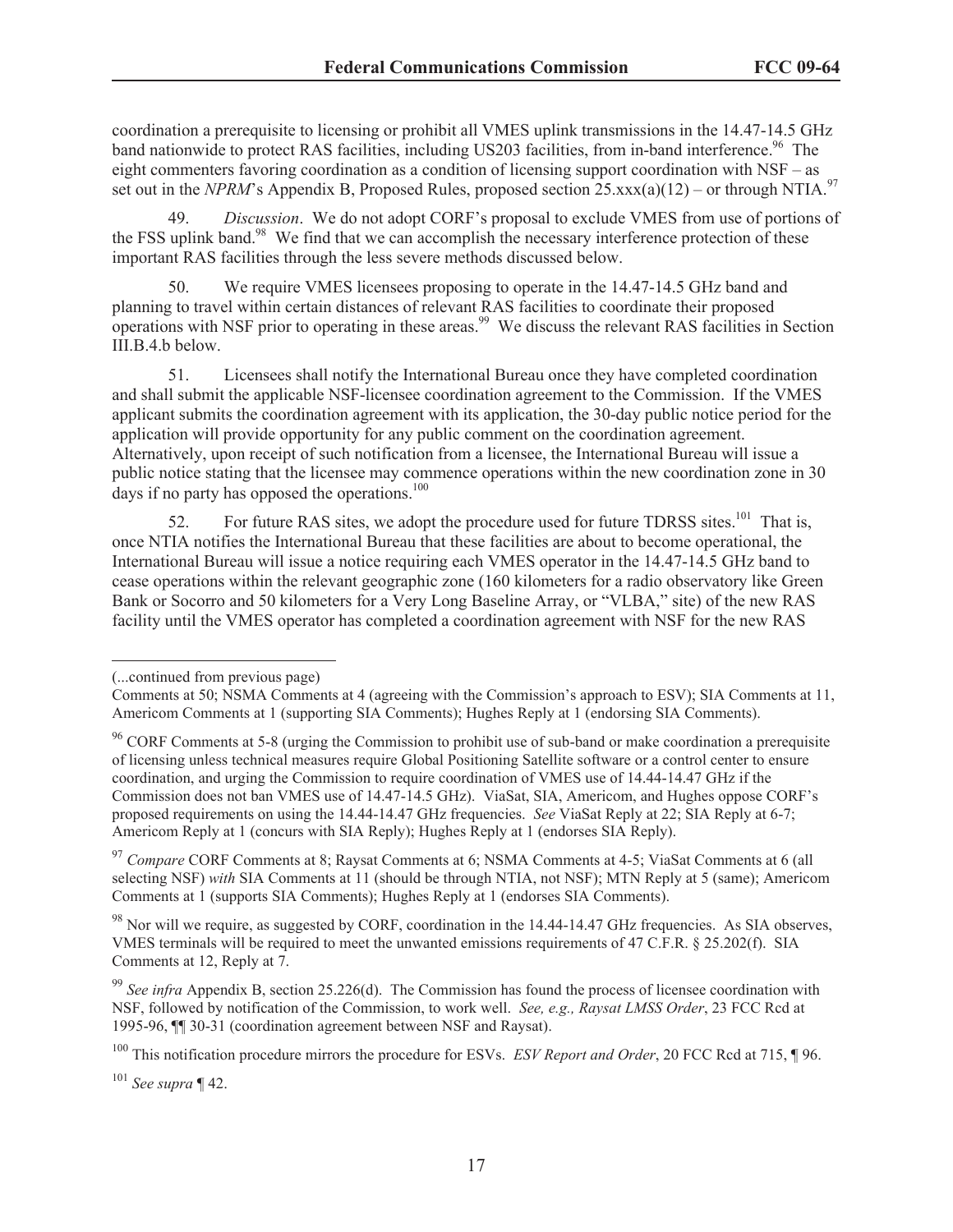coordination a prerequisite to licensing or prohibit all VMES uplink transmissions in the 14.47-14.5 GHz band nationwide to protect RAS facilities, including US203 facilities, from in-band interference.<sup>96</sup> The eight commenters favoring coordination as a condition of licensing support coordination with NSF – as set out in the *NPRM*'s Appendix B, Proposed Rules, proposed section 25.xxx(a)(12) – or through NTIA.<sup>97</sup>

49. *Discussion*. We do not adopt CORF's proposal to exclude VMES from use of portions of the FSS uplink band.<sup>98</sup> We find that we can accomplish the necessary interference protection of these important RAS facilities through the less severe methods discussed below.

50. We require VMES licensees proposing to operate in the 14.47-14.5 GHz band and planning to travel within certain distances of relevant RAS facilities to coordinate their proposed operations with NSF prior to operating in these areas.<sup>99</sup> We discuss the relevant RAS facilities in Section III.B.4.b below.

51. Licensees shall notify the International Bureau once they have completed coordination and shall submit the applicable NSF-licensee coordination agreement to the Commission. If the VMES applicant submits the coordination agreement with its application, the 30-day public notice period for the application will provide opportunity for any public comment on the coordination agreement. Alternatively, upon receipt of such notification from a licensee, the International Bureau will issue a public notice stating that the licensee may commence operations within the new coordination zone in 30 days if no party has opposed the operations. $100$ 

52. For future RAS sites, we adopt the procedure used for future TDRSS sites.<sup>101</sup> That is, once NTIA notifies the International Bureau that these facilities are about to become operational, the International Bureau will issue a notice requiring each VMES operator in the 14.47-14.5 GHz band to cease operations within the relevant geographic zone (160 kilometers for a radio observatory like Green Bank or Socorro and 50 kilometers for a Very Long Baseline Array, or "VLBA," site) of the new RAS facility until the VMES operator has completed a coordination agreement with NSF for the new RAS

<sup>97</sup> *Compare* CORF Comments at 8; Raysat Comments at 6; NSMA Comments at 4-5; ViaSat Comments at 6 (all selecting NSF) *with* SIA Comments at 11 (should be through NTIA, not NSF); MTN Reply at 5 (same); Americom Comments at 1 (supports SIA Comments); Hughes Reply at 1 (endorses SIA Comments).

 $^{98}$  Nor will we require, as suggested by CORF, coordination in the 14.44-14.47 GHz frequencies. As SIA observes, VMES terminals will be required to meet the unwanted emissions requirements of 47 C.F.R. § 25.202(f). SIA Comments at 12, Reply at 7.

<sup>99</sup> See infra Appendix B, section 25.226(d). The Commission has found the process of licensee coordination with NSF, followed by notification of the Commission, to work well. *See, e.g., Raysat LMSS Order*, 23 FCC Rcd at 1995-96, ¶¶ 30-31 (coordination agreement between NSF and Raysat).

<sup>100</sup> This notification procedure mirrors the procedure for ESVs. *ESV Report and Order*, 20 FCC Rcd at 715, ¶ 96.

<sup>101</sup> *See supra* ¶ 42.

<sup>(...</sup>continued from previous page)

Comments at 50; NSMA Comments at 4 (agreeing with the Commission's approach to ESV); SIA Comments at 11, Americom Comments at 1 (supporting SIA Comments); Hughes Reply at 1 (endorsing SIA Comments).

<sup>&</sup>lt;sup>96</sup> CORF Comments at 5-8 (urging the Commission to prohibit use of sub-band or make coordination a prerequisite of licensing unless technical measures require Global Positioning Satellite software or a control center to ensure coordination, and urging the Commission to require coordination of VMES use of 14.44-14.47 GHz if the Commission does not ban VMES use of 14.47-14.5 GHz). ViaSat, SIA, Americom, and Hughes oppose CORF's proposed requirements on using the 14.44-14.47 GHz frequencies. *See* ViaSat Reply at 22; SIA Reply at 6-7; Americom Reply at 1 (concurs with SIA Reply); Hughes Reply at 1 (endorses SIA Reply).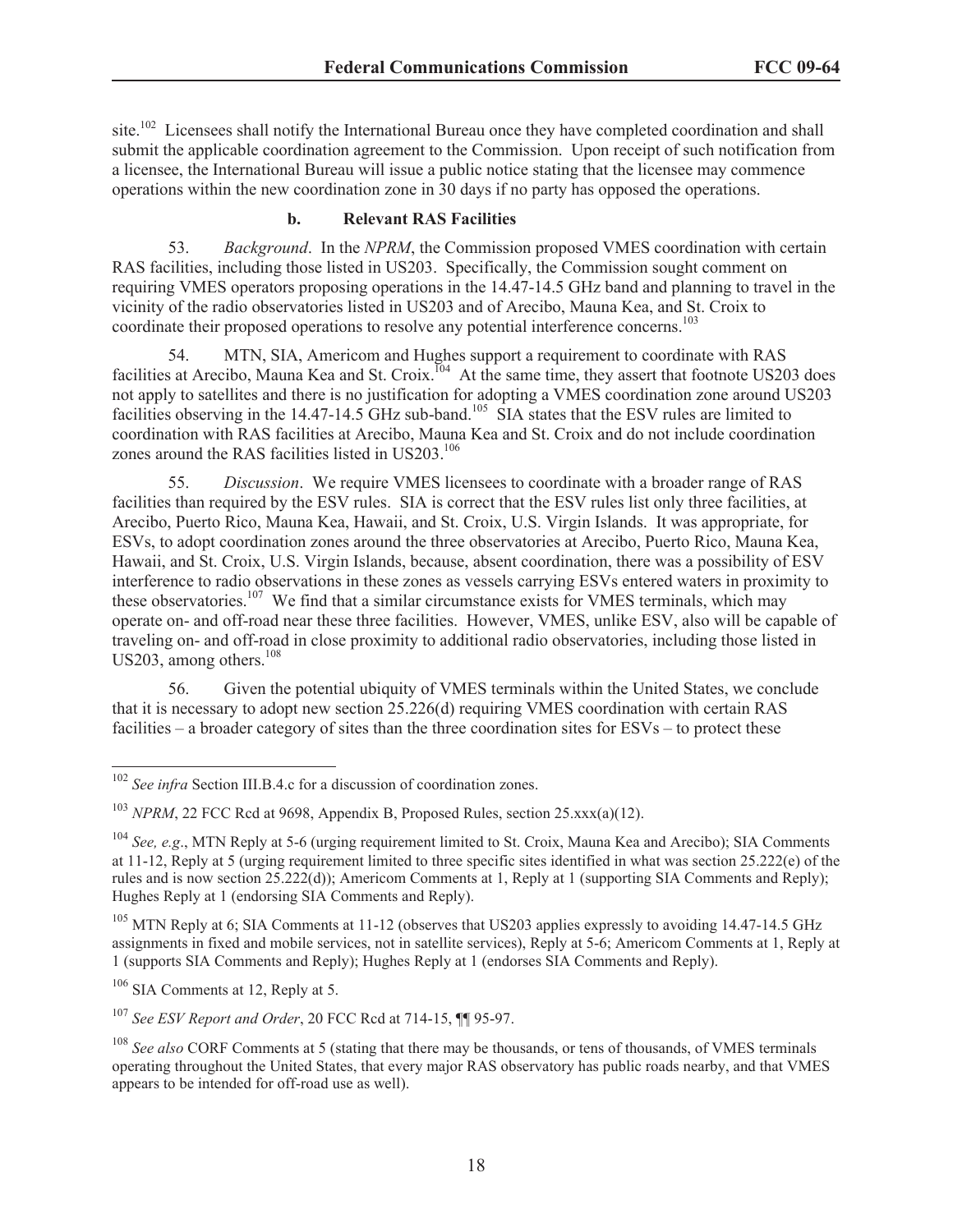site.<sup>102</sup> Licensees shall notify the International Bureau once they have completed coordination and shall submit the applicable coordination agreement to the Commission. Upon receipt of such notification from a licensee, the International Bureau will issue a public notice stating that the licensee may commence operations within the new coordination zone in 30 days if no party has opposed the operations.

#### **b. Relevant RAS Facilities**

53. *Background*. In the *NPRM*, the Commission proposed VMES coordination with certain RAS facilities, including those listed in US203. Specifically, the Commission sought comment on requiring VMES operators proposing operations in the 14.47-14.5 GHz band and planning to travel in the vicinity of the radio observatories listed in US203 and of Arecibo, Mauna Kea, and St. Croix to coordinate their proposed operations to resolve any potential interference concerns.<sup>103</sup>

54. MTN, SIA, Americom and Hughes support a requirement to coordinate with RAS facilities at Arecibo, Mauna Kea and St. Croix.<sup>104</sup> At the same time, they assert that footnote US203 does not apply to satellites and there is no justification for adopting a VMES coordination zone around US203 facilities observing in the 14.47-14.5 GHz sub-band.<sup>105</sup> SIA states that the ESV rules are limited to coordination with RAS facilities at Arecibo, Mauna Kea and St. Croix and do not include coordination zones around the RAS facilities listed in US203.<sup>106</sup>

55. *Discussion*. We require VMES licensees to coordinate with a broader range of RAS facilities than required by the ESV rules. SIA is correct that the ESV rules list only three facilities, at Arecibo, Puerto Rico, Mauna Kea, Hawaii, and St. Croix, U.S. Virgin Islands. It was appropriate, for ESVs, to adopt coordination zones around the three observatories at Arecibo, Puerto Rico, Mauna Kea, Hawaii, and St. Croix, U.S. Virgin Islands, because, absent coordination, there was a possibility of ESV interference to radio observations in these zones as vessels carrying ESVs entered waters in proximity to these observatories.<sup>107</sup> We find that a similar circumstance exists for VMES terminals, which may operate on- and off-road near these three facilities. However, VMES, unlike ESV, also will be capable of traveling on- and off-road in close proximity to additional radio observatories, including those listed in US203, among others.<sup>108</sup>

56. Given the potential ubiquity of VMES terminals within the United States, we conclude that it is necessary to adopt new section 25.226(d) requiring VMES coordination with certain RAS facilities – a broader category of sites than the three coordination sites for ESVs – to protect these

 $105$  MTN Reply at 6; SIA Comments at 11-12 (observes that US203 applies expressly to avoiding 14.47-14.5 GHz assignments in fixed and mobile services, not in satellite services), Reply at 5-6; Americom Comments at 1, Reply at 1 (supports SIA Comments and Reply); Hughes Reply at 1 (endorses SIA Comments and Reply).

<sup>&</sup>lt;sup>102</sup> *See infra* Section III.B.4.c for a discussion of coordination zones.

<sup>&</sup>lt;sup>103</sup> *NPRM*, 22 FCC Rcd at 9698, Appendix B, Proposed Rules, section 25.xxx(a)(12).

<sup>104</sup> *See, e.g*., MTN Reply at 5-6 (urging requirement limited to St. Croix, Mauna Kea and Arecibo); SIA Comments at 11-12, Reply at 5 (urging requirement limited to three specific sites identified in what was section 25.222(e) of the rules and is now section 25.222(d)); Americom Comments at 1, Reply at 1 (supporting SIA Comments and Reply); Hughes Reply at 1 (endorsing SIA Comments and Reply).

<sup>&</sup>lt;sup>106</sup> SIA Comments at 12, Reply at 5.

<sup>107</sup> *See ESV Report and Order*, 20 FCC Rcd at 714-15, ¶¶ 95-97.

<sup>108</sup> *See also* CORF Comments at 5 (stating that there may be thousands, or tens of thousands, of VMES terminals operating throughout the United States, that every major RAS observatory has public roads nearby, and that VMES appears to be intended for off-road use as well).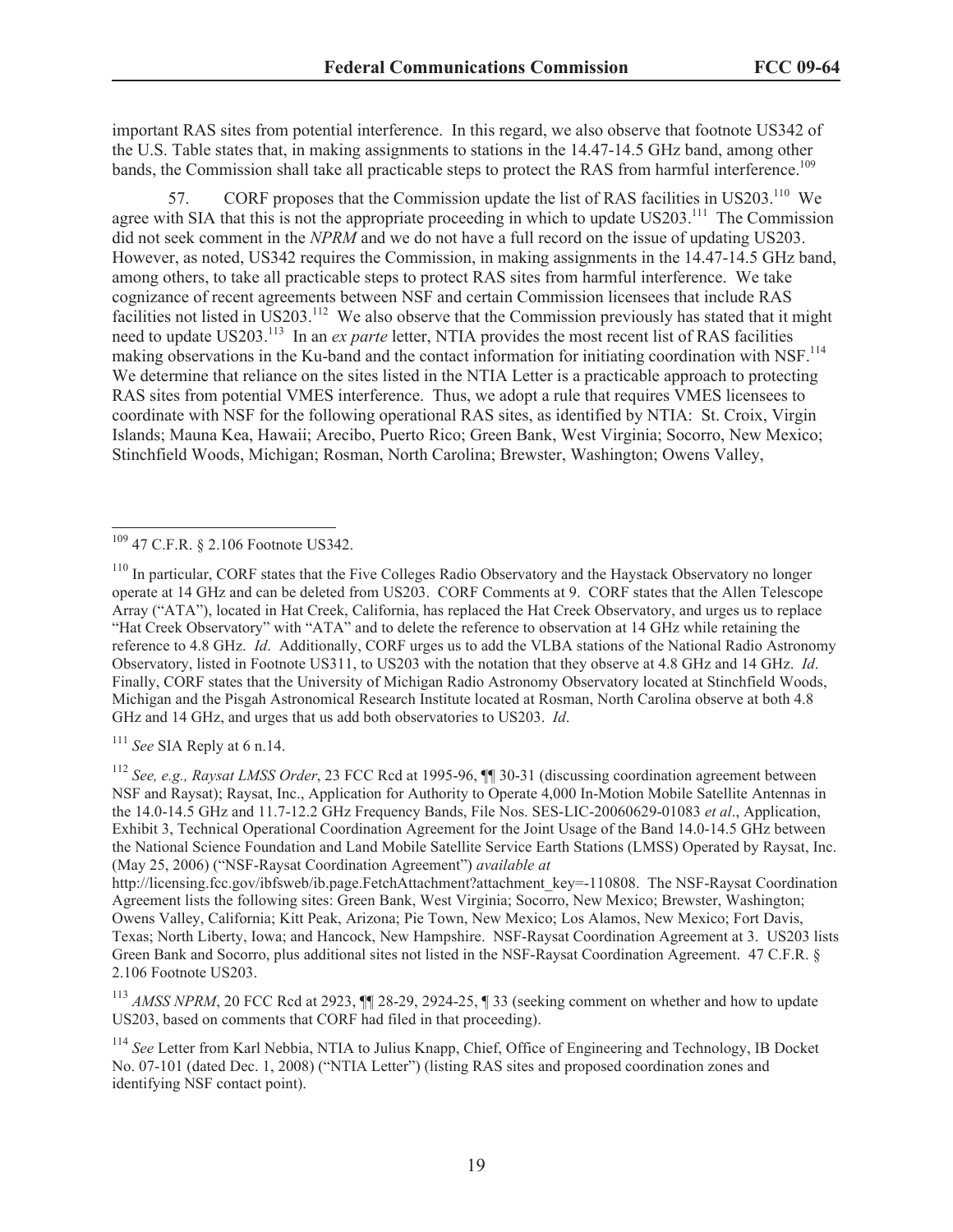important RAS sites from potential interference. In this regard, we also observe that footnote US342 of the U.S. Table states that, in making assignments to stations in the 14.47-14.5 GHz band, among other bands, the Commission shall take all practicable steps to protect the RAS from harmful interference.<sup>109</sup>

57. CORF proposes that the Commission update the list of RAS facilities in US203.<sup>110</sup> We agree with SIA that this is not the appropriate proceeding in which to update US203.<sup>111</sup> The Commission did not seek comment in the *NPRM* and we do not have a full record on the issue of updating US203. However, as noted, US342 requires the Commission, in making assignments in the 14.47-14.5 GHz band, among others, to take all practicable steps to protect RAS sites from harmful interference. We take cognizance of recent agreements between NSF and certain Commission licensees that include RAS facilities not listed in US203.<sup>112</sup> We also observe that the Commission previously has stated that it might need to update US203.<sup>113</sup> In an *ex parte* letter, NTIA provides the most recent list of RAS facilities making observations in the Ku-band and the contact information for initiating coordination with NSF.<sup>114</sup> We determine that reliance on the sites listed in the NTIA Letter is a practicable approach to protecting RAS sites from potential VMES interference. Thus, we adopt a rule that requires VMES licensees to coordinate with NSF for the following operational RAS sites, as identified by NTIA: St. Croix, Virgin Islands; Mauna Kea, Hawaii; Arecibo, Puerto Rico; Green Bank, West Virginia; Socorro, New Mexico; Stinchfield Woods, Michigan; Rosman, North Carolina; Brewster, Washington; Owens Valley,

<sup>111</sup> *See* SIA Reply at 6 n.14.

<sup>112</sup> *See, e.g., Raysat LMSS Order*, 23 FCC Rcd at 1995-96, ¶¶ 30-31 (discussing coordination agreement between NSF and Raysat); Raysat, Inc., Application for Authority to Operate 4,000 In-Motion Mobile Satellite Antennas in the 14.0-14.5 GHz and 11.7-12.2 GHz Frequency Bands, File Nos. SES-LIC-20060629-01083 *et al*., Application, Exhibit 3, Technical Operational Coordination Agreement for the Joint Usage of the Band 14.0-14.5 GHz between the National Science Foundation and Land Mobile Satellite Service Earth Stations (LMSS) Operated by Raysat, Inc. (May 25, 2006) ("NSF-Raysat Coordination Agreement") *available at*

<sup>109</sup> 47 C.F.R. § 2.106 Footnote US342.

<sup>&</sup>lt;sup>110</sup> In particular, CORF states that the Five Colleges Radio Observatory and the Haystack Observatory no longer operate at 14 GHz and can be deleted from US203. CORF Comments at 9. CORF states that the Allen Telescope Array ("ATA"), located in Hat Creek, California, has replaced the Hat Creek Observatory, and urges us to replace "Hat Creek Observatory" with "ATA" and to delete the reference to observation at 14 GHz while retaining the reference to 4.8 GHz. *Id*. Additionally, CORF urges us to add the VLBA stations of the National Radio Astronomy Observatory, listed in Footnote US311, to US203 with the notation that they observe at 4.8 GHz and 14 GHz. *Id*. Finally, CORF states that the University of Michigan Radio Astronomy Observatory located at Stinchfield Woods, Michigan and the Pisgah Astronomical Research Institute located at Rosman, North Carolina observe at both 4.8 GHz and 14 GHz, and urges that us add both observatories to US203. *Id*.

http://licensing.fcc.gov/ibfsweb/ib.page.FetchAttachment?attachment\_key=-110808. The NSF-Raysat Coordination Agreement lists the following sites: Green Bank, West Virginia; Socorro, New Mexico; Brewster, Washington; Owens Valley, California; Kitt Peak, Arizona; Pie Town, New Mexico; Los Alamos, New Mexico; Fort Davis, Texas; North Liberty, Iowa; and Hancock, New Hampshire. NSF-Raysat Coordination Agreement at 3. US203 lists Green Bank and Socorro, plus additional sites not listed in the NSF-Raysat Coordination Agreement. 47 C.F.R. § 2.106 Footnote US203.

<sup>&</sup>lt;sup>113</sup> *AMSS NPRM*, 20 FCC Rcd at 2923,  $\blacksquare$  28-29, 2924-25,  $\blacksquare$  33 (seeking comment on whether and how to update US203, based on comments that CORF had filed in that proceeding).

<sup>114</sup> *See* Letter from Karl Nebbia, NTIA to Julius Knapp, Chief, Office of Engineering and Technology, IB Docket No. 07-101 (dated Dec. 1, 2008) ("NTIA Letter") (listing RAS sites and proposed coordination zones and identifying NSF contact point).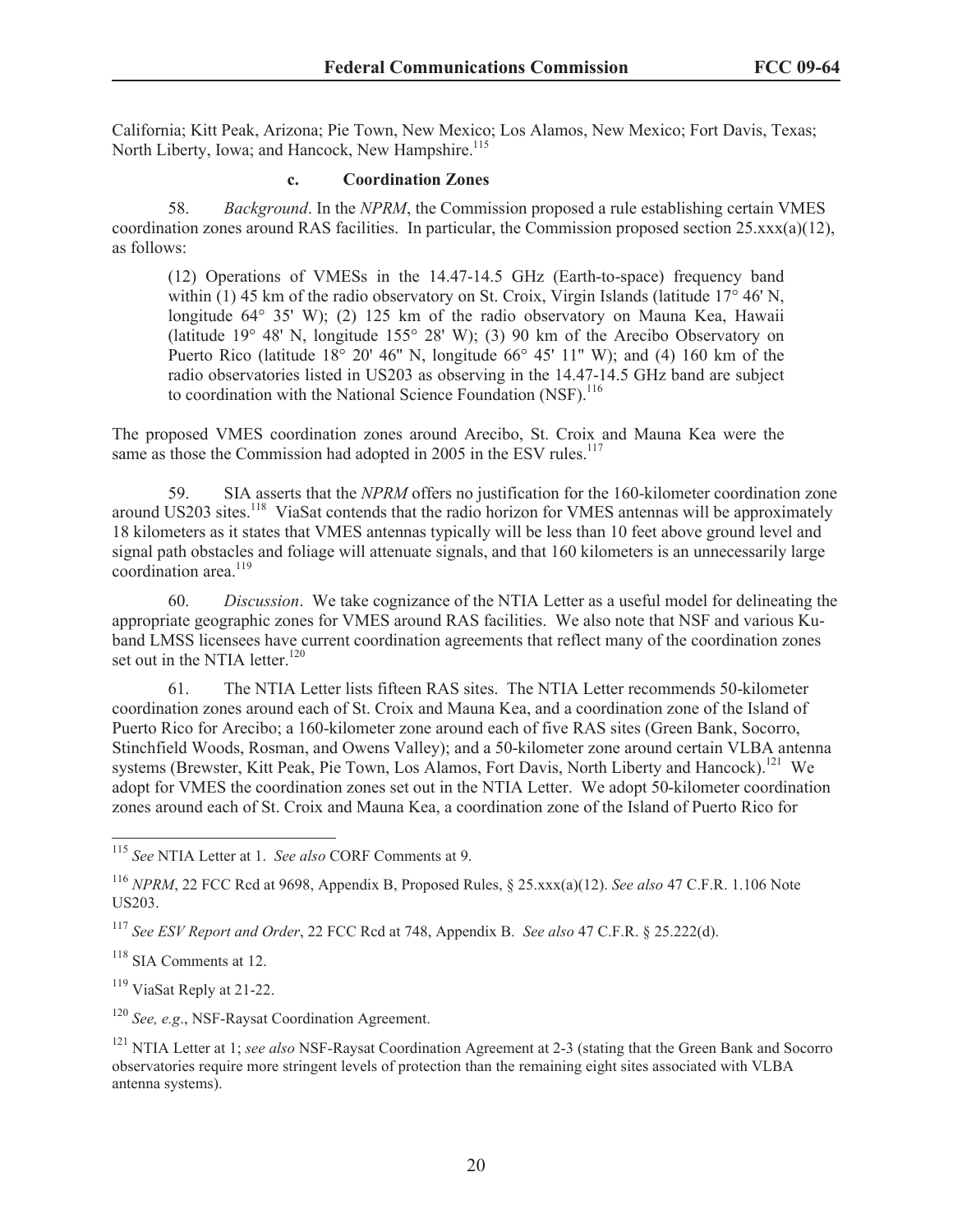California; Kitt Peak, Arizona; Pie Town, New Mexico; Los Alamos, New Mexico; Fort Davis, Texas; North Liberty, Iowa; and Hancock, New Hampshire.<sup>115</sup>

#### **c. Coordination Zones**

58. *Background*. In the *NPRM*, the Commission proposed a rule establishing certain VMES coordination zones around RAS facilities. In particular, the Commission proposed section  $25.xxx(a)(12)$ , as follows:

(12) Operations of VMESs in the 14.47-14.5 GHz (Earth-to-space) frequency band within (1) 45 km of the radio observatory on St. Croix, Virgin Islands (latitude  $17^{\circ}$  46' N, longitude 64° 35' W); (2) 125 km of the radio observatory on Mauna Kea, Hawaii (latitude 19° 48' N, longitude 155° 28' W); (3) 90 km of the Arecibo Observatory on Puerto Rico (latitude  $18^{\circ}$  20' 46" N, longitude  $66^{\circ}$  45' 11" W); and (4) 160 km of the radio observatories listed in US203 as observing in the 14.47-14.5 GHz band are subject to coordination with the National Science Foundation (NSF).<sup>116</sup>

The proposed VMES coordination zones around Arecibo, St. Croix and Mauna Kea were the same as those the Commission had adopted in 2005 in the ESV rules.<sup>117</sup>

59. SIA asserts that the *NPRM* offers no justification for the 160-kilometer coordination zone around US203 sites.<sup>118</sup> ViaSat contends that the radio horizon for VMES antennas will be approximately 18 kilometers as it states that VMES antennas typically will be less than 10 feet above ground level and signal path obstacles and foliage will attenuate signals, and that 160 kilometers is an unnecessarily large coordination area.<sup>119</sup>

60. *Discussion*. We take cognizance of the NTIA Letter as a useful model for delineating the appropriate geographic zones for VMES around RAS facilities. We also note that NSF and various Kuband LMSS licensees have current coordination agreements that reflect many of the coordination zones set out in the NTIA letter. $120$ 

61. The NTIA Letter lists fifteen RAS sites. The NTIA Letter recommends 50-kilometer coordination zones around each of St. Croix and Mauna Kea, and a coordination zone of the Island of Puerto Rico for Arecibo; a 160-kilometer zone around each of five RAS sites (Green Bank, Socorro, Stinchfield Woods, Rosman, and Owens Valley); and a 50-kilometer zone around certain VLBA antenna systems (Brewster, Kitt Peak, Pie Town, Los Alamos, Fort Davis, North Liberty and Hancock).<sup>121</sup> We adopt for VMES the coordination zones set out in the NTIA Letter. We adopt 50-kilometer coordination zones around each of St. Croix and Mauna Kea, a coordination zone of the Island of Puerto Rico for

<sup>119</sup> ViaSat Reply at 21-22.

<sup>120</sup> *See, e.g*., NSF-Raysat Coordination Agreement.

<sup>115</sup> *See* NTIA Letter at 1. *See also* CORF Comments at 9.

<sup>116</sup> *NPRM*, 22 FCC Rcd at 9698, Appendix B, Proposed Rules, § 25.xxx(a)(12). *See also* 47 C.F.R. 1.106 Note US203.

<sup>117</sup> *See ESV Report and Order*, 22 FCC Rcd at 748, Appendix B. *See also* 47 C.F.R. § 25.222(d).

<sup>&</sup>lt;sup>118</sup> SIA Comments at 12.

<sup>121</sup> NTIA Letter at 1; *see also* NSF-Raysat Coordination Agreement at 2-3 (stating that the Green Bank and Socorro observatories require more stringent levels of protection than the remaining eight sites associated with VLBA antenna systems).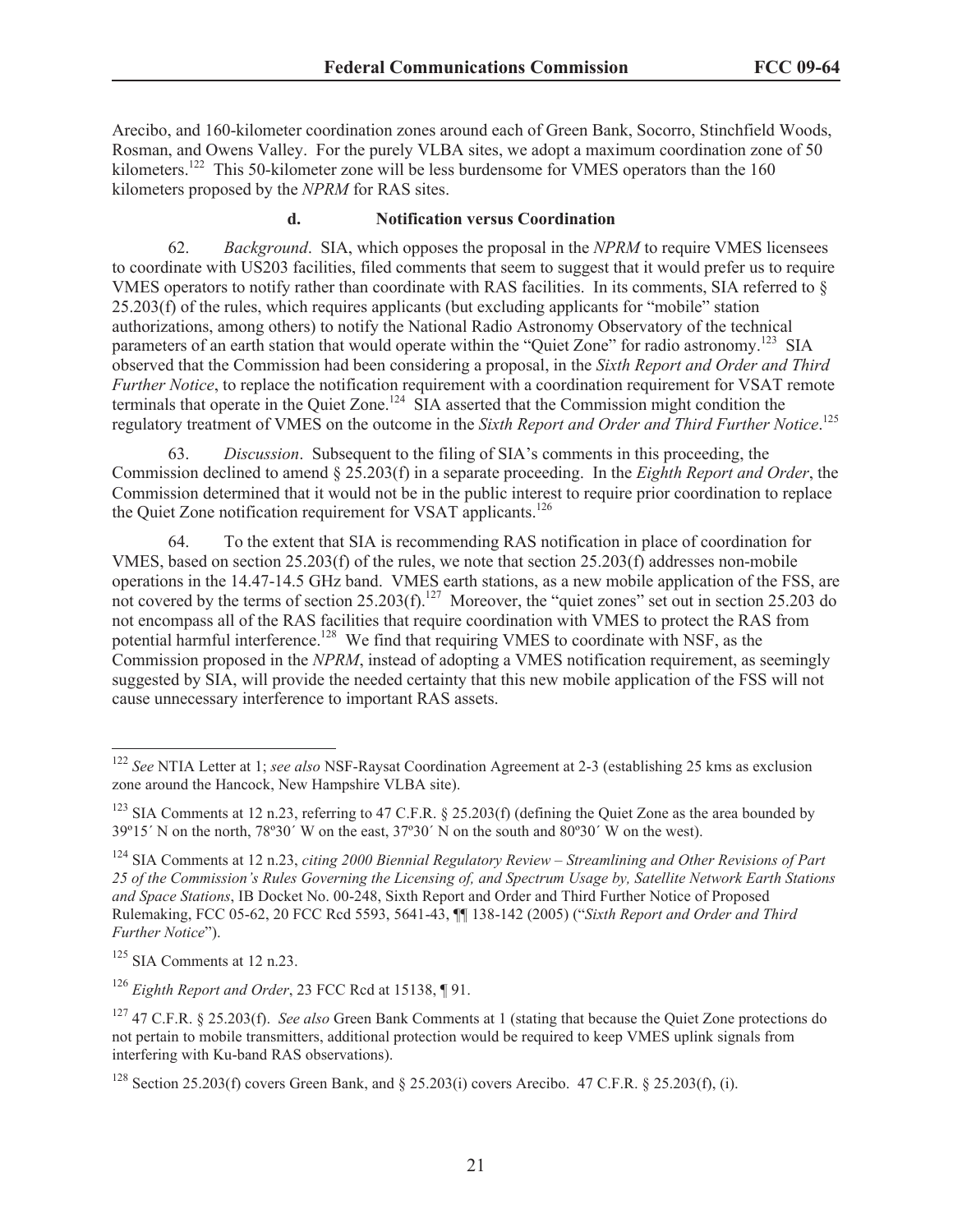Arecibo, and 160-kilometer coordination zones around each of Green Bank, Socorro, Stinchfield Woods, Rosman, and Owens Valley. For the purely VLBA sites, we adopt a maximum coordination zone of 50 kilometers.<sup>122</sup> This 50-kilometer zone will be less burdensome for VMES operators than the 160 kilometers proposed by the *NPRM* for RAS sites.

#### **d. Notification versus Coordination**

62. *Background*. SIA, which opposes the proposal in the *NPRM* to require VMES licensees to coordinate with US203 facilities, filed comments that seem to suggest that it would prefer us to require VMES operators to notify rather than coordinate with RAS facilities. In its comments, SIA referred to § 25.203(f) of the rules, which requires applicants (but excluding applicants for "mobile" station authorizations, among others) to notify the National Radio Astronomy Observatory of the technical parameters of an earth station that would operate within the "Quiet Zone" for radio astronomy.<sup>123</sup> SIA observed that the Commission had been considering a proposal, in the *Sixth Report and Order and Third Further Notice*, to replace the notification requirement with a coordination requirement for VSAT remote terminals that operate in the Quiet Zone.<sup>124</sup> SIA asserted that the Commission might condition the regulatory treatment of VMES on the outcome in the *Sixth Report and Order and Third Further Notice*. 125

63. *Discussion*. Subsequent to the filing of SIA's comments in this proceeding, the Commission declined to amend § 25.203(f) in a separate proceeding. In the *Eighth Report and Order*, the Commission determined that it would not be in the public interest to require prior coordination to replace the Quiet Zone notification requirement for VSAT applicants.<sup>126</sup>

64. To the extent that SIA is recommending RAS notification in place of coordination for VMES, based on section 25.203(f) of the rules, we note that section 25.203(f) addresses non-mobile operations in the 14.47-14.5 GHz band. VMES earth stations, as a new mobile application of the FSS, are not covered by the terms of section  $25.203(f)$ .<sup>127</sup> Moreover, the "quiet zones" set out in section 25.203 do not encompass all of the RAS facilities that require coordination with VMES to protect the RAS from potential harmful interference.<sup>128</sup> We find that requiring VMES to coordinate with NSF, as the Commission proposed in the *NPRM*, instead of adopting a VMES notification requirement, as seemingly suggested by SIA, will provide the needed certainty that this new mobile application of the FSS will not cause unnecessary interference to important RAS assets.

<sup>122</sup> *See* NTIA Letter at 1; *see also* NSF-Raysat Coordination Agreement at 2-3 (establishing 25 kms as exclusion zone around the Hancock, New Hampshire VLBA site).

<sup>&</sup>lt;sup>123</sup> SIA Comments at 12 n.23, referring to 47 C.F.R. § 25.203(f) (defining the Quiet Zone as the area bounded by 39º15´ N on the north, 78º30´ W on the east, 37º30´ N on the south and 80º30´ W on the west).

<sup>124</sup> SIA Comments at 12 n.23, *citing 2000 Biennial Regulatory Review – Streamlining and Other Revisions of Part 25 of the Commission's Rules Governing the Licensing of, and Spectrum Usage by, Satellite Network Earth Stations and Space Stations*, IB Docket No. 00-248, Sixth Report and Order and Third Further Notice of Proposed Rulemaking, FCC 05-62, 20 FCC Rcd 5593, 5641-43, ¶¶ 138-142 (2005) ("*Sixth Report and Order and Third Further Notice*").

 $125$  SIA Comments at 12 n.23.

<sup>126</sup> *Eighth Report and Order*, 23 FCC Rcd at 15138, ¶ 91.

<sup>127</sup> 47 C.F.R. § 25.203(f). *See also* Green Bank Comments at 1 (stating that because the Quiet Zone protections do not pertain to mobile transmitters, additional protection would be required to keep VMES uplink signals from interfering with Ku-band RAS observations).

<sup>&</sup>lt;sup>128</sup> Section 25.203(f) covers Green Bank, and  $\S$  25.203(i) covers Arecibo. 47 C.F.R.  $\S$  25.203(f), (i).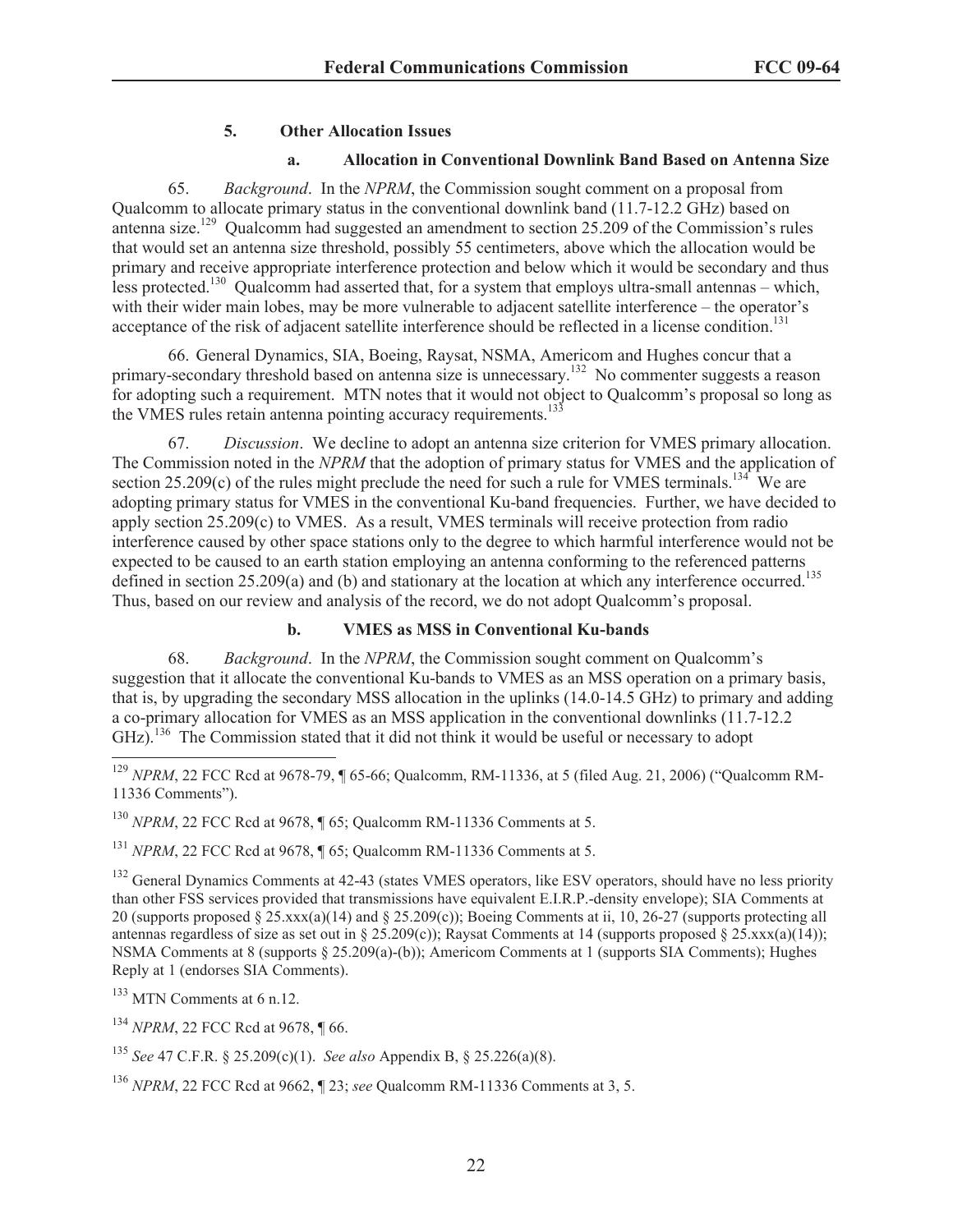## **5. Other Allocation Issues**

#### **a. Allocation in Conventional Downlink Band Based on Antenna Size**

65. *Background*. In the *NPRM*, the Commission sought comment on a proposal from Qualcomm to allocate primary status in the conventional downlink band (11.7-12.2 GHz) based on antenna size.<sup>129</sup> Qualcomm had suggested an amendment to section 25.209 of the Commission's rules that would set an antenna size threshold, possibly 55 centimeters, above which the allocation would be primary and receive appropriate interference protection and below which it would be secondary and thus less protected.<sup>130</sup> Qualcomm had asserted that, for a system that employs ultra-small antennas – which, with their wider main lobes, may be more vulnerable to adjacent satellite interference – the operator's acceptance of the risk of adjacent satellite interference should be reflected in a license condition.<sup>131</sup>

66. General Dynamics, SIA, Boeing, Raysat, NSMA, Americom and Hughes concur that a primary-secondary threshold based on antenna size is unnecessary.<sup>132</sup> No commenter suggests a reason for adopting such a requirement. MTN notes that it would not object to Qualcomm's proposal so long as the VMES rules retain antenna pointing accuracy requirements.<sup>13</sup>

67. *Discussion*. We decline to adopt an antenna size criterion for VMES primary allocation. The Commission noted in the *NPRM* that the adoption of primary status for VMES and the application of section 25.209(c) of the rules might preclude the need for such a rule for VMES terminals.<sup>134</sup> We are adopting primary status for VMES in the conventional Ku-band frequencies. Further, we have decided to apply section 25.209(c) to VMES. As a result, VMES terminals will receive protection from radio interference caused by other space stations only to the degree to which harmful interference would not be expected to be caused to an earth station employing an antenna conforming to the referenced patterns defined in section 25.209(a) and (b) and stationary at the location at which any interference occurred.<sup>135</sup> Thus, based on our review and analysis of the record, we do not adopt Qualcomm's proposal.

## **b. VMES as MSS in Conventional Ku-bands**

68. *Background*. In the *NPRM*, the Commission sought comment on Qualcomm's suggestion that it allocate the conventional Ku-bands to VMES as an MSS operation on a primary basis, that is, by upgrading the secondary MSS allocation in the uplinks (14.0-14.5 GHz) to primary and adding a co-primary allocation for VMES as an MSS application in the conventional downlinks (11.7-12.2 GHz).<sup>136</sup> The Commission stated that it did not think it would be useful or necessary to adopt

<sup>129</sup> *NPRM*, 22 FCC Rcd at 9678-79, ¶ 65-66; Qualcomm, RM-11336, at 5 (filed Aug. 21, 2006) ("Qualcomm RM-11336 Comments").

<sup>130</sup> *NPRM*, 22 FCC Rcd at 9678, ¶ 65; Qualcomm RM-11336 Comments at 5.

<sup>131</sup> *NPRM*, 22 FCC Rcd at 9678, ¶ 65; Qualcomm RM-11336 Comments at 5.

<sup>132</sup> General Dynamics Comments at 42-43 (states VMES operators, like ESV operators, should have no less priority than other FSS services provided that transmissions have equivalent E.I.R.P.-density envelope); SIA Comments at 20 (supports proposed  $\S 25.$ xxx(a)(14) and  $\S 25.209(c)$ ); Boeing Comments at ii, 10, 26-27 (supports protecting all antennas regardless of size as set out in § 25.209(c)); Raysat Comments at 14 (supports proposed § 25.xxx(a)(14)); NSMA Comments at 8 (supports § 25.209(a)-(b)); Americom Comments at 1 (supports SIA Comments); Hughes Reply at 1 (endorses SIA Comments).

<sup>133</sup> MTN Comments at 6 n.12.

<sup>134</sup> *NPRM*, 22 FCC Rcd at 9678, ¶ 66.

<sup>135</sup> *See* 47 C.F.R. § 25.209(c)(1). *See also* Appendix B, § 25.226(a)(8).

<sup>136</sup> *NPRM*, 22 FCC Rcd at 9662, ¶ 23; *see* Qualcomm RM-11336 Comments at 3, 5.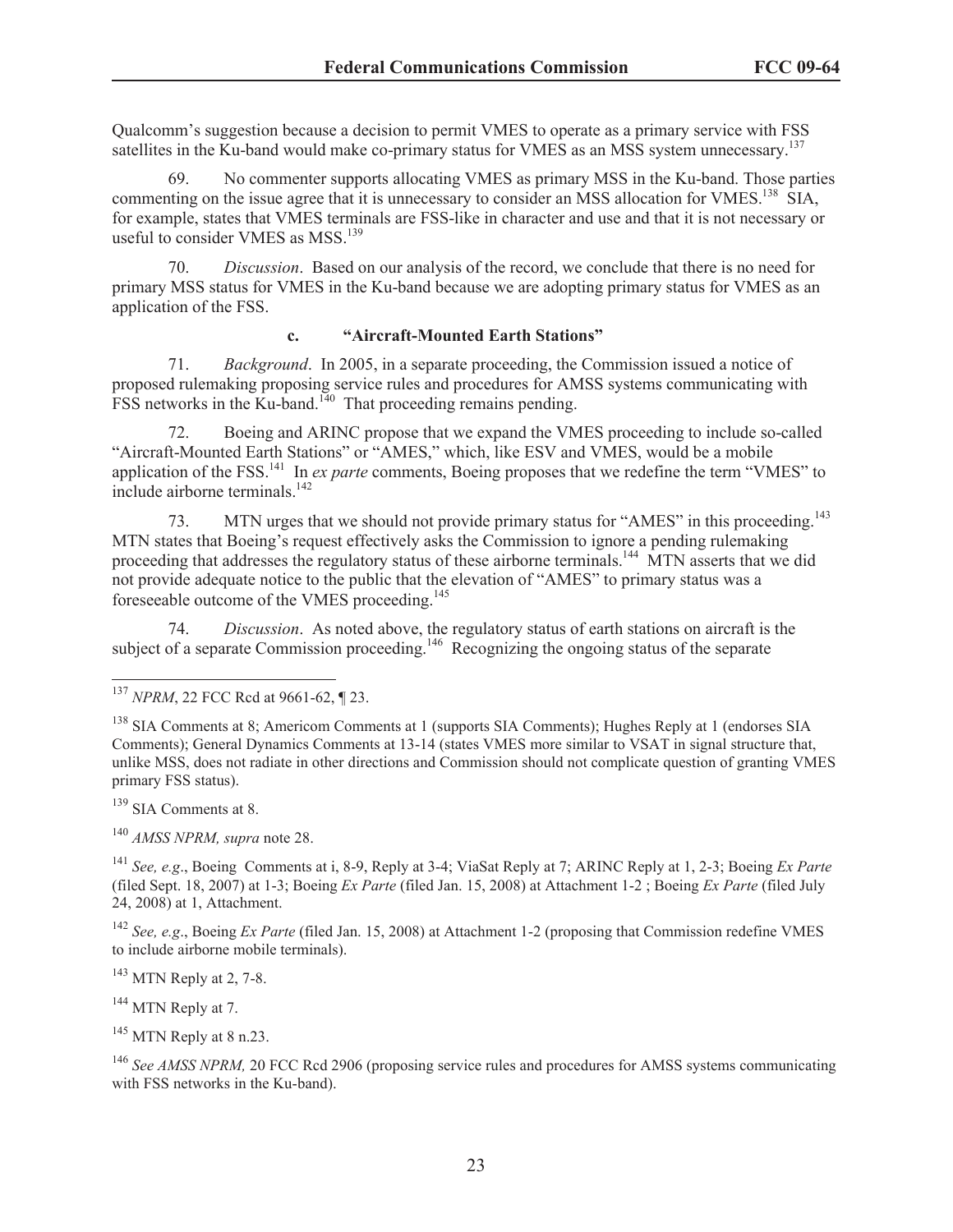Qualcomm's suggestion because a decision to permit VMES to operate as a primary service with FSS satellites in the Ku-band would make co-primary status for VMES as an MSS system unnecessary.<sup>137</sup>

69. No commenter supports allocating VMES as primary MSS in the Ku-band. Those parties commenting on the issue agree that it is unnecessary to consider an MSS allocation for VMES.<sup>138</sup> SIA, for example, states that VMES terminals are FSS-like in character and use and that it is not necessary or useful to consider VMES as  $MSS$ <sup>139</sup>

70. *Discussion*. Based on our analysis of the record, we conclude that there is no need for primary MSS status for VMES in the Ku-band because we are adopting primary status for VMES as an application of the FSS.

#### **c. "Aircraft-Mounted Earth Stations"**

71. *Background*. In 2005, in a separate proceeding, the Commission issued a notice of proposed rulemaking proposing service rules and procedures for AMSS systems communicating with  $FSS$  networks in the Ku-band.<sup>140</sup> That proceeding remains pending.

72. Boeing and ARINC propose that we expand the VMES proceeding to include so-called "Aircraft-Mounted Earth Stations" or "AMES," which, like ESV and VMES, would be a mobile application of the FSS.<sup>141</sup> In *ex parte* comments, Boeing proposes that we redefine the term "VMES" to include airborne terminals.<sup>142</sup>

73. MTN urges that we should not provide primary status for "AMES" in this proceeding.<sup>143</sup> MTN states that Boeing's request effectively asks the Commission to ignore a pending rulemaking proceeding that addresses the regulatory status of these airborne terminals.<sup>144</sup> MTN asserts that we did not provide adequate notice to the public that the elevation of "AMES" to primary status was a foreseeable outcome of the VMES proceeding.<sup>145</sup>

74. *Discussion*. As noted above, the regulatory status of earth stations on aircraft is the subject of a separate Commission proceeding.<sup>146</sup> Recognizing the ongoing status of the separate

<sup>139</sup> SIA Comments at 8.

<sup>140</sup> *AMSS NPRM, supra* note 28.

<sup>141</sup> *See, e.g*., Boeing Comments at i, 8-9, Reply at 3-4; ViaSat Reply at 7; ARINC Reply at 1, 2-3; Boeing *Ex Parte* (filed Sept. 18, 2007) at 1-3; Boeing *Ex Parte* (filed Jan. 15, 2008) at Attachment 1-2 ; Boeing *Ex Parte* (filed July 24, 2008) at 1, Attachment.

<sup>142</sup> *See, e.g*., Boeing *Ex Parte* (filed Jan. 15, 2008) at Attachment 1-2 (proposing that Commission redefine VMES to include airborne mobile terminals).

 $143$  MTN Reply at 2, 7-8.

<sup>144</sup> MTN Reply at 7.

<sup>145</sup> MTN Reply at 8 n.23.

<sup>146</sup> See AMSS NPRM, 20 FCC Rcd 2906 (proposing service rules and procedures for AMSS systems communicating with FSS networks in the Ku-band).

<sup>137</sup> *NPRM*, 22 FCC Rcd at 9661-62, ¶ 23.

<sup>138</sup> SIA Comments at 8; Americom Comments at 1 (supports SIA Comments); Hughes Reply at 1 (endorses SIA Comments); General Dynamics Comments at 13-14 (states VMES more similar to VSAT in signal structure that, unlike MSS, does not radiate in other directions and Commission should not complicate question of granting VMES primary FSS status).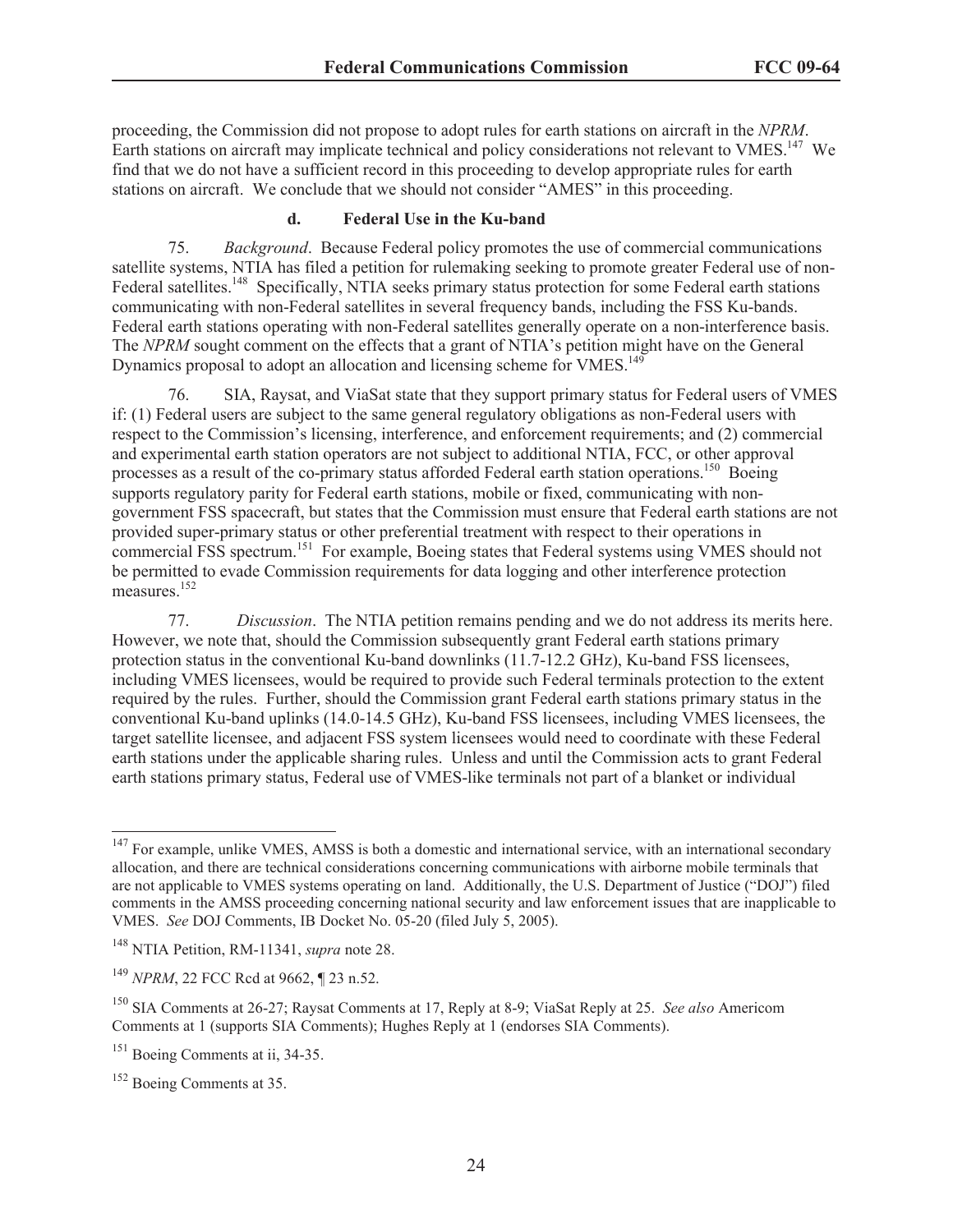proceeding, the Commission did not propose to adopt rules for earth stations on aircraft in the *NPRM*. Earth stations on aircraft may implicate technical and policy considerations not relevant to VMES.<sup>147</sup> We find that we do not have a sufficient record in this proceeding to develop appropriate rules for earth stations on aircraft. We conclude that we should not consider "AMES" in this proceeding.

#### **d. Federal Use in the Ku-band**

75. *Background*. Because Federal policy promotes the use of commercial communications satellite systems, NTIA has filed a petition for rulemaking seeking to promote greater Federal use of non-Federal satellites.<sup>148</sup> Specifically, NTIA seeks primary status protection for some Federal earth stations communicating with non-Federal satellites in several frequency bands, including the FSS Ku-bands. Federal earth stations operating with non-Federal satellites generally operate on a non-interference basis. The *NPRM* sought comment on the effects that a grant of NTIA's petition might have on the General Dynamics proposal to adopt an allocation and licensing scheme for VMES.<sup>149</sup>

76. SIA, Raysat, and ViaSat state that they support primary status for Federal users of VMES if: (1) Federal users are subject to the same general regulatory obligations as non-Federal users with respect to the Commission's licensing, interference, and enforcement requirements; and (2) commercial and experimental earth station operators are not subject to additional NTIA, FCC, or other approval processes as a result of the co-primary status afforded Federal earth station operations.<sup>150</sup> Boeing supports regulatory parity for Federal earth stations, mobile or fixed, communicating with nongovernment FSS spacecraft, but states that the Commission must ensure that Federal earth stations are not provided super-primary status or other preferential treatment with respect to their operations in commercial FSS spectrum.<sup>151</sup> For example, Boeing states that Federal systems using VMES should not be permitted to evade Commission requirements for data logging and other interference protection measures.<sup>152</sup>

77. *Discussion*. The NTIA petition remains pending and we do not address its merits here. However, we note that, should the Commission subsequently grant Federal earth stations primary protection status in the conventional Ku-band downlinks (11.7-12.2 GHz), Ku-band FSS licensees, including VMES licensees, would be required to provide such Federal terminals protection to the extent required by the rules. Further, should the Commission grant Federal earth stations primary status in the conventional Ku-band uplinks (14.0-14.5 GHz), Ku-band FSS licensees, including VMES licensees, the target satellite licensee, and adjacent FSS system licensees would need to coordinate with these Federal earth stations under the applicable sharing rules. Unless and until the Commission acts to grant Federal earth stations primary status, Federal use of VMES-like terminals not part of a blanket or individual

 $147$  For example, unlike VMES, AMSS is both a domestic and international service, with an international secondary allocation, and there are technical considerations concerning communications with airborne mobile terminals that are not applicable to VMES systems operating on land. Additionally, the U.S. Department of Justice ("DOJ") filed comments in the AMSS proceeding concerning national security and law enforcement issues that are inapplicable to VMES. *See* DOJ Comments, IB Docket No. 05-20 (filed July 5, 2005).

<sup>148</sup> NTIA Petition, RM-11341, *supra* note 28.

<sup>149</sup> *NPRM*, 22 FCC Rcd at 9662, ¶ 23 n.52.

<sup>150</sup> SIA Comments at 26-27; Raysat Comments at 17, Reply at 8-9; ViaSat Reply at 25. *See also* Americom Comments at 1 (supports SIA Comments); Hughes Reply at 1 (endorses SIA Comments).

<sup>&</sup>lt;sup>151</sup> Boeing Comments at ii, 34-35.

<sup>152</sup> Boeing Comments at 35.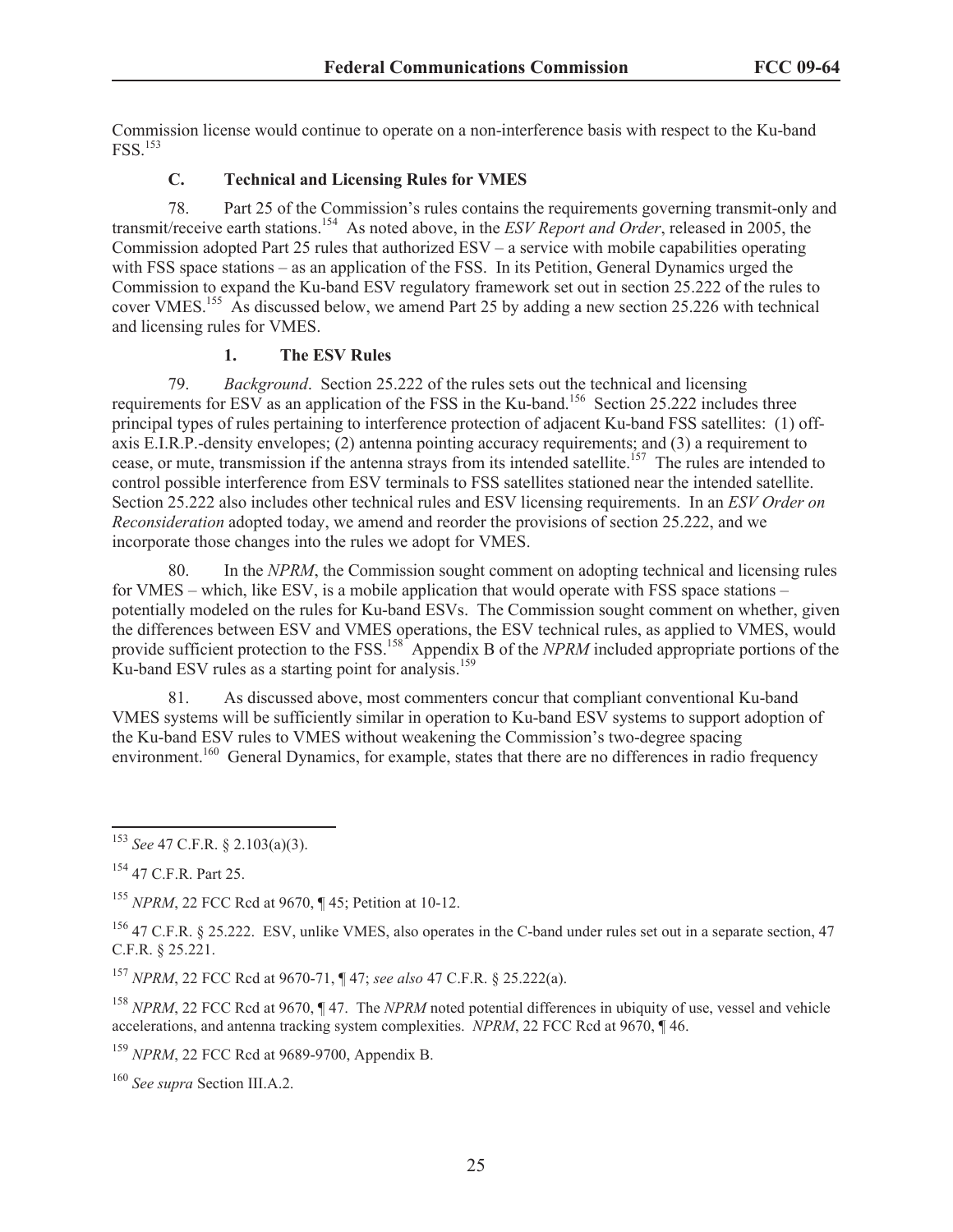Commission license would continue to operate on a non-interference basis with respect to the Ku-band FSS.<sup>153</sup>

## **C. Technical and Licensing Rules for VMES**

78. Part 25 of the Commission's rules contains the requirements governing transmit-only and transmit/receive earth stations.<sup>154</sup> As noted above, in the *ESV Report and Order*, released in 2005, the Commission adopted Part 25 rules that authorized ESV – a service with mobile capabilities operating with FSS space stations – as an application of the FSS. In its Petition, General Dynamics urged the Commission to expand the Ku-band ESV regulatory framework set out in section 25.222 of the rules to cover VMES.<sup>155</sup> As discussed below, we amend Part 25 by adding a new section 25.226 with technical and licensing rules for VMES.

## **1. The ESV Rules**

79. *Background*. Section 25.222 of the rules sets out the technical and licensing requirements for ESV as an application of the FSS in the Ku-band.<sup>156</sup> Section 25.222 includes three principal types of rules pertaining to interference protection of adjacent Ku-band FSS satellites: (1) offaxis E.I.R.P.-density envelopes; (2) antenna pointing accuracy requirements; and (3) a requirement to cease, or mute, transmission if the antenna strays from its intended satellite.<sup>157</sup> The rules are intended to control possible interference from ESV terminals to FSS satellites stationed near the intended satellite. Section 25.222 also includes other technical rules and ESV licensing requirements. In an *ESV Order on Reconsideration* adopted today, we amend and reorder the provisions of section 25.222, and we incorporate those changes into the rules we adopt for VMES.

80. In the *NPRM*, the Commission sought comment on adopting technical and licensing rules for VMES – which, like ESV, is a mobile application that would operate with FSS space stations – potentially modeled on the rules for Ku-band ESVs. The Commission sought comment on whether, given the differences between ESV and VMES operations, the ESV technical rules, as applied to VMES, would provide sufficient protection to the FSS.<sup>158</sup> Appendix B of the *NPRM* included appropriate portions of the  $Ku$ -band ESV rules as a starting point for analysis.<sup>159</sup>

81. As discussed above, most commenters concur that compliant conventional Ku-band VMES systems will be sufficiently similar in operation to Ku-band ESV systems to support adoption of the Ku-band ESV rules to VMES without weakening the Commission's two-degree spacing environment.<sup>160</sup> General Dynamics, for example, states that there are no differences in radio frequency

<sup>157</sup> *NPRM*, 22 FCC Rcd at 9670-71, ¶ 47; *see also* 47 C.F.R. § 25.222(a).

<sup>158</sup> *NPRM*, 22 FCC Rcd at 9670, ¶ 47. The *NPRM* noted potential differences in ubiquity of use, vessel and vehicle accelerations, and antenna tracking system complexities. *NPRM*, 22 FCC Rcd at 9670, ¶ 46.

<sup>159</sup> *NPRM*, 22 FCC Rcd at 9689-9700, Appendix B.

<sup>153</sup> *See* 47 C.F.R. § 2.103(a)(3).

<sup>154</sup> 47 C.F.R. Part 25.

<sup>155</sup> *NPRM*, 22 FCC Rcd at 9670, ¶ 45; Petition at 10-12.

<sup>&</sup>lt;sup>156</sup> 47 C.F.R. § 25.222. ESV, unlike VMES, also operates in the C-band under rules set out in a separate section, 47 C.F.R. § 25.221.

<sup>160</sup> *See supra* Section III.A.2.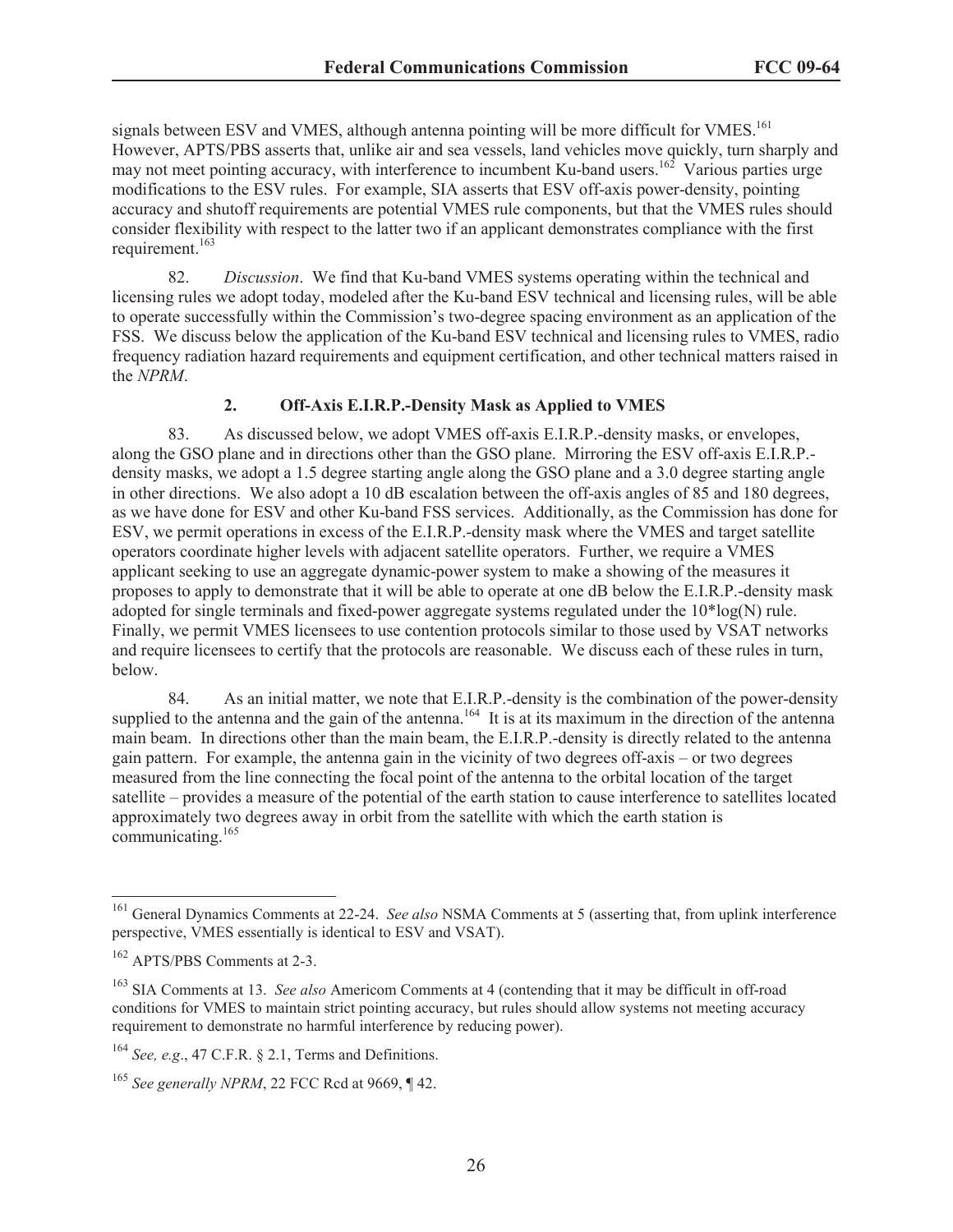signals between ESV and VMES, although antenna pointing will be more difficult for VMES.<sup>161</sup> However, APTS/PBS asserts that, unlike air and sea vessels, land vehicles move quickly, turn sharply and may not meet pointing accuracy, with interference to incumbent Ku-band users.<sup>162</sup> Various parties urge modifications to the ESV rules. For example, SIA asserts that ESV off-axis power-density, pointing accuracy and shutoff requirements are potential VMES rule components, but that the VMES rules should consider flexibility with respect to the latter two if an applicant demonstrates compliance with the first requirement.<sup>163</sup>

82. *Discussion*. We find that Ku-band VMES systems operating within the technical and licensing rules we adopt today, modeled after the Ku-band ESV technical and licensing rules, will be able to operate successfully within the Commission's two-degree spacing environment as an application of the FSS. We discuss below the application of the Ku-band ESV technical and licensing rules to VMES, radio frequency radiation hazard requirements and equipment certification, and other technical matters raised in the *NPRM*.

## **2. Off-Axis E.I.R.P.-Density Mask as Applied to VMES**

83. As discussed below, we adopt VMES off-axis E.I.R.P.-density masks, or envelopes, along the GSO plane and in directions other than the GSO plane. Mirroring the ESV off-axis E.I.R.P. density masks, we adopt a 1.5 degree starting angle along the GSO plane and a 3.0 degree starting angle in other directions. We also adopt a 10 dB escalation between the off-axis angles of 85 and 180 degrees, as we have done for ESV and other Ku-band FSS services. Additionally, as the Commission has done for ESV, we permit operations in excess of the E.I.R.P.-density mask where the VMES and target satellite operators coordinate higher levels with adjacent satellite operators. Further, we require a VMES applicant seeking to use an aggregate dynamic-power system to make a showing of the measures it proposes to apply to demonstrate that it will be able to operate at one dB below the E.I.R.P.-density mask adopted for single terminals and fixed-power aggregate systems regulated under the  $10*log(N)$  rule. Finally, we permit VMES licensees to use contention protocols similar to those used by VSAT networks and require licensees to certify that the protocols are reasonable. We discuss each of these rules in turn, below.

84. As an initial matter, we note that E.I.R.P.-density is the combination of the power-density supplied to the antenna and the gain of the antenna.<sup>164</sup> It is at its maximum in the direction of the antenna main beam. In directions other than the main beam, the E.I.R.P.-density is directly related to the antenna gain pattern. For example, the antenna gain in the vicinity of two degrees off-axis – or two degrees measured from the line connecting the focal point of the antenna to the orbital location of the target satellite – provides a measure of the potential of the earth station to cause interference to satellites located approximately two degrees away in orbit from the satellite with which the earth station is communicating.<sup>165</sup>

<sup>161</sup> General Dynamics Comments at 22-24. *See also* NSMA Comments at 5 (asserting that, from uplink interference perspective, VMES essentially is identical to ESV and VSAT).

<sup>162</sup> APTS/PBS Comments at 2-3.

<sup>163</sup> SIA Comments at 13. *See also* Americom Comments at 4 (contending that it may be difficult in off-road conditions for VMES to maintain strict pointing accuracy, but rules should allow systems not meeting accuracy requirement to demonstrate no harmful interference by reducing power).

<sup>164</sup> *See, e.g*., 47 C.F.R. § 2.1, Terms and Definitions.

<sup>165</sup> *See generally NPRM*, 22 FCC Rcd at 9669, ¶ 42.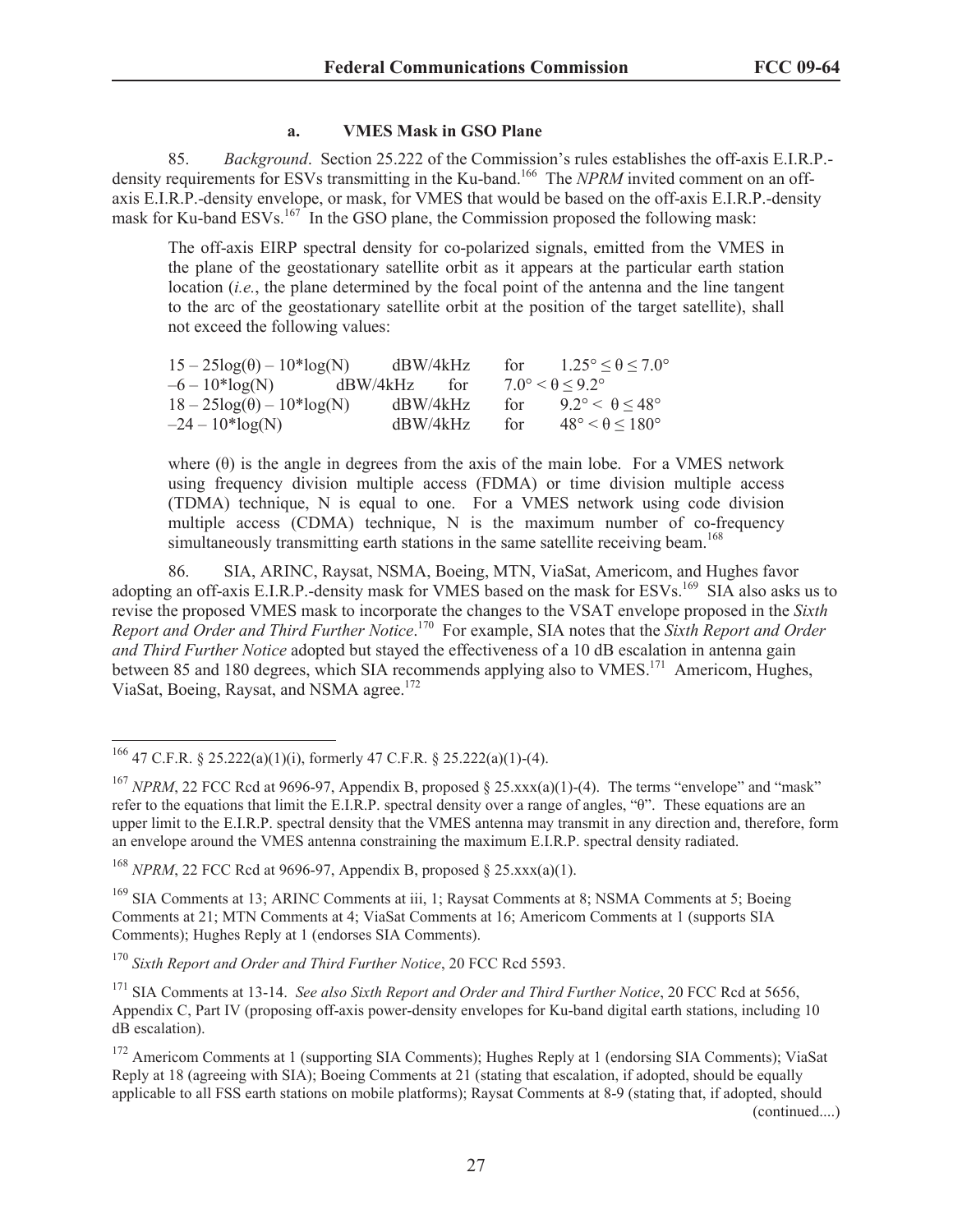#### **a. VMES Mask in GSO Plane**

85. *Background*. Section 25.222 of the Commission's rules establishes the off-axis E.I.R.P. density requirements for ESVs transmitting in the Ku-band.<sup>166</sup> The *NPRM* invited comment on an offaxis E.I.R.P.-density envelope, or mask, for VMES that would be based on the off-axis E.I.R.P.-density mask for Ku-band ESVs.<sup>167</sup> In the GSO plane, the Commission proposed the following mask:

The off-axis EIRP spectral density for co-polarized signals, emitted from the VMES in the plane of the geostationary satellite orbit as it appears at the particular earth station location (*i.e.*, the plane determined by the focal point of the antenna and the line tangent to the arc of the geostationary satellite orbit at the position of the target satellite), shall not exceed the following values:

| $15 - 25\log(\theta) - 10^* \log(N)$ | dBW/4kHz        | for | $1.25^{\circ} < \theta < 7.0^{\circ}$ |
|--------------------------------------|-----------------|-----|---------------------------------------|
| $-6 - 10*log(N)$                     | dBW/4kHz<br>tor |     | $7.0^{\circ} < \theta < 9.2^{\circ}$  |
| $18-25\log(\theta) - 10^{*} \log(N)$ | dBW/4kHz        | for | $9.2^{\circ} < \theta < 48^{\circ}$   |
| $-24 - 10*log(N)$                    | dBW/4kHz        | for | $48^\circ < \theta \leq 180^\circ$    |

where  $(\theta)$  is the angle in degrees from the axis of the main lobe. For a VMES network using frequency division multiple access (FDMA) or time division multiple access (TDMA) technique, N is equal to one. For a VMES network using code division multiple access (CDMA) technique, N is the maximum number of co-frequency simultaneously transmitting earth stations in the same satellite receiving beam.<sup>168</sup>

86. SIA, ARINC, Raysat, NSMA, Boeing, MTN, ViaSat, Americom, and Hughes favor adopting an off-axis E.I.R.P.-density mask for VMES based on the mask for ESVs.<sup>169</sup> SIA also asks us to revise the proposed VMES mask to incorporate the changes to the VSAT envelope proposed in the *Sixth Report and Order and Third Further Notice*. <sup>170</sup> For example, SIA notes that the *Sixth Report and Order and Third Further Notice* adopted but stayed the effectiveness of a 10 dB escalation in antenna gain between 85 and 180 degrees, which SIA recommends applying also to VMES.<sup>171</sup> Americom, Hughes, ViaSat, Boeing, Raysat, and NSMA agree.<sup>172</sup>

<sup>168</sup> *NPRM*, 22 FCC Rcd at 9696-97, Appendix B, proposed § 25.xxx(a)(1).

<sup>169</sup> SIA Comments at 13; ARINC Comments at iii, 1; Raysat Comments at 8; NSMA Comments at 5; Boeing Comments at 21; MTN Comments at 4; ViaSat Comments at 16; Americom Comments at 1 (supports SIA Comments); Hughes Reply at 1 (endorses SIA Comments).

<sup>170</sup> *Sixth Report and Order and Third Further Notice*, 20 FCC Rcd 5593.

<sup>171</sup> SIA Comments at 13-14. *See also Sixth Report and Order and Third Further Notice*, 20 FCC Rcd at 5656, Appendix C, Part IV (proposing off-axis power-density envelopes for Ku-band digital earth stations, including 10 dB escalation).

<sup>&</sup>lt;sup>166</sup> 47 C.F.R. § 25.222(a)(1)(i), formerly 47 C.F.R. § 25.222(a)(1)-(4).

<sup>&</sup>lt;sup>167</sup> *NPRM*, 22 FCC Rcd at 9696-97, Appendix B, proposed § 25.xxx(a)(1)-(4). The terms "envelope" and "mask" refer to the equations that limit the E.I.R.P. spectral density over a range of angles, "θ". These equations are an upper limit to the E.I.R.P. spectral density that the VMES antenna may transmit in any direction and, therefore, form an envelope around the VMES antenna constraining the maximum E.I.R.P. spectral density radiated.

<sup>&</sup>lt;sup>172</sup> Americom Comments at 1 (supporting SIA Comments); Hughes Reply at 1 (endorsing SIA Comments); ViaSat Reply at 18 (agreeing with SIA); Boeing Comments at 21 (stating that escalation, if adopted, should be equally applicable to all FSS earth stations on mobile platforms); Raysat Comments at 8-9 (stating that, if adopted, should (continued....)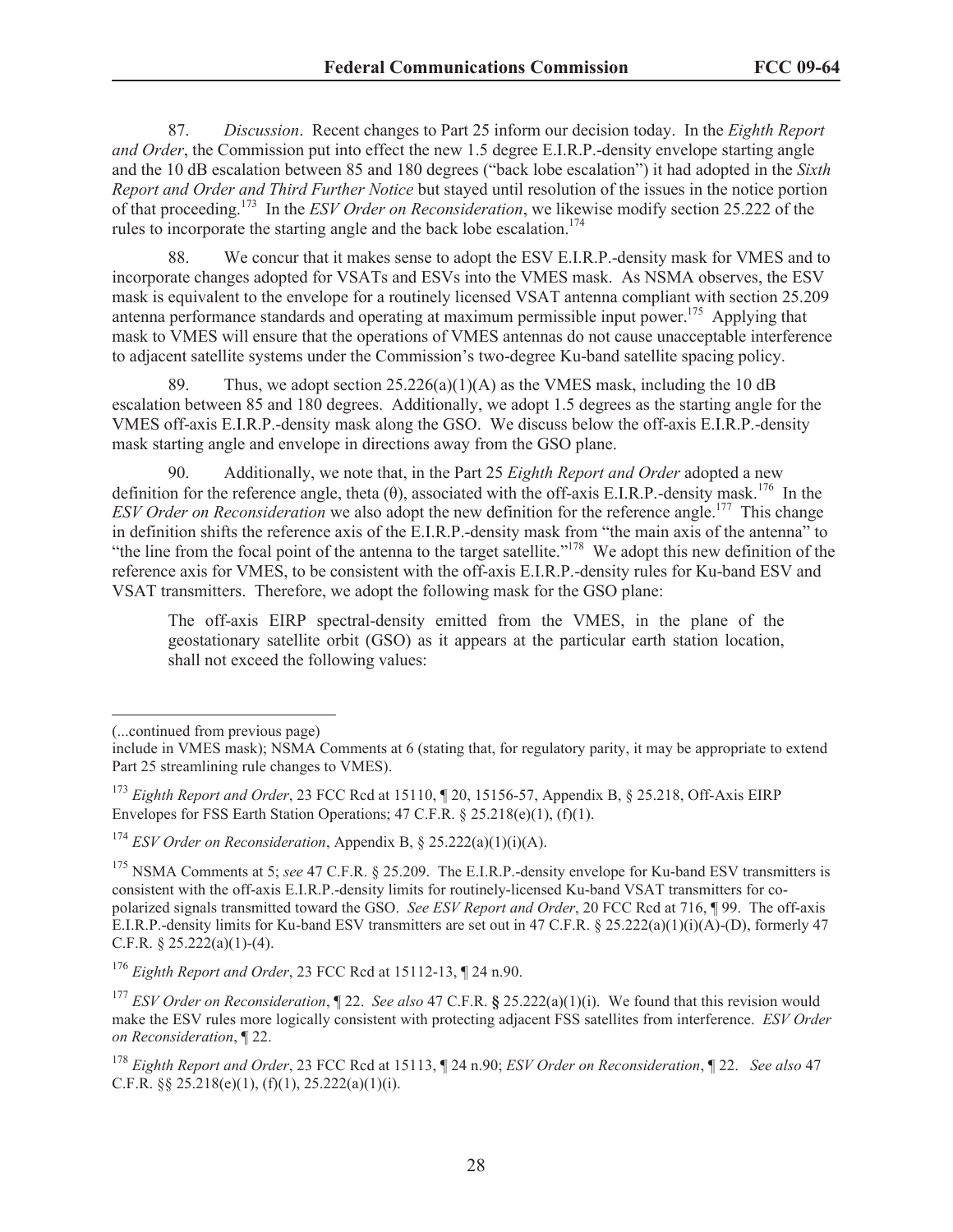87. *Discussion*. Recent changes to Part 25 inform our decision today. In the *Eighth Report and Order*, the Commission put into effect the new 1.5 degree E.I.R.P.-density envelope starting angle and the 10 dB escalation between 85 and 180 degrees ("back lobe escalation") it had adopted in the *Sixth Report and Order and Third Further Notice* but stayed until resolution of the issues in the notice portion of that proceeding.<sup>173</sup> In the *ESV Order on Reconsideration*, we likewise modify section 25.222 of the rules to incorporate the starting angle and the back lobe escalation.<sup>174</sup>

88. We concur that it makes sense to adopt the ESV E.I.R.P.-density mask for VMES and to incorporate changes adopted for VSATs and ESVs into the VMES mask. As NSMA observes, the ESV mask is equivalent to the envelope for a routinely licensed VSAT antenna compliant with section 25.209 antenna performance standards and operating at maximum permissible input power.<sup>175</sup> Applying that mask to VMES will ensure that the operations of VMES antennas do not cause unacceptable interference to adjacent satellite systems under the Commission's two-degree Ku-band satellite spacing policy.

89. Thus, we adopt section  $25.226(a)(1)(A)$  as the VMES mask, including the 10 dB escalation between 85 and 180 degrees. Additionally, we adopt 1.5 degrees as the starting angle for the VMES off-axis E.I.R.P.-density mask along the GSO. We discuss below the off-axis E.I.R.P.-density mask starting angle and envelope in directions away from the GSO plane.

90. Additionally, we note that, in the Part 25 *Eighth Report and Order* adopted a new definition for the reference angle, theta  $(\theta)$ , associated with the off-axis E.I.R.P.-density mask.<sup>176</sup> In the *ESV Order on Reconsideration* we also adopt the new definition for the reference angle.<sup>177</sup> This change in definition shifts the reference axis of the E.I.R.P.-density mask from "the main axis of the antenna" to "the line from the focal point of the antenna to the target satellite."<sup>178</sup> We adopt this new definition of the reference axis for VMES, to be consistent with the off-axis E.I.R.P.-density rules for Ku-band ESV and VSAT transmitters. Therefore, we adopt the following mask for the GSO plane:

The off-axis EIRP spectral-density emitted from the VMES, in the plane of the geostationary satellite orbit (GSO) as it appears at the particular earth station location, shall not exceed the following values:

<sup>(...</sup>continued from previous page)

include in VMES mask); NSMA Comments at 6 (stating that, for regulatory parity, it may be appropriate to extend Part 25 streamlining rule changes to VMES).

<sup>173</sup> *Eighth Report and Order*, 23 FCC Rcd at 15110, ¶ 20, 15156-57, Appendix B, § 25.218, Off-Axis EIRP Envelopes for FSS Earth Station Operations;  $47 \text{ C.F.R.}$  §  $25.218(e)(1)$ , (f)(1).

<sup>174</sup> *ESV Order on Reconsideration*, Appendix B, § 25.222(a)(1)(i)(A).

<sup>&</sup>lt;sup>175</sup> NSMA Comments at 5; *see* 47 C.F.R. § 25.209. The E.I.R.P.-density envelope for Ku-band ESV transmitters is consistent with the off-axis E.I.R.P.-density limits for routinely-licensed Ku-band VSAT transmitters for copolarized signals transmitted toward the GSO. *See ESV Report and Order*, 20 FCC Rcd at 716, ¶ 99. The off-axis E.I.R.P.-density limits for Ku-band ESV transmitters are set out in 47 C.F.R. § 25.222(a)(1)(i)(A)-(D), formerly 47 C.F.R.  $\S 25.222(a)(1)-(4)$ .

<sup>176</sup> *Eighth Report and Order*, 23 FCC Rcd at 15112-13, ¶ 24 n.90.

<sup>177</sup> *ESV Order on Reconsideration*, ¶ 22. *See also* 47 C.F.R. **§** 25.222(a)(1)(i). We found that this revision would make the ESV rules more logically consistent with protecting adjacent FSS satellites from interference. *ESV Order on Reconsideration*, ¶ 22.

<sup>178</sup> *Eighth Report and Order*, 23 FCC Rcd at 15113, ¶ 24 n.90; *ESV Order on Reconsideration*, ¶ 22. *See also* 47 C.F.R.  $\&$  25.218(e)(1), (f)(1), 25.222(a)(1)(i).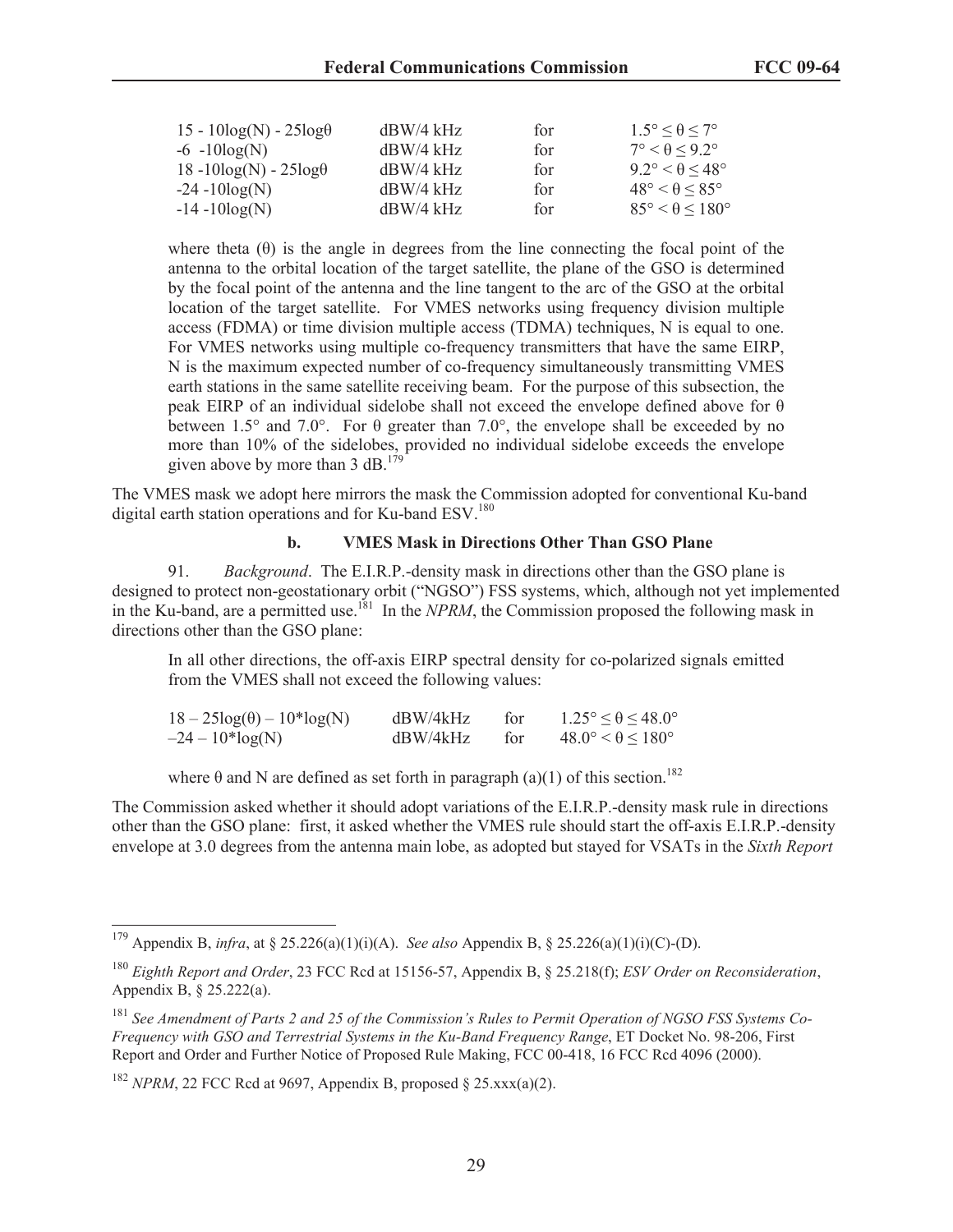| $15 - 10\log(N) - 25\log\theta$ | $dBW/4$ kHz | for | $1.5^{\circ} < \theta < 7^{\circ}$  |
|---------------------------------|-------------|-----|-------------------------------------|
| $-6 - 10\log(N)$                | $dBW/4$ kHz | for | $7^{\circ} < \theta < 9.2^{\circ}$  |
| $18 - 10\log(N) - 25\log\theta$ | $dBW/4$ kHz | for | $9.2^{\circ} < \theta < 48^{\circ}$ |
| $-24 - 10\log(N)$               | $dBW/4$ kHz | for | $48^\circ < \theta < 85^\circ$      |
| $-14 - 10\log(N)$               | $dBW/4$ kHz | for | $85^\circ < \theta < 180^\circ$     |

where theta  $(\theta)$  is the angle in degrees from the line connecting the focal point of the antenna to the orbital location of the target satellite, the plane of the GSO is determined by the focal point of the antenna and the line tangent to the arc of the GSO at the orbital location of the target satellite. For VMES networks using frequency division multiple access (FDMA) or time division multiple access (TDMA) techniques, N is equal to one. For VMES networks using multiple co-frequency transmitters that have the same EIRP, N is the maximum expected number of co-frequency simultaneously transmitting VMES earth stations in the same satellite receiving beam. For the purpose of this subsection, the peak EIRP of an individual sidelobe shall not exceed the envelope defined above for θ between 1.5° and 7.0°. For  $\theta$  greater than 7.0°, the envelope shall be exceeded by no more than 10% of the sidelobes, provided no individual sidelobe exceeds the envelope given above by more than 3 dB.<sup>179</sup>

The VMES mask we adopt here mirrors the mask the Commission adopted for conventional Ku-band digital earth station operations and for Ku-band ESV.<sup>180</sup>

#### **b. VMES Mask in Directions Other Than GSO Plane**

91. *Background*. The E.I.R.P.-density mask in directions other than the GSO plane is designed to protect non-geostationary orbit ("NGSO") FSS systems, which, although not yet implemented in the Ku-band, are a permitted use.<sup>181</sup> In the *NPRM*, the Commission proposed the following mask in directions other than the GSO plane:

In all other directions, the off-axis EIRP spectral density for co-polarized signals emitted from the VMES shall not exceed the following values:

| $18-25\log(\theta) - 10^{*} \log(N)$ | dBW/4kHz | for | $1.25^{\circ} \le \theta \le 48.0^{\circ}$ |
|--------------------------------------|----------|-----|--------------------------------------------|
| $-24 - 10*log(N)$                    | dBW/4kHz | for | $48.0^{\circ} < \theta < 180^{\circ}$      |

where  $\theta$  and N are defined as set forth in paragraph (a)(1) of this section.<sup>182</sup>

The Commission asked whether it should adopt variations of the E.I.R.P.-density mask rule in directions other than the GSO plane: first, it asked whether the VMES rule should start the off-axis E.I.R.P.-density envelope at 3.0 degrees from the antenna main lobe, as adopted but stayed for VSATs in the *Sixth Report* 

<sup>179</sup> Appendix B, *infra*, at § 25.226(a)(1)(i)(A). *See also* Appendix B, § 25.226(a)(1)(i)(C)-(D).

<sup>180</sup> *Eighth Report and Order*, 23 FCC Rcd at 15156-57, Appendix B, § 25.218(f); *ESV Order on Reconsideration*, Appendix B, § 25.222(a).

<sup>181</sup> *See Amendment of Parts 2 and 25 of the Commission's Rules to Permit Operation of NGSO FSS Systems Co-Frequency with GSO and Terrestrial Systems in the Ku-Band Frequency Range*, ET Docket No. 98-206, First Report and Order and Further Notice of Proposed Rule Making, FCC 00-418, 16 FCC Rcd 4096 (2000).

<sup>&</sup>lt;sup>182</sup> *NPRM*, 22 FCC Rcd at 9697, Appendix B, proposed  $\S$  25.xxx(a)(2).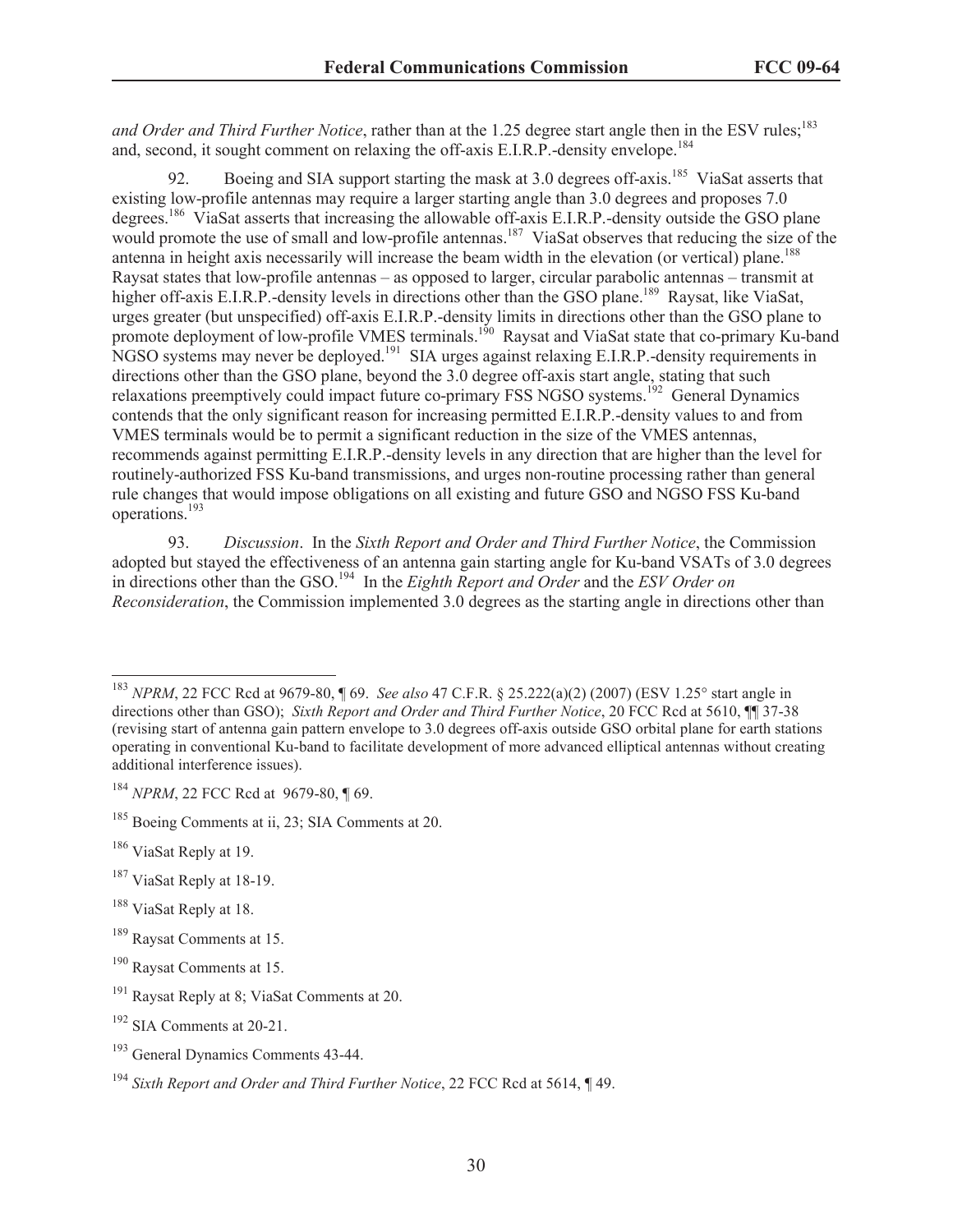*and Order and Third Further Notice*, rather than at the 1.25 degree start angle then in the ESV rules;<sup>183</sup> and, second, it sought comment on relaxing the off-axis E.I.R.P.-density envelope.<sup>184</sup>

92. Boeing and SIA support starting the mask at 3.0 degrees of f-axis.<sup>185</sup> ViaSat asserts that existing low-profile antennas may require a larger starting angle than 3.0 degrees and proposes 7.0 degrees.<sup>186</sup> ViaSat asserts that increasing the allowable off-axis E.I.R.P.-density outside the GSO plane would promote the use of small and low-profile antennas.<sup>187</sup> ViaSat observes that reducing the size of the antenna in height axis necessarily will increase the beam width in the elevation (or vertical) plane.<sup>188</sup> Raysat states that low-profile antennas – as opposed to larger, circular parabolic antennas – transmit at higher off-axis E.I.R.P.-density levels in directions other than the GSO plane.<sup>189</sup> Raysat, like ViaSat, urges greater (but unspecified) off-axis E.I.R.P.-density limits in directions other than the GSO plane to promote deployment of low-profile VMES terminals.<sup>190</sup> Raysat and ViaSat state that co-primary Ku-band NGSO systems may never be deployed.<sup>191</sup> SIA urges against relaxing E.I.R.P.-density requirements in directions other than the GSO plane, beyond the 3.0 degree off-axis start angle, stating that such relaxations preemptively could impact future co-primary FSS NGSO systems.<sup>192</sup> General Dynamics contends that the only significant reason for increasing permitted E.I.R.P.-density values to and from VMES terminals would be to permit a significant reduction in the size of the VMES antennas, recommends against permitting E.I.R.P.-density levels in any direction that are higher than the level for routinely-authorized FSS Ku-band transmissions, and urges non-routine processing rather than general rule changes that would impose obligations on all existing and future GSO and NGSO FSS Ku-band operations.<sup>193</sup>

93. *Discussion*. In the *Sixth Report and Order and Third Further Notice*, the Commission adopted but stayed the effectiveness of an antenna gain starting angle for Ku-band VSATs of 3.0 degrees in directions other than the GSO.<sup>194</sup> In the *Eighth Report and Order* and the *ESV Order on Reconsideration*, the Commission implemented 3.0 degrees as the starting angle in directions other than

- <sup>187</sup> ViaSat Reply at 18-19.
- <sup>188</sup> ViaSat Reply at 18.
- <sup>189</sup> Raysat Comments at 15.

<sup>183</sup> *NPRM*, 22 FCC Rcd at 9679-80, ¶ 69. *See also* 47 C.F.R. § 25.222(a)(2) (2007) (ESV 1.25° start angle in directions other than GSO); *Sixth Report and Order and Third Further Notice*, 20 FCC Rcd at 5610,  $\P$  37-38 (revising start of antenna gain pattern envelope to 3.0 degrees off-axis outside GSO orbital plane for earth stations operating in conventional Ku-band to facilitate development of more advanced elliptical antennas without creating additional interference issues).

<sup>&</sup>lt;sup>184</sup> *NPRM*, 22 FCC Rcd at 9679-80, 169.

<sup>&</sup>lt;sup>185</sup> Boeing Comments at ii, 23; SIA Comments at 20.

<sup>&</sup>lt;sup>186</sup> ViaSat Reply at 19.

<sup>190</sup> Raysat Comments at 15.

<sup>&</sup>lt;sup>191</sup> Raysat Reply at 8; ViaSat Comments at 20.

<sup>192</sup> SIA Comments at 20-21.

<sup>193</sup> General Dynamics Comments 43-44.

<sup>194</sup> *Sixth Report and Order and Third Further Notice*, 22 FCC Rcd at 5614, ¶ 49.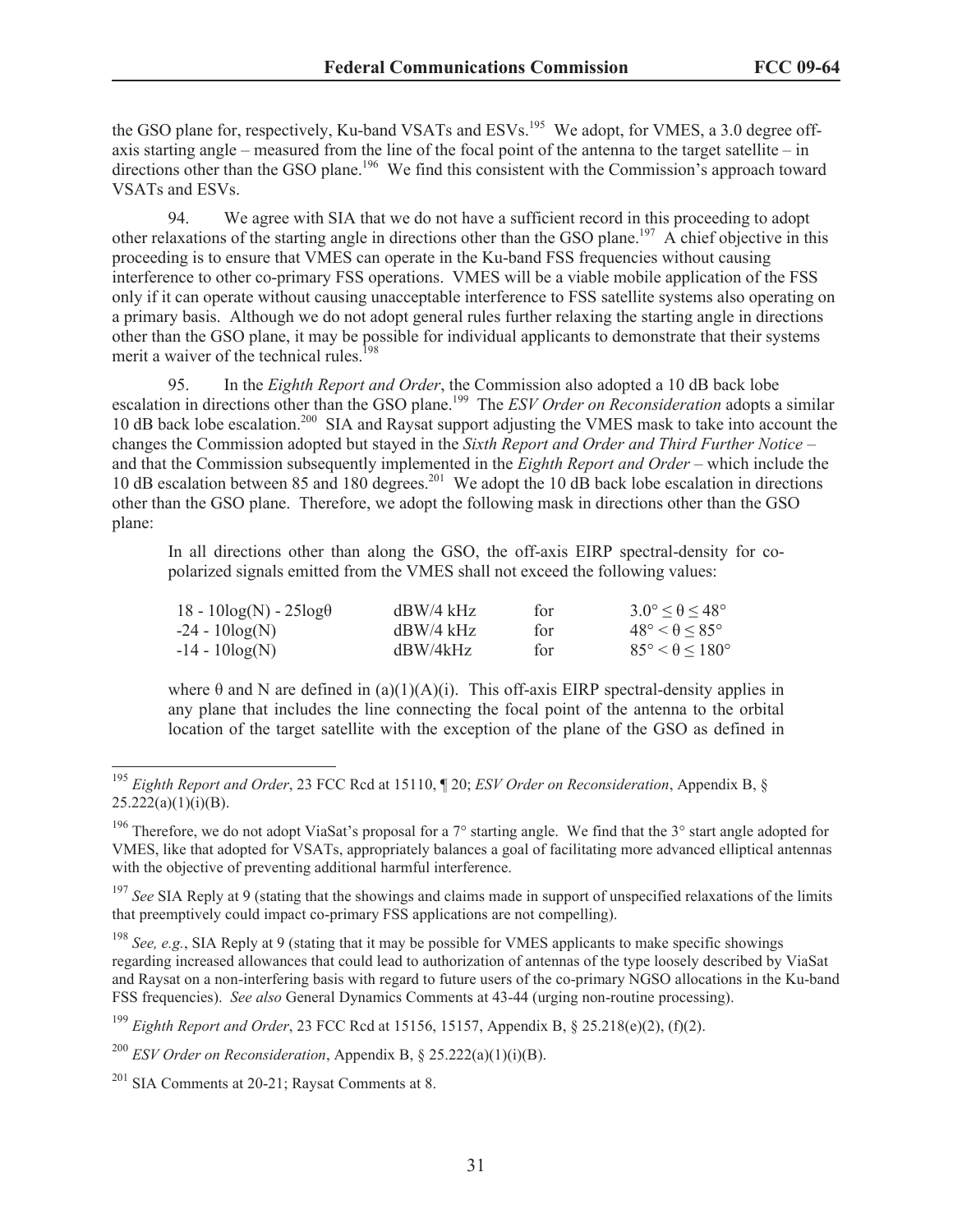the GSO plane for, respectively, Ku-band VSATs and ESVs.<sup>195</sup> We adopt, for VMES, a 3.0 degree offaxis starting angle – measured from the line of the focal point of the antenna to the target satellite – in directions other than the GSO plane.<sup>196</sup> We find this consistent with the Commission's approach toward VSATs and ESVs.

94. We agree with SIA that we do not have a sufficient record in this proceeding to adopt other relaxations of the starting angle in directions other than the GSO plane.<sup>197</sup> A chief objective in this proceeding is to ensure that VMES can operate in the Ku-band FSS frequencies without causing interference to other co-primary FSS operations. VMES will be a viable mobile application of the FSS only if it can operate without causing unacceptable interference to FSS satellite systems also operating on a primary basis. Although we do not adopt general rules further relaxing the starting angle in directions other than the GSO plane, it may be possible for individual applicants to demonstrate that their systems merit a waiver of the technical rules.<sup>1</sup>

95. In the *Eighth Report and Order*, the Commission also adopted a 10 dB back lobe escalation in directions other than the GSO plane.<sup>199</sup> The *ESV Order on Reconsideration* adopts a similar 10 dB back lobe escalation.<sup>200</sup> SIA and Raysat support adjusting the VMES mask to take into account the changes the Commission adopted but stayed in the *Sixth Report and Order and Third Further Notice* – and that the Commission subsequently implemented in the *Eighth Report and Order* – which include the 10 dB escalation between 85 and 180 degrees.<sup>201</sup> We adopt the 10 dB back lobe escalation in directions other than the GSO plane. Therefore, we adopt the following mask in directions other than the GSO plane:

In all directions other than along the GSO, the off-axis EIRP spectral-density for copolarized signals emitted from the VMES shall not exceed the following values:

| $18 - 10\log(N) - 25\log\theta$ | $dBW/4$ kHz | for | $3.0^\circ \leq \theta \leq 48^\circ$ |
|---------------------------------|-------------|-----|---------------------------------------|
| $-24 - 10\log(N)$               | $dBW/4$ kHz | for | $48^\circ < \theta < 85^\circ$        |
| -14 - 10log(N)                  | dBW/4kHz    | for | $85^\circ < \theta < 180^\circ$       |

where  $\theta$  and N are defined in (a)(1)(A)(i). This off-axis EIRP spectral-density applies in any plane that includes the line connecting the focal point of the antenna to the orbital location of the target satellite with the exception of the plane of the GSO as defined in

<sup>195</sup> *Eighth Report and Order*, 23 FCC Rcd at 15110, ¶ 20; *ESV Order on Reconsideration*, Appendix B, §  $25.222(a)(1)(i)(B)$ .

<sup>&</sup>lt;sup>196</sup> Therefore, we do not adopt ViaSat's proposal for a  $7^{\circ}$  starting angle. We find that the  $3^{\circ}$  start angle adopted for VMES, like that adopted for VSATs, appropriately balances a goal of facilitating more advanced elliptical antennas with the objective of preventing additional harmful interference.

<sup>&</sup>lt;sup>197</sup> See SIA Reply at 9 (stating that the showings and claims made in support of unspecified relaxations of the limits that preemptively could impact co-primary FSS applications are not compelling).

<sup>198</sup> *See, e.g.*, SIA Reply at 9 (stating that it may be possible for VMES applicants to make specific showings regarding increased allowances that could lead to authorization of antennas of the type loosely described by ViaSat and Raysat on a non-interfering basis with regard to future users of the co-primary NGSO allocations in the Ku-band FSS frequencies). *See also* General Dynamics Comments at 43-44 (urging non-routine processing).

<sup>199</sup> *Eighth Report and Order*, 23 FCC Rcd at 15156, 15157, Appendix B, § 25.218(e)(2), (f)(2).

<sup>200</sup> *ESV Order on Reconsideration*, Appendix B, § 25.222(a)(1)(i)(B).

 $201$  SIA Comments at 20-21; Raysat Comments at 8.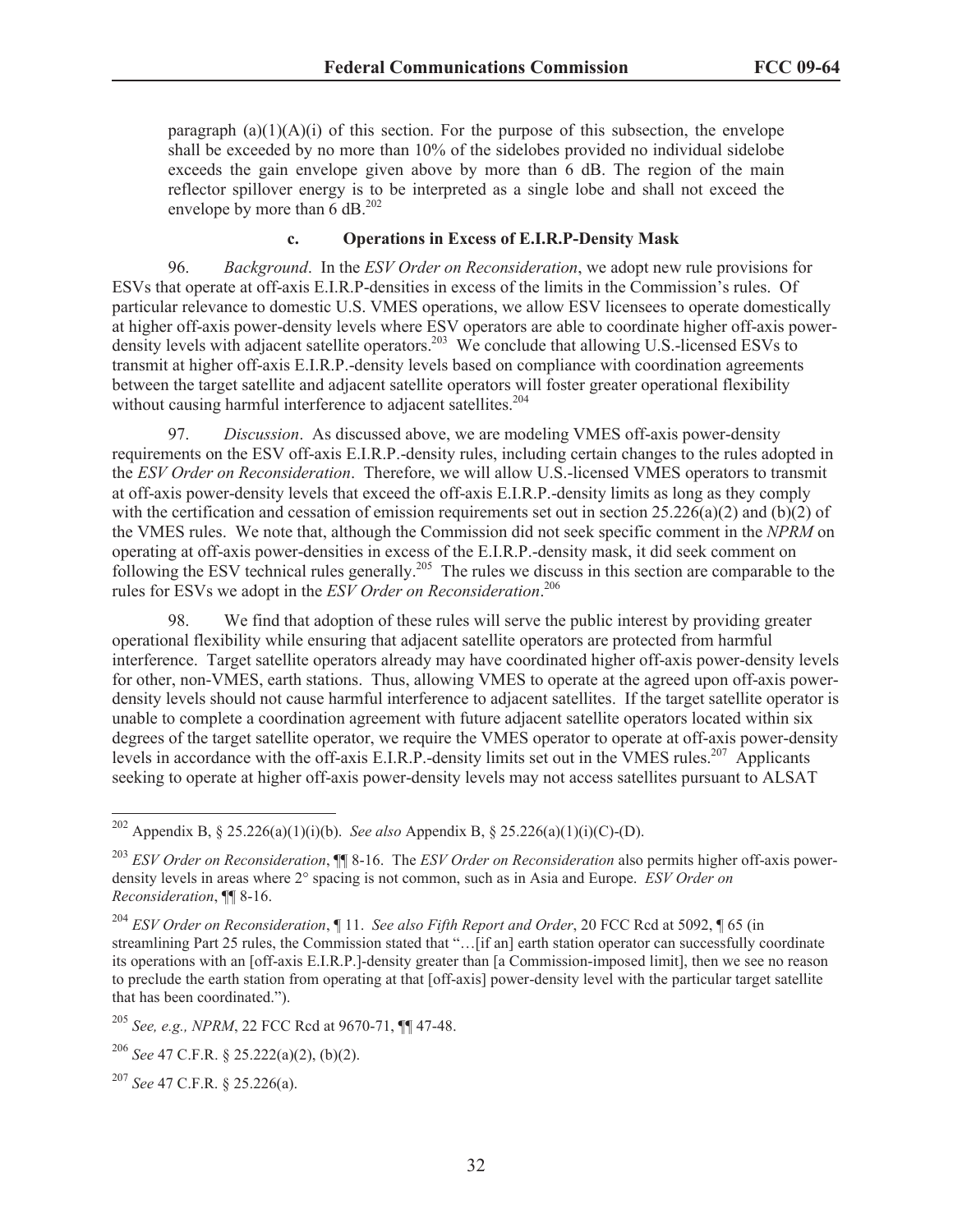paragraph  $(a)(1)(A)(i)$  of this section. For the purpose of this subsection, the envelope shall be exceeded by no more than 10% of the sidelobes provided no individual sidelobe exceeds the gain envelope given above by more than 6 dB. The region of the main reflector spillover energy is to be interpreted as a single lobe and shall not exceed the envelope by more than  $6$  dB.<sup>202</sup>

#### **c. Operations in Excess of E.I.R.P-Density Mask**

96. *Background*. In the *ESV Order on Reconsideration*, we adopt new rule provisions for ESVs that operate at off-axis E.I.R.P-densities in excess of the limits in the Commission's rules. Of particular relevance to domestic U.S. VMES operations, we allow ESV licensees to operate domestically at higher off-axis power-density levels where ESV operators are able to coordinate higher off-axis powerdensity levels with adjacent satellite operators.<sup>203</sup> We conclude that allowing U.S.-licensed ESVs to transmit at higher off-axis E.I.R.P.-density levels based on compliance with coordination agreements between the target satellite and adjacent satellite operators will foster greater operational flexibility without causing harmful interference to adjacent satellites.<sup>204</sup>

97. *Discussion*. As discussed above, we are modeling VMES off-axis power-density requirements on the ESV off-axis E.I.R.P.-density rules, including certain changes to the rules adopted in the *ESV Order on Reconsideration*. Therefore, we will allow U.S.-licensed VMES operators to transmit at off-axis power-density levels that exceed the off-axis E.I.R.P.-density limits as long as they comply with the certification and cessation of emission requirements set out in section  $25.226(a)(2)$  and (b)(2) of the VMES rules. We note that, although the Commission did not seek specific comment in the *NPRM* on operating at off-axis power-densities in excess of the E.I.R.P.-density mask, it did seek comment on following the ESV technical rules generally.<sup>205</sup> The rules we discuss in this section are comparable to the rules for ESVs we adopt in the *ESV Order on Reconsideration*. 206

98. We find that adoption of these rules will serve the public interest by providing greater operational flexibility while ensuring that adjacent satellite operators are protected from harmful interference. Target satellite operators already may have coordinated higher off-axis power-density levels for other, non-VMES, earth stations. Thus, allowing VMES to operate at the agreed upon off-axis powerdensity levels should not cause harmful interference to adjacent satellites. If the target satellite operator is unable to complete a coordination agreement with future adjacent satellite operators located within six degrees of the target satellite operator, we require the VMES operator to operate at off-axis power-density levels in accordance with the off-axis E.I.R.P.-density limits set out in the VMES rules.<sup>207</sup> Applicants seeking to operate at higher off-axis power-density levels may not access satellites pursuant to ALSAT

<sup>205</sup> *See, e.g., NPRM*, 22 FCC Rcd at 9670-71, ¶¶ 47-48.

<sup>202</sup> Appendix B, § 25.226(a)(1)(i)(b). *See also* Appendix B, § 25.226(a)(1)(i)(C)-(D).

<sup>203</sup> *ESV Order on Reconsideration*, ¶¶ 8-16. The *ESV Order on Reconsideration* also permits higher off-axis powerdensity levels in areas where 2° spacing is not common, such as in Asia and Europe. *ESV Order on Reconsideration*, ¶¶ 8-16.

<sup>204</sup> *ESV Order on Reconsideration*, ¶ 11. *See also Fifth Report and Order*, 20 FCC Rcd at 5092, ¶ 65 (in streamlining Part 25 rules, the Commission stated that "…[if an] earth station operator can successfully coordinate its operations with an [off-axis E.I.R.P.]-density greater than [a Commission-imposed limit], then we see no reason to preclude the earth station from operating at that [off-axis] power-density level with the particular target satellite that has been coordinated.").

<sup>206</sup> *See* 47 C.F.R. § 25.222(a)(2), (b)(2).

<sup>207</sup> *See* 47 C.F.R. § 25.226(a).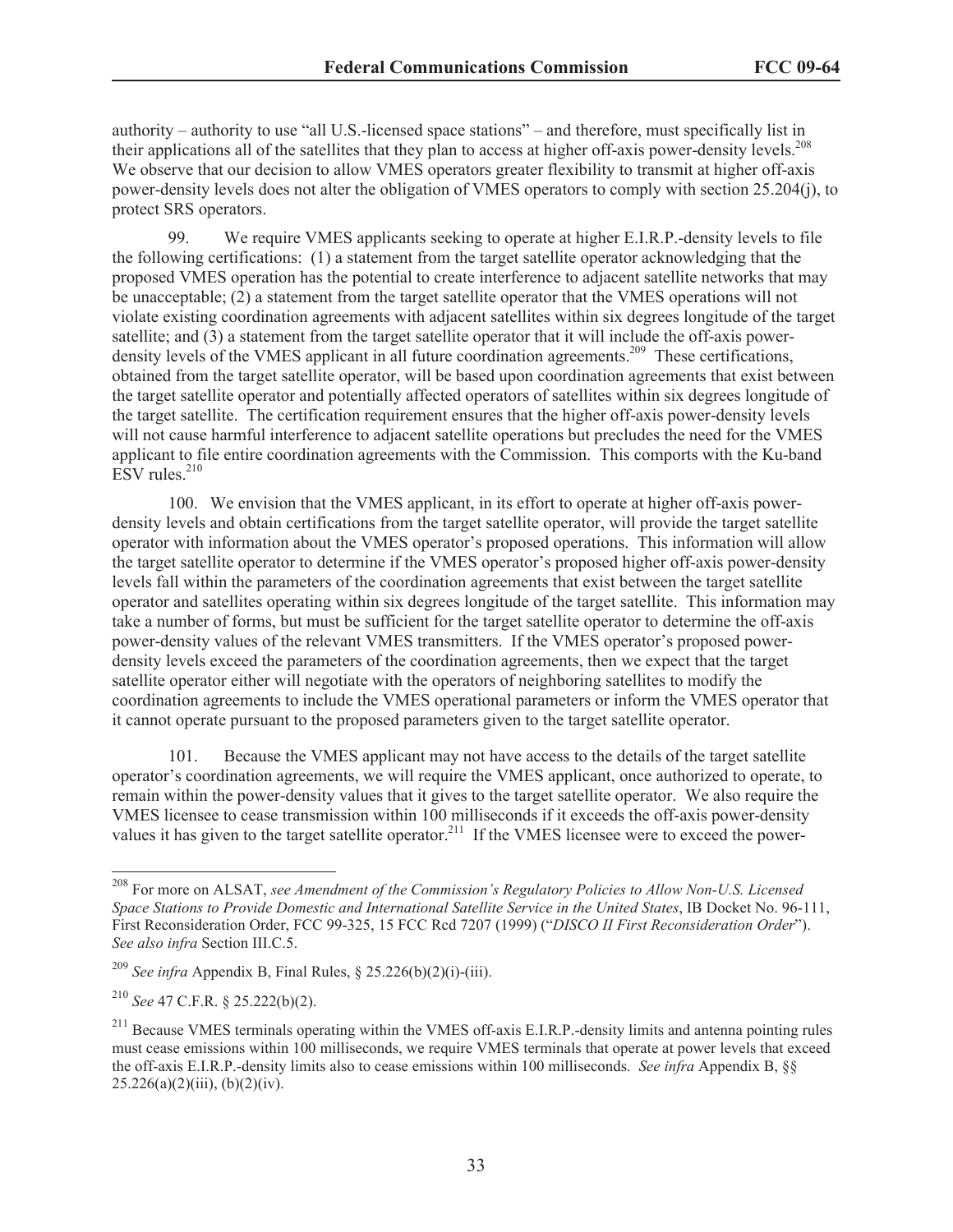authority – authority to use "all U.S.-licensed space stations" – and therefore, must specifically list in their applications all of the satellites that they plan to access at higher off-axis power-density levels.<sup>208</sup> We observe that our decision to allow VMES operators greater flexibility to transmit at higher off-axis power-density levels does not alter the obligation of VMES operators to comply with section 25.204(j), to protect SRS operators.

99. We require VMES applicants seeking to operate at higher E.I.R.P.-density levels to file the following certifications: (1) a statement from the target satellite operator acknowledging that the proposed VMES operation has the potential to create interference to adjacent satellite networks that may be unacceptable; (2) a statement from the target satellite operator that the VMES operations will not violate existing coordination agreements with adjacent satellites within six degrees longitude of the target satellite; and (3) a statement from the target satellite operator that it will include the off-axis powerdensity levels of the VMES applicant in all future coordination agreements.<sup>209</sup> These certifications, obtained from the target satellite operator, will be based upon coordination agreements that exist between the target satellite operator and potentially affected operators of satellites within six degrees longitude of the target satellite. The certification requirement ensures that the higher off-axis power-density levels will not cause harmful interference to adjacent satellite operations but precludes the need for the VMES applicant to file entire coordination agreements with the Commission. This comports with the Ku-band  $ESV$  rules.<sup>210</sup>

100. We envision that the VMES applicant, in its effort to operate at higher off-axis powerdensity levels and obtain certifications from the target satellite operator, will provide the target satellite operator with information about the VMES operator's proposed operations. This information will allow the target satellite operator to determine if the VMES operator's proposed higher off-axis power-density levels fall within the parameters of the coordination agreements that exist between the target satellite operator and satellites operating within six degrees longitude of the target satellite. This information may take a number of forms, but must be sufficient for the target satellite operator to determine the off-axis power-density values of the relevant VMES transmitters. If the VMES operator's proposed powerdensity levels exceed the parameters of the coordination agreements, then we expect that the target satellite operator either will negotiate with the operators of neighboring satellites to modify the coordination agreements to include the VMES operational parameters or inform the VMES operator that it cannot operate pursuant to the proposed parameters given to the target satellite operator.

101. Because the VMES applicant may not have access to the details of the target satellite operator's coordination agreements, we will require the VMES applicant, once authorized to operate, to remain within the power-density values that it gives to the target satellite operator. We also require the VMES licensee to cease transmission within 100 milliseconds if it exceeds the off-axis power-density values it has given to the target satellite operator.<sup>211</sup> If the VMES licensee were to exceed the power-

<sup>208</sup> For more on ALSAT, *see Amendment of the Commission's Regulatory Policies to Allow Non-U.S. Licensed Space Stations to Provide Domestic and International Satellite Service in the United States*, IB Docket No. 96-111, First Reconsideration Order, FCC 99-325, 15 FCC Rcd 7207 (1999) ("*DISCO II First Reconsideration Order*"). *See also infra* Section III.C.5.

<sup>&</sup>lt;sup>209</sup> *See infra* Appendix B, Final Rules,  $\frac{\delta}{25.226(b)(2)(i)}$ -(iii).

<sup>210</sup> *See* 47 C.F.R. § 25.222(b)(2).

<sup>&</sup>lt;sup>211</sup> Because VMES terminals operating within the VMES off-axis E.I.R.P.-density limits and antenna pointing rules must cease emissions within 100 milliseconds, we require VMES terminals that operate at power levels that exceed the off-axis E.I.R.P.-density limits also to cease emissions within 100 milliseconds. *See infra* Appendix B, §§  $25.226(a)(2)(iii)$ , (b)(2)(iv).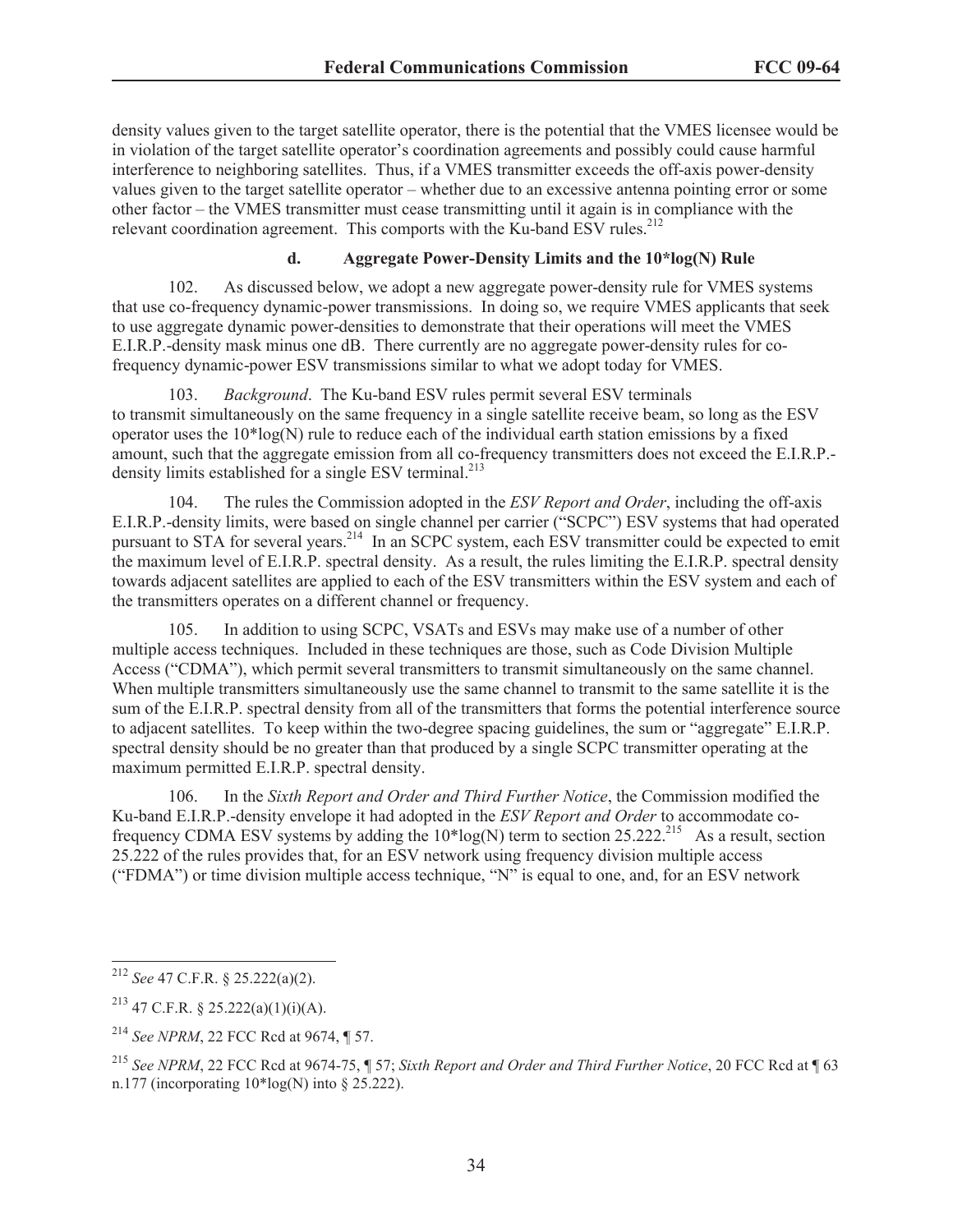density values given to the target satellite operator, there is the potential that the VMES licensee would be in violation of the target satellite operator's coordination agreements and possibly could cause harmful interference to neighboring satellites. Thus, if a VMES transmitter exceeds the off-axis power-density values given to the target satellite operator – whether due to an excessive antenna pointing error or some other factor – the VMES transmitter must cease transmitting until it again is in compliance with the relevant coordination agreement. This comports with the Ku-band ESV rules.<sup>212</sup>

## **d. Aggregate Power-Density Limits and the 10\*log(N) Rule**

102. As discussed below, we adopt a new aggregate power-density rule for VMES systems that use co-frequency dynamic-power transmissions. In doing so, we require VMES applicants that seek to use aggregate dynamic power-densities to demonstrate that their operations will meet the VMES E.I.R.P.-density mask minus one dB. There currently are no aggregate power-density rules for cofrequency dynamic-power ESV transmissions similar to what we adopt today for VMES.

103. *Background*. The Ku-band ESV rules permit several ESV terminals to transmit simultaneously on the same frequency in a single satellite receive beam, so long as the ESV operator uses the  $10*log(N)$  rule to reduce each of the individual earth station emissions by a fixed amount, such that the aggregate emission from all co-frequency transmitters does not exceed the E.I.R.P. density limits established for a single ESV terminal.<sup>213</sup>

104. The rules the Commission adopted in the *ESV Report and Order*, including the off-axis E.I.R.P.-density limits, were based on single channel per carrier ("SCPC") ESV systems that had operated pursuant to STA for several years.<sup>214</sup> In an SCPC system, each ESV transmitter could be expected to emit the maximum level of E.I.R.P. spectral density. As a result, the rules limiting the E.I.R.P. spectral density towards adjacent satellites are applied to each of the ESV transmitters within the ESV system and each of the transmitters operates on a different channel or frequency.

105. In addition to using SCPC, VSATs and ESVs may make use of a number of other multiple access techniques. Included in these techniques are those, such as Code Division Multiple Access ("CDMA"), which permit several transmitters to transmit simultaneously on the same channel. When multiple transmitters simultaneously use the same channel to transmit to the same satellite it is the sum of the E.I.R.P. spectral density from all of the transmitters that forms the potential interference source to adjacent satellites. To keep within the two-degree spacing guidelines, the sum or "aggregate" E.I.R.P. spectral density should be no greater than that produced by a single SCPC transmitter operating at the maximum permitted E.I.R.P. spectral density.

106. In the *Sixth Report and Order and Third Further Notice*, the Commission modified the Ku-band E.I.R.P.-density envelope it had adopted in the *ESV Report and Order* to accommodate cofrequency CDMA ESV systems by adding the 10\*log(N) term to section 25.222.<sup>215</sup> As a result, section 25.222 of the rules provides that, for an ESV network using frequency division multiple access ("FDMA") or time division multiple access technique, "N" is equal to one, and, for an ESV network

<sup>212</sup> *See* 47 C.F.R. § 25.222(a)(2).

<sup>&</sup>lt;sup>213</sup> 47 C.F.R. § 25.222(a)(1)(i)(A).

<sup>214</sup> *See NPRM*, 22 FCC Rcd at 9674, ¶ 57.

<sup>215</sup> *See NPRM*, 22 FCC Rcd at 9674-75, ¶ 57; *Sixth Report and Order and Third Further Notice*, 20 FCC Rcd at ¶ 63 n.177 (incorporating  $10^*$ log(N) into  $\S$  25.222).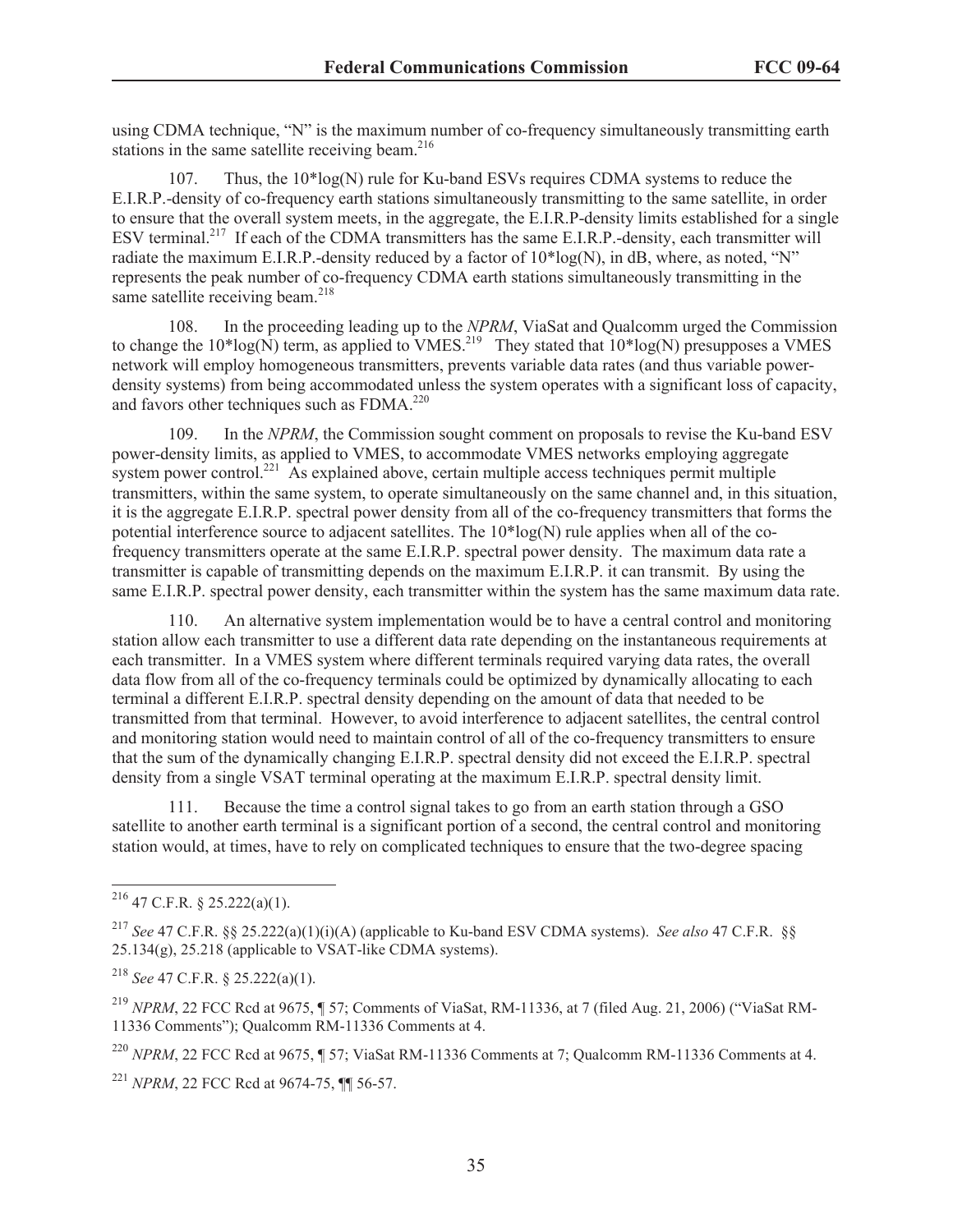using CDMA technique, "N" is the maximum number of co-frequency simultaneously transmitting earth stations in the same satellite receiving beam. $216$ 

107. Thus, the 10\*log(N) rule for Ku-band ESVs requires CDMA systems to reduce the E.I.R.P.-density of co-frequency earth stations simultaneously transmitting to the same satellite, in order to ensure that the overall system meets, in the aggregate, the E.I.R.P-density limits established for a single ESV terminal.<sup>217</sup> If each of the CDMA transmitters has the same E.I.R.P.-density, each transmitter will radiate the maximum E.I.R.P.-density reduced by a factor of  $10*log(N)$ , in dB, where, as noted, "N" represents the peak number of co-frequency CDMA earth stations simultaneously transmitting in the same satellite receiving beam.<sup>218</sup>

108. In the proceeding leading up to the *NPRM*, ViaSat and Qualcomm urged the Commission to change the  $10*log(N)$  term, as applied to VMES.<sup>219</sup> They stated that  $10*log(N)$  presupposes a VMES network will employ homogeneous transmitters, prevents variable data rates (and thus variable powerdensity systems) from being accommodated unless the system operates with a significant loss of capacity, and favors other techniques such as  $FDMA<sup>220</sup>$ 

109. In the *NPRM*, the Commission sought comment on proposals to revise the Ku-band ESV power-density limits, as applied to VMES, to accommodate VMES networks employing aggregate system power control.<sup>221</sup> As explained above, certain multiple access techniques permit multiple transmitters, within the same system, to operate simultaneously on the same channel and, in this situation, it is the aggregate E.I.R.P. spectral power density from all of the co-frequency transmitters that forms the potential interference source to adjacent satellites. The  $10*log(N)$  rule applies when all of the cofrequency transmitters operate at the same E.I.R.P. spectral power density. The maximum data rate a transmitter is capable of transmitting depends on the maximum E.I.R.P. it can transmit. By using the same E.I.R.P. spectral power density, each transmitter within the system has the same maximum data rate.

110. An alternative system implementation would be to have a central control and monitoring station allow each transmitter to use a different data rate depending on the instantaneous requirements at each transmitter. In a VMES system where different terminals required varying data rates, the overall data flow from all of the co-frequency terminals could be optimized by dynamically allocating to each terminal a different E.I.R.P. spectral density depending on the amount of data that needed to be transmitted from that terminal. However, to avoid interference to adjacent satellites, the central control and monitoring station would need to maintain control of all of the co-frequency transmitters to ensure that the sum of the dynamically changing E.I.R.P. spectral density did not exceed the E.I.R.P. spectral density from a single VSAT terminal operating at the maximum E.I.R.P. spectral density limit.

111. Because the time a control signal takes to go from an earth station through a GSO satellite to another earth terminal is a significant portion of a second, the central control and monitoring station would, at times, have to rely on complicated techniques to ensure that the two-degree spacing

 $^{216}$  47 C.F.R. § 25.222(a)(1).

<sup>217</sup> *See* 47 C.F.R. §§ 25.222(a)(1)(i)(A) (applicable to Ku-band ESV CDMA systems). *See also* 47 C.F.R. §§ 25.134(g), 25.218 (applicable to VSAT-like CDMA systems).

<sup>218</sup> *See* 47 C.F.R. § 25.222(a)(1).

<sup>219</sup> *NPRM*, 22 FCC Rcd at 9675, ¶ 57; Comments of ViaSat, RM-11336, at 7 (filed Aug. 21, 2006) ("ViaSat RM-11336 Comments"); Qualcomm RM-11336 Comments at 4.

<sup>&</sup>lt;sup>220</sup> *NPRM*, 22 FCC Rcd at 9675, ¶ 57; ViaSat RM-11336 Comments at 7; Qualcomm RM-11336 Comments at 4.

<sup>221</sup> *NPRM*, 22 FCC Rcd at 9674-75, ¶¶ 56-57.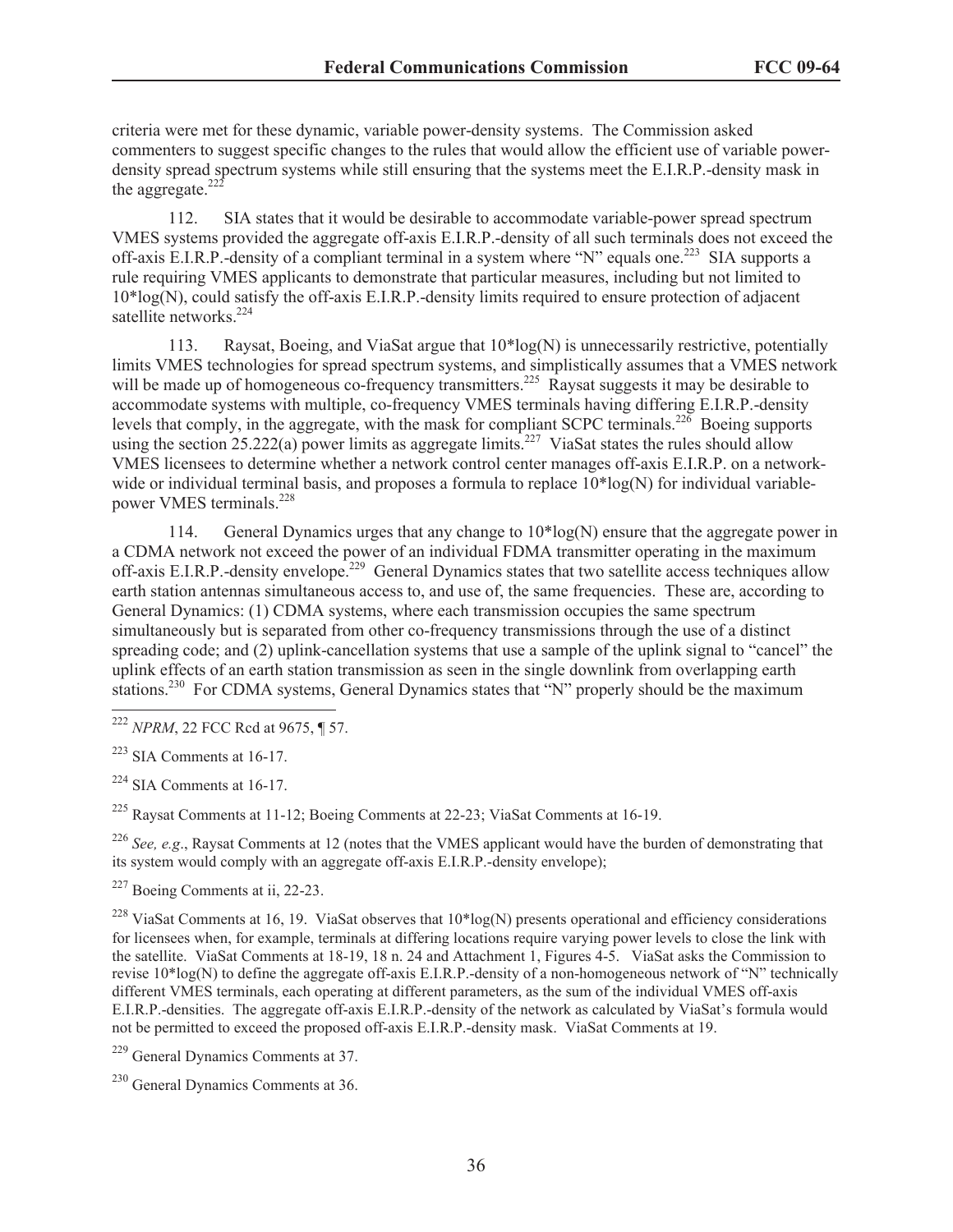criteria were met for these dynamic, variable power-density systems. The Commission asked commenters to suggest specific changes to the rules that would allow the efficient use of variable powerdensity spread spectrum systems while still ensuring that the systems meet the E.I.R.P.-density mask in the aggregate. $22$ 

112. SIA states that it would be desirable to accommodate variable-power spread spectrum VMES systems provided the aggregate off-axis E.I.R.P.-density of all such terminals does not exceed the off-axis E.I.R.P.-density of a compliant terminal in a system where "N" equals one.<sup>223</sup> SIA supports a rule requiring VMES applicants to demonstrate that particular measures, including but not limited to  $10*log(N)$ , could satisfy the off-axis E.I.R.P.-density limits required to ensure protection of adjacent satellite networks.<sup>224</sup>

113. Raysat, Boeing, and ViaSat argue that 10\*log(N) is unnecessarily restrictive, potentially limits VMES technologies for spread spectrum systems, and simplistically assumes that a VMES network will be made up of homogeneous co-frequency transmitters.<sup>225</sup> Raysat suggests it may be desirable to accommodate systems with multiple, co-frequency VMES terminals having differing E.I.R.P.-density levels that comply, in the aggregate, with the mask for compliant SCPC terminals.<sup>226</sup> Boeing supports using the section 25.222(a) power limits as aggregate limits.<sup>227</sup> ViaSat states the rules should allow VMES licensees to determine whether a network control center manages off-axis E.I.R.P. on a networkwide or individual terminal basis, and proposes a formula to replace  $10*log(N)$  for individual variablepower VMES terminals.<sup>228</sup>

114. General Dynamics urges that any change to 10\*log(N) ensure that the aggregate power in a CDMA network not exceed the power of an individual FDMA transmitter operating in the maximum off-axis E.I.R.P.-density envelope.<sup>229</sup> General Dynamics states that two satellite access techniques allow earth station antennas simultaneous access to, and use of, the same frequencies. These are, according to General Dynamics: (1) CDMA systems, where each transmission occupies the same spectrum simultaneously but is separated from other co-frequency transmissions through the use of a distinct spreading code; and (2) uplink-cancellation systems that use a sample of the uplink signal to "cancel" the uplink effects of an earth station transmission as seen in the single downlink from overlapping earth stations.<sup>230</sup> For CDMA systems, General Dynamics states that "N" properly should be the maximum

<sup>225</sup> Raysat Comments at 11-12; Boeing Comments at 22-23; ViaSat Comments at 16-19.

<sup>226</sup> *See, e.g.*, Raysat Comments at 12 (notes that the VMES applicant would have the burden of demonstrating that its system would comply with an aggregate off-axis E.I.R.P.-density envelope);

<sup>228</sup> ViaSat Comments at 16, 19. ViaSat observes that  $10*log(N)$  presents operational and efficiency considerations for licensees when, for example, terminals at differing locations require varying power levels to close the link with the satellite. ViaSat Comments at 18-19, 18 n. 24 and Attachment 1, Figures 4-5. ViaSat asks the Commission to revise 10\*log(N) to define the aggregate off-axis E.I.R.P.-density of a non-homogeneous network of "N" technically different VMES terminals, each operating at different parameters, as the sum of the individual VMES off-axis E.I.R.P.-densities. The aggregate off-axis E.I.R.P.-density of the network as calculated by ViaSat's formula would not be permitted to exceed the proposed off-axis E.I.R.P.-density mask. ViaSat Comments at 19.

<sup>222</sup> *NPRM*, 22 FCC Rcd at 9675, ¶ 57.

<sup>223</sup> SIA Comments at 16-17.

 $224$  SIA Comments at 16-17.

<sup>227</sup> Boeing Comments at ii, 22-23.

<sup>229</sup> General Dynamics Comments at 37.

 $230$  General Dynamics Comments at 36.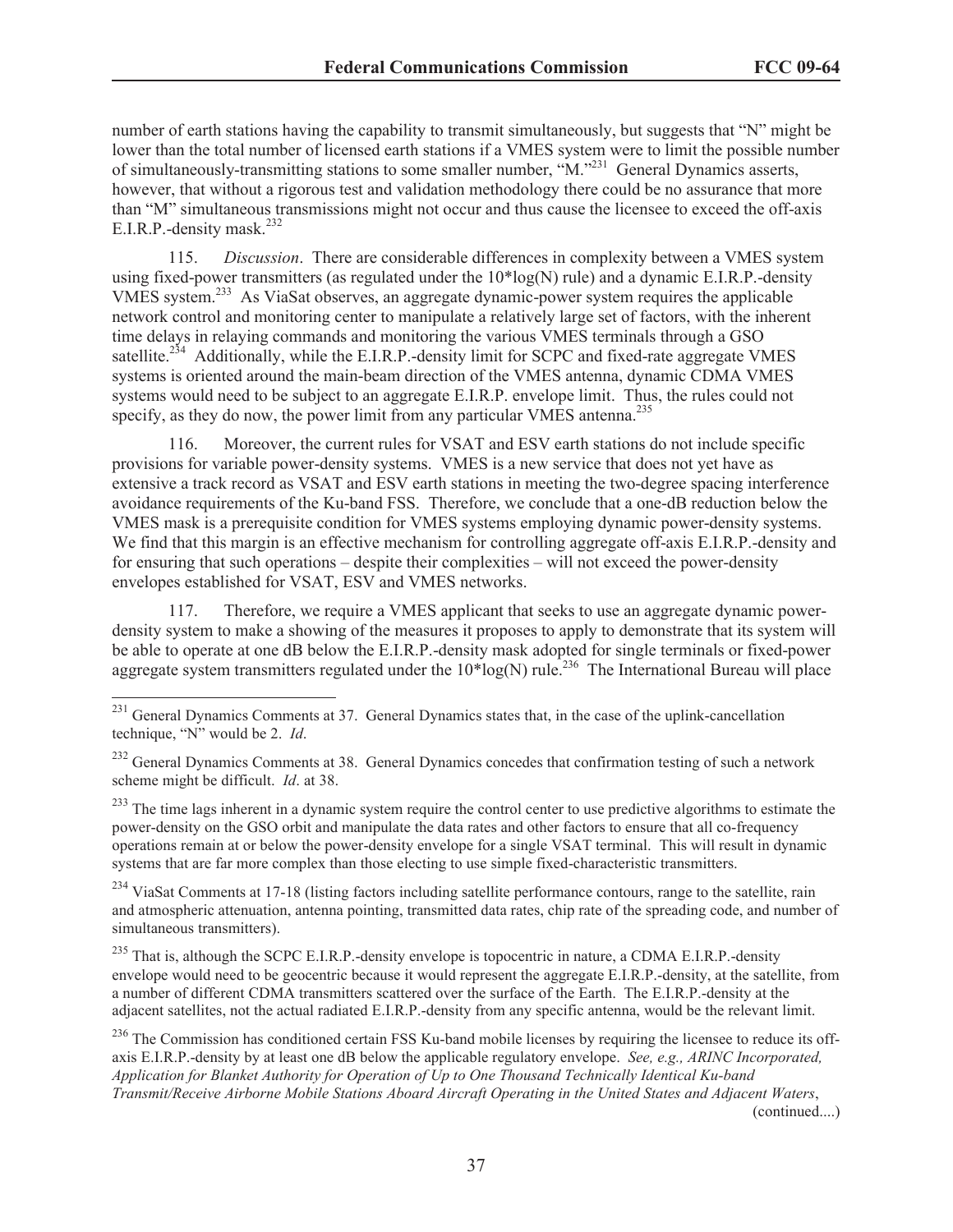number of earth stations having the capability to transmit simultaneously, but suggests that "N" might be lower than the total number of licensed earth stations if a VMES system were to limit the possible number of simultaneously-transmitting stations to some smaller number, "M."<sup>231</sup> General Dynamics asserts, however, that without a rigorous test and validation methodology there could be no assurance that more than "M" simultaneous transmissions might not occur and thus cause the licensee to exceed the off-axis E.I.R.P.-density mask.<sup>232</sup>

115. *Discussion*. There are considerable differences in complexity between a VMES system using fixed-power transmitters (as regulated under the 10\*log(N) rule) and a dynamic E.I.R.P.-density VMES system.<sup>233</sup> As ViaSat observes, an aggregate dynamic-power system requires the applicable network control and monitoring center to manipulate a relatively large set of factors, with the inherent time delays in relaying commands and monitoring the various VMES terminals through a GSO satellite.<sup>234</sup> Additionally, while the E.I.R.P.-density limit for SCPC and fixed-rate aggregate VMES systems is oriented around the main-beam direction of the VMES antenna, dynamic CDMA VMES systems would need to be subject to an aggregate E.I.R.P. envelope limit. Thus, the rules could not specify, as they do now, the power limit from any particular VMES antenna.<sup>235</sup>

116. Moreover, the current rules for VSAT and ESV earth stations do not include specific provisions for variable power-density systems. VMES is a new service that does not yet have as extensive a track record as VSAT and ESV earth stations in meeting the two-degree spacing interference avoidance requirements of the Ku-band FSS. Therefore, we conclude that a one-dB reduction below the VMES mask is a prerequisite condition for VMES systems employing dynamic power-density systems. We find that this margin is an effective mechanism for controlling aggregate of f-axis E.I.R.P.-density and for ensuring that such operations – despite their complexities – will not exceed the power-density envelopes established for VSAT, ESV and VMES networks.

117. Therefore, we require a VMES applicant that seeks to use an aggregate dynamic powerdensity system to make a showing of the measures it proposes to apply to demonstrate that its system will be able to operate at one dB below the E.I.R.P.-density mask adopted for single terminals or fixed-power aggregate system transmitters regulated under the  $10*log(N)$  rule.<sup>236</sup> The International Bureau will place

<sup>233</sup> The time lags inherent in a dynamic system require the control center to use predictive algorithms to estimate the power-density on the GSO orbit and manipulate the data rates and other factors to ensure that all co-frequency operations remain at or below the power-density envelope for a single VSAT terminal. This will result in dynamic systems that are far more complex than those electing to use simple fixed-characteristic transmitters.

<sup>234</sup> ViaSat Comments at 17-18 (listing factors including satellite performance contours, range to the satellite, rain and atmospheric attenuation, antenna pointing, transmitted data rates, chip rate of the spreading code, and number of simultaneous transmitters).

<sup>235</sup> That is, although the SCPC E.I.R.P.-density envelope is topocentric in nature, a CDMA E.I.R.P.-density envelope would need to be geocentric because it would represent the aggregate E.I.R.P.-density, at the satellite, from a number of different CDMA transmitters scattered over the surface of the Earth. The E.I.R.P.-density at the adjacent satellites, not the actual radiated E.I.R.P.-density from any specific antenna, would be the relevant limit.

<sup>236</sup> The Commission has conditioned certain FSS Ku-band mobile licenses by requiring the licensee to reduce its offaxis E.I.R.P.-density by at least one dB below the applicable regulatory envelope. *See, e.g., ARINC Incorporated, Application for Blanket Authority for Operation of Up to One Thousand Technically Identical Ku-band Transmit/Receive Airborne Mobile Stations Aboard Aircraft Operating in the United States and Adjacent Waters*,

(continued....)

<sup>&</sup>lt;sup>231</sup> General Dynamics Comments at 37. General Dynamics states that, in the case of the uplink-cancellation technique, "N" would be 2. *Id*.

<sup>&</sup>lt;sup>232</sup> General Dynamics Comments at 38. General Dynamics concedes that confirmation testing of such a network scheme might be difficult. *Id*. at 38.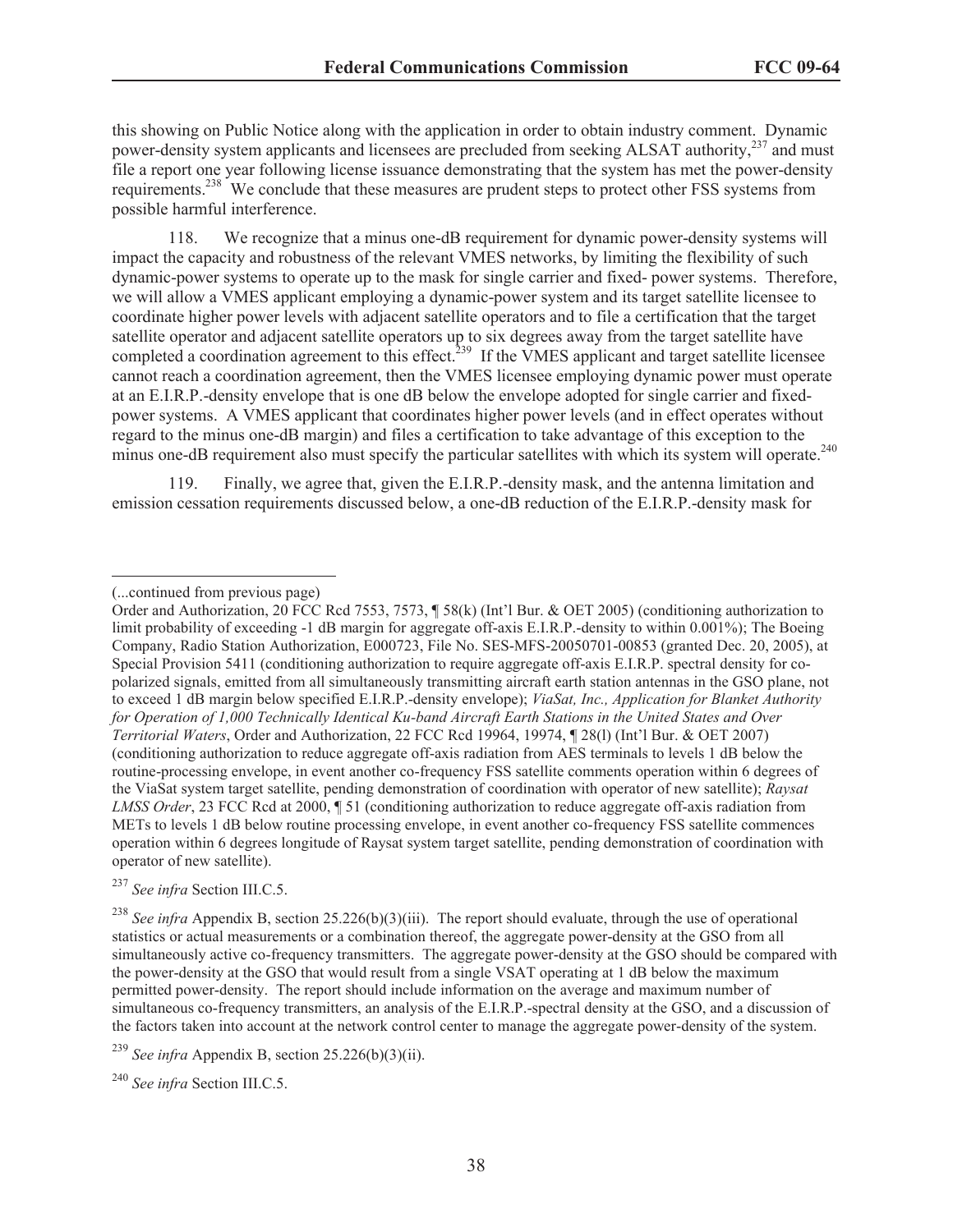this showing on Public Notice along with the application in order to obtain industry comment. Dynamic power-density system applicants and licensees are precluded from seeking ALSAT authority,<sup>237</sup> and must file a report one year following license issuance demonstrating that the system has met the power-density requirements.<sup>238</sup> We conclude that these measures are prudent steps to protect other FSS systems from possible harmful interference.

118. We recognize that a minus one-dB requirement for dynamic power-density systems will impact the capacity and robustness of the relevant VMES networks, by limiting the flexibility of such dynamic-power systems to operate up to the mask for single carrier and fixed- power systems. Therefore, we will allow a VMES applicant employing a dynamic-power system and its target satellite licensee to coordinate higher power levels with adjacent satellite operators and to file a certification that the target satellite operator and adjacent satellite operators up to six degrees away from the target satellite have completed a coordination agreement to this effect.<sup>239</sup> If the VMES applicant and target satellite licensee cannot reach a coordination agreement, then the VMES licensee employing dynamic power must operate at an E.I.R.P.-density envelope that is one dB below the envelope adopted for single carrier and fixedpower systems. A VMES applicant that coordinates higher power levels (and in effect operates without regard to the minus one-dB margin) and files a certification to take advantage of this exception to the minus one-dB requirement also must specify the particular satellites with which its system will operate.<sup>240</sup>

119. Finally, we agree that, given the E.I.R.P.-density mask, and the antenna limitation and emission cessation requirements discussed below, a one-dB reduction of the E.I.R.P.-density mask for

<sup>237</sup> *See infra* Section III.C.5.

<sup>(...</sup>continued from previous page)

Order and Authorization, 20 FCC Rcd 7553, 7573, ¶ 58(k) (Int'l Bur. & OET 2005) (conditioning authorization to limit probability of exceeding -1 dB margin for aggregate off-axis E.I.R.P.-density to within 0.001%); The Boeing Company, Radio Station Authorization, E000723, File No. SES-MFS-20050701-00853 (granted Dec. 20, 2005), at Special Provision 5411 (conditioning authorization to require aggregate off-axis E.I.R.P. spectral density for copolarized signals, emitted from all simultaneously transmitting aircraft earth station antennas in the GSO plane, not to exceed 1 dB margin below specified E.I.R.P.-density envelope); *ViaSat, Inc., Application for Blanket Authority for Operation of 1,000 Technically Identical Ku-band Aircraft Earth Stations in the United States and Over Territorial Waters*, Order and Authorization, 22 FCC Rcd 19964, 19974, ¶ 28(l) (Int'l Bur. & OET 2007) (conditioning authorization to reduce aggregate off-axis radiation from AES terminals to levels 1 dB below the routine-processing envelope, in event another co-frequency FSS satellite comments operation within 6 degrees of the ViaSat system target satellite, pending demonstration of coordination with operator of new satellite); *Raysat LMSS Order*, 23 FCC Rcd at 2000, ¶ 51 (conditioning authorization to reduce aggregate off-axis radiation from METs to levels 1 dB below routine processing envelope, in event another co-frequency FSS satellite commences operation within 6 degrees longitude of Raysat system target satellite, pending demonstration of coordination with operator of new satellite).

<sup>&</sup>lt;sup>238</sup> *See infra* Appendix B, section 25.226(b)(3)(iii). The report should evaluate, through the use of operational statistics or actual measurements or a combination thereof, the aggregate power-density at the GSO from all simultaneously active co-frequency transmitters. The aggregate power-density at the GSO should be compared with the power-density at the GSO that would result from a single VSAT operating at 1 dB below the maximum permitted power-density. The report should include information on the average and maximum number of simultaneous co-frequency transmitters, an analysis of the E.I.R.P.-spectral density at the GSO, and a discussion of the factors taken into account at the network control center to manage the aggregate power-density of the system.

<sup>&</sup>lt;sup>239</sup> *See infra* Appendix B, section 25.226(b)(3)(ii).

<sup>240</sup> *See infra* Section III.C.5.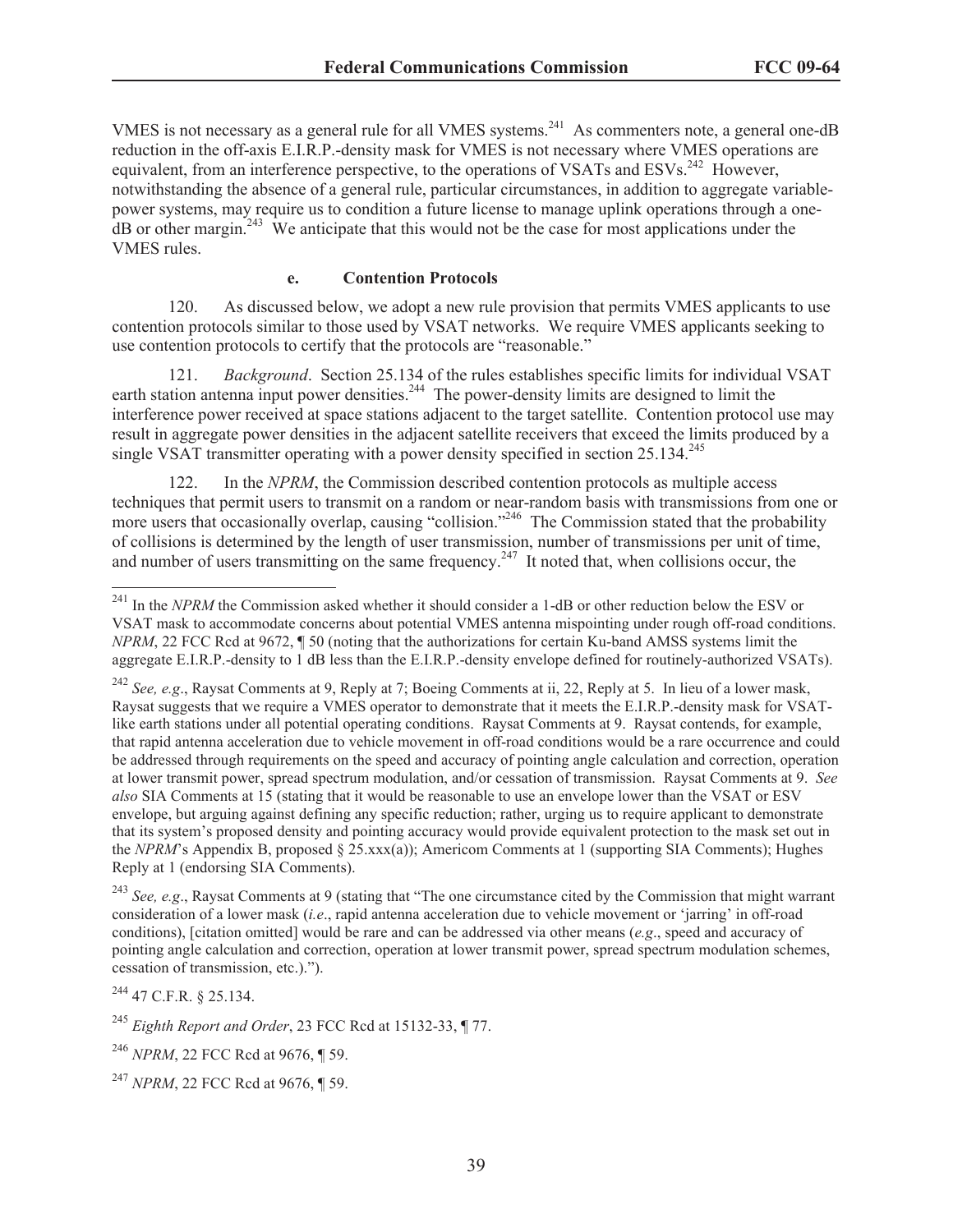VMES is not necessary as a general rule for all VMES systems.<sup>241</sup> As commenters note, a general one-dB reduction in the off-axis E.I.R.P.-density mask for VMES is not necessary where VMES operations are equivalent, from an interference perspective, to the operations of VSATs and ESVs.<sup>242</sup> However, notwithstanding the absence of a general rule, particular circumstances, in addition to aggregate variablepower systems, may require us to condition a future license to manage uplink operations through a one $dB$  or other margin.<sup>243</sup> We anticipate that this would not be the case for most applications under the VMES rules.

#### **e. Contention Protocols**

120. As discussed below, we adopt a new rule provision that permits VMES applicants to use contention protocols similar to those used by VSAT networks. We require VMES applicants seeking to use contention protocols to certify that the protocols are "reasonable."

121. *Background*. Section 25.134 of the rules establishes specific limits for individual VSAT earth station antenna input power densities.<sup>244</sup> The power-density limits are designed to limit the interference power received at space stations adjacent to the target satellite. Contention protocol use may result in aggregate power densities in the adjacent satellite receivers that exceed the limits produced by a single VSAT transmitter operating with a power density specified in section 25.134.<sup>245</sup>

122. In the *NPRM*, the Commission described contention protocols as multiple access techniques that permit users to transmit on a random or near-random basis with transmissions from one or more users that occasionally overlap, causing "collision."<sup>246</sup> The Commission stated that the probability of collisions is determined by the length of user transmission, number of transmissions per unit of time, and number of users transmitting on the same frequency.<sup>247</sup> It noted that, when collisions occur, the

<sup>243</sup> *See, e.g*., Raysat Comments at 9 (stating that "The one circumstance cited by the Commission that might warrant consideration of a lower mask (*i.e*., rapid antenna acceleration due to vehicle movement or 'jarring' in off-road conditions), [citation omitted] would be rare and can be addressed via other means (*e.g*., speed and accuracy of pointing angle calculation and correction, operation at lower transmit power, spread spectrum modulation schemes, cessation of transmission, etc.).").

<sup>244</sup> 47 C.F.R. § 25.134.

<sup>245</sup> *Eighth Report and Order*, 23 FCC Rcd at 15132-33, ¶ 77.

<sup>&</sup>lt;sup>241</sup> In the *NPRM* the Commission asked whether it should consider a 1-dB or other reduction below the ESV or VSAT mask to accommodate concerns about potential VMES antenna mispointing under rough off-road conditions. *NPRM*, 22 FCC Rcd at 9672, ¶ 50 (noting that the authorizations for certain Ku-band AMSS systems limit the aggregate E.I.R.P.-density to 1 dB less than the E.I.R.P.-density envelope defined for routinely-authorized VSATs).

<sup>242</sup> *See, e.g*., Raysat Comments at 9, Reply at 7; Boeing Comments at ii, 22, Reply at 5. In lieu of a lower mask, Raysat suggests that we require a VMES operator to demonstrate that it meets the E.I.R.P.-density mask for VSATlike earth stations under all potential operating conditions. Raysat Comments at 9. Raysat contends, for example, that rapid antenna acceleration due to vehicle movement in off-road conditions would be a rare occurrence and could be addressed through requirements on the speed and accuracy of pointing angle calculation and correction, operation at lower transmit power, spread spectrum modulation, and/or cessation of transmission. Raysat Comments at 9. *See also* SIA Comments at 15 (stating that it would be reasonable to use an envelope lower than the VSAT or ESV envelope, but arguing against defining any specific reduction; rather, urging us to require applicant to demonstrate that its system's proposed density and pointing accuracy would provide equivalent protection to the mask set out in the *NPRM*'s Appendix B, proposed § 25.xxx(a)); Americom Comments at 1 (supporting SIA Comments); Hughes Reply at 1 (endorsing SIA Comments).

<sup>246</sup> *NPRM*, 22 FCC Rcd at 9676, ¶ 59.

<sup>247</sup> *NPRM*, 22 FCC Rcd at 9676, ¶ 59.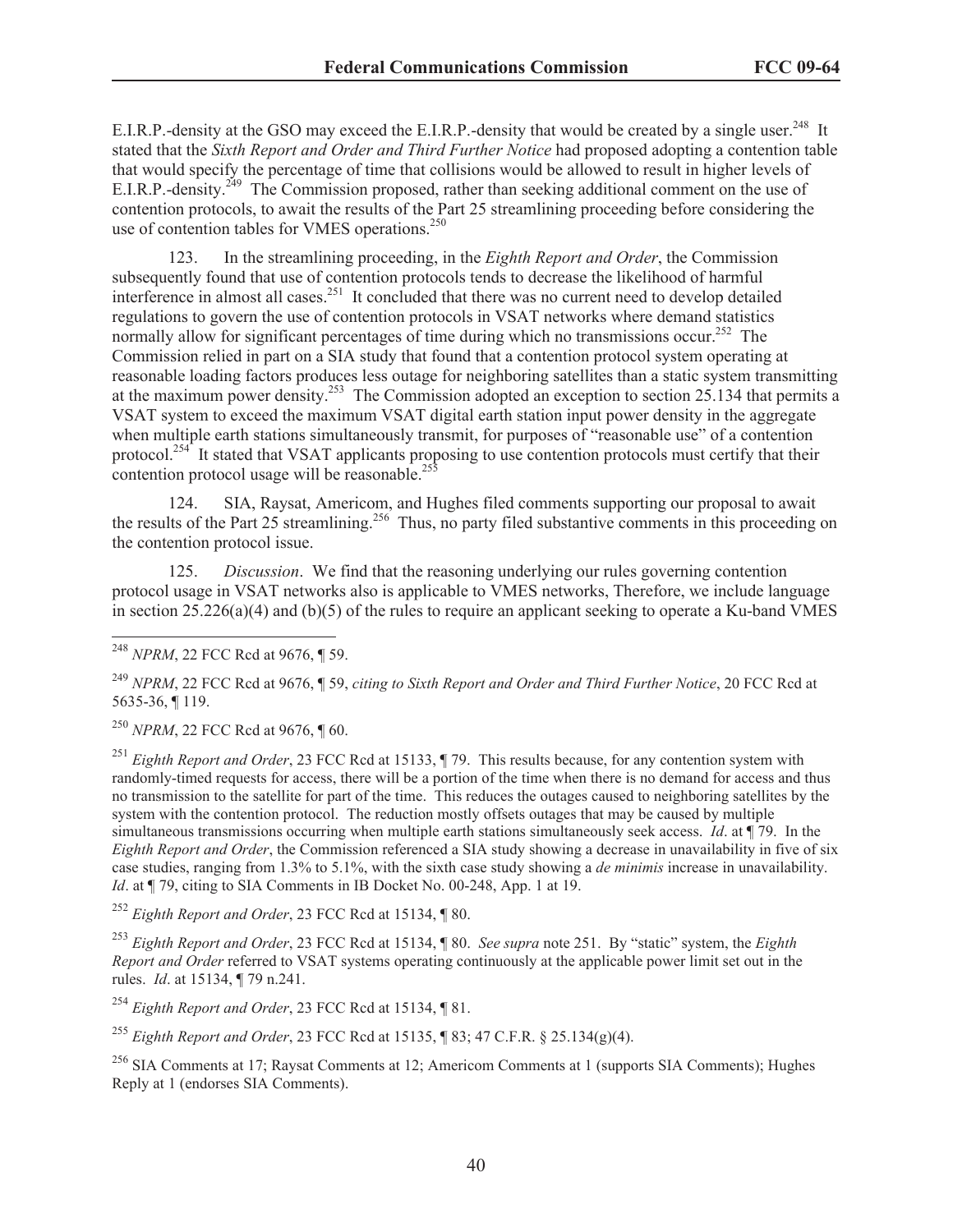E.I.R.P.-density at the GSO may exceed the E.I.R.P.-density that would be created by a single user.<sup>248</sup> It stated that the *Sixth Report and Order and Third Further Notice* had proposed adopting a contention table that would specify the percentage of time that collisions would be allowed to result in higher levels of E.I.R.P.-density.<sup>249</sup> The Commission proposed, rather than seeking additional comment on the use of contention protocols, to await the results of the Part 25 streamlining proceeding before considering the use of contention tables for VMES operations.<sup>250</sup>

123. In the streamlining proceeding, in the *Eighth Report and Order*, the Commission subsequently found that use of contention protocols tends to decrease the likelihood of harmful interference in almost all cases.<sup>251</sup> It concluded that there was no current need to develop detailed regulations to govern the use of contention protocols in VSAT networks where demand statistics normally allow for significant percentages of time during which no transmissions occur.<sup>252</sup> The Commission relied in part on a SIA study that found that a contention protocol system operating at reasonable loading factors produces less outage for neighboring satellites than a static system transmitting at the maximum power density.<sup>253</sup> The Commission adopted an exception to section 25.134 that permits a VSAT system to exceed the maximum VSAT digital earth station input power density in the aggregate when multiple earth stations simultaneously transmit, for purposes of "reasonable use" of a contention protocol.<sup>254</sup> It stated that VSAT applicants proposing to use contention protocols must certify that their contention protocol usage will be reasonable.<sup>255</sup>

124. SIA, Raysat, Americom, and Hughes filed comments supporting our proposal to await the results of the Part 25 streamlining.<sup>256</sup> Thus, no party filed substantive comments in this proceeding on the contention protocol issue.

125. *Discussion*. We find that the reasoning underlying our rules governing contention protocol usage in VSAT networks also is applicable to VMES networks, Therefore, we include language in section  $25.226(a)(4)$  and (b)(5) of the rules to require an applicant seeking to operate a Ku-band VMES

<sup>250</sup> *NPRM*, 22 FCC Rcd at 9676, ¶ 60.

<sup>251</sup> *Eighth Report and Order*, 23 FCC Rcd at 15133, ¶ 79. This results because, for any contention system with randomly-timed requests for access, there will be a portion of the time when there is no demand for access and thus no transmission to the satellite for part of the time. This reduces the outages caused to neighboring satellites by the system with the contention protocol. The reduction mostly offsets outages that may be caused by multiple simultaneous transmissions occurring when multiple earth stations simultaneously seek access. *Id*. at ¶ 79. In the *Eighth Report and Order*, the Commission referenced a SIA study showing a decrease in unavailability in five of six case studies, ranging from 1.3% to 5.1%, with the sixth case study showing a *de minimis* increase in unavailability. *Id.* at  $\P$  79, citing to SIA Comments in IB Docket No. 00-248, App. 1 at 19.

<sup>252</sup> *Eighth Report and Order*, 23 FCC Rcd at 15134, ¶ 80.

<sup>253</sup> *Eighth Report and Order*, 23 FCC Rcd at 15134, ¶ 80. *See supra* note 251. By "static" system, the *Eighth Report and Order* referred to VSAT systems operating continuously at the applicable power limit set out in the rules. *Id*. at 15134, ¶ 79 n.241.

<sup>254</sup> *Eighth Report and Order*, 23 FCC Rcd at 15134, ¶ 81.

<sup>255</sup> *Eighth Report and Order*, 23 FCC Rcd at 15135, ¶ 83; 47 C.F.R. § 25.134(g)(4).

<sup>256</sup> SIA Comments at 17; Raysat Comments at 12; Americom Comments at 1 (supports SIA Comments); Hughes Reply at 1 (endorses SIA Comments).

<sup>248</sup> *NPRM*, 22 FCC Rcd at 9676, ¶ 59.

<sup>249</sup> *NPRM*, 22 FCC Rcd at 9676, ¶ 59, *citing to Sixth Report and Order and Third Further Notice*, 20 FCC Rcd at 5635-36, ¶ 119.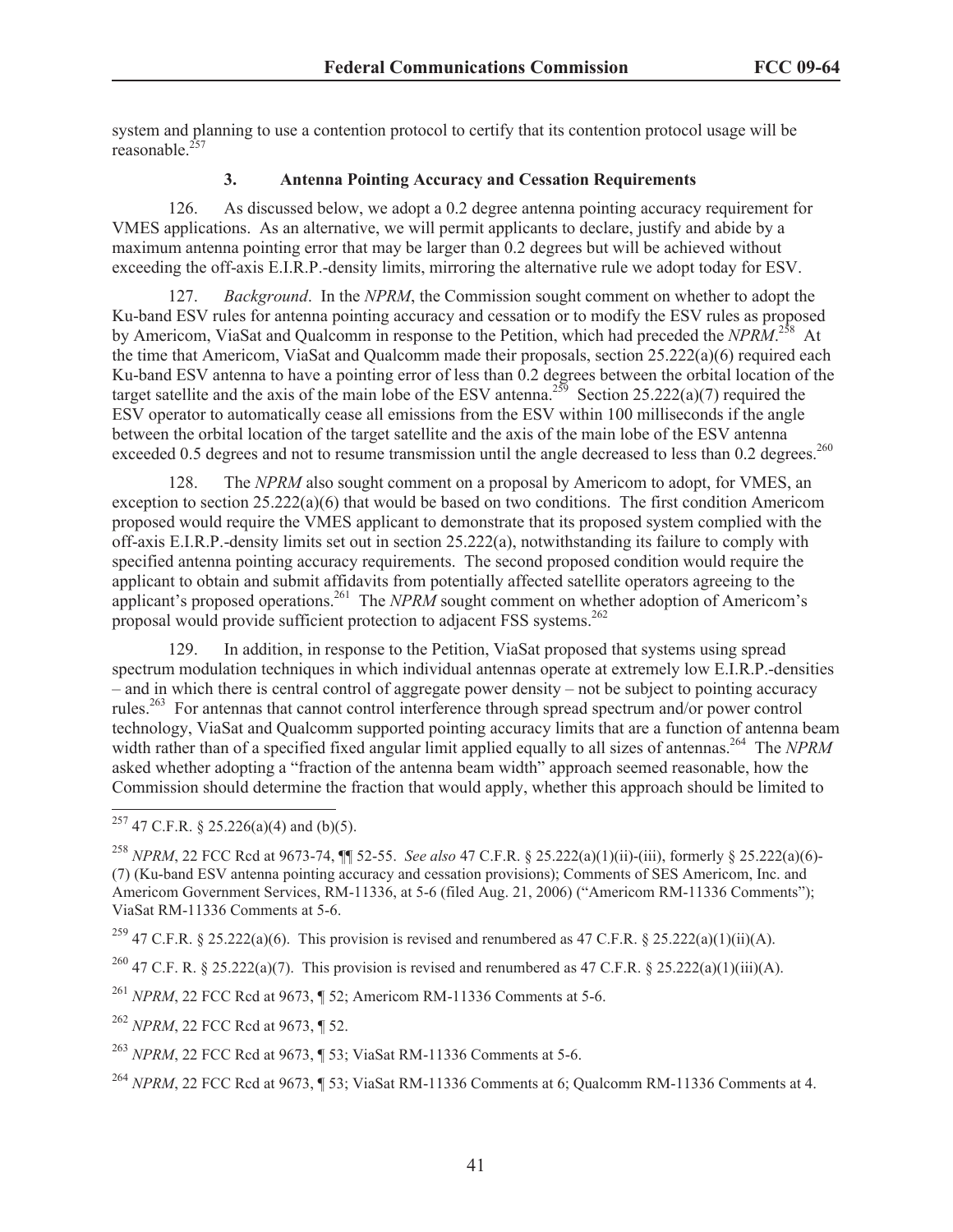system and planning to use a contention protocol to certify that its contention protocol usage will be reasonable. $25$ 

## **3. Antenna Pointing Accuracy and Cessation Requirements**

126. As discussed below, we adopt a 0.2 degree antenna pointing accuracy requirement for VMES applications. As an alternative, we will permit applicants to declare, justify and abide by a maximum antenna pointing error that may be larger than 0.2 degrees but will be achieved without exceeding the off-axis E.I.R.P.-density limits, mirroring the alternative rule we adopt today for ESV.

127. *Background*. In the *NPRM*, the Commission sought comment on whether to adopt the Ku-band ESV rules for antenna pointing accuracy and cessation or to modify the ESV rules as proposed by Americom, ViaSat and Qualcomm in response to the Petition, which had preceded the *NPRM*.<sup>258</sup> At the time that Americom, ViaSat and Qualcomm made their proposals, section 25.222(a)(6) required each Ku-band ESV antenna to have a pointing error of less than 0.2 degrees between the orbital location of the target satellite and the axis of the main lobe of the ESV antenna.<sup>259</sup> Section 25.222(a)(7) required the ESV operator to automatically cease all emissions from the ESV within 100 milliseconds if the angle between the orbital location of the target satellite and the axis of the main lobe of the ESV antenna exceeded 0.5 degrees and not to resume transmission until the angle decreased to less than 0.2 degrees.<sup>260</sup>

128. The *NPRM* also sought comment on a proposal by Americom to adopt, for VMES, an exception to section  $25.222(a)(6)$  that would be based on two conditions. The first condition Americom proposed would require the VMES applicant to demonstrate that its proposed system complied with the off-axis E.I.R.P.-density limits set out in section 25.222(a), notwithstanding its failure to comply with specified antenna pointing accuracy requirements. The second proposed condition would require the applicant to obtain and submit affidavits from potentially affected satellite operators agreeing to the applicant's proposed operations.<sup>261</sup> The *NPRM* sought comment on whether adoption of Americom's proposal would provide sufficient protection to adjacent FSS systems.<sup>262</sup>

129. In addition, in response to the Petition, ViaSat proposed that systems using spread spectrum modulation techniques in which individual antennas operate at extremely low E.I.R.P.-densities – and in which there is central control of aggregate power density – not be subject to pointing accuracy rules.<sup>263</sup> For antennas that cannot control interference through spread spectrum and/or power control technology, ViaSat and Qualcomm supported pointing accuracy limits that are a function of antenna beam width rather than of a specified fixed angular limit applied equally to all sizes of antennas.<sup>264</sup> The *NPRM* asked whether adopting a "fraction of the antenna beam width" approach seemed reasonable, how the Commission should determine the fraction that would apply, whether this approach should be limited to

<sup>260</sup> 47 C.F. R. § 25.222(a)(7). This provision is revised and renumbered as 47 C.F.R. § 25.222(a)(1)(iii)(A).

 $257$  47 C.F.R. § 25.226(a)(4) and (b)(5).

<sup>258</sup> *NPRM*, 22 FCC Rcd at 9673-74, ¶¶ 52-55. *See also* 47 C.F.R. § 25.222(a)(1)(ii)-(iii), formerly § 25.222(a)(6)- (7) (Ku-band ESV antenna pointing accuracy and cessation provisions); Comments of SES Americom, Inc. and Americom Government Services, RM-11336, at 5-6 (filed Aug. 21, 2006) ("Americom RM-11336 Comments"); ViaSat RM-11336 Comments at 5-6.

<sup>&</sup>lt;sup>259</sup> 47 C.F.R. § 25.222(a)(6). This provision is revised and renumbered as 47 C.F.R. § 25.222(a)(1)(ii)(A).

<sup>&</sup>lt;sup>261</sup> *NPRM*, 22 FCC Rcd at 9673, ¶ 52; Americom RM-11336 Comments at 5-6.

<sup>262</sup> *NPRM*, 22 FCC Rcd at 9673, ¶ 52.

<sup>263</sup> *NPRM*, 22 FCC Rcd at 9673, ¶ 53; ViaSat RM-11336 Comments at 5-6.

<sup>264</sup> *NPRM*, 22 FCC Rcd at 9673, ¶ 53; ViaSat RM-11336 Comments at 6; Qualcomm RM-11336 Comments at 4.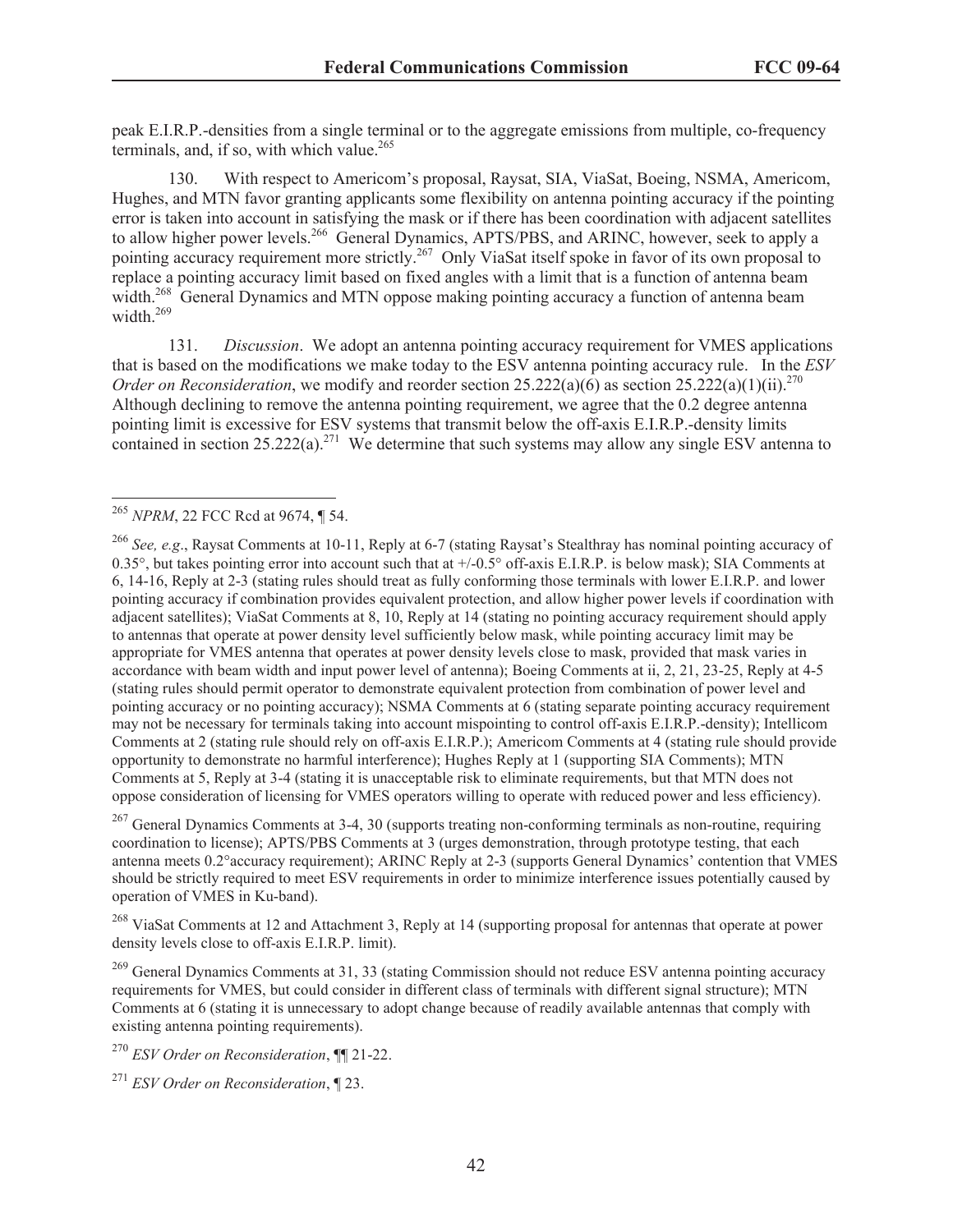peak E.I.R.P.-densities from a single terminal or to the aggregate emissions from multiple, co-frequency terminals, and, if so, with which value.<sup>265</sup>

130. With respect to Americom's proposal, Raysat, SIA, ViaSat, Boeing, NSMA, Americom, Hughes, and MTN favor granting applicants some flexibility on antenna pointing accuracy if the pointing error is taken into account in satisfying the mask or if there has been coordination with adjacent satellites to allow higher power levels.<sup>266</sup> General Dynamics, APTS/PBS, and ARINC, however, seek to apply a pointing accuracy requirement more strictly.<sup>267</sup> Only ViaSat itself spoke in favor of its own proposal to replace a pointing accuracy limit based on fixed angles with a limit that is a function of antenna beam width.<sup>268</sup> General Dynamics and MTN oppose making pointing accuracy a function of antenna beam width.<sup>269</sup>

131. *Discussion*. We adopt an antenna pointing accuracy requirement for VMES applications that is based on the modifications we make today to the ESV antenna pointing accuracy rule. In the *ESV Order on Reconsideration*, we modify and reorder section  $25.222(a)(6)$  as section  $25.222(a)(1)(ii).$ <sup>270</sup> Although declining to remove the antenna pointing requirement, we agree that the 0.2 degree antenna pointing limit is excessive for ESV systems that transmit below the off-axis E.I.R.P.-density limits contained in section  $25.222(a)$ .<sup>271</sup> We determine that such systems may allow any single ESV antenna to

<sup>267</sup> General Dynamics Comments at 3-4, 30 (supports treating non-conforming terminals as non-routine, requiring coordination to license); APTS/PBS Comments at 3 (urges demonstration, through prototype testing, that each antenna meets 0.2°accuracy requirement); ARINC Reply at 2-3 (supports General Dynamics' contention that VMES should be strictly required to meet ESV requirements in order to minimize interference issues potentially caused by operation of VMES in Ku-band).

<sup>268</sup> ViaSat Comments at 12 and Attachment 3, Reply at 14 (supporting proposal for antennas that operate at power density levels close to off-axis E.I.R.P. limit).

<sup>269</sup> General Dynamics Comments at 31, 33 (stating Commission should not reduce ESV antenna pointing accuracy requirements for VMES, but could consider in different class of terminals with different signal structure); MTN Comments at 6 (stating it is unnecessary to adopt change because of readily available antennas that comply with existing antenna pointing requirements).

<sup>270</sup> *ESV Order on Reconsideration*, ¶¶ 21-22.

<sup>271</sup> *ESV Order on Reconsideration*, ¶ 23.

<sup>&</sup>lt;sup>265</sup> *NPRM*, 22 FCC Rcd at 9674, ¶ 54.

<sup>266</sup> *See, e.g*., Raysat Comments at 10-11, Reply at 6-7 (stating Raysat's Stealthray has nominal pointing accuracy of 0.35 $\degree$ , but takes pointing error into account such that at  $+/-0.5\degree$  off-axis E.I.R.P. is below mask); SIA Comments at 6, 14-16, Reply at 2-3 (stating rules should treat as fully conforming those terminals with lower E.I.R.P. and lower pointing accuracy if combination provides equivalent protection, and allow higher power levels if coordination with adjacent satellites); ViaSat Comments at 8, 10, Reply at 14 (stating no pointing accuracy requirement should apply to antennas that operate at power density level sufficiently below mask, while pointing accuracy limit may be appropriate for VMES antenna that operates at power density levels close to mask, provided that mask varies in accordance with beam width and input power level of antenna); Boeing Comments at ii, 2, 21, 23-25, Reply at 4-5 (stating rules should permit operator to demonstrate equivalent protection from combination of power level and pointing accuracy or no pointing accuracy); NSMA Comments at 6 (stating separate pointing accuracy requirement may not be necessary for terminals taking into account mispointing to control off-axis E.I.R.P.-density); Intellicom Comments at 2 (stating rule should rely on off-axis E.I.R.P.); Americom Comments at 4 (stating rule should provide opportunity to demonstrate no harmful interference); Hughes Reply at 1 (supporting SIA Comments); MTN Comments at 5, Reply at 3-4 (stating it is unacceptable risk to eliminate requirements, but that MTN does not oppose consideration of licensing for VMES operators willing to operate with reduced power and less efficiency).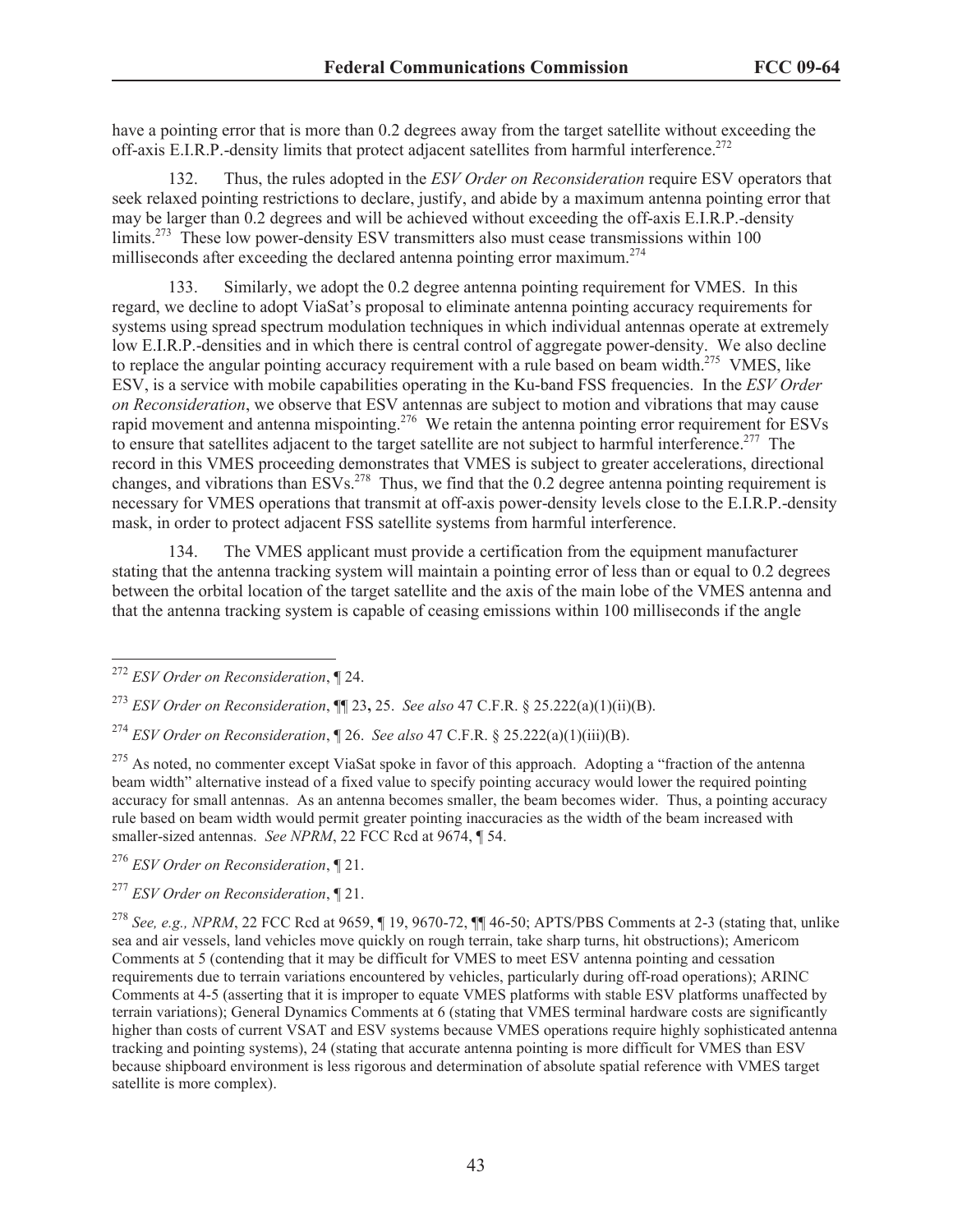have a pointing error that is more than 0.2 degrees away from the target satellite without exceeding the off-axis E.I.R.P.-density limits that protect adjacent satellites from harmful interference.<sup>272</sup>

132. Thus, the rules adopted in the *ESV Order on Reconsideration* require ESV operators that seek relaxed pointing restrictions to declare, justify, and abide by a maximum antenna pointing error that may be larger than 0.2 degrees and will be achieved without exceeding the off-axis E.I.R.P.-density limits.<sup>273</sup> These low power-density ESV transmitters also must cease transmissions within 100 milliseconds after exceeding the declared antenna pointing error maximum.<sup>274</sup>

Similarly, we adopt the 0.2 degree antenna pointing requirement for VMES. In this regard, we decline to adopt ViaSat's proposal to eliminate antenna pointing accuracy requirements for systems using spread spectrum modulation techniques in which individual antennas operate at extremely low E.I.R.P.-densities and in which there is central control of aggregate power-density. We also decline to replace the angular pointing accuracy requirement with a rule based on beam width.<sup>275</sup> VMES, like ESV, is a service with mobile capabilities operating in the Ku-band FSS frequencies. In the *ESV Order on Reconsideration*, we observe that ESV antennas are subject to motion and vibrations that may cause rapid movement and antenna mispointing.<sup>276</sup> We retain the antenna pointing error requirement for ESVs to ensure that satellites adjacent to the target satellite are not subject to harmful interference.<sup>277</sup> The record in this VMES proceeding demonstrates that VMES is subject to greater accelerations, directional changes, and vibrations than  $ESVs<sup>278</sup>$  Thus, we find that the 0.2 degree antenna pointing requirement is necessary for VMES operations that transmit at off-axis power-density levels close to the E.I.R.P.-density mask, in order to protect adjacent FSS satellite systems from harmful interference.

134. The VMES applicant must provide a certification from the equipment manufacturer stating that the antenna tracking system will maintain a pointing error of less than or equal to 0.2 degrees between the orbital location of the target satellite and the axis of the main lobe of the VMES antenna and that the antenna tracking system is capable of ceasing emissions within 100 milliseconds if the angle

<sup>277</sup> *ESV Order on Reconsideration*, ¶ 21.

<sup>272</sup> *ESV Order on Reconsideration*, ¶ 24.

<sup>273</sup> *ESV Order on Reconsideration*, ¶¶ 23**,** 25. *See also* 47 C.F.R. § 25.222(a)(1)(ii)(B).

<sup>274</sup> *ESV Order on Reconsideration*, ¶ 26. *See also* 47 C.F.R. § 25.222(a)(1)(iii)(B).

<sup>&</sup>lt;sup>275</sup> As noted, no commenter except ViaSat spoke in favor of this approach. Adopting a "fraction of the antenna" beam width" alternative instead of a fixed value to specify pointing accuracy would lower the required pointing accuracy for small antennas. As an antenna becomes smaller, the beam becomes wider. Thus, a pointing accuracy rule based on beam width would permit greater pointing inaccuracies as the width of the beam increased with smaller-sized antennas. *See NPRM*, 22 FCC Rcd at 9674, ¶ 54.

<sup>276</sup> *ESV Order on Reconsideration*, ¶ 21.

<sup>278</sup> *See, e.g., NPRM*, 22 FCC Rcd at 9659, ¶ 19, 9670-72, ¶¶ 46-50; APTS/PBS Comments at 2-3 (stating that, unlike sea and air vessels, land vehicles move quickly on rough terrain, take sharp turns, hit obstructions); Americom Comments at 5 (contending that it may be difficult for VMES to meet ESV antenna pointing and cessation requirements due to terrain variations encountered by vehicles, particularly during off-road operations); ARINC Comments at 4-5 (asserting that it is improper to equate VMES platforms with stable ESV platforms unaffected by terrain variations); General Dynamics Comments at 6 (stating that VMES terminal hardware costs are significantly higher than costs of current VSAT and ESV systems because VMES operations require highly sophisticated antenna tracking and pointing systems), 24 (stating that accurate antenna pointing is more difficult for VMES than ESV because shipboard environment is less rigorous and determination of absolute spatial reference with VMES target satellite is more complex).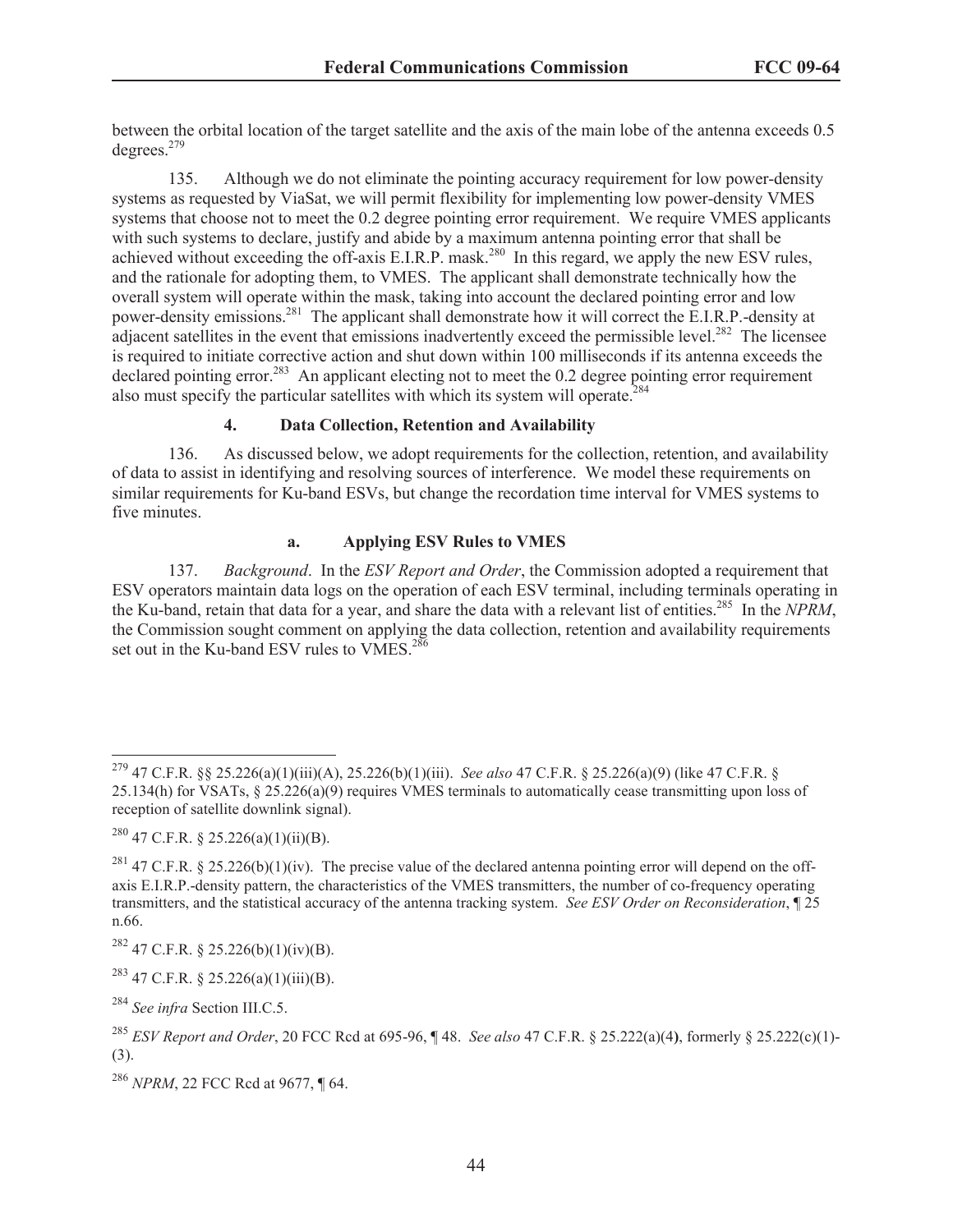between the orbital location of the target satellite and the axis of the main lobe of the antenna exceeds 0.5 degrees.<sup>279</sup>

135. Although we do not eliminate the pointing accuracy requirement for low power-density systems as requested by ViaSat, we will permit flexibility for implementing low power-density VMES systems that choose not to meet the 0.2 degree pointing error requirement. We require VMES applicants with such systems to declare, justify and abide by a maximum antenna pointing error that shall be achieved without exceeding the off-axis E.I.R.P. mask.<sup>280</sup> In this regard, we apply the new ESV rules, and the rationale for adopting them, to VMES. The applicant shall demonstrate technically how the overall system will operate within the mask, taking into account the declared pointing error and low power-density emissions.<sup>281</sup> The applicant shall demonstrate how it will correct the E.I.R.P.-density at adjacent satellites in the event that emissions inadvertently exceed the permissible level.<sup>282</sup> The licensee is required to initiate corrective action and shut down within 100 milliseconds if its antenna exceeds the declared pointing error.<sup>283</sup> An applicant electing not to meet the 0.2 degree pointing error requirement also must specify the particular satellites with which its system will operate.<sup>284</sup>

## **4. Data Collection, Retention and Availability**

136. As discussed below, we adopt requirements for the collection, retention, and availability of data to assist in identifying and resolving sources of interference. We model these requirements on similar requirements for Ku-band ESVs, but change the recordation time interval for VMES systems to five minutes.

# **a. Applying ESV Rules to VMES**

137. *Background*. In the *ESV Report and Order*, the Commission adopted a requirement that ESV operators maintain data logs on the operation of each ESV terminal, including terminals operating in the Ku-band, retain that data for a year, and share the data with a relevant list of entities.<sup>285</sup> In the *NPRM*, the Commission sought comment on applying the data collection, retention and availability requirements set out in the Ku-band ESV rules to VMES.<sup>286</sup>

<sup>279</sup> 47 C.F.R. §§ 25.226(a)(1)(iii)(A), 25.226(b)(1)(iii). *See also* 47 C.F.R. § 25.226(a)(9) (like 47 C.F.R. § 25.134(h) for VSATs, § 25.226(a)(9) requires VMES terminals to automatically cease transmitting upon loss of reception of satellite downlink signal).

 $^{280}$  47 C.F.R. § 25.226(a)(1)(ii)(B).

<sup>&</sup>lt;sup>281</sup> 47 C.F.R. § 25.226(b)(1)(iv). The precise value of the declared antenna pointing error will depend on the offaxis E.I.R.P.-density pattern, the characteristics of the VMES transmitters, the number of co-frequency operating transmitters, and the statistical accuracy of the antenna tracking system. *See ESV Order on Reconsideration*, ¶ 25 n.66.

 $^{282}$  47 C.F.R. § 25.226(b)(1)(iv)(B).

<sup>&</sup>lt;sup>283</sup> 47 C.F.R. § 25.226(a)(1)(iii)(B).

<sup>284</sup> *See infra* Section III.C.5.

<sup>285</sup> *ESV Report and Order*, 20 FCC Rcd at 695-96, ¶ 48. *See also* 47 C.F.R. § 25.222(a)(4**)**, formerly § 25.222(c)(1)- (3).

<sup>286</sup> *NPRM*, 22 FCC Rcd at 9677, ¶ 64.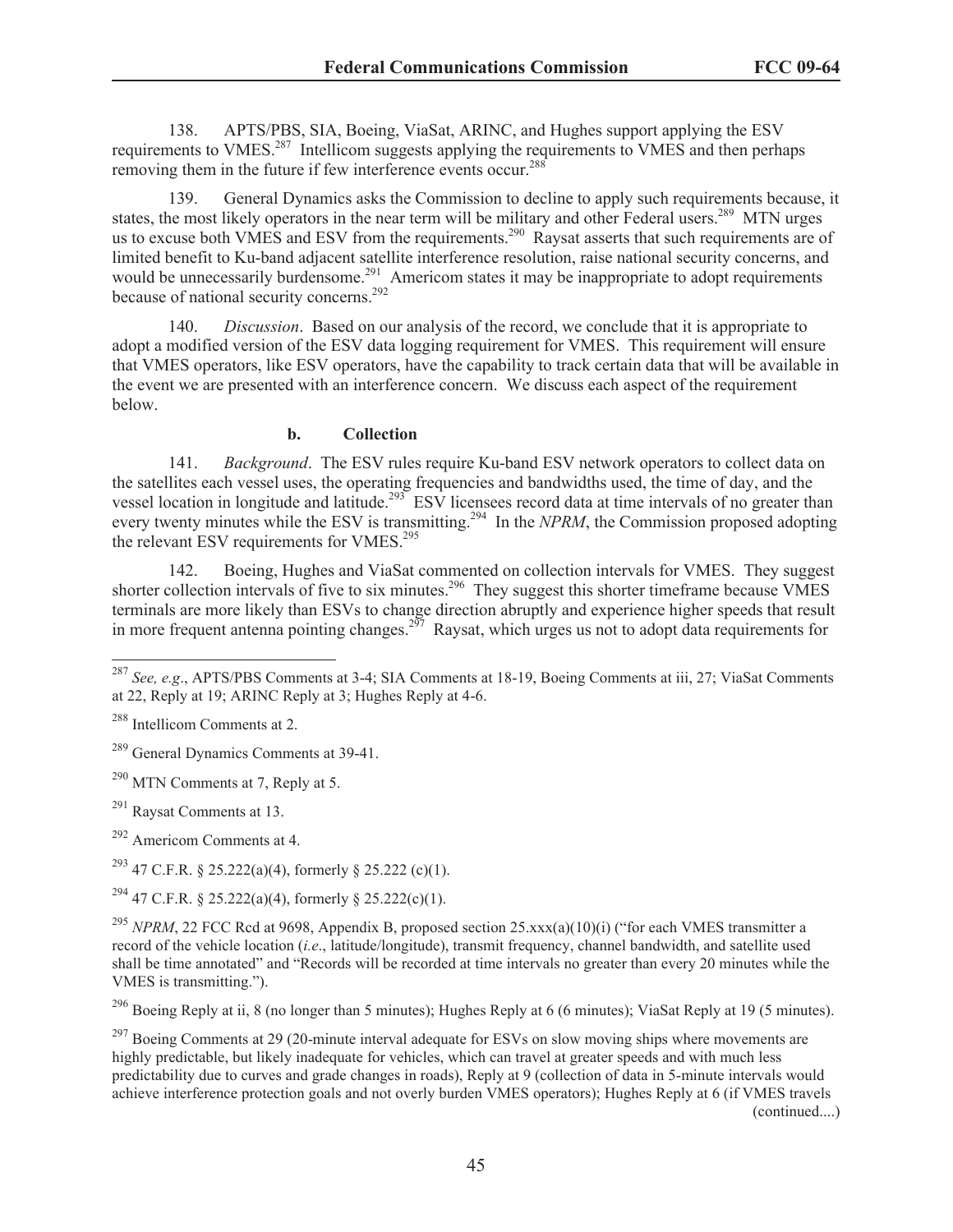138. APTS/PBS, SIA, Boeing, ViaSat, ARINC, and Hughes support applying the ESV requirements to VMES.<sup>287</sup> Intellicom suggests applying the requirements to VMES and then perhaps removing them in the future if few interference events occur.<sup>288</sup>

139. General Dynamics asks the Commission to decline to apply such requirements because, it states, the most likely operators in the near term will be military and other Federal users.<sup>289</sup> MTN urges us to excuse both VMES and ESV from the requirements.<sup>290</sup> Raysat asserts that such requirements are of limited benefit to Ku-band adjacent satellite interference resolution, raise national security concerns, and would be unnecessarily burdensome.<sup>291</sup> Americom states it may be inappropriate to adopt requirements because of national security concerns.<sup>292</sup>

140. *Discussion*. Based on our analysis of the record, we conclude that it is appropriate to adopt a modified version of the ESV data logging requirement for VMES. This requirement will ensure that VMES operators, like ESV operators, have the capability to track certain data that will be available in the event we are presented with an interference concern. We discuss each aspect of the requirement below.

#### **b. Collection**

141. *Background*. The ESV rules require Ku-band ESV network operators to collect data on the satellites each vessel uses, the operating frequencies and bandwidths used, the time of day, and the vessel location in longitude and latitude.<sup>293</sup> ESV licensees record data at time intervals of no greater than every twenty minutes while the ESV is transmitting.<sup>294</sup> In the *NPRM*, the Commission proposed adopting the relevant ESV requirements for VMES.<sup>295</sup>

142. Boeing, Hughes and ViaSat commented on collection intervals for VMES. They suggest shorter collection intervals of five to six minutes.<sup>296</sup> They suggest this shorter timeframe because VMES terminals are more likely than ESVs to change direction abruptly and experience higher speeds that result in more frequent antenna pointing changes.<sup>297</sup> Raysat, which urges us not to adopt data requirements for

<sup>290</sup> MTN Comments at 7, Reply at 5.

<sup>291</sup> Raysat Comments at 13.

<sup>292</sup> Americom Comments at 4.

<sup>293</sup> 47 C.F.R. § 25.222(a)(4), formerly § 25.222 (c)(1).

<sup>294</sup> 47 C.F.R. § 25.222(a)(4), formerly § 25.222(c)(1).

<sup>295</sup> *NPRM*, 22 FCC Rcd at 9698, Appendix B, proposed section 25,xxx(a)(10)(i) ("for each VMES transmitter a record of the vehicle location (*i.e*., latitude/longitude), transmit frequency, channel bandwidth, and satellite used shall be time annotated" and "Records will be recorded at time intervals no greater than every 20 minutes while the VMES is transmitting.").

<sup>296</sup> Boeing Reply at ii, 8 (no longer than 5 minutes); Hughes Reply at 6 (6 minutes); ViaSat Reply at 19 (5 minutes).

<sup>297</sup> Boeing Comments at 29 (20-minute interval adequate for ESVs on slow moving ships where movements are highly predictable, but likely inadequate for vehicles, which can travel at greater speeds and with much less predictability due to curves and grade changes in roads), Reply at 9 (collection of data in 5-minute intervals would achieve interference protection goals and not overly burden VMES operators); Hughes Reply at 6 (if VMES travels

(continued....)

<sup>287</sup> *See, e.g*., APTS/PBS Comments at 3-4; SIA Comments at 18-19, Boeing Comments at iii, 27; ViaSat Comments at 22, Reply at 19; ARINC Reply at 3; Hughes Reply at 4-6.

<sup>288</sup> Intellicom Comments at 2.

<sup>&</sup>lt;sup>289</sup> General Dynamics Comments at 39-41.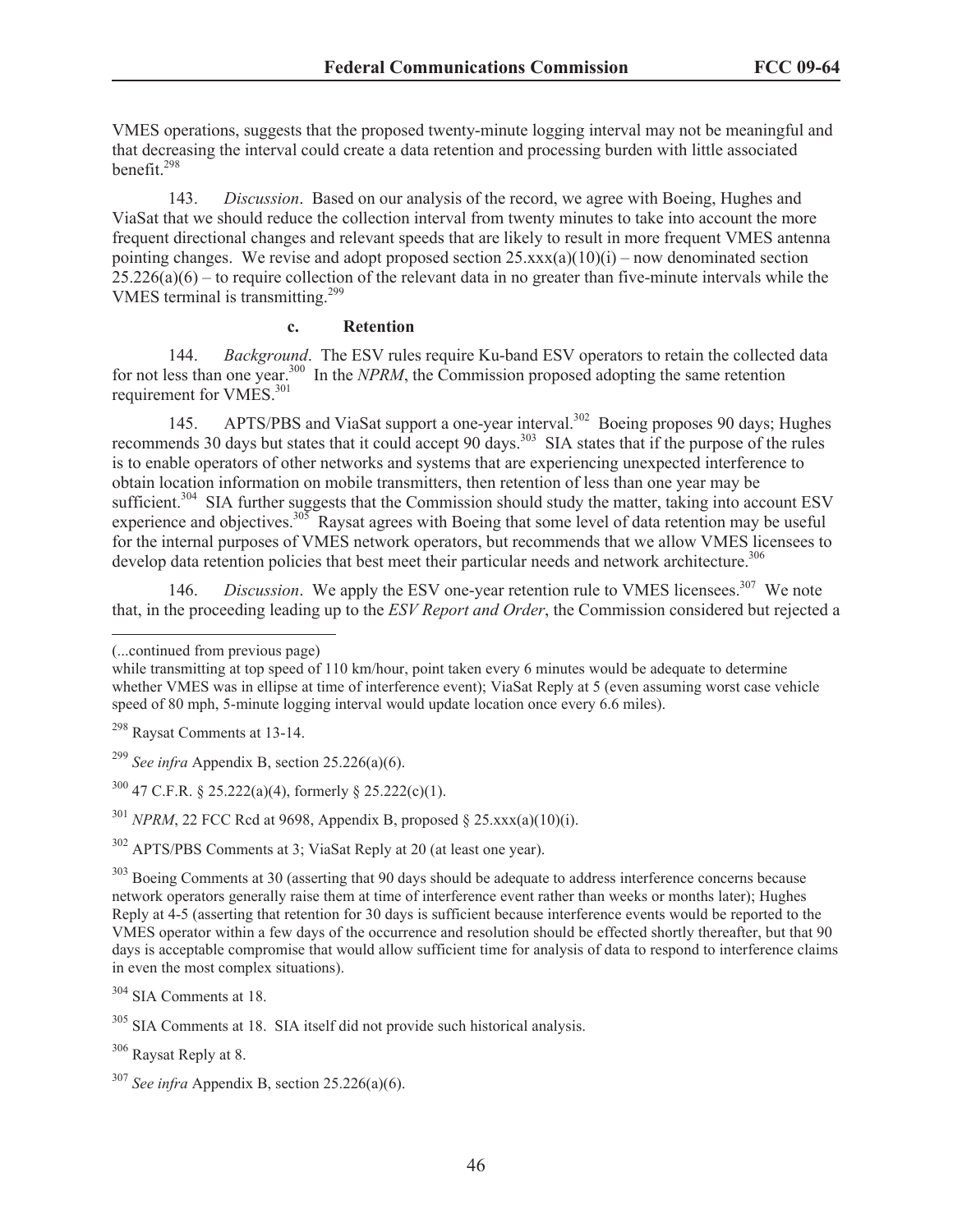VMES operations, suggests that the proposed twenty-minute logging interval may not be meaningful and that decreasing the interval could create a data retention and processing burden with little associated benefit $^{298}$ 

143. *Discussion*. Based on our analysis of the record, we agree with Boeing, Hughes and ViaSat that we should reduce the collection interval from twenty minutes to take into account the more frequent directional changes and relevant speeds that are likely to result in more frequent VMES antenna pointing changes. We revise and adopt proposed section  $25.xxx(a)(10)(i)$  – now denominated section  $25.226(a)(6)$  – to require collection of the relevant data in no greater than five-minute intervals while the VMES terminal is transmitting.<sup>299</sup>

#### **c. Retention**

144. *Background*. The ESV rules require Ku-band ESV operators to retain the collected data for not less than one year.<sup>300</sup> In the *NPRM*, the Commission proposed adopting the same retention requirement for VMES.<sup>301</sup>

145. APTS/PBS and ViaSat support a one-year interval.<sup>302</sup> Boeing proposes 90 days; Hughes recommends 30 days but states that it could accept 90 days.<sup>303</sup> SIA states that if the purpose of the rules is to enable operators of other networks and systems that are experiencing unexpected interference to obtain location information on mobile transmitters, then retention of less than one year may be sufficient.<sup>304</sup> SIA further suggests that the Commission should study the matter, taking into account ESV experience and objectives.<sup>305</sup> Raysat agrees with Boeing that some level of data retention may be useful for the internal purposes of VMES network operators, but recommends that we allow VMES licensees to develop data retention policies that best meet their particular needs and network architecture.<sup>306</sup>

146. *Discussion*. We apply the ESV one-year retention rule to VMES licensees.<sup>307</sup> We note that, in the proceeding leading up to the *ESV Report and Order*, the Commission considered but rejected a

 $301$  *NPRM*, 22 FCC Rcd at 9698, Appendix B, proposed  $\S$  25, xxx(a)(10)(i).

<sup>302</sup> APTS/PBS Comments at 3; ViaSat Reply at 20 (at least one year).

<sup>303</sup> Boeing Comments at 30 (asserting that 90 days should be adequate to address interference concerns because network operators generally raise them at time of interference event rather than weeks or months later); Hughes Reply at 4-5 (asserting that retention for 30 days is sufficient because interference events would be reported to the VMES operator within a few days of the occurrence and resolution should be effected shortly thereafter, but that 90 days is acceptable compromise that would allow sufficient time for analysis of data to respond to interference claims in even the most complex situations).

<sup>306</sup> Raysat Reply at 8.

<sup>(...</sup>continued from previous page)

while transmitting at top speed of 110 km/hour, point taken every 6 minutes would be adequate to determine whether VMES was in ellipse at time of interference event); ViaSat Reply at 5 (even assuming worst case vehicle speed of 80 mph, 5-minute logging interval would update location once every 6.6 miles).

<sup>298</sup> Raysat Comments at 13-14.

<sup>&</sup>lt;sup>299</sup> *See infra* Appendix B, section 25.226(a)(6).

 $300$  47 C.F.R. § 25.222(a)(4), formerly § 25.222(c)(1).

<sup>304</sup> SIA Comments at 18.

<sup>305</sup> SIA Comments at 18. SIA itself did not provide such historical analysis.

<sup>307</sup> *See infra* Appendix B, section 25.226(a)(6).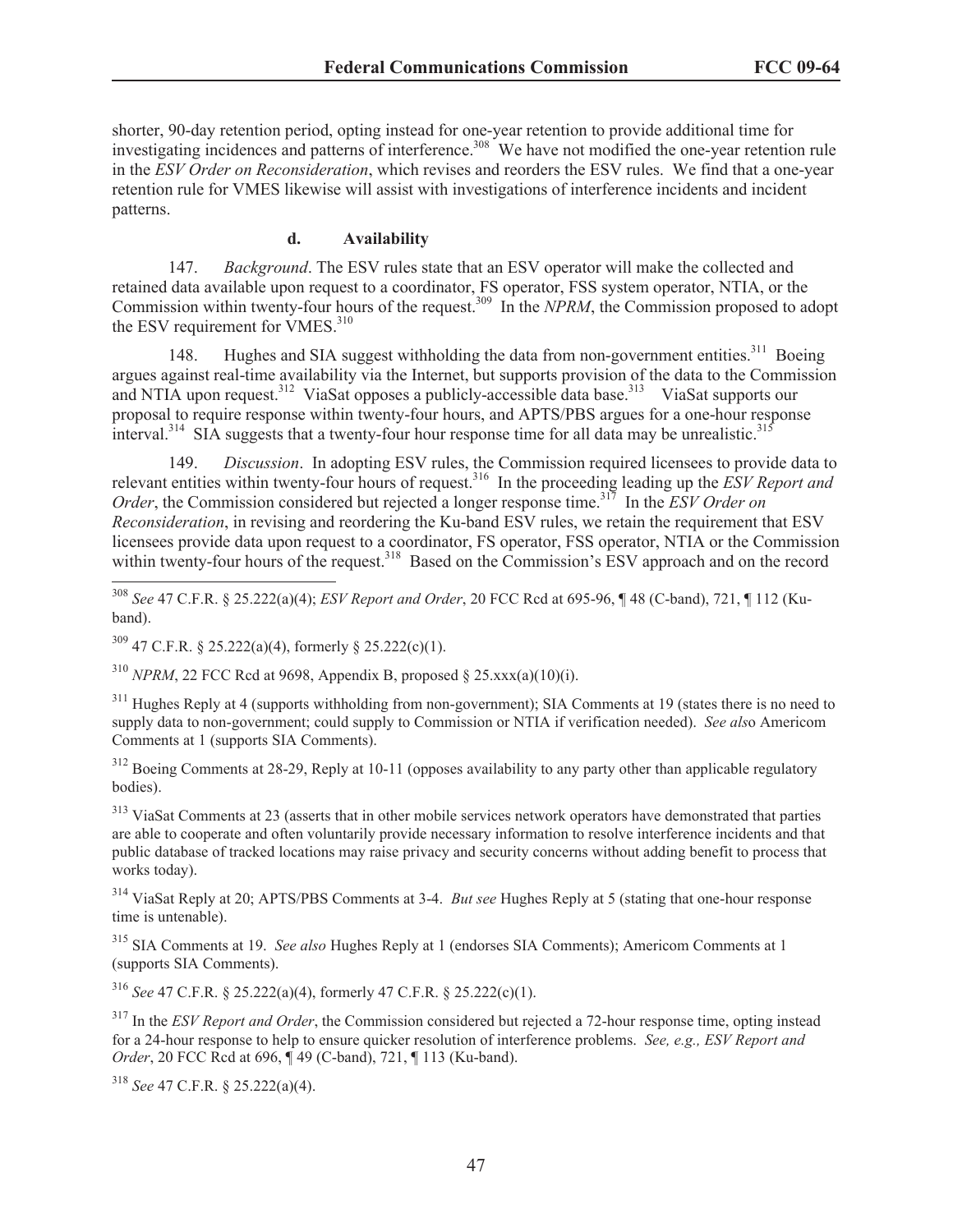shorter, 90-day retention period, opting instead for one-year retention to provide additional time for investigating incidences and patterns of interference.<sup>308</sup> We have not modified the one-year retention rule in the *ESV Order on Reconsideration*, which revises and reorders the ESV rules. We find that a one-year retention rule for VMES likewise will assist with investigations of interference incidents and incident patterns.

#### **d. Availability**

147. *Background*. The ESV rules state that an ESV operator will make the collected and retained data available upon request to a coordinator, FS operator, FSS system operator, NTIA, or the Commission within twenty-four hours of the request.<sup>309</sup> In the *NPRM*, the Commission proposed to adopt the ESV requirement for VMES.<sup>310</sup>

148. Hughes and SIA suggest withholding the data from non-government entities.<sup>311</sup> Boeing argues against real-time availability via the Internet, but supports provision of the data to the Commission and NTIA upon request.<sup>312</sup> ViaSat opposes a publicly-accessible data base.<sup>313</sup> ViaSat supports our proposal to require response within twenty-four hours, and APTS/PBS argues for a one-hour response interval.<sup>314</sup> SIA suggests that a twenty-four hour response time for all data may be unrealistic.<sup>315</sup>

149. *Discussion*. In adopting ESV rules, the Commission required licensees to provide data to relevant entities within twenty-four hours of request.<sup>316</sup> In the proceeding leading up the *ESV Report and Order*, the Commission considered but rejected a longer response time.<sup>317</sup> In the *ESV Order on Reconsideration*, in revising and reordering the Ku-band ESV rules, we retain the requirement that ESV licensees provide data upon request to a coordinator, FS operator, FSS operator, NTIA or the Commission within twenty-four hours of the request.<sup>318</sup> Based on the Commission's ESV approach and on the record

<sup>308</sup> *See* 47 C.F.R. § 25.222(a)(4); *ESV Report and Order*, 20 FCC Rcd at 695-96, ¶ 48 (C-band), 721, ¶ 112 (Kuband).

 $309$  47 C.F.R. § 25.222(a)(4), formerly § 25.222(c)(1).

<sup>310</sup> *NPRM*, 22 FCC Rcd at 9698, Appendix B, proposed § 25.xxx(a)(10)(i).

<sup>311</sup> Hughes Reply at 4 (supports withholding from non-government); SIA Comments at 19 (states there is no need to supply data to non-government; could supply to Commission or NTIA if verification needed). *See als*o Americom Comments at 1 (supports SIA Comments).

<sup>312</sup> Boeing Comments at 28-29, Reply at 10-11 (opposes availability to any party other than applicable regulatory bodies).

<sup>313</sup> ViaSat Comments at 23 (asserts that in other mobile services network operators have demonstrated that parties are able to cooperate and often voluntarily provide necessary information to resolve interference incidents and that public database of tracked locations may raise privacy and security concerns without adding benefit to process that works today).

<sup>314</sup> ViaSat Reply at 20; APTS/PBS Comments at 3-4. *But see* Hughes Reply at 5 (stating that one-hour response time is untenable).

<sup>315</sup> SIA Comments at 19. *See also* Hughes Reply at 1 (endorses SIA Comments); Americom Comments at 1 (supports SIA Comments).

<sup>316</sup> *See* 47 C.F.R. § 25.222(a)(4), formerly 47 C.F.R. § 25.222(c)(1).

<sup>317</sup> In the *ESV Report and Order*, the Commission considered but rejected a 72-hour response time, opting instead for a 24-hour response to help to ensure quicker resolution of interference problems. *See, e.g., ESV Report and Order*, 20 FCC Rcd at 696, ¶ 49 (C-band), 721, ¶ 113 (Ku-band).

<sup>318</sup> *See* 47 C.F.R. § 25.222(a)(4).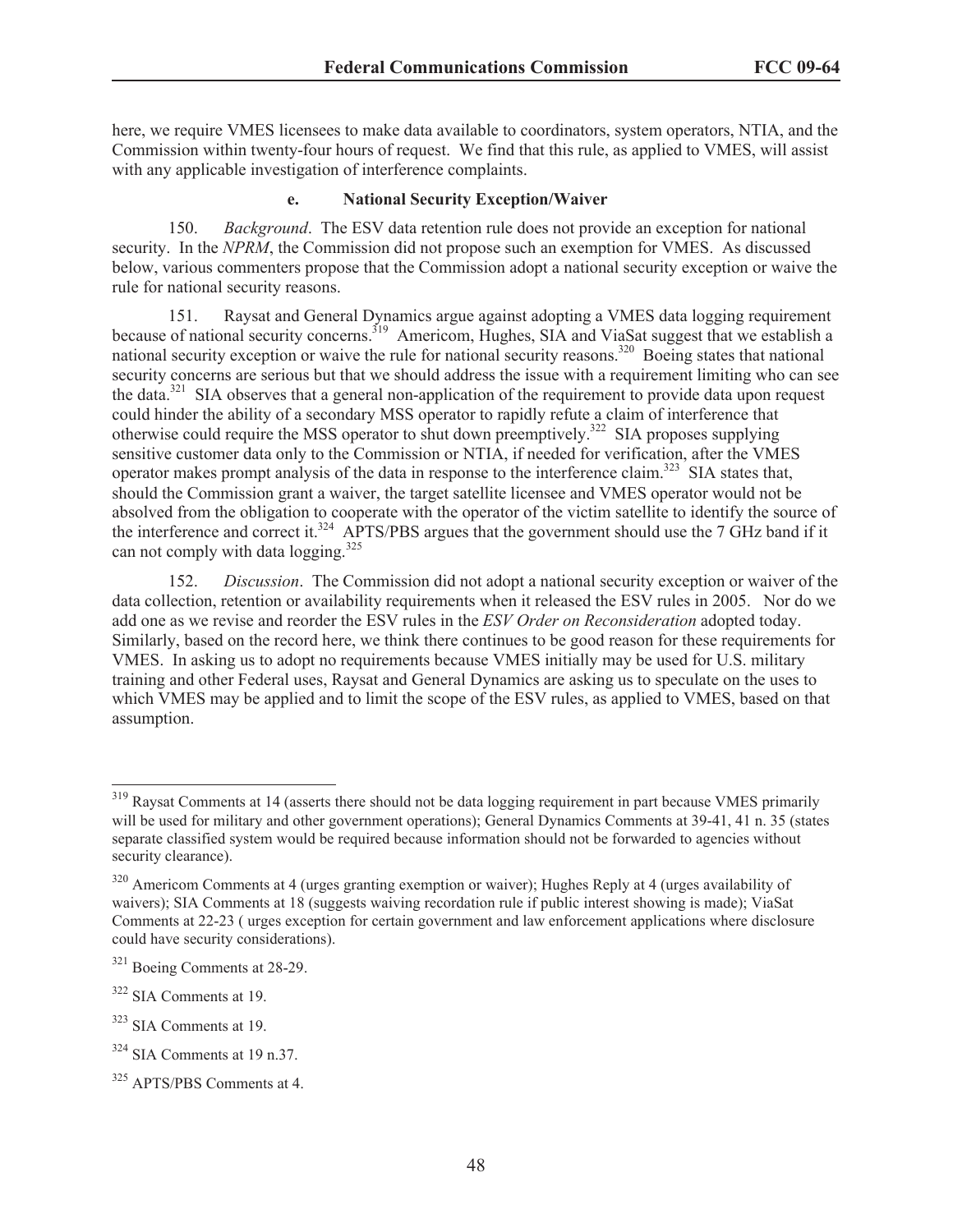here, we require VMES licensees to make data available to coordinators, system operators, NTIA, and the Commission within twenty-four hours of request. We find that this rule, as applied to VMES, will assist with any applicable investigation of interference complaints.

#### **e. National Security Exception/Waiver**

150. *Background*. The ESV data retention rule does not provide an exception for national security. In the *NPRM*, the Commission did not propose such an exemption for VMES. As discussed below, various commenters propose that the Commission adopt a national security exception or waive the rule for national security reasons.

151. Raysat and General Dynamics argue against adopting a VMES data logging requirement because of national security concerns.<sup>319</sup> Americom, Hughes, SIA and ViaSat suggest that we establish a national security exception or waive the rule for national security reasons.<sup>320</sup> Boeing states that national security security concerns are serious but that we should address the issue with a requirement limiting who can see the data.<sup>321</sup> SIA observes that a general non-application of the requirement to provide data upon request could hinder the ability of a secondary MSS operator to rapidly refute a claim of interference that otherwise could require the MSS operator to shut down preemptively.<sup>322</sup> SIA proposes supplying sensitive customer data only to the Commission or NTIA, if needed for verification, after the VMES operator makes prompt analysis of the data in response to the interference claim.<sup>323</sup> SIA states that, should the Commission grant a waiver, the target satellite licensee and VMES operator would not be absolved from the obligation to cooperate with the operator of the victim satellite to identify the source of the interference and correct it.<sup>324</sup> APTS/PBS argues that the government should use the 7 GHz band if it can not comply with data  $\log$ ging.<sup>325</sup>

152. *Discussion*. The Commission did not adopt a national security exception or waiver of the data collection, retention or availability requirements when it released the ESV rules in 2005. Nor do we add one as we revise and reorder the ESV rules in the *ESV Order on Reconsideration* adopted today. Similarly, based on the record here, we think there continues to be good reason for these requirements for VMES. In asking us to adopt no requirements because VMES initially may be used for U.S. military training and other Federal uses, Raysat and General Dynamics are asking us to speculate on the uses to which VMES may be applied and to limit the scope of the ESV rules, as applied to VMES, based on that assumption.

<sup>&</sup>lt;sup>319</sup> Raysat Comments at 14 (asserts there should not be data logging requirement in part because VMES primarily will be used for military and other government operations); General Dynamics Comments at 39-41, 41 n. 35 (states separate classified system would be required because information should not be forwarded to agencies without security clearance).

<sup>&</sup>lt;sup>320</sup> Americom Comments at 4 (urges granting exemption or waiver); Hughes Reply at 4 (urges availability of waivers); SIA Comments at 18 (suggests waiving recordation rule if public interest showing is made); ViaSat Comments at 22-23 ( urges exception for certain government and law enforcement applications where disclosure could have security considerations).

<sup>321</sup> Boeing Comments at 28-29.

<sup>322</sup> SIA Comments at 19.

<sup>323</sup> SIA Comments at 19.

<sup>324</sup> SIA Comments at 19 n.37.

<sup>325</sup> APTS/PBS Comments at 4.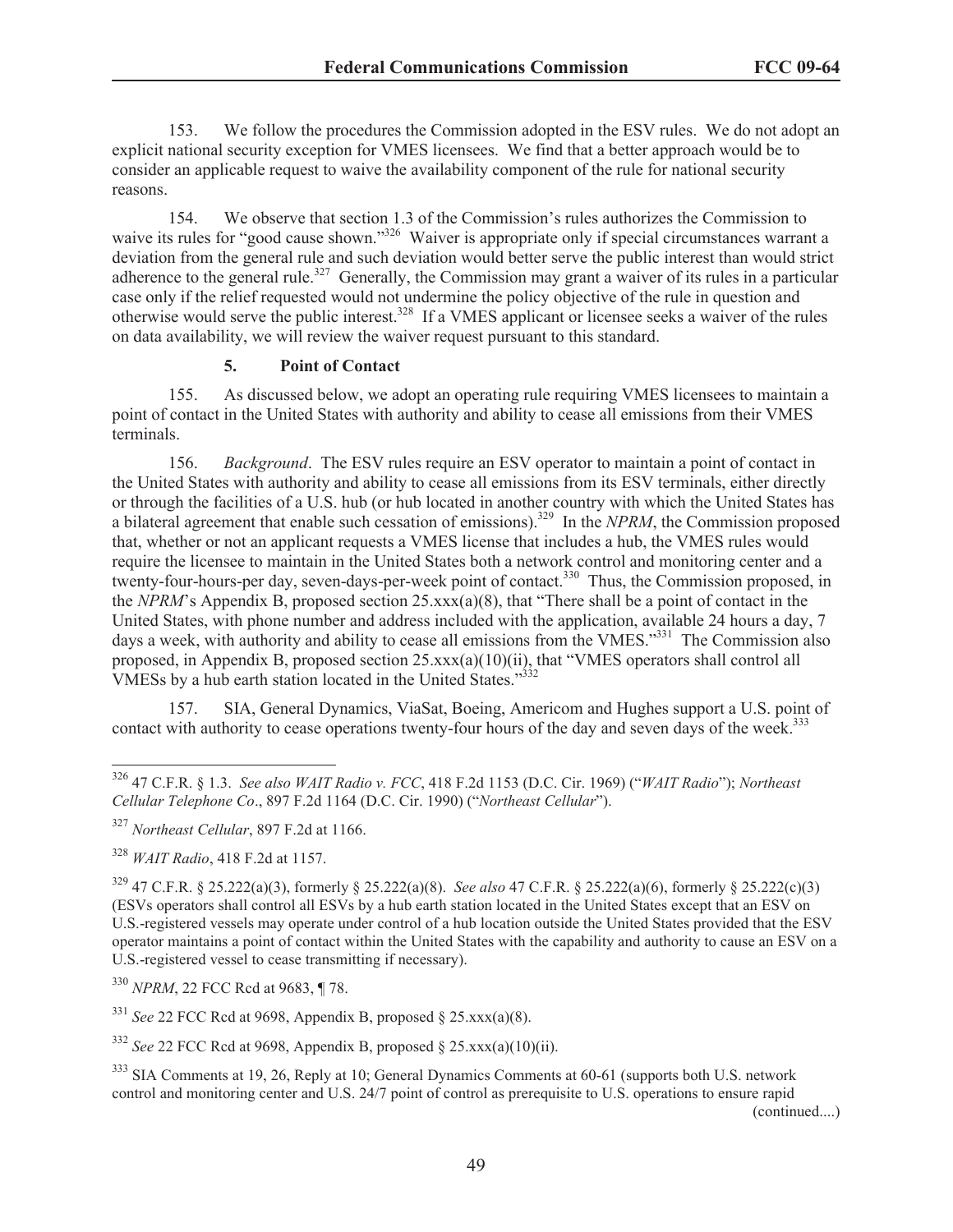153. We follow the procedures the Commission adopted in the ESV rules. We do not adopt an explicit national security exception for VMES licensees. We find that a better approach would be to consider an applicable request to waive the availability component of the rule for national security reasons.

154. We observe that section 1.3 of the Commission's rules authorizes the Commission to waive its rules for "good cause shown."<sup>326</sup> Waiver is appropriate only if special circumstances warrant a deviation from the general rule and such deviation would better serve the public interest than would strict adherence to the general rule.<sup>327</sup> Generally, the Commission may grant a waiver of its rules in a particular case only if the relief requested would not undermine the policy objective of the rule in question and otherwise would serve the public interest.<sup>328</sup> If a VMES applicant or licensee seeks a waiver of the rules on data availability, we will review the waiver request pursuant to this standard.

## **5. Point of Contact**

155. As discussed below, we adopt an operating rule requiring VMES licensees to maintain a point of contact in the United States with authority and ability to cease all emissions from their VMES terminals.

156. *Background*. The ESV rules require an ESV operator to maintain a point of contact in the United States with authority and ability to cease all emissions from its ESV terminals, either directly or through the facilities of a U.S. hub (or hub located in another country with which the United States has a bilateral agreement that enable such cessation of emissions).<sup>329</sup> In the *NPRM*, the Commission proposed that, whether or not an applicant requests a VMES license that includes a hub, the VMES rules would require the licensee to maintain in the United States both a network control and monitoring center and a twenty-four-hours-per day, seven-days-per-week point of contact.<sup>330</sup> Thus, the Commission proposed, in the *NPRM*'s Appendix B, proposed section 25.xxx(a)(8), that "There shall be a point of contact in the United States, with phone number and address included with the application, available 24 hours a day, 7 days a week, with authority and ability to cease all emissions from the VMES."<sup>331</sup> The Commission also proposed, in Appendix B, proposed section 25.xxx(a)(10)(ii), that "VMES operators shall control all VMESs by a hub earth station located in the United States."<sup>332</sup>

157. SIA, General Dynamics, ViaSat, Boeing, Americom and Hughes support a U.S. point of contact with authority to cease operations twenty-four hours of the day and seven days of the week.<sup>333</sup>

<sup>330</sup> *NPRM*, 22 FCC Rcd at 9683, ¶ 78.

 $331$  *See* 22 FCC Rcd at 9698, Appendix B, proposed § 25.xxx(a)(8).

<sup>332</sup> *See* 22 FCC Rcd at 9698, Appendix B, proposed § 25.xxx(a)(10)(ii).

(continued....)

<sup>326</sup> 47 C.F.R. § 1.3. *See also WAIT Radio v. FCC*, 418 F.2d 1153 (D.C. Cir. 1969) ("*WAIT Radio*"); *Northeast Cellular Telephone Co*., 897 F.2d 1164 (D.C. Cir. 1990) ("*Northeast Cellular*").

<sup>327</sup> *Northeast Cellular*, 897 F.2d at 1166.

<sup>328</sup> *WAIT Radio*, 418 F.2d at 1157.

<sup>329</sup> 47 C.F.R. § 25.222(a)(3), formerly § 25.222(a)(8). *See also* 47 C.F.R. § 25.222(a)(6), formerly § 25.222(c)(3) (ESVs operators shall control all ESVs by a hub earth station located in the United States except that an ESV on U.S.-registered vessels may operate under control of a hub location outside the United States provided that the ESV operator maintains a point of contact within the United States with the capability and authority to cause an ESV on a U.S.-registered vessel to cease transmitting if necessary).

<sup>333</sup> SIA Comments at 19, 26, Reply at 10; General Dynamics Comments at 60-61 (supports both U.S. network control and monitoring center and U.S. 24/7 point of control as prerequisite to U.S. operations to ensure rapid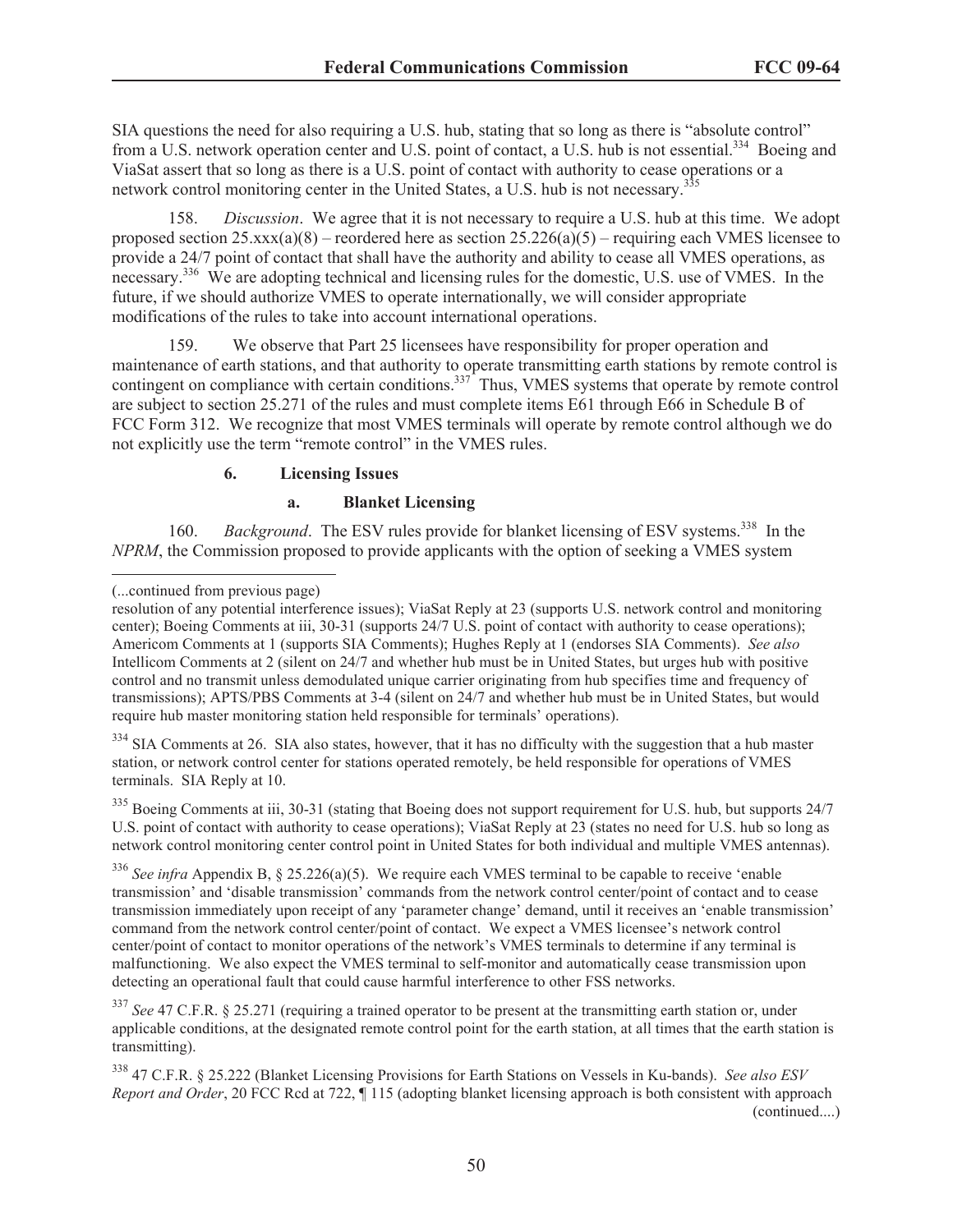SIA questions the need for also requiring a U.S. hub, stating that so long as there is "absolute control" from a U.S. network operation center and U.S. point of contact, a U.S. hub is not essential.<sup>334</sup> Boeing and ViaSat assert that so long as there is a U.S. point of contact with authority to cease operations or a network control monitoring center in the United States, a U.S. hub is not necessary.<sup>3</sup>

158. *Discussion*. We agree that it is not necessary to require a U.S. hub at this time. We adopt proposed section  $25.xxx(a)(8)$  – reordered here as section  $25.226(a)(5)$  – requiring each VMES licensee to provide a 24/7 point of contact that shall have the authority and ability to cease all VMES operations, as necessary.<sup>336</sup> We are adopting technical and licensing rules for the domestic, U.S. use of VMES. In the future, if we should authorize VMES to operate internationally, we will consider appropriate modifications of the rules to take into account international operations.

159. We observe that Part 25 licensees have responsibility for proper operation and maintenance of earth stations, and that authority to operate transmitting earth stations by remote control is contingent on compliance with certain conditions.<sup>337</sup> Thus, VMES systems that operate by remote control are subject to section 25.271 of the rules and must complete items E61 through E66 in Schedule B of FCC Form 312. We recognize that most VMES terminals will operate by remote control although we do not explicitly use the term "remote control" in the VMES rules.

## **6. Licensing Issues**

#### **a. Blanket Licensing**

160. *Background*. The ESV rules provide for blanket licensing of ESV systems.<sup>338</sup> In the *NPRM*, the Commission proposed to provide applicants with the option of seeking a VMES system

 $334$  SIA Comments at 26. SIA also states, however, that it has no difficulty with the suggestion that a hub master station, or network control center for stations operated remotely, be held responsible for operations of VMES terminals. SIA Reply at 10.

<sup>335</sup> Boeing Comments at iii, 30-31 (stating that Boeing does not support requirement for U.S. hub, but supports 24/7 U.S. point of contact with authority to cease operations); ViaSat Reply at 23 (states no need for U.S. hub so long as network control monitoring center control point in United States for both individual and multiple VMES antennas).

<sup>336</sup> See infra Appendix B, § 25.226(a)(5). We require each VMES terminal to be capable to receive 'enable transmission' and 'disable transmission' commands from the network control center/point of contact and to cease transmission immediately upon receipt of any 'parameter change' demand, until it receives an 'enable transmission' command from the network control center/point of contact. We expect a VMES licensee's network control center/point of contact to monitor operations of the network's VMES terminals to determine if any terminal is malfunctioning. We also expect the VMES terminal to self-monitor and automatically cease transmission upon detecting an operational fault that could cause harmful interference to other FSS networks.

<sup>337</sup> *See* 47 C.F.R. § 25.271 (requiring a trained operator to be present at the transmitting earth station or, under applicable conditions, at the designated remote control point for the earth station, at all times that the earth station is transmitting).

<sup>338</sup> 47 C.F.R. § 25.222 (Blanket Licensing Provisions for Earth Stations on Vessels in Ku-bands). *See also ESV Report and Order*, 20 FCC Rcd at 722, ¶ 115 (adopting blanket licensing approach is both consistent with approach (continued....)

<sup>(...</sup>continued from previous page)

resolution of any potential interference issues); ViaSat Reply at 23 (supports U.S. network control and monitoring center); Boeing Comments at iii, 30-31 (supports 24/7 U.S. point of contact with authority to cease operations); Americom Comments at 1 (supports SIA Comments); Hughes Reply at 1 (endorses SIA Comments). *See also* Intellicom Comments at 2 (silent on 24/7 and whether hub must be in United States, but urges hub with positive control and no transmit unless demodulated unique carrier originating from hub specifies time and frequency of transmissions); APTS/PBS Comments at 3-4 (silent on 24/7 and whether hub must be in United States, but would require hub master monitoring station held responsible for terminals' operations).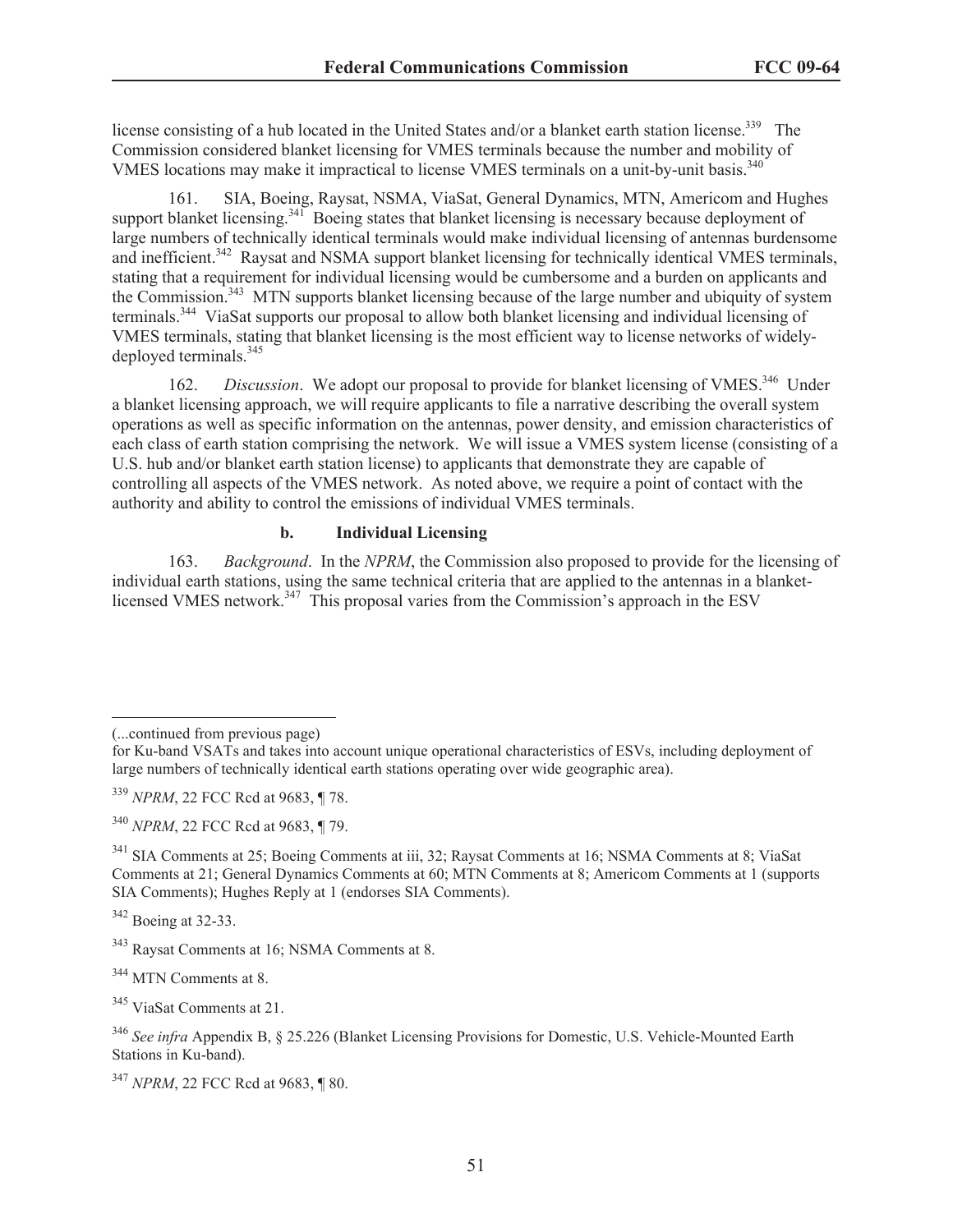license consisting of a hub located in the United States and/or a blanket earth station license.<sup>339</sup> The Commission considered blanket licensing for VMES terminals because the number and mobility of VMES locations may make it impractical to license VMES terminals on a unit-by-unit basis.<sup>340</sup>

161. SIA, Boeing, Raysat, NSMA, ViaSat, General Dynamics, MTN, Americom and Hughes support blanket licensing.<sup>341</sup> Boeing states that blanket licensing is necessary because deployment of large numbers of technically identical terminals would make individual licensing of antennas burdensome and inefficient.<sup>342</sup> Raysat and NSMA support blanket licensing for technically identical VMES terminals, stating that a requirement for individual licensing would be cumbersome and a burden on applicants and the Commission.<sup>343</sup> MTN supports blanket licensing because of the large number and ubiquity of system terminals.<sup>344</sup> ViaSat supports our proposal to allow both blanket licensing and individual licensing of VMES terminals, stating that blanket licensing is the most efficient way to license networks of widelydeployed terminals.<sup>345</sup>

162. *Discussion*. We adopt our proposal to provide for blanket licensing of VMES.<sup>346</sup> Under a blanket licensing approach, we will require applicants to file a narrative describing the overall system operations as well as specific information on the antennas, power density, and emission characteristics of each class of earth station comprising the network. We will issue a VMES system license (consisting of a U.S. hub and/or blanket earth station license) to applicants that demonstrate they are capable of controlling all aspects of the VMES network. As noted above, we require a point of contact with the authority and ability to control the emissions of individual VMES terminals.

#### **b. Individual Licensing**

163. *Background*. In the *NPRM*, the Commission also proposed to provide for the licensing of individual earth stations, using the same technical criteria that are applied to the antennas in a blanketlicensed VMES network.<sup>347</sup> This proposal varies from the Commission's approach in the ESV

<sup>342</sup> Boeing at 32-33.

<sup>(...</sup>continued from previous page)

for Ku-band VSATs and takes into account unique operational characteristics of ESVs, including deployment of large numbers of technically identical earth stations operating over wide geographic area).

<sup>339</sup> *NPRM*, 22 FCC Rcd at 9683, ¶ 78.

<sup>340</sup> *NPRM*, 22 FCC Rcd at 9683, ¶ 79.

<sup>341</sup> SIA Comments at 25; Boeing Comments at iii, 32; Raysat Comments at 16; NSMA Comments at 8; ViaSat Comments at 21; General Dynamics Comments at 60; MTN Comments at 8; Americom Comments at 1 (supports SIA Comments); Hughes Reply at 1 (endorses SIA Comments).

<sup>343</sup> Raysat Comments at 16; NSMA Comments at 8.

<sup>344</sup> MTN Comments at 8.

<sup>345</sup> ViaSat Comments at 21.

<sup>346</sup> *See infra* Appendix B, § 25.226 (Blanket Licensing Provisions for Domestic, U.S. Vehicle-Mounted Earth Stations in Ku-band).

<sup>347</sup> *NPRM*, 22 FCC Rcd at 9683, ¶ 80.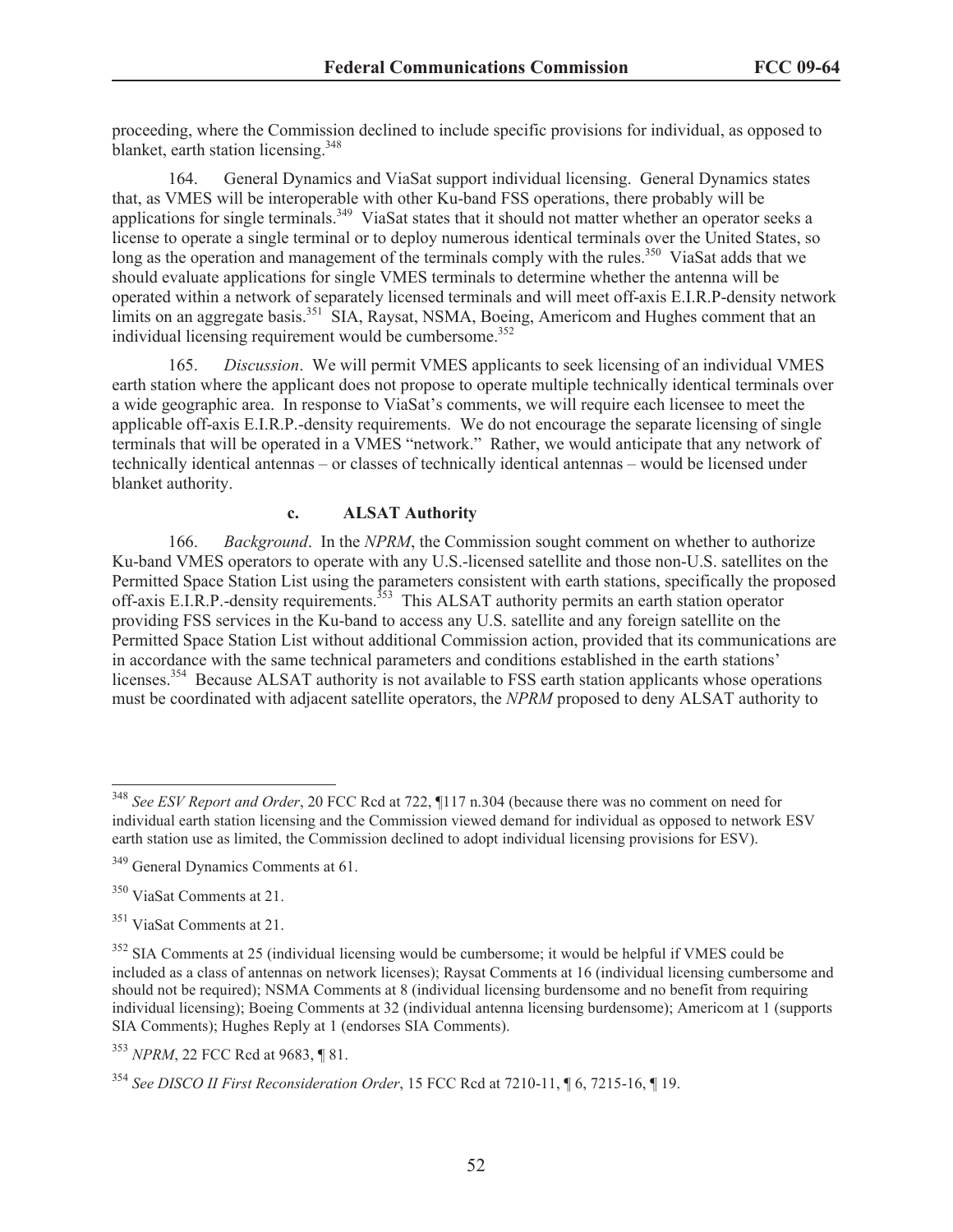proceeding, where the Commission declined to include specific provisions for individual, as opposed to blanket, earth station licensing.<sup>348</sup>

164. General Dynamics and ViaSat support individual licensing. General Dynamics states that, as VMES will be interoperable with other Ku-band FSS operations, there probably will be applications for single terminals.<sup>349</sup> ViaSat states that it should not matter whether an operator seeks a license to operate a single terminal or to deploy numerous identical terminals over the United States, so long as the operation and management of the terminals comply with the rules.<sup>350</sup> ViaSat adds that we should evaluate applications for single VMES terminals to determine whether the antenna will be operated within a network of separately licensed terminals and will meet off-axis E.I.R.P-density network limits on an aggregate basis.<sup>351</sup> SIA, Raysat, NSMA, Boeing, Americom and Hughes comment that an individual licensing requirement would be cumbersome.<sup>352</sup>

165. *Discussion*. We will permit VMES applicants to seek licensing of an individual VMES earth station where the applicant does not propose to operate multiple technically identical terminals over a wide geographic area. In response to ViaSat's comments, we will require each licensee to meet the applicable off-axis E.I.R.P.-density requirements. We do not encourage the separate licensing of single terminals that will be operated in a VMES "network." Rather, we would anticipate that any network of technically identical antennas – or classes of technically identical antennas – would be licensed under blanket authority.

## **c. ALSAT Authority**

166. *Background*. In the *NPRM*, the Commission sought comment on whether to authorize Ku-band VMES operators to operate with any U.S.-licensed satellite and those non-U.S. satellites on the Permitted Space Station List using the parameters consistent with earth stations, specifically the proposed off-axis E.I.R.P.-density requirements.<sup>353</sup> This ALSAT authority permits an earth station operator providing FSS services in the Ku-band to access any U.S. satellite and any foreign satellite on the Permitted Space Station List without additional Commission action, provided that its communications are in accordance with the same technical parameters and conditions established in the earth stations' licenses.<sup>354</sup> Because ALSAT authority is not available to FSS earth station applicants whose operations must be coordinated with adjacent satellite operators, the *NPRM* proposed to deny ALSAT authority to

<sup>348</sup> *See ESV Report and Order*, 20 FCC Rcd at 722, ¶117 n.304 (because there was no comment on need for individual earth station licensing and the Commission viewed demand for individual as opposed to network ESV earth station use as limited, the Commission declined to adopt individual licensing provisions for ESV).

<sup>349</sup> General Dynamics Comments at 61.

<sup>350</sup> ViaSat Comments at 21.

<sup>351</sup> ViaSat Comments at 21.

 $352$  SIA Comments at 25 (individual licensing would be cumbersome; it would be helpful if VMES could be included as a class of antennas on network licenses); Raysat Comments at 16 (individual licensing cumbersome and should not be required); NSMA Comments at 8 (individual licensing burdensome and no benefit from requiring individual licensing); Boeing Comments at 32 (individual antenna licensing burdensome); Americom at 1 (supports SIA Comments); Hughes Reply at 1 (endorses SIA Comments).

<sup>353</sup> *NPRM*, 22 FCC Rcd at 9683, ¶ 81.

<sup>354</sup> *See DISCO II First Reconsideration Order*, 15 FCC Rcd at 7210-11, ¶ 6, 7215-16, ¶ 19.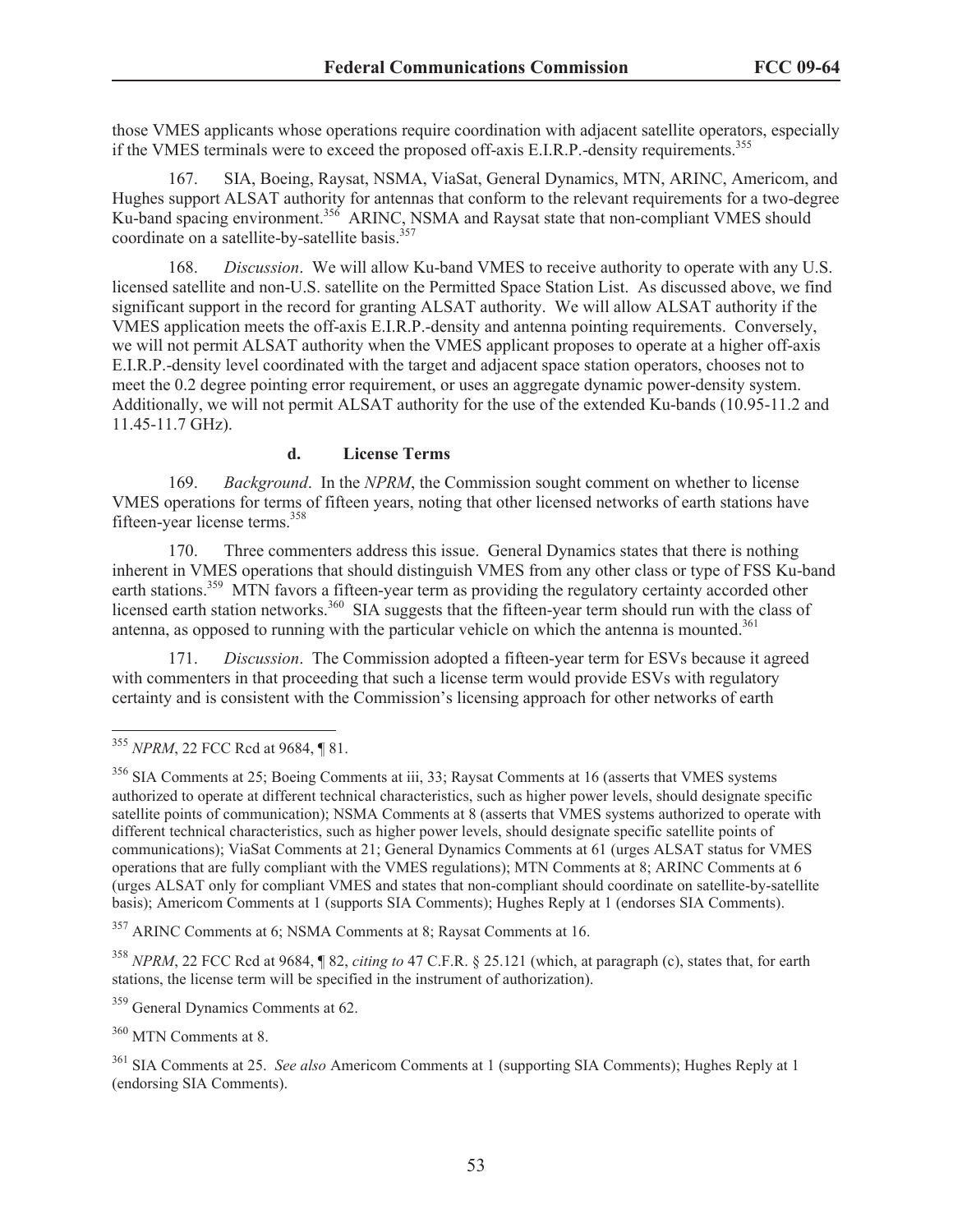those VMES applicants whose operations require coordination with adjacent satellite operators, especially if the VMES terminals were to exceed the proposed of f-axis E.I.R.P.-density requirements.<sup>355</sup>

167. SIA, Boeing, Raysat, NSMA, ViaSat, General Dynamics, MTN, ARINC, Americom, and Hughes support ALSAT authority for antennas that conform to the relevant requirements for a two-degree Ku-band spacing environment.<sup>356</sup> ARINC, NSMA and Raysat state that non-compliant VMES should coordinate on a satellite-by-satellite basis.<sup>357</sup>

168. *Discussion*. We will allow Ku-band VMES to receive authority to operate with any U.S. licensed satellite and non-U.S. satellite on the Permitted Space Station List. As discussed above, we find significant support in the record for granting ALSAT authority. We will allow ALSAT authority if the VMES application meets the off-axis E.I.R.P.-density and antenna pointing requirements. Conversely, we will not permit ALSAT authority when the VMES applicant proposes to operate at a higher off-axis E.I.R.P.-density level coordinated with the target and adjacent space station operators, chooses not to meet the 0.2 degree pointing error requirement, or uses an aggregate dynamic power-density system. Additionally, we will not permit ALSAT authority for the use of the extended Ku-bands (10.95-11.2 and 11.45-11.7 GHz).

## **d. License Terms**

169. *Background*. In the *NPRM*, the Commission sought comment on whether to license VMES operations for terms of fifteen years, noting that other licensed networks of earth stations have fifteen-year license terms.<sup>358</sup>

170. Three commenters address this issue. General Dynamics states that there is nothing inherent in VMES operations that should distinguish VMES from any other class or type of FSS Ku-band earth stations.<sup>359</sup> MTN favors a fifteen-year term as providing the regulatory certainty accorded other licensed earth station networks.<sup>360</sup> SIA suggests that the fifteen-year term should run with the class of antenna, as opposed to running with the particular vehicle on which the antenna is mounted.<sup>361</sup>

171. *Discussion*. The Commission adopted a fifteen-year term for ESVs because it agreed with commenters in that proceeding that such a license term would provide ESVs with regulatory certainty and is consistent with the Commission's licensing approach for other networks of earth

<sup>357</sup> ARINC Comments at 6; NSMA Comments at 8; Raysat Comments at 16.

<sup>358</sup> *NPRM*, 22 FCC Rcd at 9684, ¶ 82, *citing to* 47 C.F.R. § 25.121 (which, at paragraph (c), states that, for earth stations, the license term will be specified in the instrument of authorization).

<sup>359</sup> General Dynamics Comments at 62.

<sup>360</sup> MTN Comments at 8.

<sup>355</sup> *NPRM*, 22 FCC Rcd at 9684, ¶ 81.

<sup>356</sup> SIA Comments at 25; Boeing Comments at iii, 33; Raysat Comments at 16 (asserts that VMES systems authorized to operate at different technical characteristics, such as higher power levels, should designate specific satellite points of communication); NSMA Comments at 8 (asserts that VMES systems authorized to operate with different technical characteristics, such as higher power levels, should designate specific satellite points of communications); ViaSat Comments at 21; General Dynamics Comments at 61 (urges ALSAT status for VMES operations that are fully compliant with the VMES regulations); MTN Comments at 8; ARINC Comments at 6 (urges ALSAT only for compliant VMES and states that non-compliant should coordinate on satellite-by-satellite basis); Americom Comments at 1 (supports SIA Comments); Hughes Reply at 1 (endorses SIA Comments).

<sup>361</sup> SIA Comments at 25. *See also* Americom Comments at 1 (supporting SIA Comments); Hughes Reply at 1 (endorsing SIA Comments).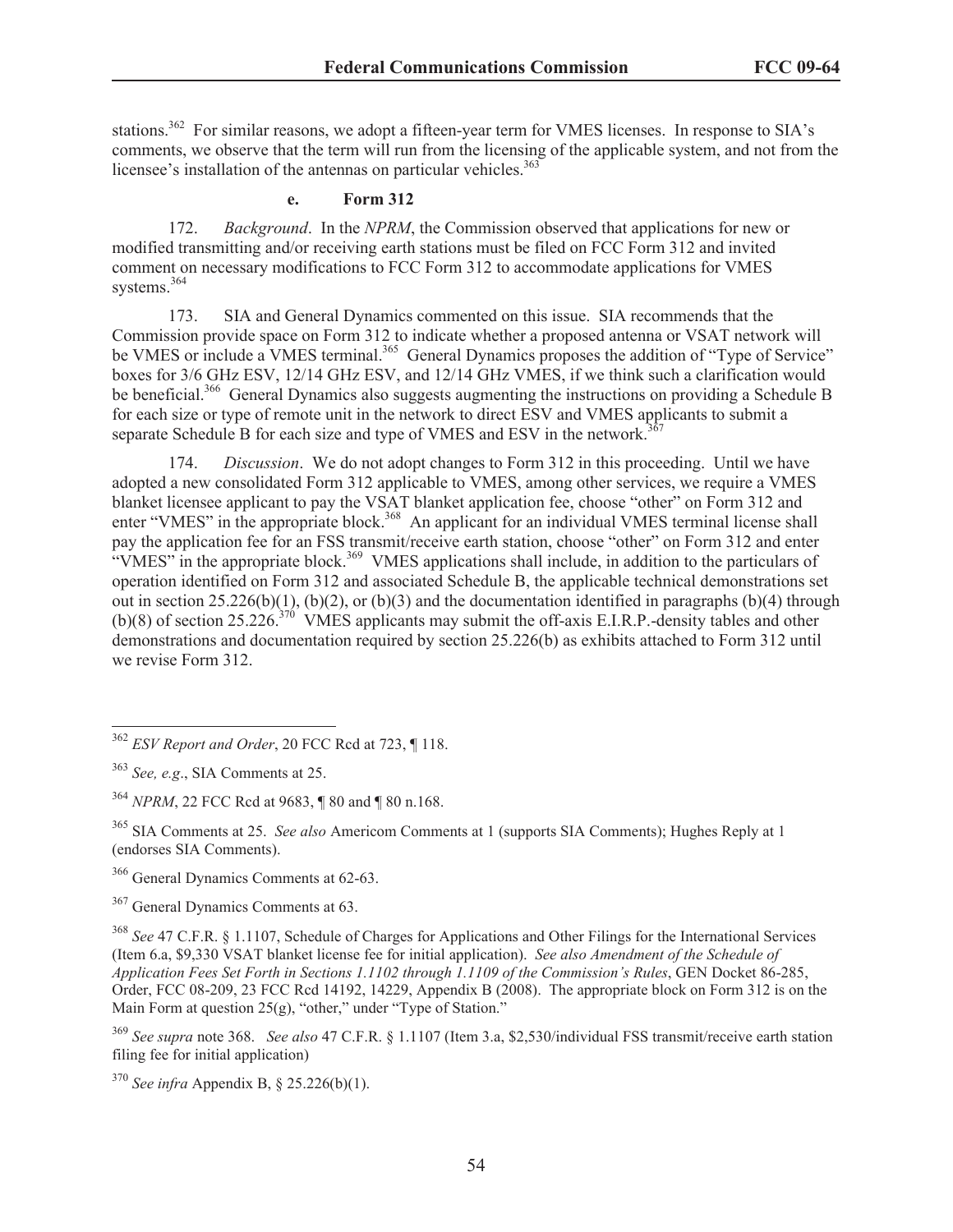stations.<sup>362</sup> For similar reasons, we adopt a fifteen-year term for VMES licenses. In response to SIA's comments, we observe that the term will run from the licensing of the applicable system, and not from the licensee's installation of the antennas on particular vehicles.<sup>363</sup>

# **e. Form 312**

172. *Background*. In the *NPRM*, the Commission observed that applications for new or modified transmitting and/or receiving earth stations must be filed on FCC Form 312 and invited comment on necessary modifications to FCC Form 312 to accommodate applications for VMES systems.<sup>364</sup>

173. SIA and General Dynamics commented on this issue. SIA recommends that the Commission provide space on Form 312 to indicate whether a proposed antenna or VSAT network will be VMES or include a VMES terminal.<sup>365</sup> General Dynamics proposes the addition of "Type of Service" boxes for 3/6 GHz ESV, 12/14 GHz ESV, and 12/14 GHz VMES, if we think such a clarification would be beneficial.<sup>366</sup> General Dynamics also suggests augmenting the instructions on providing a Schedule B for each size or type of remote unit in the network to direct ESV and VMES applicants to submit a separate Schedule B for each size and type of VMES and ESV in the network.<sup>3</sup>

174. *Discussion*. We do not adopt changes to Form 312 in this proceeding. Until we have adopted a new consolidated Form 312 applicable to VMES, among other services, we require a VMES blanket licensee applicant to pay the VSAT blanket application fee, choose "other" on Form 312 and enter "VMES" in the appropriate block.<sup>368</sup> An applicant for an individual VMES terminal license shall pay the application fee for an FSS transmit/receive earth station, choose "other" on Form 312 and enter "VMES" in the appropriate block.<sup>369</sup> VMES applications shall include, in addition to the particulars of operation identified on Form 312 and associated Schedule B, the applicable technical demonstrations set out in section  $25.226(b)(1)$ ,  $(b)(2)$ , or  $(b)(3)$  and the documentation identified in paragraphs (b)(4) through (b)(8) of section 25.226.<sup>376</sup> VMES applicants may submit the off-axis E.I.R.P.-density tables and other demonstrations and documentation required by section 25.226(b) as exhibits attached to Form 312 until we revise Form 312.

<sup>366</sup> General Dynamics Comments at 62-63.

<sup>367</sup> General Dynamics Comments at 63.

<sup>368</sup> *See* 47 C.F.R. § 1.1107, Schedule of Charges for Applications and Other Filings for the International Services (Item 6.a, \$9,330 VSAT blanket license fee for initial application). *See also Amendment of the Schedule of Application Fees Set Forth in Sections 1.1102 through 1.1109 of the Commission's Rules*, GEN Docket 86-285, Order, FCC 08-209, 23 FCC Rcd 14192, 14229, Appendix B (2008). The appropriate block on Form 312 is on the Main Form at question 25(g), "other," under "Type of Station."

<sup>369</sup> *See supra* note 368. *See also* 47 C.F.R. § 1.1107 (Item 3.a, \$2,530/individual FSS transmit/receive earth station filing fee for initial application)

<sup>370</sup> *See infra* Appendix B, § 25.226(b)(1).

<sup>362</sup> *ESV Report and Order*, 20 FCC Rcd at 723, ¶ 118.

<sup>363</sup> *See, e.g*., SIA Comments at 25.

<sup>364</sup> *NPRM*, 22 FCC Rcd at 9683, ¶ 80 and ¶ 80 n.168.

<sup>365</sup> SIA Comments at 25. *See also* Americom Comments at 1 (supports SIA Comments); Hughes Reply at 1 (endorses SIA Comments).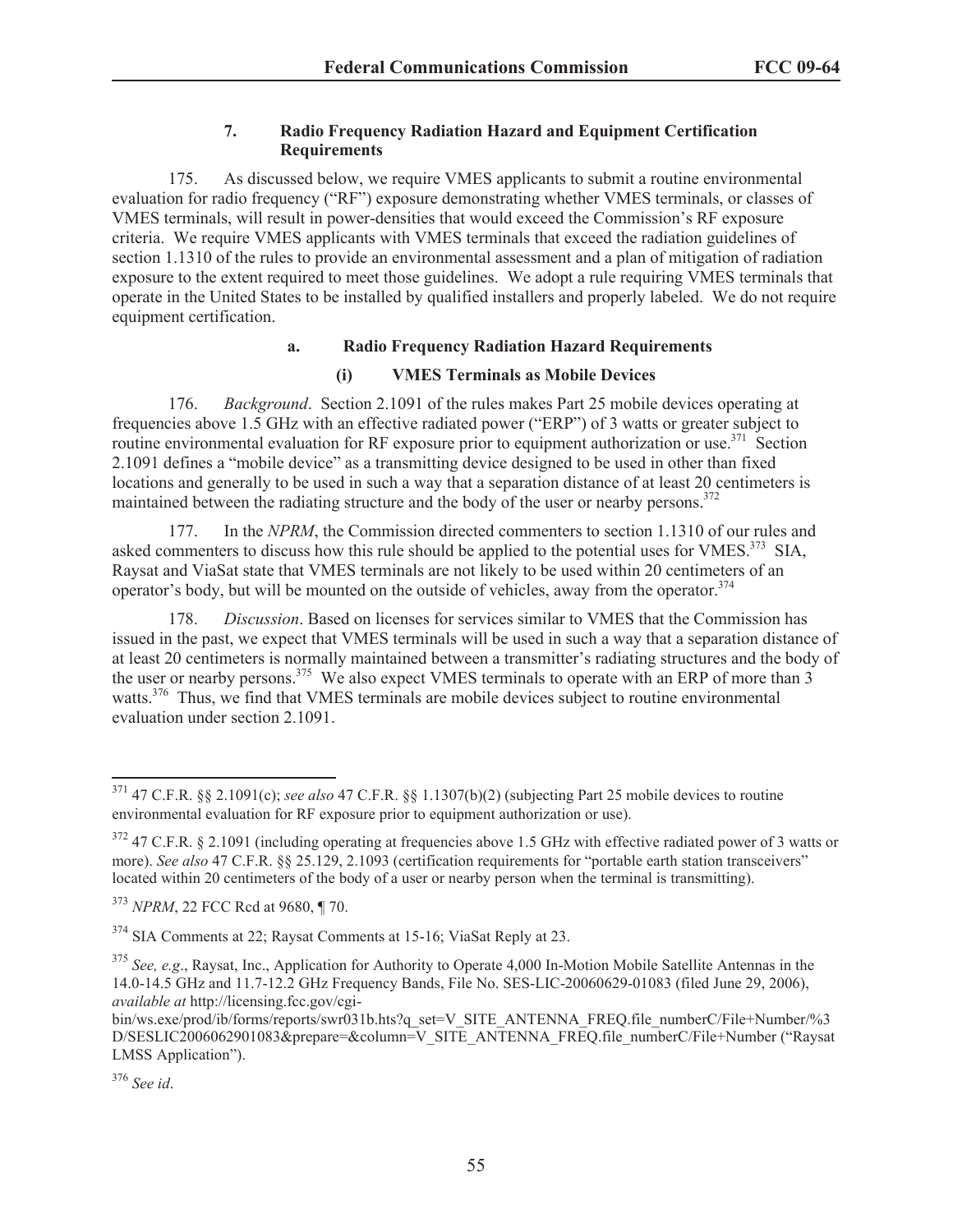# **7. Radio Frequency Radiation Hazard and Equipment Certification Requirements**

175. As discussed below, we require VMES applicants to submit a routine environmental evaluation for radio frequency ("RF") exposure demonstrating whether VMES terminals, or classes of VMES terminals, will result in power-densities that would exceed the Commission's RF exposure criteria. We require VMES applicants with VMES terminals that exceed the radiation guidelines of section 1.1310 of the rules to provide an environmental assessment and a plan of mitigation of radiation exposure to the extent required to meet those guidelines. We adopt a rule requiring VMES terminals that operate in the United States to be installed by qualified installers and properly labeled. We do not require equipment certification.

# **a. Radio Frequency Radiation Hazard Requirements**

# **(i) VMES Terminals as Mobile Devices**

176. *Background*. Section 2.1091 of the rules makes Part 25 mobile devices operating at frequencies above 1.5 GHz with an effective radiated power ("ERP") of 3 watts or greater subject to routine environmental evaluation for RF exposure prior to equipment authorization or use.<sup>371</sup> Section 2.1091 defines a "mobile device" as a transmitting device designed to be used in other than fixed locations and generally to be used in such a way that a separation distance of at least 20 centimeters is maintained between the radiating structure and the body of the user or nearby persons.<sup>372</sup>

177. In the *NPRM*, the Commission directed commenters to section 1.1310 of our rules and asked commenters to discuss how this rule should be applied to the potential uses for VMES.<sup>373</sup> SIA, Raysat and ViaSat state that VMES terminals are not likely to be used within 20 centimeters of an operator's body, but will be mounted on the outside of vehicles, away from the operator. $374$ 

178. *Discussion*. Based on licenses for services similar to VMES that the Commission has issued in the past, we expect that VMES terminals will be used in such a way that a separation distance of at least 20 centimeters is normally maintained between a transmitter's radiating structures and the body of the user or nearby persons.<sup>375</sup> We also expect VMES terminals to operate with an ERP of more than  $\overline{3}$ watts.<sup>376</sup> Thus, we find that VMES terminals are mobile devices subject to routine environmental evaluation under section 2.1091.

<sup>371</sup> 47 C.F.R. §§ 2.1091(c); *see also* 47 C.F.R. §§ 1.1307(b)(2) (subjecting Part 25 mobile devices to routine environmental evaluation for RF exposure prior to equipment authorization or use).

 $372$  47 C.F.R. § 2.1091 (including operating at frequencies above 1.5 GHz with effective radiated power of 3 watts or more). *See also* 47 C.F.R. §§ 25.129, 2.1093 (certification requirements for "portable earth station transceivers" located within 20 centimeters of the body of a user or nearby person when the terminal is transmitting).

<sup>373</sup> *NPRM*, 22 FCC Rcd at 9680, ¶ 70.

<sup>374</sup> SIA Comments at 22; Raysat Comments at 15-16; ViaSat Reply at 23.

<sup>375</sup> *See, e.g*., Raysat, Inc., Application for Authority to Operate 4,000 In-Motion Mobile Satellite Antennas in the 14.0-14.5 GHz and 11.7-12.2 GHz Frequency Bands, File No. SES-LIC-20060629-01083 (filed June 29, 2006), *available at* http://licensing.fcc.gov/cgi-

bin/ws.exe/prod/ib/forms/reports/swr031b.hts?q\_set=V\_SITE\_ANTENNA\_FREQ.file\_numberC/File+Number/%3 D/SESLIC2006062901083&prepare=&column=V\_SITE\_ANTENNA\_FREQ.file\_numberC/File+Number ("Raysat LMSS Application").

<sup>376</sup> *See id*.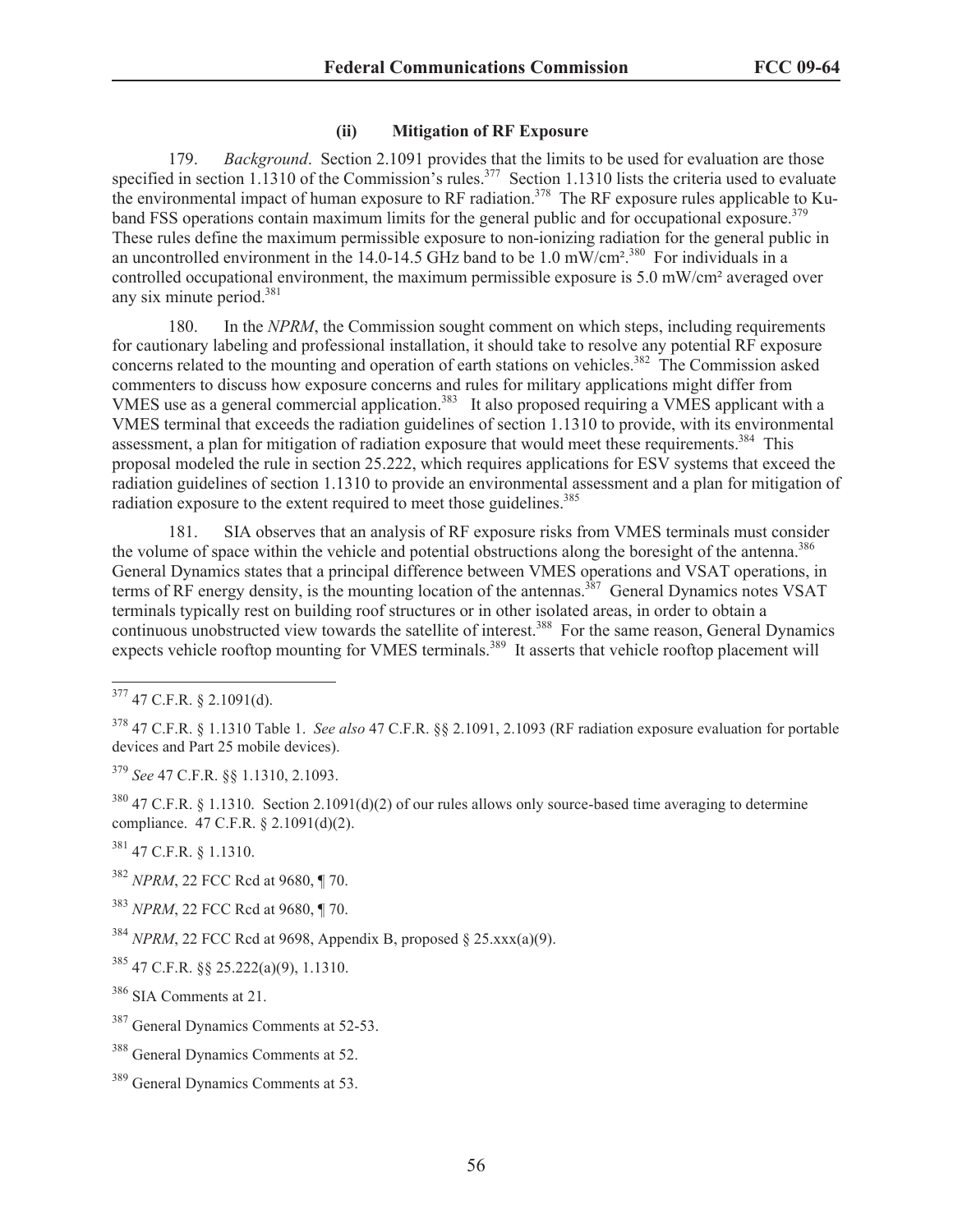## **(ii) Mitigation of RF Exposure**

179. *Background*. Section 2.1091 provides that the limits to be used for evaluation are those specified in section 1.1310 of the Commission's rules.<sup>377</sup> Section 1.1310 lists the criteria used to evaluate the environmental impact of human exposure to RF radiation.<sup>378</sup> The RF exposure rules applicable to Kuband FSS operations contain maximum limits for the general public and for occupational exposure.<sup>379</sup> These rules define the maximum permissible exposure to non-ionizing radiation for the general public in an uncontrolled environment in the 14.0-14.5 GHz band to be 1.0 mW/cm<sup>2</sup>.<sup>380</sup> For individuals in a controlled occupational environment, the maximum permissible exposure is 5.0 mW/cm² averaged over any six minute period.<sup>381</sup>

180. In the *NPRM*, the Commission sought comment on which steps, including requirements for cautionary labeling and professional installation, it should take to resolve any potential RF exposure concerns related to the mounting and operation of earth stations on vehicles.<sup>382</sup> The Commission asked commenters to discuss how exposure concerns and rules for military applications might differ from VMES use as a general commercial application.<sup>383</sup> It also proposed requiring a VMES applicant with a VMES terminal that exceeds the radiation guidelines of section 1.1310 to provide, with its environmental assessment, a plan for mitigation of radiation exposure that would meet these requirements.<sup>384</sup> This proposal modeled the rule in section 25.222, which requires applications for ESV systems that exceed the radiation guidelines of section 1.1310 to provide an environmental assessment and a plan for mitigation of radiation exposure to the extent required to meet those guidelines.<sup>385</sup>

181. SIA observes that an analysis of RF exposure risks from VMES terminals must consider the volume of space within the vehicle and potential obstructions along the boresight of the antenna.<sup>386</sup> General Dynamics states that a principal difference between VMES operations and VSAT operations, in terms of RF energy density, is the mounting location of the antennas.<sup>387</sup> General Dynamics notes VSAT terminals typically rest on building roof structures or in other isolated areas, in order to obtain a continuous unobstructed view towards the satellite of interest.<sup>388</sup> For the same reason, General Dynamics expects vehicle rooftop mounting for VMES terminals.<sup>389</sup> It asserts that vehicle rooftop placement will

<sup>379</sup> *See* 47 C.F.R. §§ 1.1310, 2.1093.

<sup>380</sup> 47 C.F.R. § 1.1310. Section 2.1091(d)(2) of our rules allows only source-based time averaging to determine compliance. 47 C.F.R. § 2.1091(d)(2).

<sup>381</sup> 47 C.F.R. § 1.1310.

<sup>382</sup> *NPRM*, 22 FCC Rcd at 9680, ¶ 70.

<sup>383</sup> *NPRM*, 22 FCC Rcd at 9680, ¶ 70.

 $384$  *NPRM*, 22 FCC Rcd at 9698, Appendix B, proposed § 25.xxx(a)(9).

 $385$  47 C.F.R. §§ 25.222(a)(9), 1.1310.

 $377$  47 C.F.R. § 2.1091(d).

<sup>378</sup> 47 C.F.R. § 1.1310 Table 1. *See also* 47 C.F.R. §§ 2.1091, 2.1093 (RF radiation exposure evaluation for portable devices and Part 25 mobile devices).

<sup>386</sup> SIA Comments at 21.

<sup>387</sup> General Dynamics Comments at 52-53.

<sup>388</sup> General Dynamics Comments at 52.

<sup>&</sup>lt;sup>389</sup> General Dynamics Comments at 53.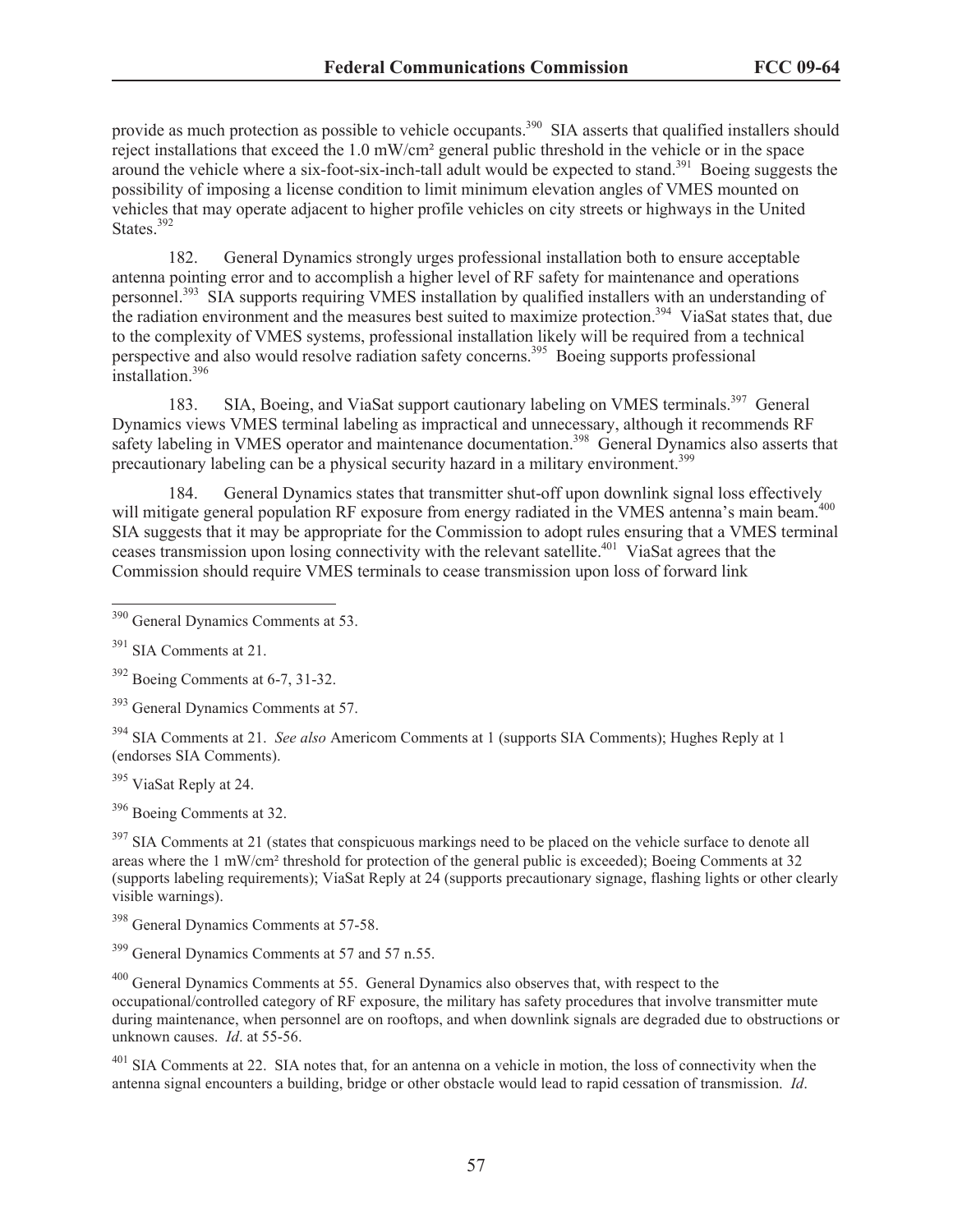provide as much protection as possible to vehicle occupants.<sup>390</sup> SIA asserts that qualified installers should reject installations that exceed the 1.0 mW/cm² general public threshold in the vehicle or in the space around the vehicle where a six-foot-six-inch-tall adult would be expected to stand.<sup>391</sup> Boeing suggests the possibility of imposing a license condition to limit minimum elevation angles of VMES mounted on vehicles that may operate adjacent to higher profile vehicles on city streets or highways in the United States.<sup>392</sup>

182. General Dynamics strongly urges professional installation both to ensure acceptable antenna pointing error and to accomplish a higher level of RF safety for maintenance and operations personnel.<sup>393</sup> SIA supports requiring VMES installation by qualified installers with an understanding of the radiation environment and the measures best suited to maximize protection.<sup>394</sup> ViaSat states that, due to the complexity of VMES systems, professional installation likely will be required from a technical perspective and also would resolve radiation safety concerns.<sup>395</sup> Boeing supports professional installation.<sup>396</sup>

183. SIA, Boeing, and ViaSat support cautionary labeling on VMES terminals.<sup>397</sup> General Dynamics views VMES terminal labeling as impractical and unnecessary, although it recommends RF safety labeling in VMES operator and maintenance documentation.<sup>398</sup> General Dynamics also asserts that precautionary labeling can be a physical security hazard in a military environment.<sup>399</sup>

184. General Dynamics states that transmitter shut-off upon downlink signal loss effectively will mitigate general population RF exposure from energy radiated in the VMES antenna's main beam.<sup>400</sup> SIA suggests that it may be appropriate for the Commission to adopt rules ensuring that a VMES terminal ceases transmission upon losing connectivity with the relevant satellite.<sup>401</sup> ViaSat agrees that the Commission should require VMES terminals to cease transmission upon loss of forward link

<sup>395</sup> ViaSat Reply at 24.

<sup>396</sup> Boeing Comments at 32.

 $397$  SIA Comments at 21 (states that conspicuous markings need to be placed on the vehicle surface to denote all areas where the 1 mW/cm² threshold for protection of the general public is exceeded); Boeing Comments at 32 (supports labeling requirements); ViaSat Reply at 24 (supports precautionary signage, flashing lights or other clearly visible warnings).

<sup>398</sup> General Dynamics Comments at 57-58.

<sup>399</sup> General Dynamics Comments at 57 and 57 n.55.

<sup>400</sup> General Dynamics Comments at 55. General Dynamics also observes that, with respect to the occupational/controlled category of RF exposure, the military has safety procedures that involve transmitter mute during maintenance, when personnel are on rooftops, and when downlink signals are degraded due to obstructions or unknown causes. *Id*. at 55-56.

<sup>401</sup> SIA Comments at 22. SIA notes that, for an antenna on a vehicle in motion, the loss of connectivity when the antenna signal encounters a building, bridge or other obstacle would lead to rapid cessation of transmission. *Id*.

<sup>390</sup> General Dynamics Comments at 53.

 $391$  SIA Comments at 21.

<sup>392</sup> Boeing Comments at 6-7, 31-32.

<sup>&</sup>lt;sup>393</sup> General Dynamics Comments at 57.

<sup>394</sup> SIA Comments at 21. *See also* Americom Comments at 1 (supports SIA Comments); Hughes Reply at 1 (endorses SIA Comments).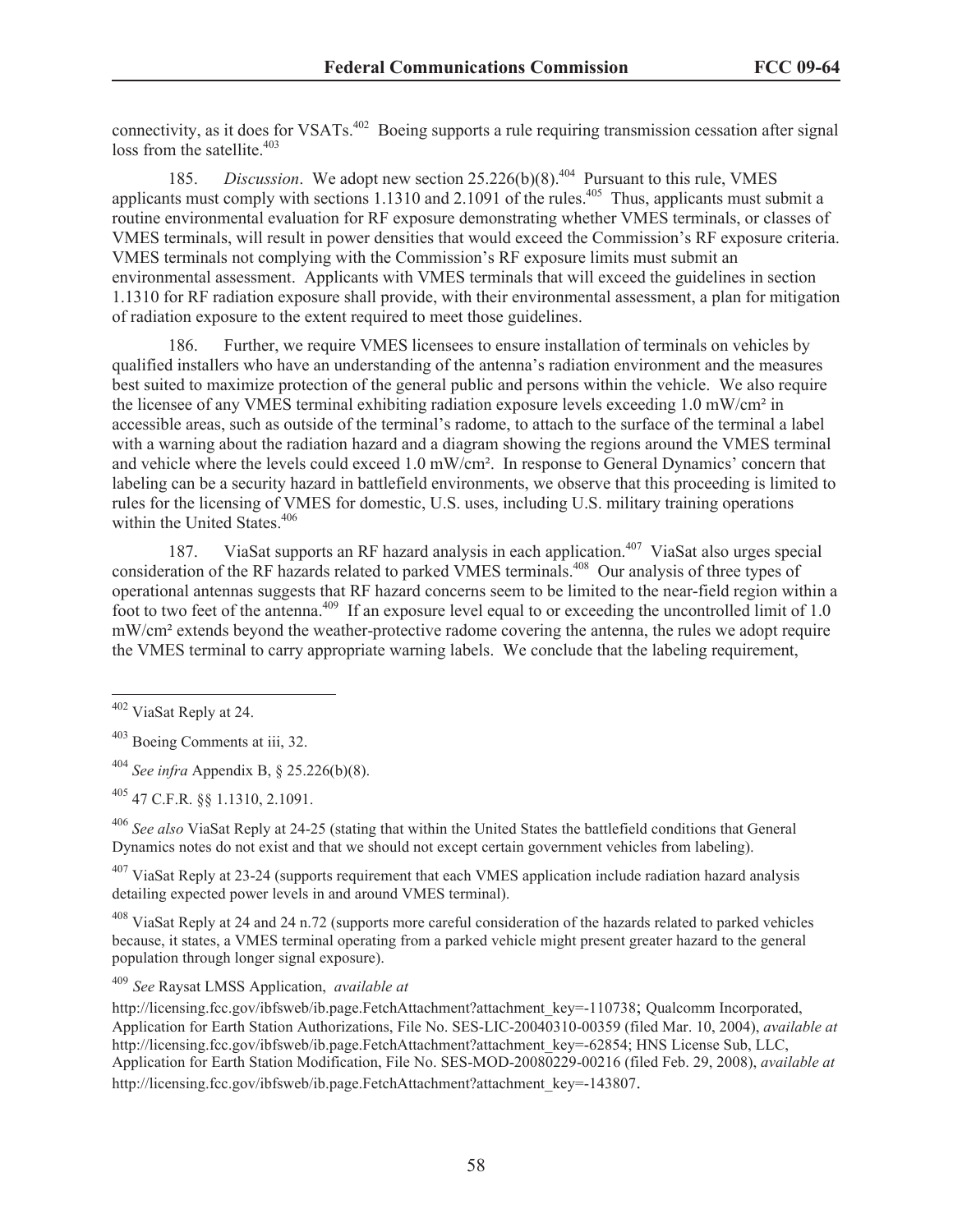connectivity, as it does for VSATs.<sup>402</sup> Boeing supports a rule requiring transmission cessation after signal  $loss$  from the satellite.<sup>403</sup>

185. *Discussion*. We adopt new section 25.226(b)(8).<sup>404</sup> Pursuant to this rule, VMES applicants must comply with sections  $1.1310$  and  $2.1091$  of the rules.<sup>405</sup> Thus, applicants must submit a routine environmental evaluation for RF exposure demonstrating whether VMES terminals, or classes of VMES terminals, will result in power densities that would exceed the Commission's RF exposure criteria. VMES terminals not complying with the Commission's RF exposure limits must submit an environmental assessment. Applicants with VMES terminals that will exceed the guidelines in section 1.1310 for RF radiation exposure shall provide, with their environmental assessment, a plan for mitigation of radiation exposure to the extent required to meet those guidelines.

186. Further, we require VMES licensees to ensure installation of terminals on vehicles by qualified installers who have an understanding of the antenna's radiation environment and the measures best suited to maximize protection of the general public and persons within the vehicle. We also require the licensee of any VMES terminal exhibiting radiation exposure levels exceeding 1.0 mW/cm² in accessible areas, such as outside of the terminal's radome, to attach to the surface of the terminal a label with a warning about the radiation hazard and a diagram showing the regions around the VMES terminal and vehicle where the levels could exceed 1.0 mW/cm². In response to General Dynamics' concern that labeling can be a security hazard in battlefield environments, we observe that this proceeding is limited to rules for the licensing of VMES for domestic, U.S. uses, including U.S. military training operations within the United States.<sup>406</sup>

187. ViaSat supports an RF hazard analysis in each application.<sup>407</sup> ViaSat also urges special consideration of the RF hazards related to parked VMES terminals.<sup>408</sup> Our analysis of three types of operational antennas suggests that RF hazard concerns seem to be limited to the near-field region within a foot to two feet of the antenna.<sup>409</sup> If an exposure level equal to or exceeding the uncontrolled limit of 1.0 mW/cm² extends beyond the weather-protective radome covering the antenna, the rules we adopt require the VMES terminal to carry appropriate warning labels. We conclude that the labeling requirement,

<sup>406</sup> *See also* ViaSat Reply at 24-25 (stating that within the United States the battlefield conditions that General Dynamics notes do not exist and that we should not except certain government vehicles from labeling).

 $407$  ViaSat Reply at 23-24 (supports requirement that each VMES application include radiation hazard analysis detailing expected power levels in and around VMES terminal).

<sup>408</sup> ViaSat Reply at 24 and 24 n.72 (supports more careful consideration of the hazards related to parked vehicles because, it states, a VMES terminal operating from a parked vehicle might present greater hazard to the general population through longer signal exposure).

<sup>409</sup> *See* Raysat LMSS Application, *available at*

http://licensing.fcc.gov/ibfsweb/ib.page.FetchAttachment?attachment\_key=-110738; Qualcomm Incorporated, Application for Earth Station Authorizations, File No. SES-LIC-20040310-00359 (filed Mar. 10, 2004), *available at*  http://licensing.fcc.gov/ibfsweb/ib.page.FetchAttachment?attachment\_key=-62854; HNS License Sub, LLC, Application for Earth Station Modification, File No. SES-MOD-20080229-00216 (filed Feb. 29, 2008), *available at* http://licensing.fcc.gov/ibfsweb/ib.page.FetchAttachment?attachment\_key=-143807.

<sup>402</sup> ViaSat Reply at 24.

<sup>403</sup> Boeing Comments at iii, 32.

<sup>404</sup> *See infra* Appendix B, § 25.226(b)(8).

<sup>405</sup> 47 C.F.R. §§ 1.1310, 2.1091.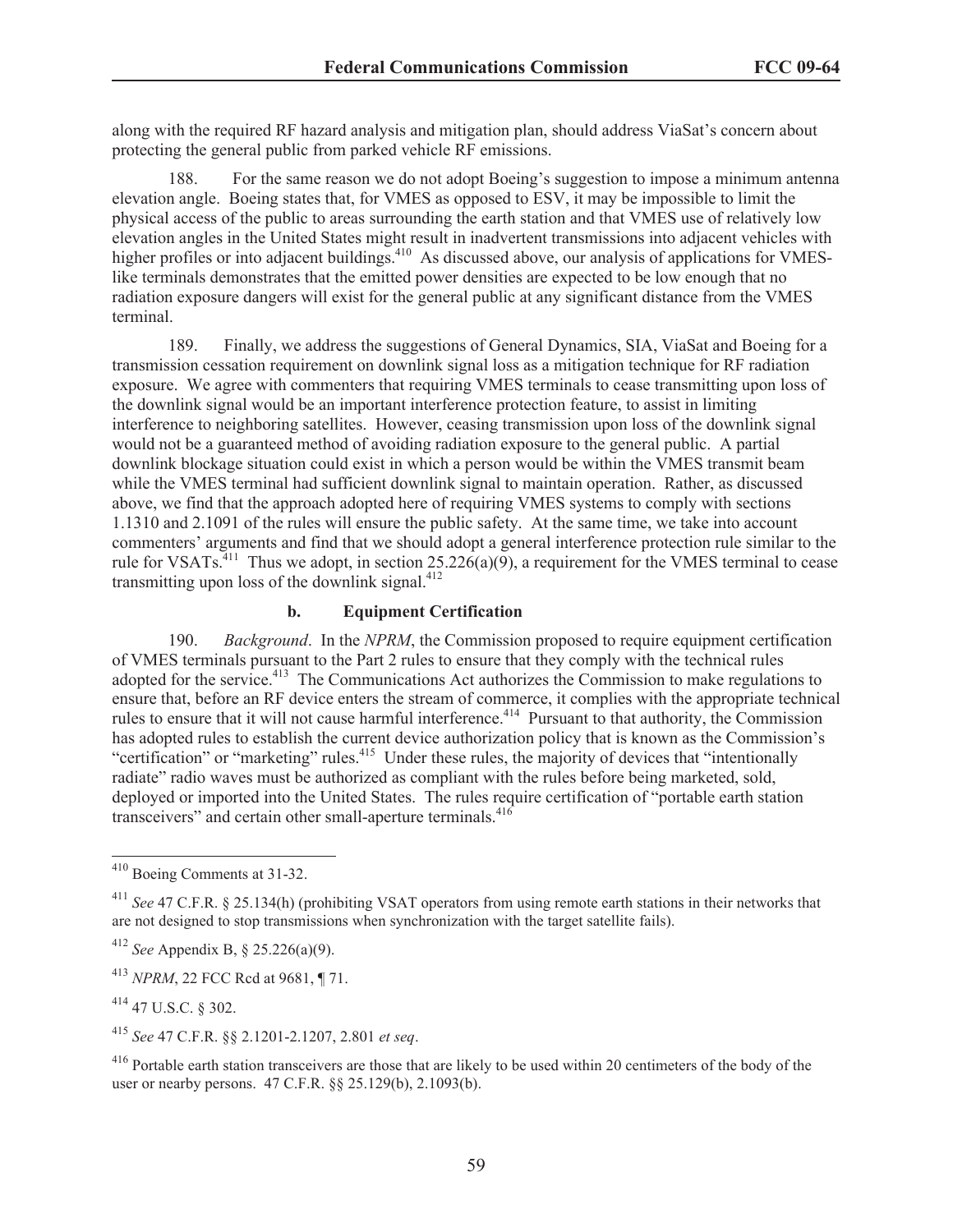along with the required RF hazard analysis and mitigation plan, should address ViaSat's concern about protecting the general public from parked vehicle RF emissions.

188. For the same reason we do not adopt Boeing's suggestion to impose a minimum antenna elevation angle. Boeing states that, for VMES as opposed to ESV, it may be impossible to limit the physical access of the public to areas surrounding the earth station and that VMES use of relatively low elevation angles in the United States might result in inadvertent transmissions into adjacent vehicles with higher profiles or into adjacent buildings.<sup>410</sup> As discussed above, our analysis of applications for VMESlike terminals demonstrates that the emitted power densities are expected to be low enough that no radiation exposure dangers will exist for the general public at any significant distance from the VMES terminal.

189. Finally, we address the suggestions of General Dynamics, SIA, ViaSat and Boeing for a transmission cessation requirement on downlink signal loss as a mitigation technique for RF radiation exposure. We agree with commenters that requiring VMES terminals to cease transmitting upon loss of the downlink signal would be an important interference protection feature, to assist in limiting interference to neighboring satellites. However, ceasing transmission upon loss of the downlink signal would not be a guaranteed method of avoiding radiation exposure to the general public. A partial downlink blockage situation could exist in which a person would be within the VMES transmit beam while the VMES terminal had sufficient downlink signal to maintain operation. Rather, as discussed above, we find that the approach adopted here of requiring VMES systems to comply with sections 1.1310 and 2.1091 of the rules will ensure the public safety. At the same time, we take into account commenters' arguments and find that we should adopt a general interference protection rule similar to the rule for VSATs.<sup>411</sup> Thus we adopt, in section  $25.226(a)(9)$ , a requirement for the VMES terminal to cease transmitting upon loss of the downlink signal. $412$ 

#### **b. Equipment Certification**

190. *Background*. In the *NPRM*, the Commission proposed to require equipment certification of VMES terminals pursuant to the Part 2 rules to ensure that they comply with the technical rules adopted for the service.<sup>413</sup> The Communications Act authorizes the Commission to make regulations to ensure that, before an RF device enters the stream of commerce, it complies with the appropriate technical rules to ensure that it will not cause harmful interference.<sup>414</sup> Pursuant to that authority, the Commission has adopted rules to establish the current device authorization policy that is known as the Commission's "certification" or "marketing" rules.<sup>415</sup> Under these rules, the majority of devices that "intentionally" radiate" radio waves must be authorized as compliant with the rules before being marketed, sold, deployed or imported into the United States. The rules require certification of "portable earth station transceivers" and certain other small-aperture terminals.<sup>416</sup>

<sup>410</sup> Boeing Comments at 31-32.

<sup>411</sup> *See* 47 C.F.R. § 25.134(h) (prohibiting VSAT operators from using remote earth stations in their networks that are not designed to stop transmissions when synchronization with the target satellite fails).

<sup>412</sup> *See* Appendix B, § 25.226(a)(9).

<sup>413</sup> *NPRM*, 22 FCC Rcd at 9681, ¶ 71.

<sup>414</sup> 47 U.S.C. § 302.

<sup>415</sup> *See* 47 C.F.R. §§ 2.1201-2.1207, 2.801 *et seq*.

<sup>&</sup>lt;sup>416</sup> Portable earth station transceivers are those that are likely to be used within 20 centimeters of the body of the user or nearby persons. 47 C.F.R. §§ 25.129(b), 2.1093(b).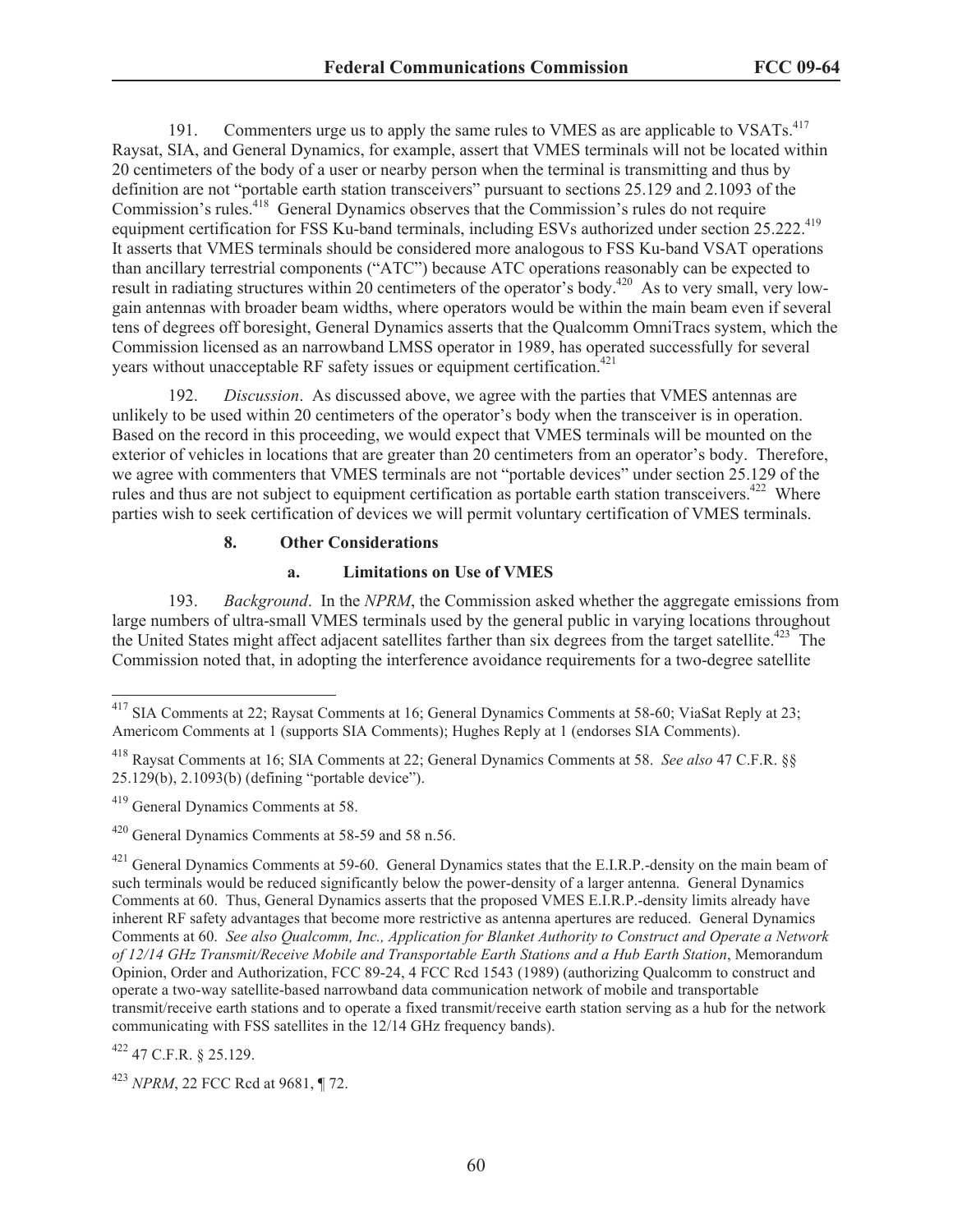191. Commenters urge us to apply the same rules to VMES as are applicable to VSATs.<sup>417</sup> Raysat, SIA, and General Dynamics, for example, assert that VMES terminals will not be located within 20 centimeters of the body of a user or nearby person when the terminal is transmitting and thus by definition are not "portable earth station transceivers" pursuant to sections 25.129 and 2.1093 of the Commission's rules.<sup>418</sup> General Dynamics observes that the Commission's rules do not require equipment certification for FSS Ku-band terminals, including ESVs authorized under section 25.222.<sup>419</sup> It asserts that VMES terminals should be considered more analogous to FSS Ku-band VSAT operations than ancillary terrestrial components ("ATC") because ATC operations reasonably can be expected to result in radiating structures within 20 centimeters of the operator's body.<sup>420</sup> As to very small, very lowgain antennas with broader beam widths, where operators would be within the main beam even if several tens of degrees off boresight, General Dynamics asserts that the Qualcomm OmniTracs system, which the Commission licensed as an narrowband LMSS operator in 1989, has operated successfully for several years without unacceptable RF safety issues or equipment certification.<sup>421</sup>

192. *Discussion*. As discussed above, we agree with the parties that VMES antennas are unlikely to be used within 20 centimeters of the operator's body when the transceiver is in operation. Based on the record in this proceeding, we would expect that VMES terminals will be mounted on the exterior of vehicles in locations that are greater than 20 centimeters from an operator's body. Therefore, we agree with commenters that VMES terminals are not "portable devices" under section 25.129 of the rules and thus are not subject to equipment certification as portable earth station transceivers.<sup>422</sup> Where parties wish to seek certification of devices we will permit voluntary certification of VMES terminals.

#### **8. Other Considerations**

#### **a. Limitations on Use of VMES**

193. *Background*. In the *NPRM*, the Commission asked whether the aggregate emissions from large numbers of ultra-small VMES terminals used by the general public in varying locations throughout the United States might affect adjacent satellites farther than six degrees from the target satellite.<sup>423</sup> The Commission noted that, in adopting the interference avoidance requirements for a two-degree satellite

<sup>422</sup> 47 C.F.R. § 25.129.

<sup>423</sup> *NPRM*, 22 FCC Rcd at 9681, ¶ 72.

<sup>417</sup> SIA Comments at 22; Raysat Comments at 16; General Dynamics Comments at 58-60; ViaSat Reply at 23; Americom Comments at 1 (supports SIA Comments); Hughes Reply at 1 (endorses SIA Comments).

<sup>418</sup> Raysat Comments at 16; SIA Comments at 22; General Dynamics Comments at 58. *See also* 47 C.F.R. §§ 25.129(b), 2.1093(b) (defining "portable device").

<sup>419</sup> General Dynamics Comments at 58.

<sup>420</sup> General Dynamics Comments at 58-59 and 58 n.56.

 $^{421}$  General Dynamics Comments at 59-60. General Dynamics states that the E.I.R.P.-density on the main beam of such terminals would be reduced significantly below the power-density of a larger antenna. General Dynamics Comments at 60. Thus, General Dynamics asserts that the proposed VMES E.I.R.P.-density limits already have inherent RF safety advantages that become more restrictive as antenna apertures are reduced. General Dynamics Comments at 60. *See also Qualcomm, Inc., Application for Blanket Authority to Construct and Operate a Network of 12/14 GHz Transmit/Receive Mobile and Transportable Earth Stations and a Hub Earth Station*, Memorandum Opinion, Order and Authorization, FCC 89-24, 4 FCC Rcd 1543 (1989) (authorizing Qualcomm to construct and operate a two-way satellite-based narrowband data communication network of mobile and transportable transmit/receive earth stations and to operate a fixed transmit/receive earth station serving as a hub for the network communicating with FSS satellites in the 12/14 GHz frequency bands).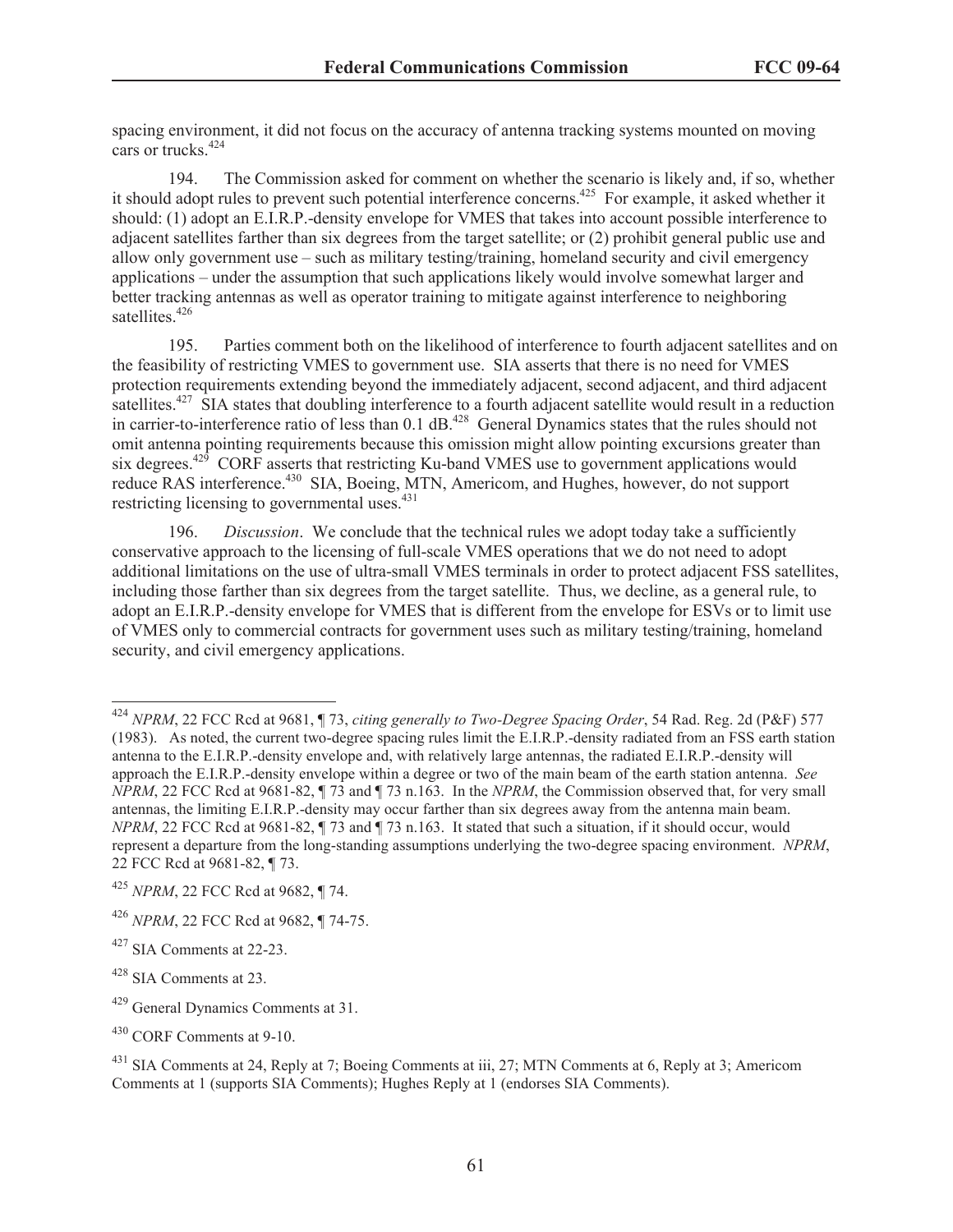spacing environment, it did not focus on the accuracy of antenna tracking systems mounted on moving cars or trucks<sup>424</sup>

194. The Commission asked for comment on whether the scenario is likely and, if so, whether it should adopt rules to prevent such potential interference concerns.<sup>425</sup> For example, it asked whether it should: (1) adopt an E.I.R.P.-density envelope for VMES that takes into account possible interference to adjacent satellites farther than six degrees from the target satellite; or (2) prohibit general public use and allow only government use – such as military testing/training, homeland security and civil emergency applications – under the assumption that such applications likely would involve somewhat larger and better tracking antennas as well as operator training to mitigate against interference to neighboring satellites.<sup>426</sup>

195. Parties comment both on the likelihood of interference to fourth adjacent satellites and on the feasibility of restricting VMES to government use. SIA asserts that there is no need for VMES protection requirements extending beyond the immediately adjacent, second adjacent, and third adjacent satellites.<sup>427</sup> SIA states that doubling interference to a fourth adjacent satellite would result in a reduction in carrier-to-interference ratio of less than  $0.1$  dB.<sup>428</sup> General Dynamics states that the rules should not omit antenna pointing requirements because this omission might allow pointing excursions greater than six degrees.<sup>429</sup> CORF asserts that restricting Ku-band VMES use to government applications would reduce RAS interference.<sup>430</sup> SIA, Boeing, MTN, Americom, and Hughes, however, do not support restricting licensing to governmental uses. $431$ 

196. *Discussion*. We conclude that the technical rules we adopt today take a sufficiently conservative approach to the licensing of full-scale VMES operations that we do not need to adopt additional limitations on the use of ultra-small VMES terminals in order to protect adjacent FSS satellites, including those farther than six degrees from the target satellite. Thus, we decline, as a general rule, to adopt an E.I.R.P.-density envelope for VMES that is different from the envelope for ESVs or to limit use of VMES only to commercial contracts for government uses such as military testing/training, homeland security, and civil emergency applications.

<sup>424</sup> *NPRM*, 22 FCC Rcd at 9681, ¶ 73, *citing generally to Two-Degree Spacing Order*, 54 Rad. Reg. 2d (P&F) 577 (1983). As noted, the current two-degree spacing rules limit the E.I.R.P.-density radiated from an FSS earth station antenna to the E.I.R.P.-density envelope and, with relatively large antennas, the radiated E.I.R.P.-density will approach the E.I.R.P.-density envelope within a degree or two of the main beam of the earth station antenna. *See NPRM*, 22 FCC Rcd at 9681-82, ¶ 73 and ¶ 73 n.163. In the *NPRM*, the Commission observed that, for very small antennas, the limiting E.I.R.P.-density may occur farther than six degrees away from the antenna main beam. *NPRM*, 22 FCC Rcd at 9681-82, ¶ 73 and ¶ 73 n.163. It stated that such a situation, if it should occur, would represent a departure from the long-standing assumptions underlying the two-degree spacing environment. *NPRM*, 22 FCC Rcd at 9681-82, ¶ 73.

<sup>425</sup> *NPRM*, 22 FCC Rcd at 9682, ¶ 74.

<sup>426</sup> *NPRM*, 22 FCC Rcd at 9682, ¶ 74-75.

 $427$  SIA Comments at 22-23.

 $428$  SIA Comments at 23.

<sup>429</sup> General Dynamics Comments at 31.

<sup>430</sup> CORF Comments at 9-10.

<sup>&</sup>lt;sup>431</sup> SIA Comments at 24, Reply at 7; Boeing Comments at iii, 27; MTN Comments at 6, Reply at 3; Americom Comments at 1 (supports SIA Comments); Hughes Reply at 1 (endorses SIA Comments).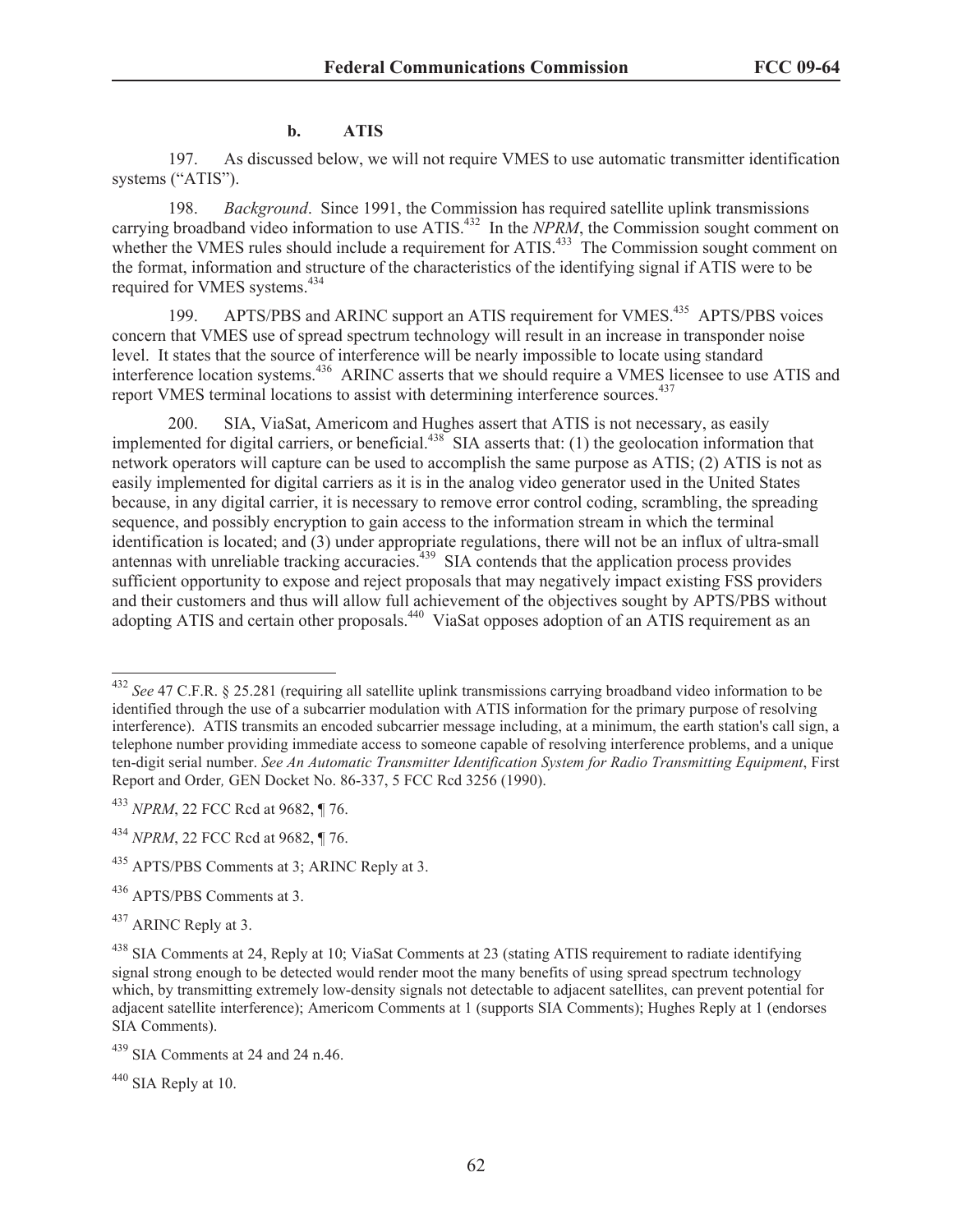#### **b. ATIS**

197. As discussed below, we will not require VMES to use automatic transmitter identification systems ("ATIS").

198. *Background*. Since 1991, the Commission has required satellite uplink transmissions carrying broadband video information to use ATIS.<sup>432</sup> In the *NPRM*, the Commission sought comment on whether the VMES rules should include a requirement for ATIS.<sup>433</sup> The Commission sought comment on the format, information and structure of the characteristics of the identifying signal if ATIS were to be required for VMES systems.<sup>434</sup>

199. APTS/PBS and ARINC support an ATIS requirement for VMES.<sup>435</sup> APTS/PBS voices concern that VMES use of spread spectrum technology will result in an increase in transponder noise level. It states that the source of interference will be nearly impossible to locate using standard interference location systems.<sup>436</sup> ARINC asserts that we should require a VMES licensee to use ATIS and report VMES terminal locations to assist with determining interference sources.<sup>437</sup>

200. SIA, ViaSat, Americom and Hughes assert that ATIS is not necessary, as easily implemented for digital carriers, or beneficial.<sup>438</sup> SIA asserts that: (1) the geolocation information that network operators will capture can be used to accomplish the same purpose as ATIS; (2) ATIS is not as easily implemented for digital carriers as it is in the analog video generator used in the United States because, in any digital carrier, it is necessary to remove error control coding, scrambling, the spreading sequence, and possibly encryption to gain access to the information stream in which the terminal identification is located; and (3) under appropriate regulations, there will not be an influx of ultra-small antennas with unreliable tracking accuracies.<sup>439</sup> SIA contends that the application process provides sufficient opportunity to expose and reject proposals that may negatively impact existing FSS providers and their customers and thus will allow full achievement of the objectives sought by APTS/PBS without adopting ATIS and certain other proposals.<sup>440</sup> ViaSat opposes adoption of an ATIS requirement as an

 $440$  SIA Reply at 10.

<sup>432</sup> *See* 47 C.F.R. § 25.281 (requiring all satellite uplink transmissions carrying broadband video information to be identified through the use of a subcarrier modulation with ATIS information for the primary purpose of resolving interference). ATIS transmits an encoded subcarrier message including, at a minimum, the earth station's call sign, a telephone number providing immediate access to someone capable of resolving interference problems, and a unique ten-digit serial number. *See An Automatic Transmitter Identification System for Radio Transmitting Equipment*, First Report and Order*,* GEN Docket No. 86-337, 5 FCC Rcd 3256 (1990).

<sup>433</sup> *NPRM*, 22 FCC Rcd at 9682, ¶ 76.

<sup>434</sup> *NPRM*, 22 FCC Rcd at 9682, ¶ 76.

<sup>&</sup>lt;sup>435</sup> APTS/PBS Comments at 3; ARINC Reply at 3.

<sup>436</sup> APTS/PBS Comments at 3.

<sup>437</sup> ARINC Reply at 3.

<sup>438</sup> SIA Comments at 24, Reply at 10; ViaSat Comments at 23 (stating ATIS requirement to radiate identifying signal strong enough to be detected would render moot the many benefits of using spread spectrum technology which, by transmitting extremely low-density signals not detectable to adjacent satellites, can prevent potential for adjacent satellite interference); Americom Comments at 1 (supports SIA Comments); Hughes Reply at 1 (endorses SIA Comments).

 $439$  SIA Comments at 24 and 24 n.46.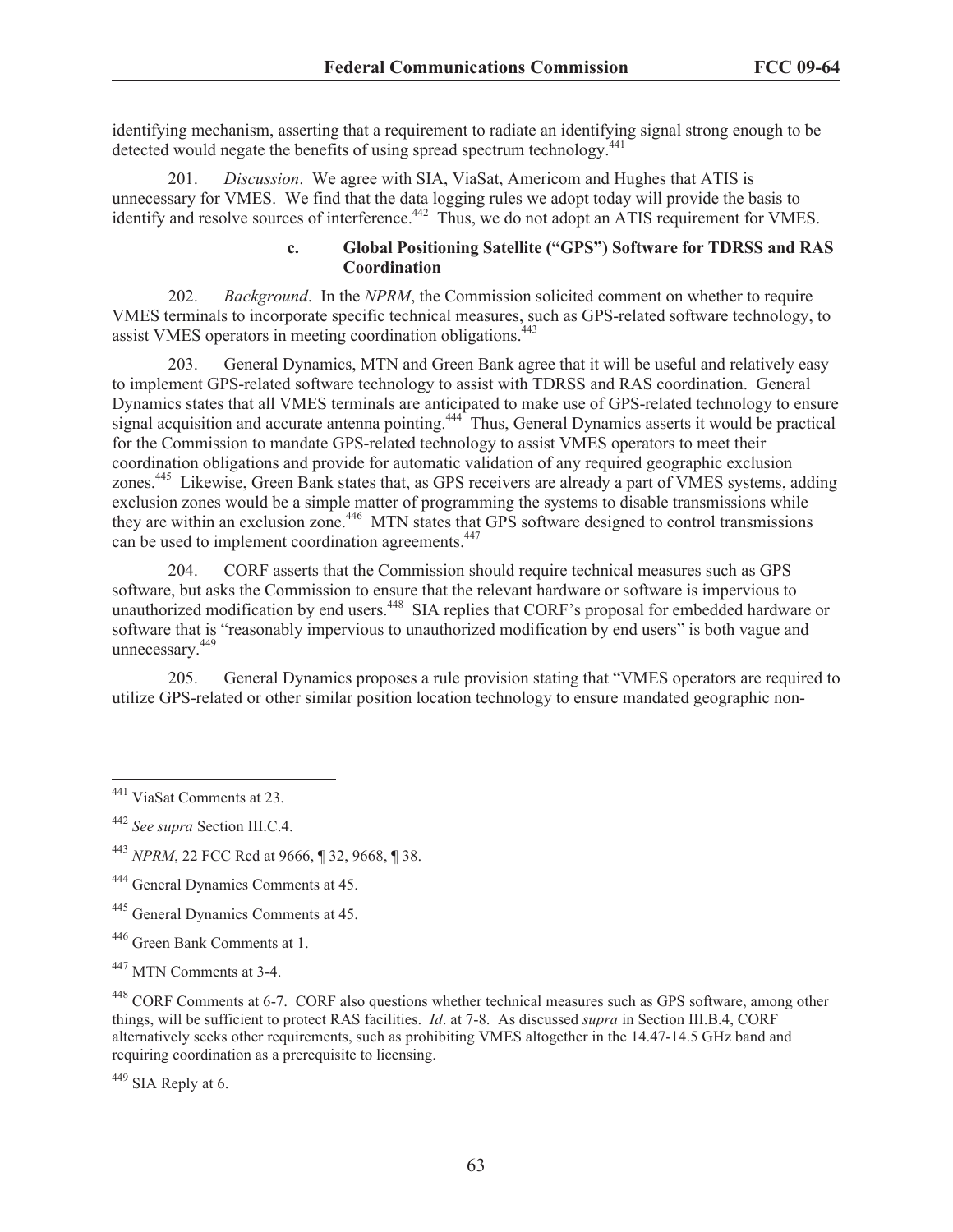identifying mechanism, asserting that a requirement to radiate an identifying signal strong enough to be detected would negate the benefits of using spread spectrum technology.<sup>441</sup>

201. *Discussion*. We agree with SIA, ViaSat, Americom and Hughes that ATIS is unnecessary for VMES. We find that the data logging rules we adopt today will provide the basis to identify and resolve sources of interference.<sup>442</sup> Thus, we do not adopt an ATIS requirement for VMES.

#### **c. Global Positioning Satellite ("GPS") Software for TDRSS and RAS Coordination**

202. *Background*. In the *NPRM*, the Commission solicited comment on whether to require VMES terminals to incorporate specific technical measures, such as GPS-related software technology, to assist VMES operators in meeting coordination obligations.<sup>443</sup>

203. General Dynamics, MTN and Green Bank agree that it will be useful and relatively easy to implement GPS-related software technology to assist with TDRSS and RAS coordination. General Dynamics states that all VMES terminals are anticipated to make use of GPS-related technology to ensure signal acquisition and accurate antenna pointing.<sup>444</sup> Thus, General Dynamics asserts it would be practical for the Commission to mandate GPS-related technology to assist VMES operators to meet their coordination obligations and provide for automatic validation of any required geographic exclusion zones.<sup>445</sup> Likewise, Green Bank states that, as GPS receivers are already a part of VMES systems, adding exclusion zones would be a simple matter of programming the systems to disable transmissions while they are within an exclusion zone.<sup>446</sup> MTN states that GPS software designed to control transmissions can be used to implement coordination agreements.<sup>447</sup>

204. CORF asserts that the Commission should require technical measures such as GPS software, but asks the Commission to ensure that the relevant hardware or software is impervious to unauthorized modification by end users.<sup>448</sup> SIA replies that CORF's proposal for embedded hardware or software that is "reasonably impervious to unauthorized modification by end users" is both vague and unnecessary.<sup>449</sup>

205. General Dynamics proposes a rule provision stating that "VMES operators are required to utilize GPS-related or other similar position location technology to ensure mandated geographic non-

<sup>449</sup> SIA Reply at 6.

<sup>441</sup> ViaSat Comments at 23.

<sup>442</sup> *See supra* Section III.C.4.

<sup>443</sup> *NPRM*, 22 FCC Rcd at 9666, ¶ 32, 9668, ¶ 38.

<sup>444</sup> General Dynamics Comments at 45.

<sup>445</sup> General Dynamics Comments at 45.

<sup>446</sup> Green Bank Comments at 1.

<sup>&</sup>lt;sup>447</sup> MTN Comments at 3-4.

<sup>448</sup> CORF Comments at 6-7. CORF also questions whether technical measures such as GPS software, among other things, will be sufficient to protect RAS facilities. *Id*. at 7-8. As discussed *supra* in Section III.B.4, CORF alternatively seeks other requirements, such as prohibiting VMES altogether in the 14.47-14.5 GHz band and requiring coordination as a prerequisite to licensing.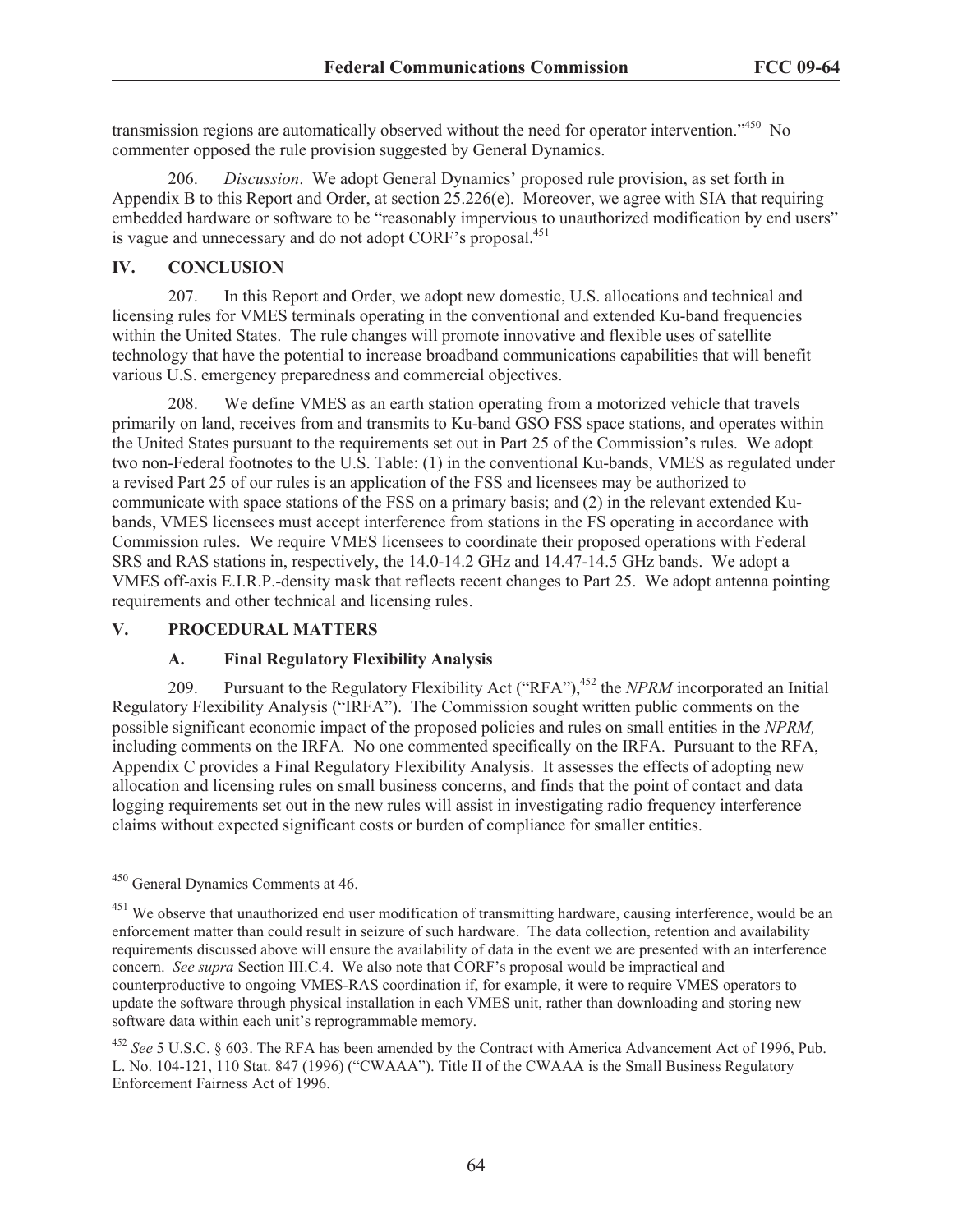transmission regions are automatically observed without the need for operator intervention.<sup>1450</sup> No commenter opposed the rule provision suggested by General Dynamics.

206. *Discussion*. We adopt General Dynamics' proposed rule provision, as set forth in Appendix B to this Report and Order, at section 25.226(e). Moreover, we agree with SIA that requiring embedded hardware or software to be "reasonably impervious to unauthorized modification by end users" is vague and unnecessary and do not adopt CORF's proposal.<sup>451</sup>

## **IV. CONCLUSION**

207. In this Report and Order, we adopt new domestic, U.S. allocations and technical and licensing rules for VMES terminals operating in the conventional and extended Ku-band frequencies within the United States. The rule changes will promote innovative and flexible uses of satellite technology that have the potential to increase broadband communications capabilities that will benefit various U.S. emergency preparedness and commercial objectives.

208. We define VMES as an earth station operating from a motorized vehicle that travels primarily on land, receives from and transmits to Ku-band GSO FSS space stations, and operates within the United States pursuant to the requirements set out in Part 25 of the Commission's rules. We adopt two non-Federal footnotes to the U.S. Table: (1) in the conventional Ku-bands, VMES as regulated under a revised Part 25 of our rules is an application of the FSS and licensees may be authorized to communicate with space stations of the FSS on a primary basis; and (2) in the relevant extended Kubands, VMES licensees must accept interference from stations in the FS operating in accordance with Commission rules. We require VMES licensees to coordinate their proposed operations with Federal SRS and RAS stations in, respectively, the 14.0-14.2 GHz and 14.47-14.5 GHz bands. We adopt a VMES off-axis E.I.R.P.-density mask that reflects recent changes to Part 25. We adopt antenna pointing requirements and other technical and licensing rules.

#### **V. PROCEDURAL MATTERS**

# **A. Final Regulatory Flexibility Analysis**

209. Pursuant to the Regulatory Flexibility Act ("RFA"),<sup>452</sup> the *NPRM* incorporated an Initial Regulatory Flexibility Analysis ("IRFA"). The Commission sought written public comments on the possible significant economic impact of the proposed policies and rules on small entities in the *NPRM,*  including comments on the IRFA*.* No one commented specifically on the IRFA. Pursuant to the RFA, Appendix C provides a Final Regulatory Flexibility Analysis. It assesses the effects of adopting new allocation and licensing rules on small business concerns, and finds that the point of contact and data logging requirements set out in the new rules will assist in investigating radio frequency interference claims without expected significant costs or burden of compliance for smaller entities.

<sup>450</sup> General Dynamics Comments at 46.

<sup>&</sup>lt;sup>451</sup> We observe that unauthorized end user modification of transmitting hardware, causing interference, would be an enforcement matter than could result in seizure of such hardware. The data collection, retention and availability requirements discussed above will ensure the availability of data in the event we are presented with an interference concern. *See supra* Section III.C.4. We also note that CORF's proposal would be impractical and counterproductive to ongoing VMES-RAS coordination if, for example, it were to require VMES operators to update the software through physical installation in each VMES unit, rather than downloading and storing new software data within each unit's reprogrammable memory.

<sup>452</sup> *See* 5 U.S.C. § 603. The RFA has been amended by the Contract with America Advancement Act of 1996, Pub. L. No. 104-121, 110 Stat. 847 (1996) ("CWAAA"). Title II of the CWAAA is the Small Business Regulatory Enforcement Fairness Act of 1996.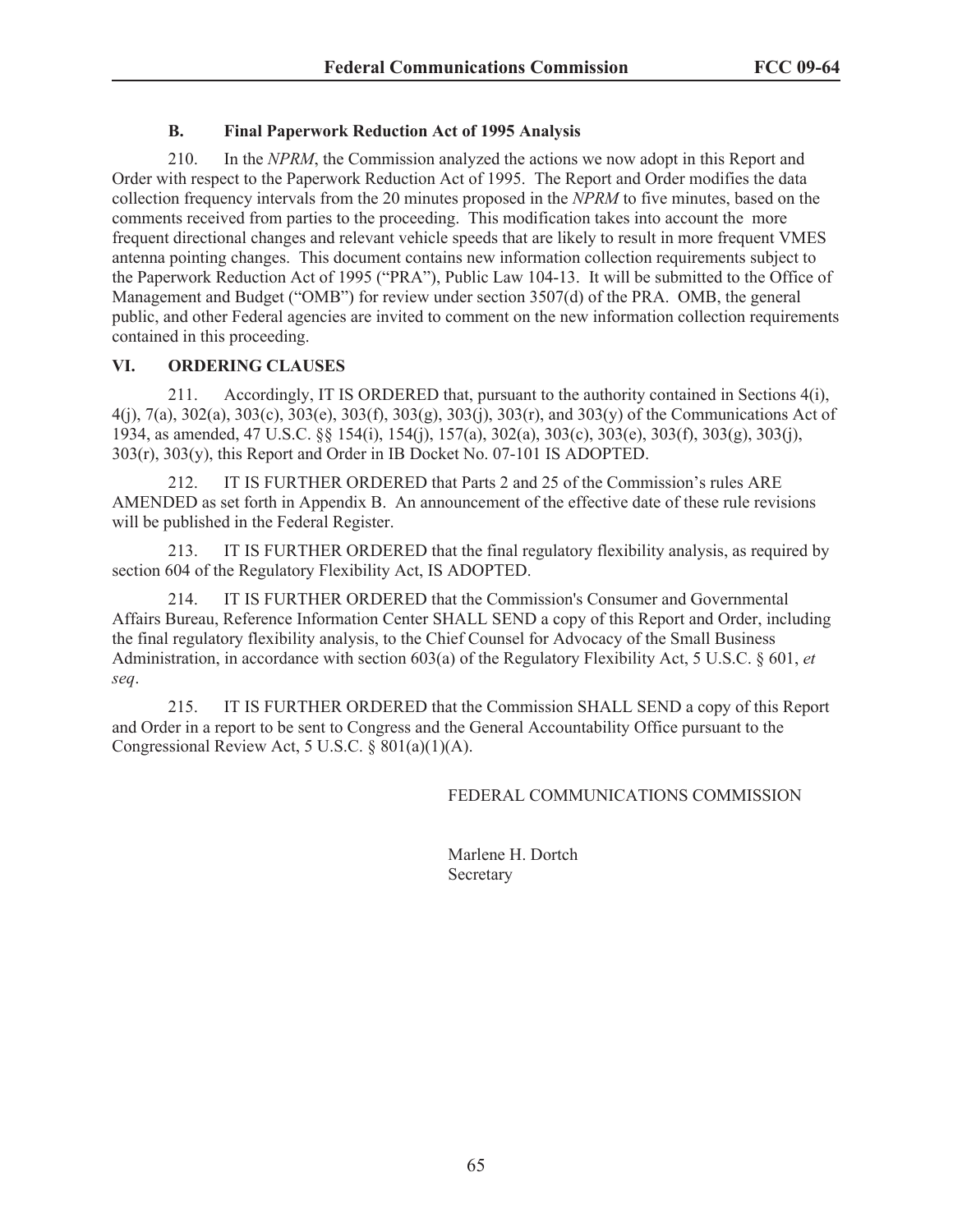## **B. Final Paperwork Reduction Act of 1995 Analysis**

210. In the *NPRM*, the Commission analyzed the actions we now adopt in this Report and Order with respect to the Paperwork Reduction Act of 1995. The Report and Order modifies the data collection frequency intervals from the 20 minutes proposed in the *NPRM* to five minutes, based on the comments received from parties to the proceeding. This modification takes into account the more frequent directional changes and relevant vehicle speeds that are likely to result in more frequent VMES antenna pointing changes. This document contains new information collection requirements subject to the Paperwork Reduction Act of 1995 ("PRA"), Public Law 104-13. It will be submitted to the Office of Management and Budget ("OMB") for review under section 3507(d) of the PRA. OMB, the general public, and other Federal agencies are invited to comment on the new information collection requirements contained in this proceeding.

## **VI. ORDERING CLAUSES**

211. Accordingly, IT IS ORDERED that, pursuant to the authority contained in Sections 4(i), 4(j), 7(a), 302(a), 303(c), 303(e), 303(f), 303(g), 303(j), 303(r), and 303(y) of the Communications Act of 1934, as amended, 47 U.S.C. §§ 154(i), 154(j), 157(a), 302(a), 303(c), 303(e), 303(f), 303(g), 303(j), 303(r), 303(y), this Report and Order in IB Docket No. 07-101 IS ADOPTED.

212. IT IS FURTHER ORDERED that Parts 2 and 25 of the Commission's rules ARE AMENDED as set forth in Appendix B. An announcement of the effective date of these rule revisions will be published in the Federal Register.

213. IT IS FURTHER ORDERED that the final regulatory flexibility analysis, as required by section 604 of the Regulatory Flexibility Act, IS ADOPTED.

214. IT IS FURTHER ORDERED that the Commission's Consumer and Governmental Affairs Bureau, Reference Information Center SHALL SEND a copy of this Report and Order, including the final regulatory flexibility analysis, to the Chief Counsel for Advocacy of the Small Business Administration, in accordance with section 603(a) of the Regulatory Flexibility Act, 5 U.S.C. § 601, *et seq*.

215. IT IS FURTHER ORDERED that the Commission SHALL SEND a copy of this Report and Order in a report to be sent to Congress and the General Accountability Office pursuant to the Congressional Review Act, 5 U.S.C. § 801(a)(1)(A).

FEDERAL COMMUNICATIONS COMMISSION

Marlene H. Dortch **Secretary**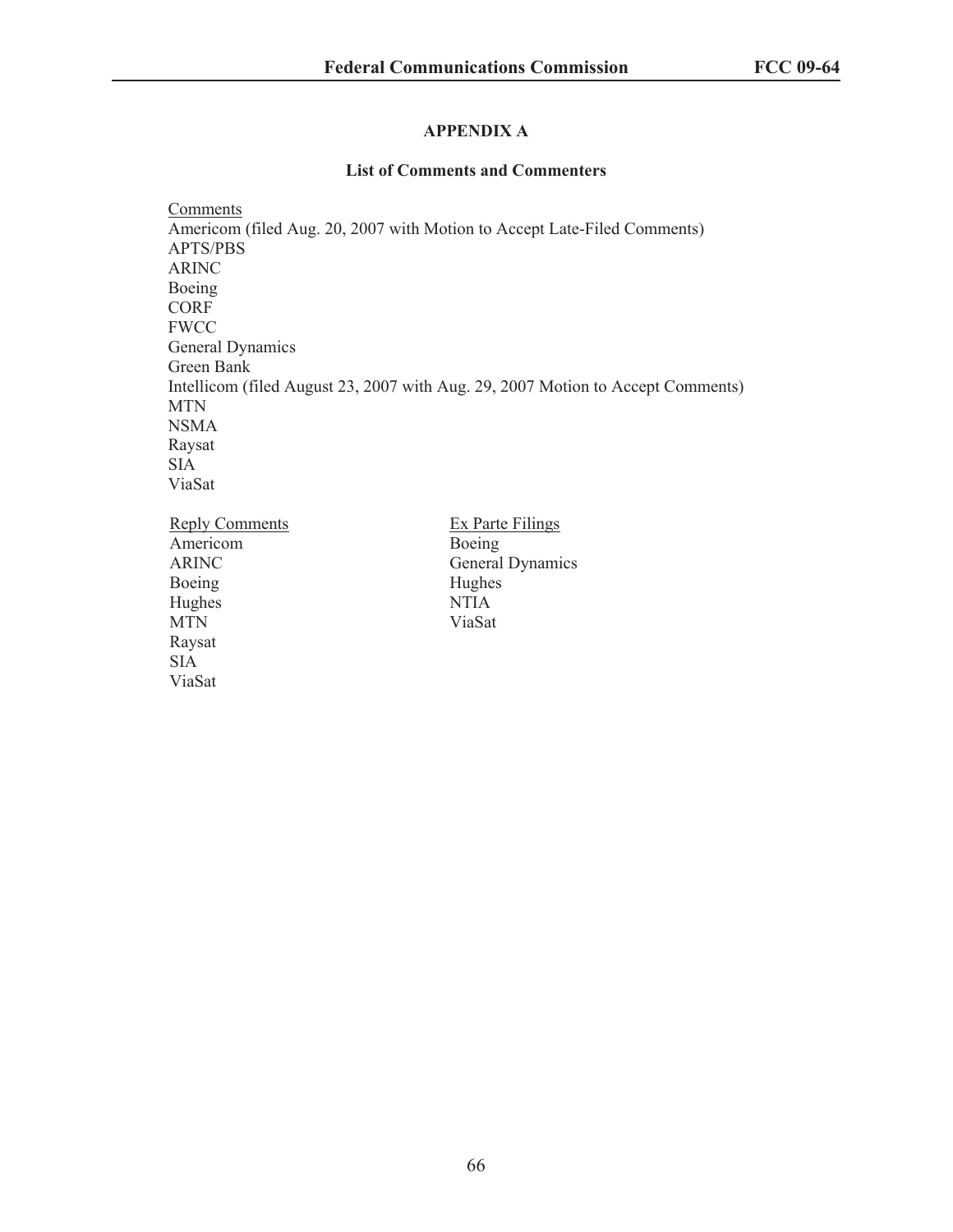# **APPENDIX A**

## **List of Comments and Commenters**

**Comments** Americom (filed Aug. 20, 2007 with Motion to Accept Late-Filed Comments) APTS/PBS ARINC Boeing CORF **FWCC** General Dynamics Green Bank Intellicom (filed August 23, 2007 with Aug. 29, 2007 Motion to Accept Comments) MTN NSMA Raysat SIA ViaSat Reply Comments Americom ARINC Boeing Hughes MTN Ex Parte Filings Boeing General Dynamics Hughes NTIA ViaSat

Raysat SIA ViaSat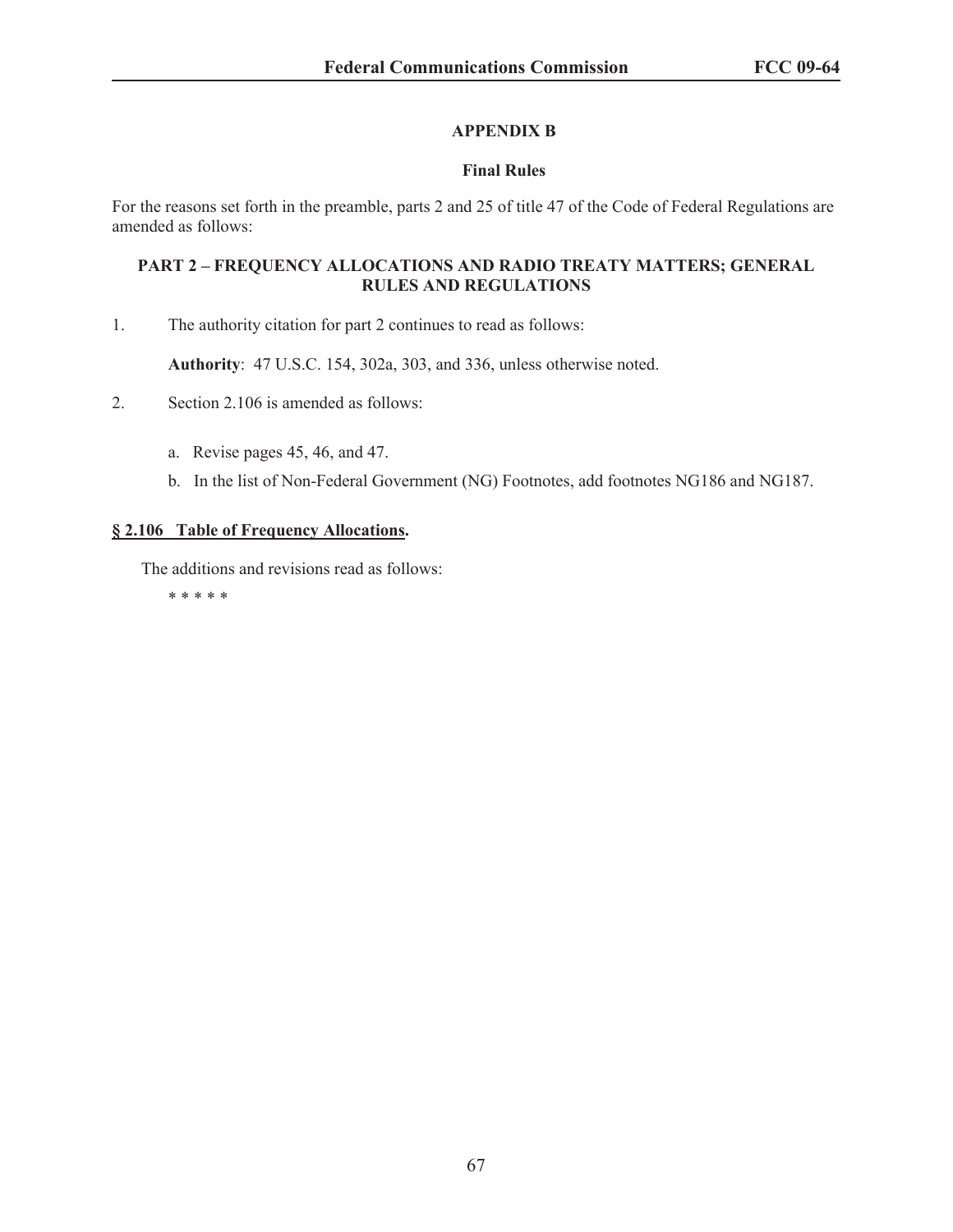# **APPENDIX B**

# **Final Rules**

For the reasons set forth in the preamble, parts 2 and 25 of title 47 of the Code of Federal Regulations are amended as follows:

## **PART 2 – FREQUENCY ALLOCATIONS AND RADIO TREATY MATTERS; GENERAL RULES AND REGULATIONS**

1. The authority citation for part 2 continues to read as follows:

**Authority**: 47 U.S.C. 154, 302a, 303, and 336, unless otherwise noted.

2. Section 2.106 is amended as follows:

- a. Revise pages 45, 46, and 47.
- b. In the list of Non-Federal Government (NG) Footnotes, add footnotes NG186 and NG187.

## **§ 2.106 Table of Frequency Allocations.**

The additions and revisions read as follows:

\* \* \* \* \*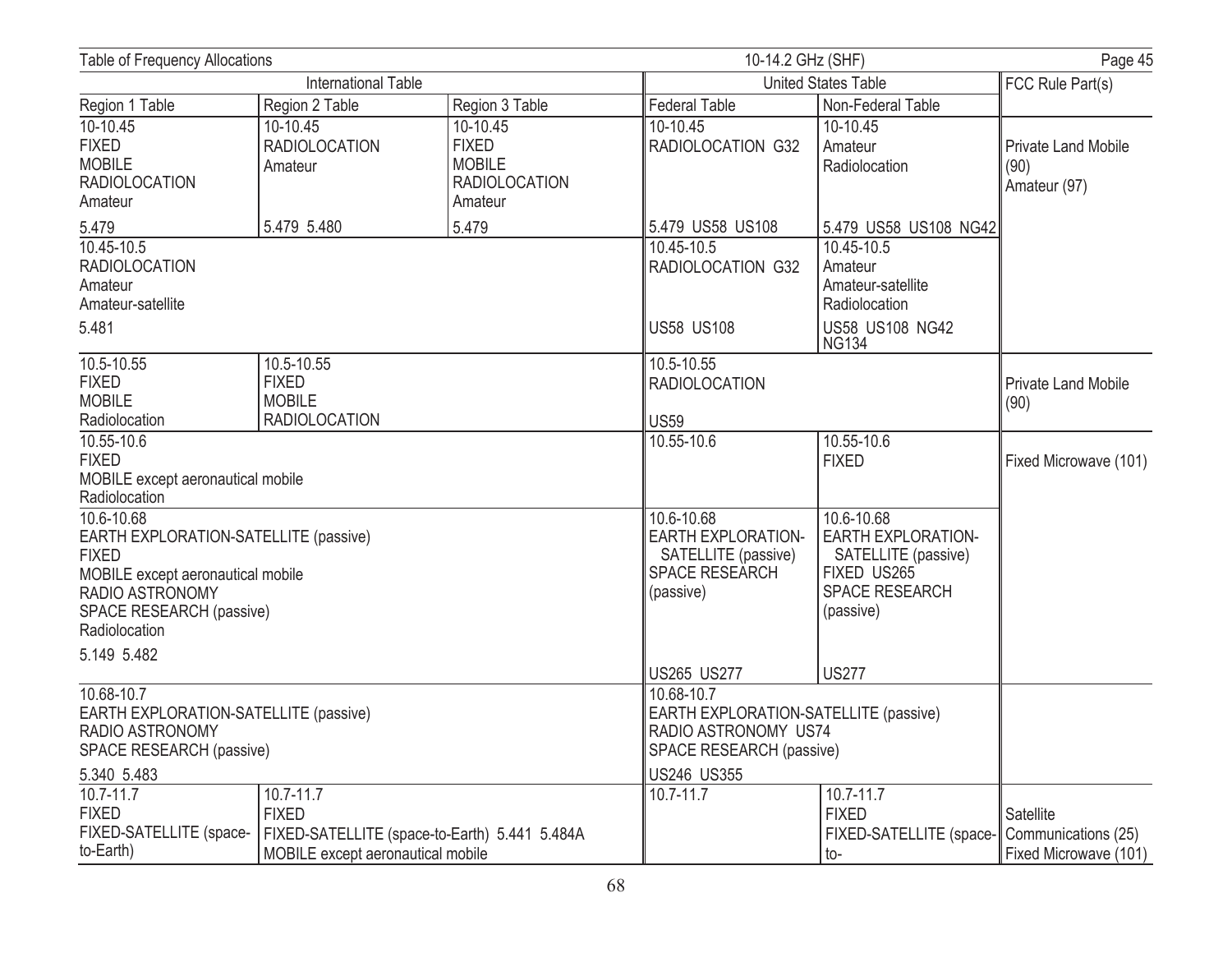| <b>Table of Frequency Allocations</b>                                                                                                                                    |                                                                     |                                                                              | 10-14.2 GHz (SHF)                                                                                    | Page 45                                                                                                          |                                                           |
|--------------------------------------------------------------------------------------------------------------------------------------------------------------------------|---------------------------------------------------------------------|------------------------------------------------------------------------------|------------------------------------------------------------------------------------------------------|------------------------------------------------------------------------------------------------------------------|-----------------------------------------------------------|
| <b>International Table</b>                                                                                                                                               |                                                                     |                                                                              |                                                                                                      | United States Table                                                                                              |                                                           |
| Region 1 Table                                                                                                                                                           | Region 2 Table                                                      | Region 3 Table                                                               | <b>Federal Table</b>                                                                                 | Non-Federal Table                                                                                                | FCC Rule Part(s)                                          |
| 10-10.45<br><b>FIXED</b><br><b>MOBILE</b><br><b>RADIOLOCATION</b><br>Amateur                                                                                             | 10-10.45<br><b>RADIOLOCATION</b><br>Amateur                         | 10-10.45<br><b>FIXED</b><br><b>MOBILE</b><br><b>RADIOLOCATION</b><br>Amateur | 10-10.45<br>RADIOLOCATION G32                                                                        | 10-10.45<br>Amateur<br>Radiolocation                                                                             | <b>Private Land Mobile</b><br>(90)<br>Amateur (97)        |
| 5.479                                                                                                                                                                    | 5.479 5.480                                                         | 5.479                                                                        | 5.479 US58 US108                                                                                     | 5.479 US58 US108 NG42                                                                                            |                                                           |
| 10.45-10.5<br><b>RADIOLOCATION</b><br>Amateur<br>Amateur-satellite<br>5.481                                                                                              |                                                                     |                                                                              | 10.45-10.5<br>RADIOLOCATION G32<br><b>US58 US108</b>                                                 | 10.45-10.5<br>Amateur<br>Amateur-satellite<br>Radiolocation<br><b>US58 US108 NG42</b>                            |                                                           |
| $10.5 - 10.55$<br><b>FIXED</b><br><b>MOBILE</b><br>Radiolocation                                                                                                         | 10.5-10.55<br><b>FIXED</b><br><b>MOBILE</b><br><b>RADIOLOCATION</b> |                                                                              |                                                                                                      | <b>NG134</b><br>10.5-10.55<br><b>RADIOLOCATION</b><br><b>US59</b>                                                |                                                           |
| 10.55-10.6<br><b>FIXED</b><br>MOBILE except aeronautical mobile<br>Radiolocation                                                                                         |                                                                     |                                                                              | 10.55-10.6                                                                                           | 10.55-10.6<br><b>FIXED</b>                                                                                       | Fixed Microwave (101)                                     |
| 10.6-10.68<br>EARTH EXPLORATION-SATELLITE (passive)<br><b>FIXED</b><br>MOBILE except aeronautical mobile<br>RADIO ASTRONOMY<br>SPACE RESEARCH (passive)<br>Radiolocation |                                                                     |                                                                              | 10.6-10.68<br><b>EARTH EXPLORATION-</b><br>SATELLITE (passive)<br><b>SPACE RESEARCH</b><br>(passive) | $10.6 - 10.68$<br><b>EARTH EXPLORATION-</b><br>SATELLITE (passive)<br>FIXED US265<br>SPACE RESEARCH<br>(passive) |                                                           |
| 5.149 5.482                                                                                                                                                              |                                                                     |                                                                              | <b>US265 US277</b>                                                                                   | <b>US277</b>                                                                                                     |                                                           |
| 10.68-10.7<br>EARTH EXPLORATION-SATELLITE (passive)<br><b>RADIO ASTRONOMY</b><br>SPACE RESEARCH (passive)                                                                |                                                                     |                                                                              | 10.68-10.7                                                                                           | EARTH EXPLORATION-SATELLITE (passive)<br>RADIO ASTRONOMY US74<br>SPACE RESEARCH (passive)                        |                                                           |
| 5.340 5.483                                                                                                                                                              |                                                                     |                                                                              | US246 US355                                                                                          |                                                                                                                  |                                                           |
| 10.7-11.7<br><b>FIXED</b><br>FIXED-SATELLITE (space-<br>to-Earth)                                                                                                        | $10.7 - 11.7$<br><b>FIXED</b><br>MOBILE except aeronautical mobile  | FIXED-SATELLITE (space-to-Earth) 5.441 5.484A                                | 10.7-11.7                                                                                            | 10.7-11.7<br><b>FIXED</b><br>FIXED-SATELLITE (space-<br>to-                                                      | Satellite<br>Communications (25)<br>Fixed Microwave (101) |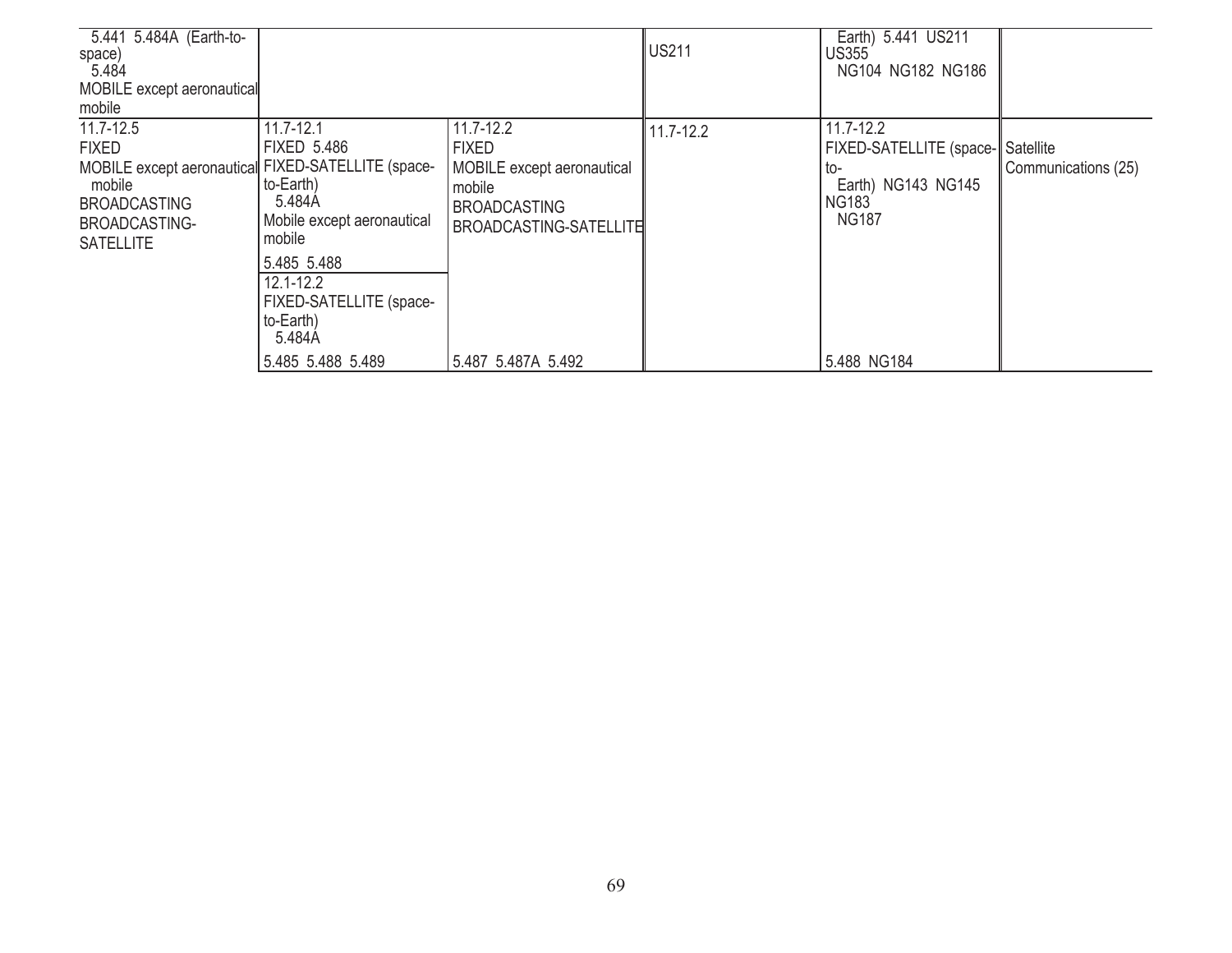| 5.441 5.484A (Earth-to-<br>space)<br>5.484<br>MOBILE except aeronautical<br>mobile                                                       |                                                                                                                        |                                                                                                              | <b>US211</b> | Earth) 5.441 US211<br><b>US355</b><br>NG104 NG182 NG186                                     |                                  |
|------------------------------------------------------------------------------------------------------------------------------------------|------------------------------------------------------------------------------------------------------------------------|--------------------------------------------------------------------------------------------------------------|--------------|---------------------------------------------------------------------------------------------|----------------------------------|
| $11.7 - 12.5$                                                                                                                            | $11.7 - 12.1$<br>FIXED 5.486                                                                                           | $11.7 - 12.2$                                                                                                | 11.7-12.2    | $11.7 - 12.2$                                                                               |                                  |
| <b>FIXED</b><br>MOBILE except aeronautical FIXED-SATELLITE (space-<br>mobile<br><b>BROADCASTING</b><br>BROADCASTING-<br><b>SATELLITE</b> | to-Earth)<br>5.484A<br>Mobile except aeronautical<br>mobile<br>5.485 5.488<br>$12.1 - 12.2$<br>FIXED-SATELLITE (space- | <b>FIXED</b><br>MOBILE except aeronautical<br>mobile<br><b>BROADCASTING</b><br><b>BROADCASTING-SATELLITE</b> |              | <b>FIXED-SATELLITE (space-</b><br>to-<br>Earth) NG143 NG145<br><b>NG183</b><br><b>NG187</b> | Satellite<br>Communications (25) |
|                                                                                                                                          | to-Earth)<br>5.484A<br>5.485 5.488 5.489                                                                               | 5.487 5.487A 5.492                                                                                           |              | 5.488 NG184                                                                                 |                                  |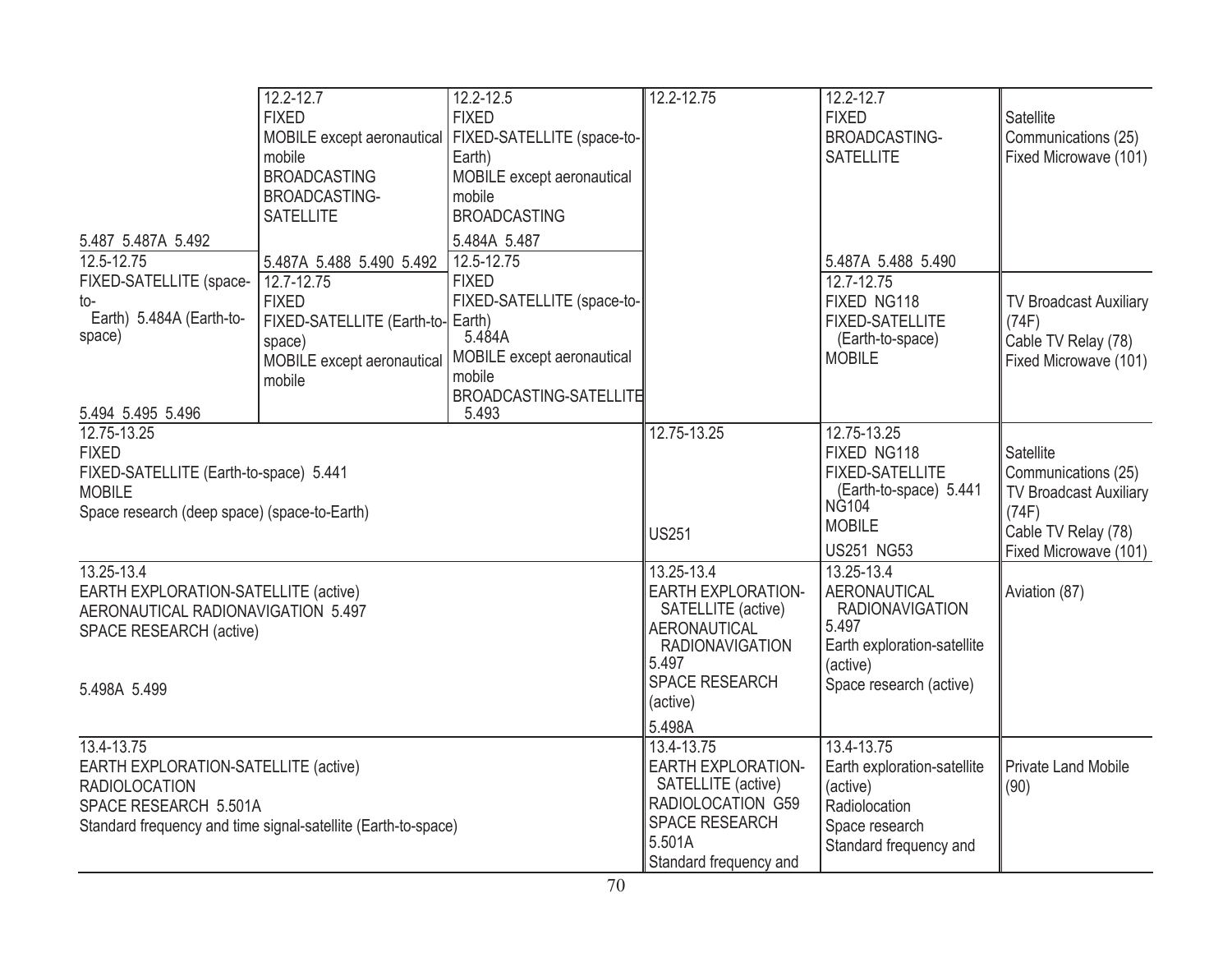|                                                               | 12.2-12.7                         | 12.2-12.5                                               | 12.2-12.75                | 12.2-12.7                   |                               |
|---------------------------------------------------------------|-----------------------------------|---------------------------------------------------------|---------------------------|-----------------------------|-------------------------------|
|                                                               | <b>FIXED</b>                      | <b>FIXED</b>                                            |                           | <b>FIXED</b>                | Satellite                     |
|                                                               |                                   | MOBILE except aeronautical   FIXED-SATELLITE (space-to- |                           | BROADCASTING-               | Communications (25)           |
|                                                               | mobile                            | Earth)                                                  |                           | <b>SATELLITE</b>            | Fixed Microwave (101)         |
|                                                               | <b>BROADCASTING</b>               | MOBILE except aeronautical                              |                           |                             |                               |
|                                                               | BROADCASTING-                     | mobile                                                  |                           |                             |                               |
|                                                               | <b>SATELLITE</b>                  | <b>BROADCASTING</b>                                     |                           |                             |                               |
| 5.487 5.487A 5.492                                            |                                   | 5.484A 5.487                                            |                           |                             |                               |
| 12.5-12.75                                                    | 5.487A 5.488 5.490 5.492          | 12.5-12.75                                              |                           | 5.487A 5.488 5.490          |                               |
| FIXED-SATELLITE (space-                                       | 12.7-12.75                        | <b>FIXED</b>                                            |                           | 12.7-12.75                  |                               |
| to-                                                           | <b>FIXED</b>                      | FIXED-SATELLITE (space-to-                              |                           | FIXED NG118                 | <b>TV Broadcast Auxiliary</b> |
| Earth) 5.484A (Earth-to-                                      | FIXED-SATELLITE (Earth-to- Earth) |                                                         |                           | <b>FIXED-SATELLITE</b>      | (74F)                         |
| space)                                                        | space)                            | 5.484A                                                  |                           | (Earth-to-space)            | Cable TV Relay (78)           |
|                                                               |                                   | MOBILE except aeronautical   MOBILE except aeronautical |                           | <b>MOBILE</b>               | Fixed Microwave (101)         |
|                                                               | mobile                            | mobile                                                  |                           |                             |                               |
|                                                               |                                   | BROADCASTING-SATELLITE                                  |                           |                             |                               |
| 5.494 5.495 5.496                                             |                                   | 5.493                                                   |                           |                             |                               |
| 12.75-13.25                                                   |                                   |                                                         | 12.75-13.25               | 12.75-13.25                 |                               |
| <b>FIXED</b>                                                  |                                   |                                                         |                           | FIXED NG118                 | <b>Satellite</b>              |
| FIXED-SATELLITE (Earth-to-space) 5.441                        |                                   |                                                         |                           | <b>FIXED-SATELLITE</b>      | Communications (25)           |
| <b>MOBILE</b>                                                 |                                   |                                                         |                           | (Earth-to-space) 5.441      | <b>TV Broadcast Auxiliary</b> |
| Space research (deep space) (space-to-Earth)                  |                                   |                                                         |                           | <b>NG104</b>                | (74F)                         |
|                                                               |                                   |                                                         | <b>US251</b>              | <b>MOBILE</b>               | Cable TV Relay (78)           |
|                                                               |                                   |                                                         |                           | <b>US251 NG53</b>           | Fixed Microwave (101)         |
| 13.25-13.4                                                    |                                   |                                                         | 13.25-13.4                | 13.25-13.4                  |                               |
| EARTH EXPLORATION-SATELLITE (active)                          |                                   |                                                         | <b>EARTH EXPLORATION-</b> | AERONAUTICAL                | Aviation (87)                 |
| AERONAUTICAL RADIONAVIGATION 5.497                            |                                   |                                                         | SATELLITE (active)        | <b>RADIONAVIGATION</b>      |                               |
| SPACE RESEARCH (active)                                       |                                   |                                                         | <b>AERONAUTICAL</b>       | 5.497                       |                               |
|                                                               |                                   |                                                         | <b>RADIONAVIGATION</b>    | Earth exploration-satellite |                               |
|                                                               |                                   |                                                         | 5.497                     | (active)                    |                               |
| 5.498A 5.499                                                  |                                   |                                                         | SPACE RESEARCH            | Space research (active)     |                               |
|                                                               |                                   |                                                         | (active)                  |                             |                               |
|                                                               |                                   |                                                         | 5.498A                    |                             |                               |
| 13.4-13.75                                                    |                                   |                                                         | 13.4-13.75                | 13.4-13.75                  |                               |
| EARTH EXPLORATION-SATELLITE (active)                          |                                   |                                                         | <b>EARTH EXPLORATION-</b> | Earth exploration-satellite | <b>Private Land Mobile</b>    |
| <b>RADIOLOCATION</b>                                          |                                   |                                                         | SATELLITE (active)        | (active)                    | (90)                          |
| SPACE RESEARCH 5.501A                                         |                                   |                                                         | RADIOLOCATION G59         | Radiolocation               |                               |
| Standard frequency and time signal-satellite (Earth-to-space) |                                   |                                                         | <b>SPACE RESEARCH</b>     | Space research              |                               |
|                                                               |                                   |                                                         | 5.501A                    | Standard frequency and      |                               |
|                                                               |                                   |                                                         | Standard frequency and    |                             |                               |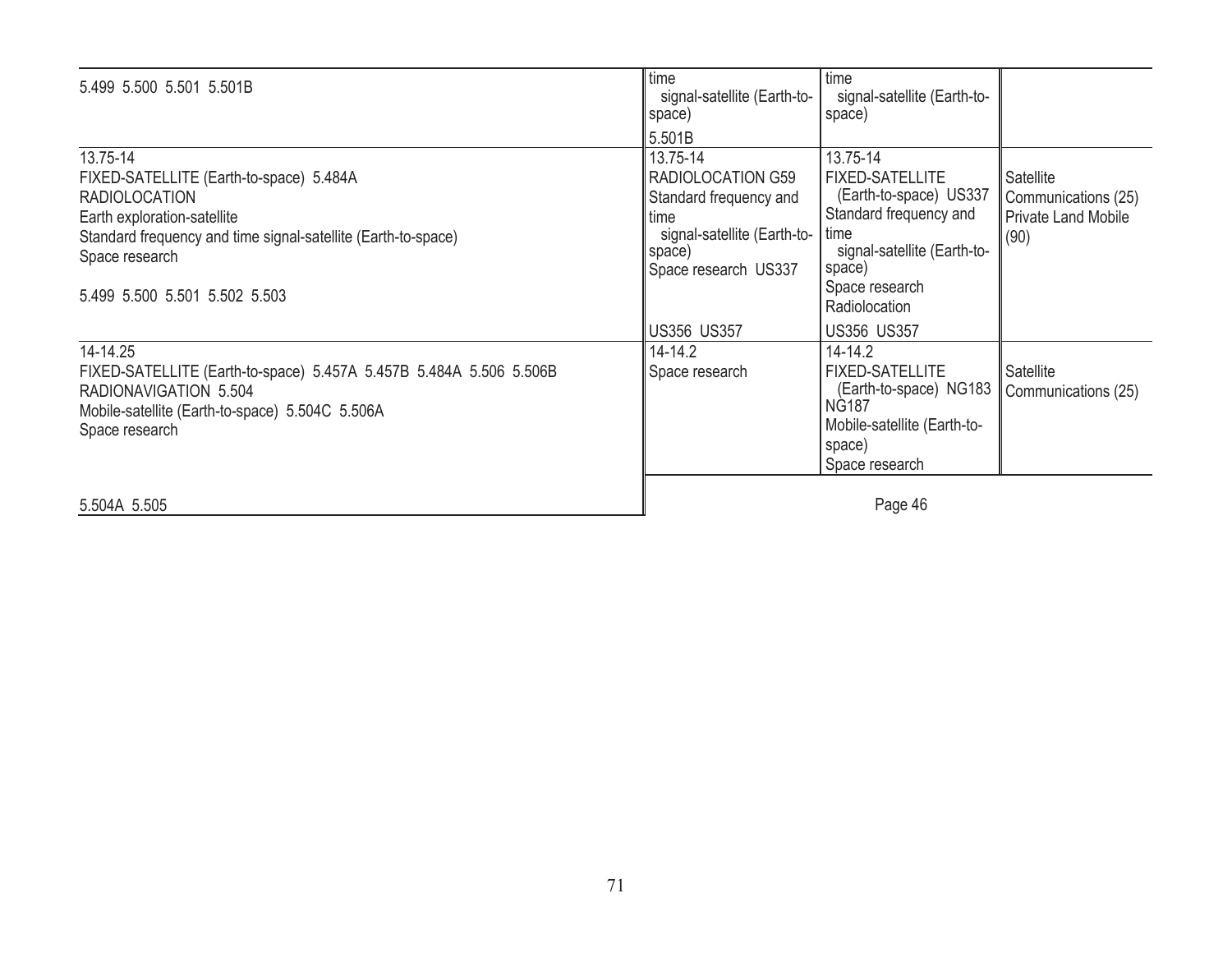| 5.499 5.500 5.501 5.501B                                                                                                                                                                                                       | time<br>signal-satellite (Earth-to-<br>space)                                                                                    | time<br>signal-satellite (Earth-to-<br>space)                                                                                                                              |                                                                        |
|--------------------------------------------------------------------------------------------------------------------------------------------------------------------------------------------------------------------------------|----------------------------------------------------------------------------------------------------------------------------------|----------------------------------------------------------------------------------------------------------------------------------------------------------------------------|------------------------------------------------------------------------|
|                                                                                                                                                                                                                                | 5.501B                                                                                                                           |                                                                                                                                                                            |                                                                        |
| 13.75-14<br>FIXED-SATELLITE (Earth-to-space) 5.484A<br><b>RADIOLOCATION</b><br>Earth exploration-satellite<br>Standard frequency and time signal-satellite (Earth-to-space)<br>Space research<br>5.499 5.500 5.501 5.502 5.503 | 13.75-14<br>RADIOLOCATION G59<br>Standard frequency and<br>time<br>signal-satellite (Earth-to-<br>space)<br>Space research US337 | 13.75-14<br><b>FIXED-SATELLITE</b><br>(Earth-to-space) US337<br>Standard frequency and<br>time<br>signal-satellite (Earth-to-<br>space)<br>Space research<br>Radiolocation | Satellite<br>Communications (25)<br><b>Private Land Mobile</b><br>(90) |
|                                                                                                                                                                                                                                | <b>US356 US357</b>                                                                                                               | <b>US356 US357</b>                                                                                                                                                         |                                                                        |
| 14-14.25<br>FIXED-SATELLITE (Earth-to-space) 5.457A 5.457B 5.484A 5.506 5.506B<br>RADIONAVIGATION 5.504<br>Mobile-satellite (Earth-to-space) 5.504C 5.506A<br>Space research                                                   | 14-14.2<br>Space research                                                                                                        | $14 - 14.2$<br><b>FIXED-SATELLITE</b><br>(Earth-to-space) NG183<br>NG <sub>187</sub><br>Mobile-satellite (Earth-to-<br>space)<br>Space research                            | Satellite<br>Communications (25)                                       |
| 5.504A 5.505                                                                                                                                                                                                                   |                                                                                                                                  | Page 46                                                                                                                                                                    |                                                                        |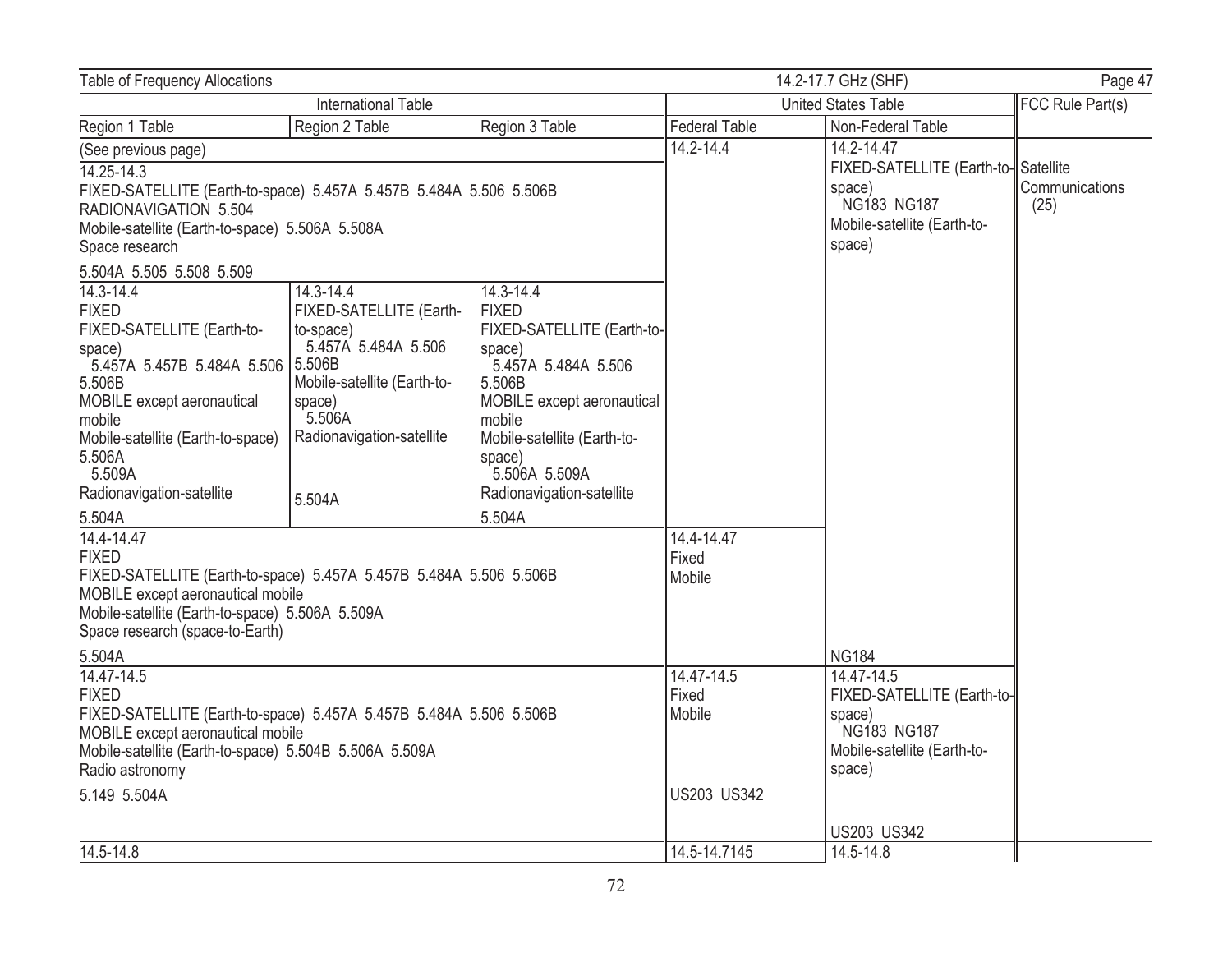| <b>Table of Frequency Allocations</b>                                                                                                                                                                                                                                                |                                                                                                                                                                    |                                                                                                                                                                                                                                             | 14.2-17.7 GHz (SHF)<br>Page 47               |                                                                                                                     |                        |
|--------------------------------------------------------------------------------------------------------------------------------------------------------------------------------------------------------------------------------------------------------------------------------------|--------------------------------------------------------------------------------------------------------------------------------------------------------------------|---------------------------------------------------------------------------------------------------------------------------------------------------------------------------------------------------------------------------------------------|----------------------------------------------|---------------------------------------------------------------------------------------------------------------------|------------------------|
| <b>International Table</b>                                                                                                                                                                                                                                                           |                                                                                                                                                                    |                                                                                                                                                                                                                                             | <b>United States Table</b>                   |                                                                                                                     | FCC Rule Part(s)       |
| Region 1 Table                                                                                                                                                                                                                                                                       | Region 2 Table                                                                                                                                                     | Region 3 Table                                                                                                                                                                                                                              | <b>Federal Table</b>                         | Non-Federal Table                                                                                                   |                        |
| (See previous page)<br>$14.25 - 14.3$<br>FIXED-SATELLITE (Earth-to-space) 5.457A 5.457B 5.484A 5.506 5.506B<br>RADIONAVIGATION 5.504<br>Mobile-satellite (Earth-to-space) 5.506A 5.508A<br>Space research                                                                            |                                                                                                                                                                    |                                                                                                                                                                                                                                             | $14.2 - 14.4$                                | 14.2-14.47<br>FIXED-SATELLITE (Earth-to-Satellite<br>space)<br>NG183 NG187<br>Mobile-satellite (Earth-to-<br>space) | Communications<br>(25) |
| 5.504A 5.505 5.508 5.509<br>14.3-14.4<br><b>FIXED</b><br>FIXED-SATELLITE (Earth-to-<br>space)<br>5.457A 5.457B 5.484A 5.506 5.506B<br>5.506B<br>MOBILE except aeronautical<br>mobile<br>Mobile-satellite (Earth-to-space)<br>5.506A<br>5.509A<br>Radionavigation-satellite<br>5.504A | 14.3-14.4<br>FIXED-SATELLITE (Earth-<br>to-space)<br>5.457A 5.484A 5.506<br>Mobile-satellite (Earth-to-<br>space)<br>5.506A<br>Radionavigation-satellite<br>5.504A | 14.3-14.4<br><b>FIXED</b><br>FIXED-SATELLITE (Earth-to-<br>space)<br>5.457A 5.484A 5.506<br>5.506B<br>MOBILE except aeronautical<br>mobile<br>Mobile-satellite (Earth-to-<br>space)<br>5.506A 5.509A<br>Radionavigation-satellite<br>5.504A |                                              |                                                                                                                     |                        |
| 14.4-14.47<br><b>FIXED</b><br>FIXED-SATELLITE (Earth-to-space) 5.457A 5.457B 5.484A 5.506 5.506B<br>MOBILE except aeronautical mobile<br>Mobile-satellite (Earth-to-space) 5.506A 5.509A<br>Space research (space-to-Earth)<br>5.504A                                                |                                                                                                                                                                    |                                                                                                                                                                                                                                             | 14.4-14.47<br>Fixed<br>Mobile                | <b>NG184</b>                                                                                                        |                        |
| 14.47-14.5<br><b>FIXED</b><br>FIXED-SATELLITE (Earth-to-space) 5.457A 5.457B 5.484A 5.506 5.506B<br>MOBILE except aeronautical mobile<br>Mobile-satellite (Earth-to-space) 5.504B 5.506A 5.509A<br>Radio astronomy<br>5.149 5.504A                                                   |                                                                                                                                                                    |                                                                                                                                                                                                                                             | 14.47-14.5<br>Fixed<br>Mobile<br>US203 US342 | 14.47-14.5<br>FIXED-SATELLITE (Earth-to-<br>space)<br>NG183 NG187<br>Mobile-satellite (Earth-to-<br>space)          |                        |
| 14.5-14.8                                                                                                                                                                                                                                                                            |                                                                                                                                                                    |                                                                                                                                                                                                                                             | 14.5-14.7145                                 | <b>US203 US342</b><br>14.5-14.8                                                                                     |                        |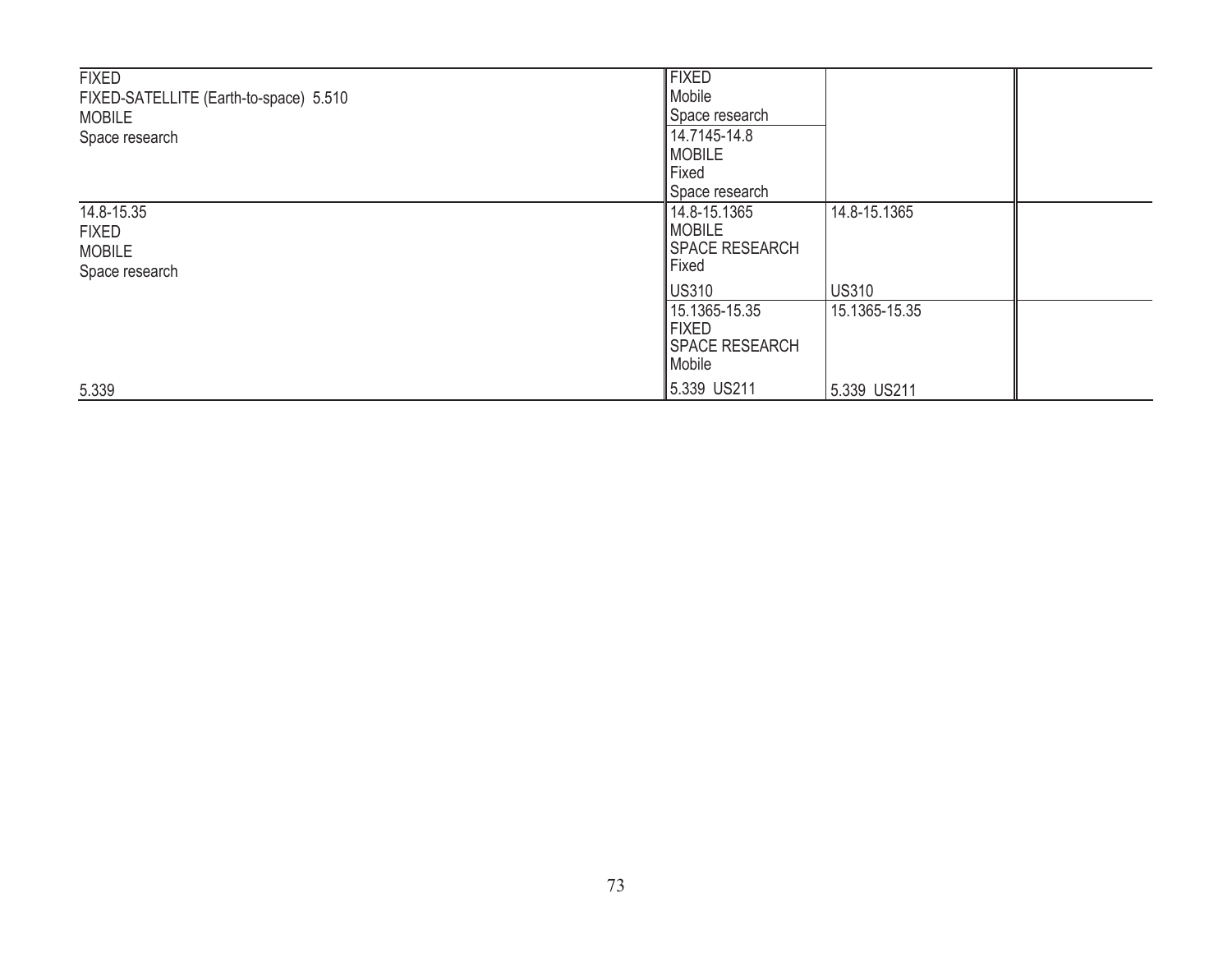| <b>FIXED</b><br>FIXED-SATELLITE (Earth-to-space) 5.510<br><b>MOBILE</b><br>Space research | <b>FIXED</b><br>Mobile<br>Space research<br>14.7145-14.8<br><b>IMOBILE</b><br>Fixed |                              |  |
|-------------------------------------------------------------------------------------------|-------------------------------------------------------------------------------------|------------------------------|--|
| 14.8-15.35<br><b>FIXED</b><br><b>MOBILE</b><br>Space research                             | Space research<br>14.8-15.1365<br>MOBILE<br>SPACE RESEARCH<br>Fixed<br>US310        | 14.8-15.1365<br><b>US310</b> |  |
| 5.339                                                                                     | 15.1365-15.35<br><b>FIXED</b><br>SPACE RESEARCH<br>Mobile<br>5.339 US211            | 15.1365-15.35<br>5.339 US211 |  |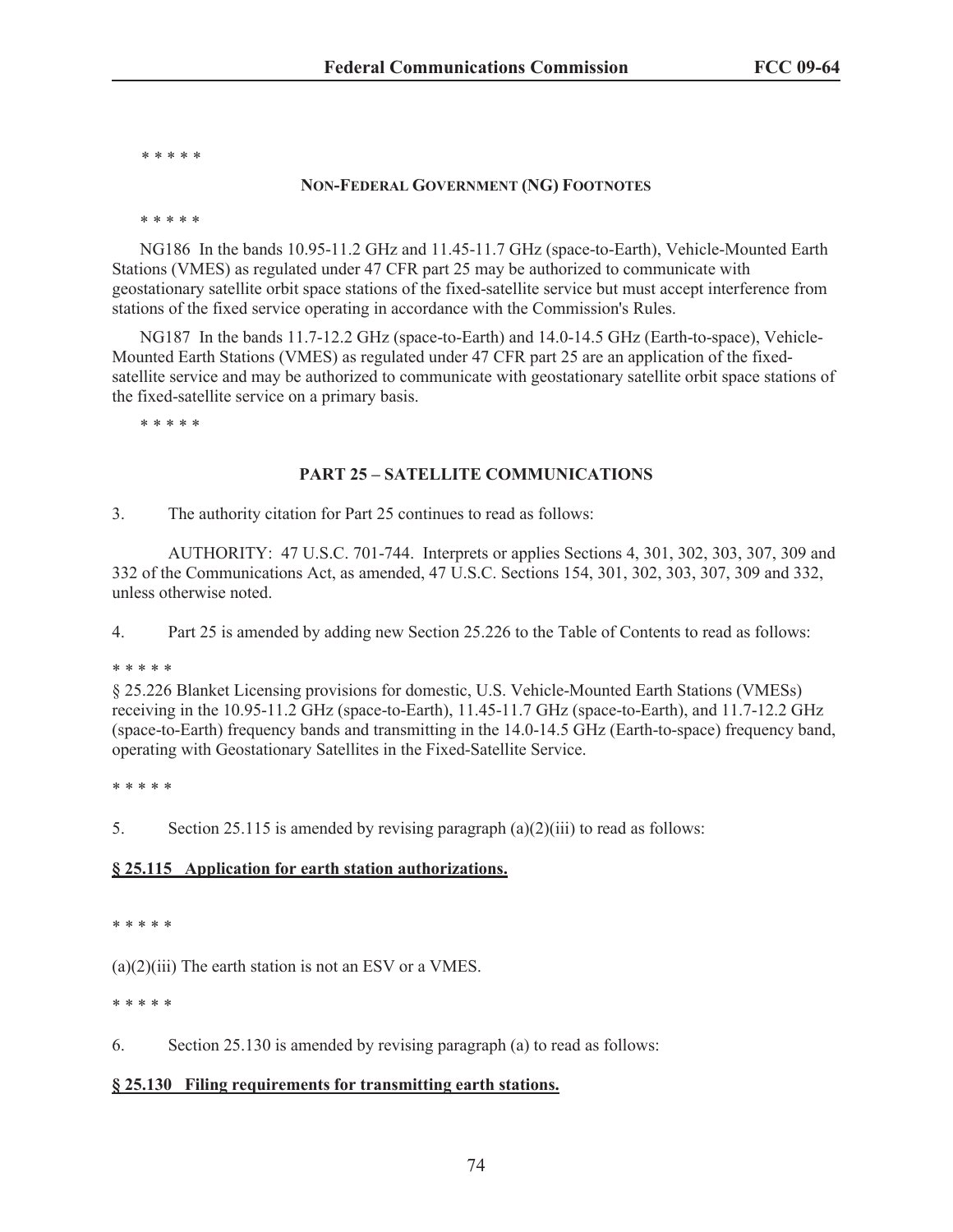\* \* \* \* \*

#### **NON-FEDERAL GOVERNMENT (NG) FOOTNOTES**

\* \* \* \* \*

NG186 In the bands 10.95-11.2 GHz and 11.45-11.7 GHz (space-to-Earth), Vehicle-Mounted Earth Stations (VMES) as regulated under 47 CFR part 25 may be authorized to communicate with geostationary satellite orbit space stations of the fixed-satellite service but must accept interference from stations of the fixed service operating in accordance with the Commission's Rules.

NG187 In the bands 11.7-12.2 GHz (space-to-Earth) and 14.0-14.5 GHz (Earth-to-space), Vehicle-Mounted Earth Stations (VMES) as regulated under 47 CFR part 25 are an application of the fixedsatellite service and may be authorized to communicate with geostationary satellite orbit space stations of the fixed-satellite service on a primary basis.

\* \* \* \* \*

### **PART 25 – SATELLITE COMMUNICATIONS**

3. The authority citation for Part 25 continues to read as follows:

AUTHORITY: 47 U.S.C. 701-744. Interprets or applies Sections 4, 301, 302, 303, 307, 309 and 332 of the Communications Act, as amended, 47 U.S.C. Sections 154, 301, 302, 303, 307, 309 and 332, unless otherwise noted.

4. Part 25 is amended by adding new Section 25.226 to the Table of Contents to read as follows:

\* \* \* \* \*

§ 25.226 Blanket Licensing provisions for domestic, U.S. Vehicle-Mounted Earth Stations (VMESs) receiving in the 10.95-11.2 GHz (space-to-Earth), 11.45-11.7 GHz (space-to-Earth), and 11.7-12.2 GHz (space-to-Earth) frequency bands and transmitting in the 14.0-14.5 GHz (Earth-to-space) frequency band, operating with Geostationary Satellites in the Fixed-Satellite Service.

\* \* \* \* \*

5. Section 25.115 is amended by revising paragraph (a)(2)(iii) to read as follows:

#### **§ 25.115 Application for earth station authorizations.**

\* \* \* \* \*

 $(a)(2)(iii)$  The earth station is not an ESV or a VMES.

\* \* \* \* \*

6. Section 25.130 is amended by revising paragraph (a) to read as follows:

#### **§ 25.130 Filing requirements for transmitting earth stations.**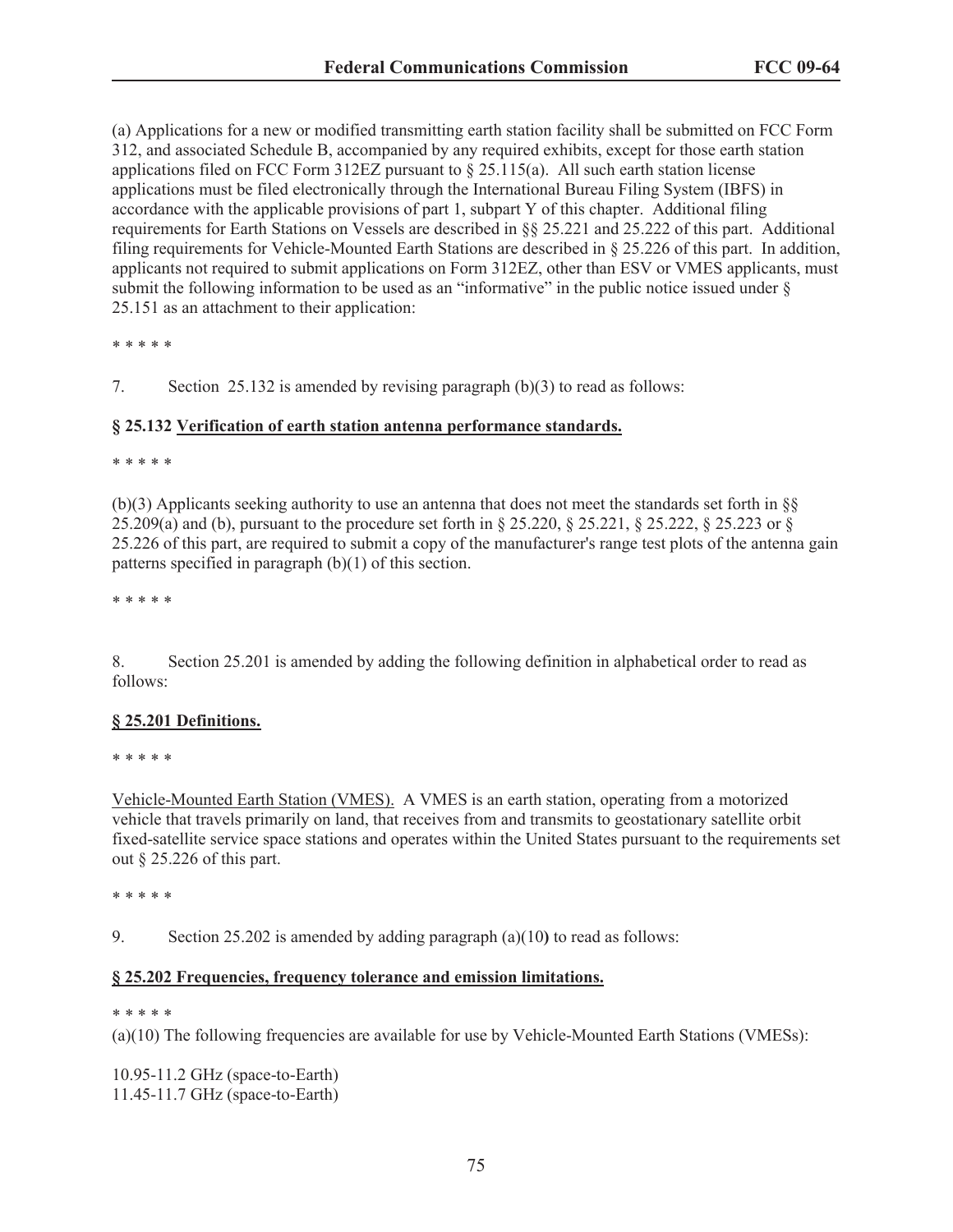(a) Applications for a new or modified transmitting earth station facility shall be submitted on FCC Form 312, and associated Schedule B, accompanied by any required exhibits, except for those earth station applications filed on FCC Form 312EZ pursuant to  $\S 25.115(a)$ . All such earth station license applications must be filed electronically through the International Bureau Filing System (IBFS) in accordance with the applicable provisions of part 1, subpart Y of this chapter. Additional filing requirements for Earth Stations on Vessels are described in §§ 25.221 and 25.222 of this part. Additional filing requirements for Vehicle-Mounted Earth Stations are described in § 25.226 of this part. In addition, applicants not required to submit applications on Form 312EZ, other than ESV or VMES applicants, must submit the following information to be used as an "informative" in the public notice issued under  $\S$ 25.151 as an attachment to their application:

\* \* \* \* \*

7. Section 25.132 is amended by revising paragraph (b)(3) to read as follows:

#### **§ 25.132 Verification of earth station antenna performance standards.**

\* \* \* \* \*

(b)(3) Applicants seeking authority to use an antenna that does not meet the standards set forth in §§ 25.209(a) and (b), pursuant to the procedure set forth in § 25.220, § 25.221, § 25.222, § 25.223 or § 25.226 of this part, are required to submit a copy of the manufacturer's range test plots of the antenna gain patterns specified in paragraph (b)(1) of this section.

\* \* \* \* \*

8. Section 25.201 is amended by adding the following definition in alphabetical order to read as follows:

#### **§ 25.201 Definitions.**

\* \* \* \* \*

Vehicle-Mounted Earth Station (VMES). A VMES is an earth station, operating from a motorized vehicle that travels primarily on land, that receives from and transmits to geostationary satellite orbit fixed-satellite service space stations and operates within the United States pursuant to the requirements set out § 25.226 of this part.

\* \* \* \* \*

9. Section 25.202 is amended by adding paragraph (a)(10**)** to read as follows:

### **§ 25.202 Frequencies, frequency tolerance and emission limitations.**

#### \* \* \* \* \*

(a)(10) The following frequencies are available for use by Vehicle-Mounted Earth Stations (VMESs):

10.95-11.2 GHz (space-to-Earth) 11.45-11.7 GHz (space-to-Earth)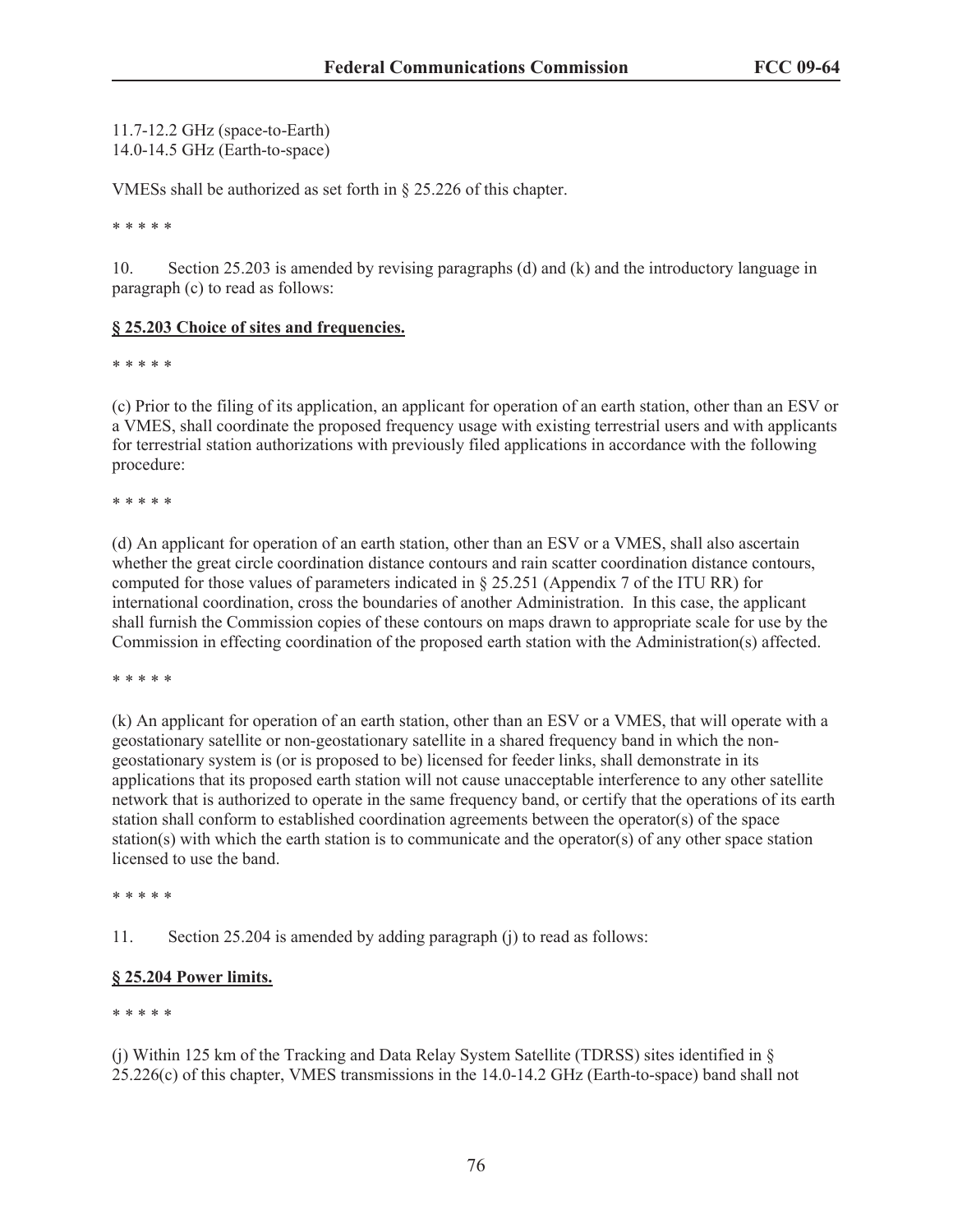11.7-12.2 GHz (space-to-Earth) 14.0-14.5 GHz (Earth-to-space)

VMESs shall be authorized as set forth in § 25.226 of this chapter.

\* \* \* \* \*

10. Section 25.203 is amended by revising paragraphs (d) and (k) and the introductory language in paragraph (c) to read as follows:

### **§ 25.203 Choice of sites and frequencies.**

\* \* \* \* \*

(c) Prior to the filing of its application, an applicant for operation of an earth station, other than an ESV or a VMES, shall coordinate the proposed frequency usage with existing terrestrial users and with applicants for terrestrial station authorizations with previously filed applications in accordance with the following procedure:

\* \* \* \* \*

(d) An applicant for operation of an earth station, other than an ESV or a VMES, shall also ascertain whether the great circle coordination distance contours and rain scatter coordination distance contours, computed for those values of parameters indicated in § 25.251 (Appendix 7 of the ITU RR) for international coordination, cross the boundaries of another Administration. In this case, the applicant shall furnish the Commission copies of these contours on maps drawn to appropriate scale for use by the Commission in effecting coordination of the proposed earth station with the Administration(s) affected.

\* \* \* \* \*

(k) An applicant for operation of an earth station, other than an ESV or a VMES, that will operate with a geostationary satellite or non-geostationary satellite in a shared frequency band in which the nongeostationary system is (or is proposed to be) licensed for feeder links, shall demonstrate in its applications that its proposed earth station will not cause unacceptable interference to any other satellite network that is authorized to operate in the same frequency band, or certify that the operations of its earth station shall conform to established coordination agreements between the operator(s) of the space station(s) with which the earth station is to communicate and the operator(s) of any other space station licensed to use the band.

\* \* \* \* \*

11. Section 25.204 is amended by adding paragraph (j) to read as follows:

# **§ 25.204 Power limits.**

\* \* \* \* \*

(j) Within 125 km of the Tracking and Data Relay System Satellite (TDRSS) sites identified in §  $25.226(c)$  of this chapter, VMES transmissions in the 14.0-14.2 GHz (Earth-to-space) band shall not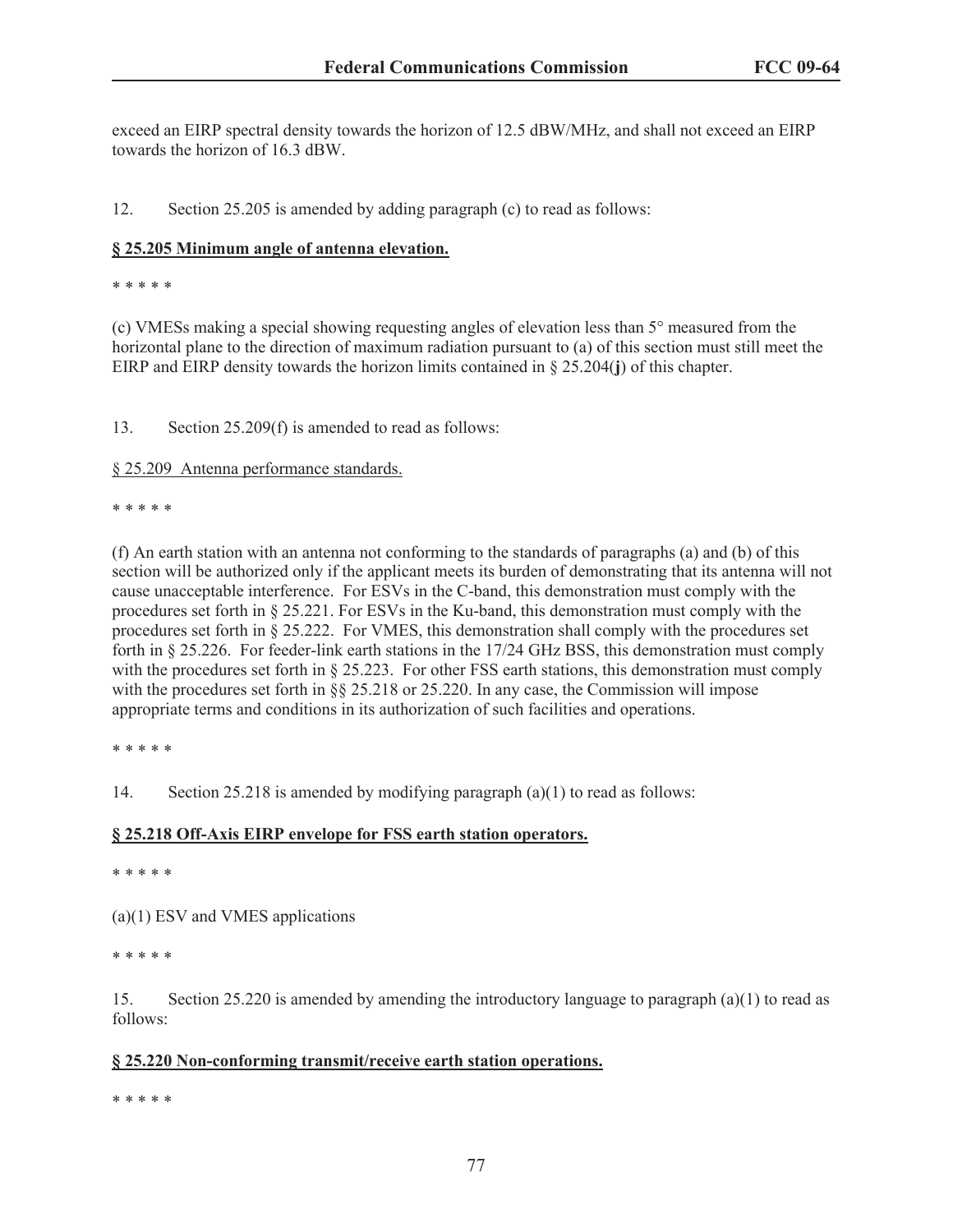exceed an EIRP spectral density towards the horizon of 12.5 dBW/MHz, and shall not exceed an EIRP towards the horizon of 16.3 dBW.

12. Section 25.205 is amended by adding paragraph (c) to read as follows:

### **§ 25.205 Minimum angle of antenna elevation.**

\* \* \* \* \*

(c) VMESs making a special showing requesting angles of elevation less than 5° measured from the horizontal plane to the direction of maximum radiation pursuant to (a) of this section must still meet the EIRP and EIRP density towards the horizon limits contained in § 25.204(**j**) of this chapter.

13. Section 25.209(f) is amended to read as follows:

§ 25.209 Antenna performance standards.

\* \* \* \* \*

(f) An earth station with an antenna not conforming to the standards of paragraphs (a) and (b) of this section will be authorized only if the applicant meets its burden of demonstrating that its antenna will not cause unacceptable interference. For ESVs in the C-band, this demonstration must comply with the procedures set forth in § 25.221. For ESVs in the Ku-band, this demonstration must comply with the procedures set forth in § 25.222. For VMES, this demonstration shall comply with the procedures set forth in § 25.226. For feeder-link earth stations in the 17/24 GHz BSS, this demonstration must comply with the procedures set forth in § 25.223. For other FSS earth stations, this demonstration must comply with the procedures set forth in §§ 25.218 or 25.220. In any case, the Commission will impose appropriate terms and conditions in its authorization of such facilities and operations.

\* \* \* \* \*

14. Section 25.218 is amended by modifying paragraph (a)(1) to read as follows:

#### **§ 25.218 Off-Axis EIRP envelope for FSS earth station operators.**

\* \* \* \* \*

(a)(1) ESV and VMES applications

\* \* \* \* \*

15. Section 25.220 is amended by amending the introductory language to paragraph (a)(1) to read as follows:

# **§ 25.220 Non-conforming transmit/receive earth station operations.**

\* \* \* \* \*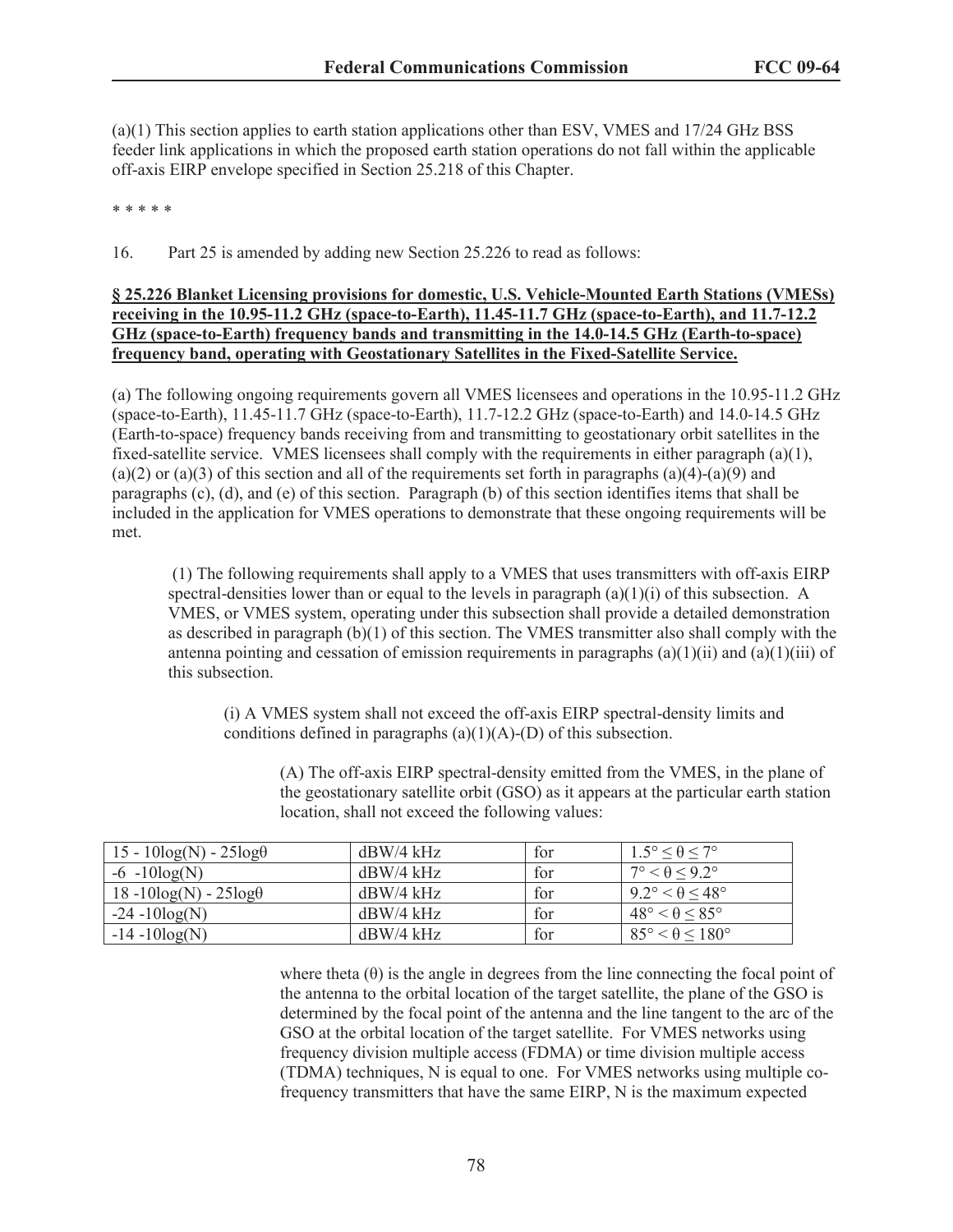(a)(1) This section applies to earth station applications other than ESV, VMES and 17/24 GHz BSS feeder link applications in which the proposed earth station operations do not fall within the applicable off-axis EIRP envelope specified in Section 25.218 of this Chapter.

#### \* \* \* \* \*

16. Part 25 is amended by adding new Section 25.226 to read as follows:

### **§ 25.226 Blanket Licensing provisions for domestic, U.S. Vehicle-Mounted Earth Stations (VMESs) receiving in the 10.95-11.2 GHz (space-to-Earth), 11.45-11.7 GHz (space-to-Earth), and 11.7-12.2 GHz (space-to-Earth) frequency bands and transmitting in the 14.0-14.5 GHz (Earth-to-space) frequency band, operating with Geostationary Satellites in the Fixed-Satellite Service.**

(a) The following ongoing requirements govern all VMES licensees and operations in the 10.95-11.2 GHz (space-to-Earth), 11.45-11.7 GHz (space-to-Earth), 11.7-12.2 GHz (space-to-Earth) and 14.0-14.5 GHz (Earth-to-space) frequency bands receiving from and transmitting to geostationary orbit satellites in the fixed-satellite service. VMES licensees shall comply with the requirements in either paragraph (a)(1), (a)(2) or (a)(3) of this section and all of the requirements set forth in paragraphs (a)(4)-(a)(9) and paragraphs (c), (d), and (e) of this section. Paragraph (b) of this section identifies items that shall be included in the application for VMES operations to demonstrate that these ongoing requirements will be met.

(1) The following requirements shall apply to a VMES that uses transmitters with off-axis EIRP spectral-densities lower than or equal to the levels in paragraph  $(a)(1)(i)$  of this subsection. A VMES, or VMES system, operating under this subsection shall provide a detailed demonstration as described in paragraph (b)(1) of this section. The VMES transmitter also shall comply with the antenna pointing and cessation of emission requirements in paragraphs (a)(1)(ii) and (a)(1)(iii) of this subsection.

(i) A VMES system shall not exceed the off-axis EIRP spectral-density limits and conditions defined in paragraphs  $(a)(1)(A)$ -(D) of this subsection.

> (A) The off-axis EIRP spectral-density emitted from the VMES, in the plane of the geostationary satellite orbit (GSO) as it appears at the particular earth station location, shall not exceed the following values:

| $15 - 10\log(N) - 25\log(\theta)$ | $dBW/4$ kHz | for | $1.5^\circ \leq \theta \leq 7^\circ$   |
|-----------------------------------|-------------|-----|----------------------------------------|
| $-6 - 10\log(N)$                  | $dBW/4$ kHz | for | $7^{\circ} < \theta < 9.2^{\circ}$     |
| $18 - 10\log(N) - 25\log\theta$   | $dBW/4$ kHz | for | $92^{\circ} < \theta < 48^{\circ}$     |
| $-24 - 10\log(N)$                 | $dBW/4$ kHz | for | $48^{\circ} < \theta < 85^{\circ}$     |
| $-14 - 10\log(N)$                 | $dBW/4$ kHz | for | $85^{\circ} < \theta \leq 180^{\circ}$ |

where theta  $(\theta)$  is the angle in degrees from the line connecting the focal point of the antenna to the orbital location of the target satellite, the plane of the GSO is determined by the focal point of the antenna and the line tangent to the arc of the GSO at the orbital location of the target satellite. For VMES networks using frequency division multiple access (FDMA) or time division multiple access (TDMA) techniques, N is equal to one. For VMES networks using multiple cofrequency transmitters that have the same EIRP, N is the maximum expected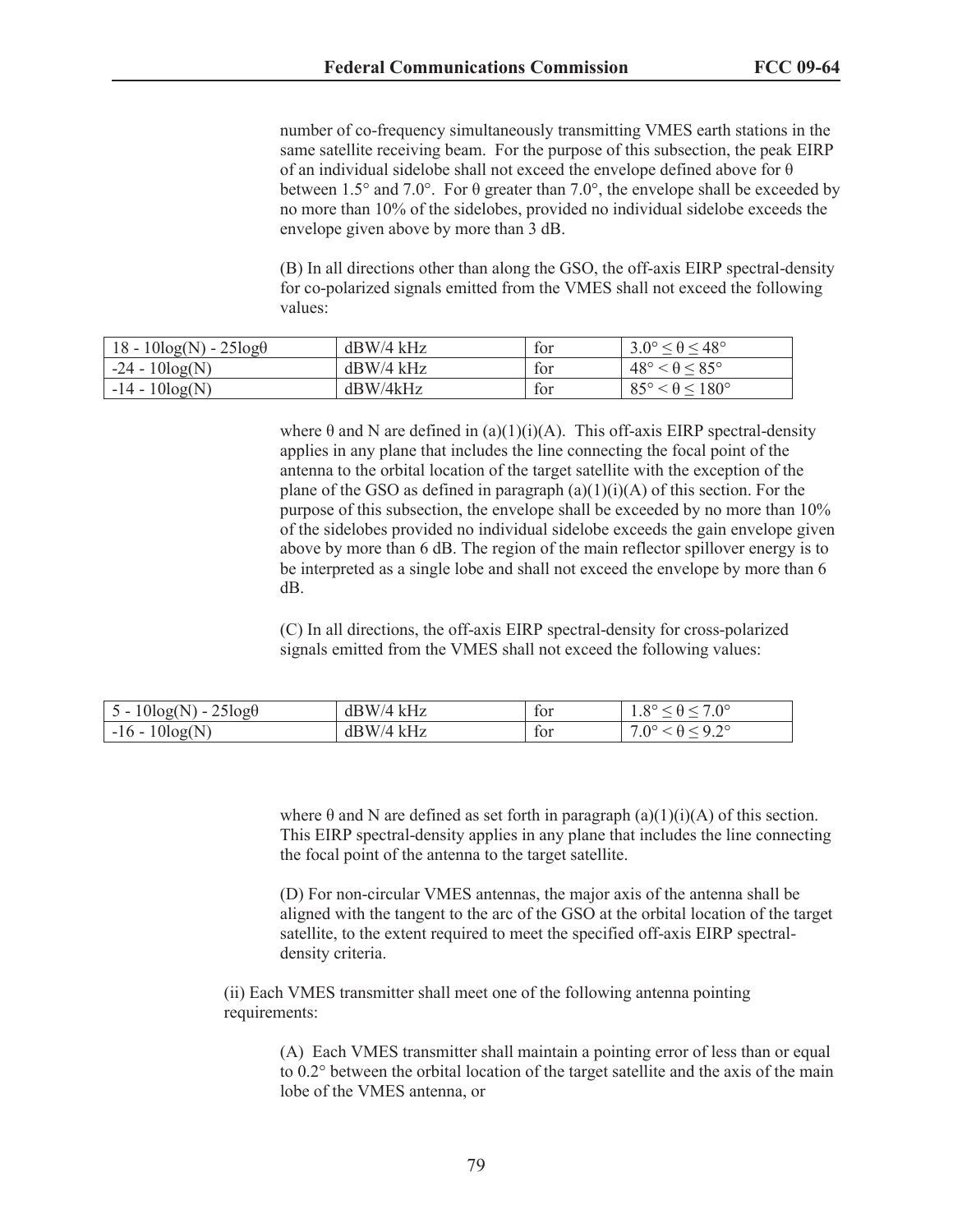number of co-frequency simultaneously transmitting VMES earth stations in the same satellite receiving beam. For the purpose of this subsection, the peak EIRP of an individual sidelobe shall not exceed the envelope defined above for θ between 1.5° and 7.0°. For  $\theta$  greater than 7.0°, the envelope shall be exceeded by no more than 10% of the sidelobes, provided no individual sidelobe exceeds the envelope given above by more than 3 dB.

(B) In all directions other than along the GSO, the off-axis EIRP spectral-density for co-polarized signals emitted from the VMES shall not exceed the following values:

| $18 - 10\log(N) - 25\log(\theta)$ | $dBW/4$ kHz | tor | $3.0^\circ \leq \theta \leq 48^\circ$  |
|-----------------------------------|-------------|-----|----------------------------------------|
| $-24 - 10\log(N)$                 | $dBW/4$ kHz | tor | $48^\circ < \theta \leq 85^\circ$      |
| $-14 - 10\log(N)$                 | dBW/4kHz    | tor | $85^{\circ} < \theta \leq 180^{\circ}$ |

where  $\theta$  and N are defined in (a)(1)(i)(A). This off-axis EIRP spectral-density applies in any plane that includes the line connecting the focal point of the antenna to the orbital location of the target satellite with the exception of the plane of the GSO as defined in paragraph  $(a)(1)(i)(A)$  of this section. For the purpose of this subsection, the envelope shall be exceeded by no more than 10% of the sidelobes provided no individual sidelobe exceeds the gain envelope given above by more than 6 dB. The region of the main reflector spillover energy is to be interpreted as a single lobe and shall not exceed the envelope by more than 6 dB.

(C) In all directions, the off-axis EIRP spectral-density for cross-polarized signals emitted from the VMES shall not exceed the following values:

| $25\log\theta$<br>$5 - 10\log(N) - 2$ | $dBW/4$ kHz | tor | $\circ$<br>700<br>1.0 |
|---------------------------------------|-------------|-----|-----------------------|
| $10\log(N)$<br>$-16 -$ <sup>2</sup>   | $dBW/4$ kHz | tor | $\Omega^{\circ}$<br>U |

where  $\theta$  and N are defined as set forth in paragraph (a)(1)(i)(A) of this section. This EIRP spectral-density applies in any plane that includes the line connecting the focal point of the antenna to the target satellite.

(D) For non-circular VMES antennas, the major axis of the antenna shall be aligned with the tangent to the arc of the GSO at the orbital location of the target satellite, to the extent required to meet the specified off-axis EIRP spectraldensity criteria.

(ii) Each VMES transmitter shall meet one of the following antenna pointing requirements:

> (A) Each VMES transmitter shall maintain a pointing error of less than or equal to 0.2° between the orbital location of the target satellite and the axis of the main lobe of the VMES antenna, or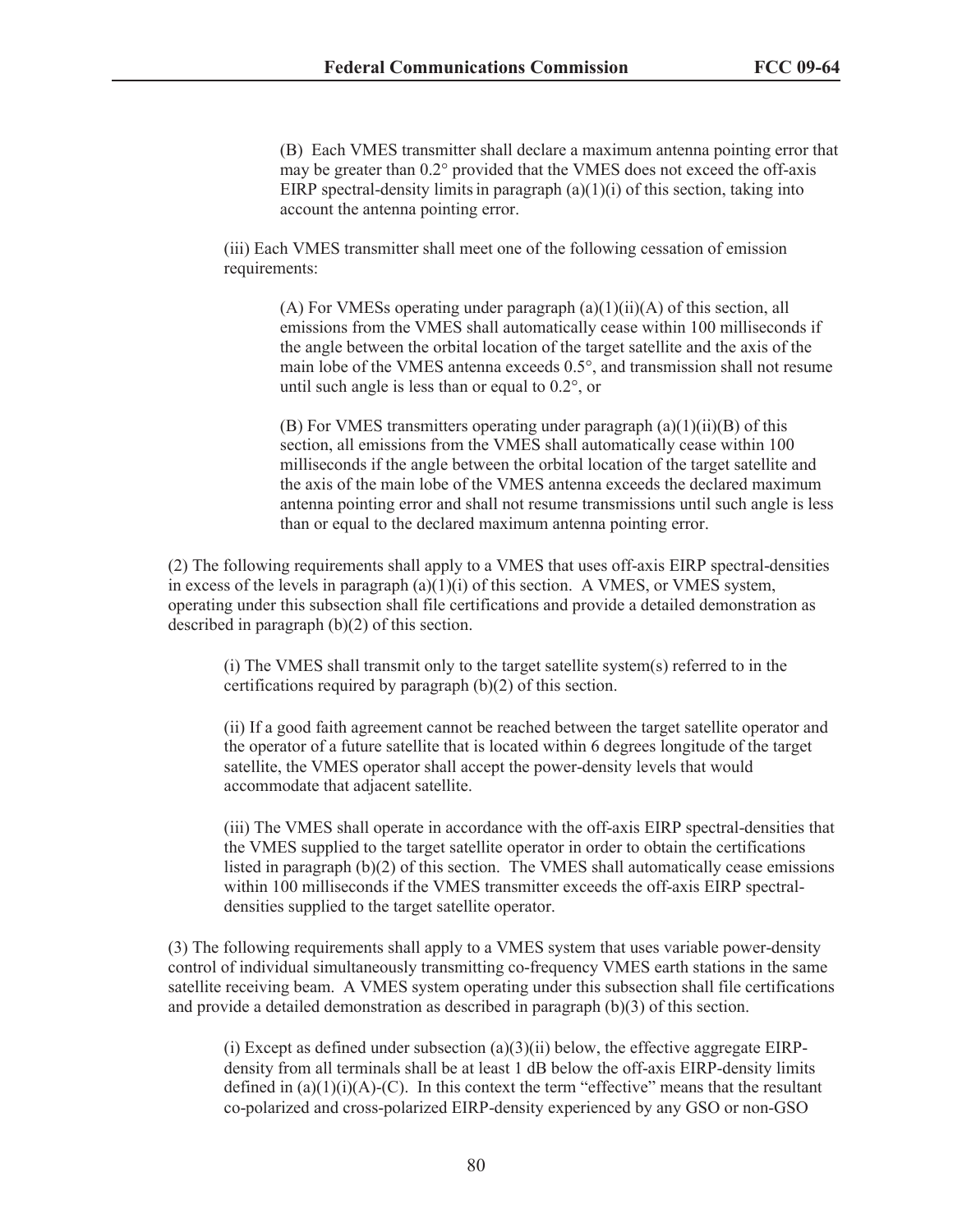(B) Each VMES transmitter shall declare a maximum antenna pointing error that may be greater than 0.2° provided that the VMES does not exceed the off-axis EIRP spectral-density limits in paragraph  $(a)(1)(i)$  of this section, taking into account the antenna pointing error.

(iii) Each VMES transmitter shall meet one of the following cessation of emission requirements:

(A) For VMESs operating under paragraph  $(a)(1)(ii)(A)$  of this section, all emissions from the VMES shall automatically cease within 100 milliseconds if the angle between the orbital location of the target satellite and the axis of the main lobe of the VMES antenna exceeds 0.5°, and transmission shall not resume until such angle is less than or equal to 0.2°, or

(B) For VMES transmitters operating under paragraph  $(a)(1)(ii)(B)$  of this section, all emissions from the VMES shall automatically cease within 100 milliseconds if the angle between the orbital location of the target satellite and the axis of the main lobe of the VMES antenna exceeds the declared maximum antenna pointing error and shall not resume transmissions until such angle is less than or equal to the declared maximum antenna pointing error.

(2) The following requirements shall apply to a VMES that uses off-axis EIRP spectral-densities in excess of the levels in paragraph  $(a)(1)(i)$  of this section. A VMES, or VMES system, operating under this subsection shall file certifications and provide a detailed demonstration as described in paragraph (b)(2) of this section.

(i) The VMES shall transmit only to the target satellite system(s) referred to in the certifications required by paragraph (b)(2) of this section.

(ii) If a good faith agreement cannot be reached between the target satellite operator and the operator of a future satellite that is located within 6 degrees longitude of the target satellite, the VMES operator shall accept the power-density levels that would accommodate that adjacent satellite.

(iii) The VMES shall operate in accordance with the off-axis EIRP spectral-densities that the VMES supplied to the target satellite operator in order to obtain the certifications listed in paragraph (b)(2) of this section. The VMES shall automatically cease emissions within 100 milliseconds if the VMES transmitter exceeds the off-axis EIRP spectraldensities supplied to the target satellite operator.

(3) The following requirements shall apply to a VMES system that uses variable power-density control of individual simultaneously transmitting co-frequency VMES earth stations in the same satellite receiving beam. A VMES system operating under this subsection shall file certifications and provide a detailed demonstration as described in paragraph (b)(3) of this section.

(i) Except as defined under subsection  $(a)(3)(ii)$  below, the effective aggregate EIRPdensity from all terminals shall be at least 1 dB below the off-axis EIRP-density limits defined in  $(a)(1)(i)(A)-(C)$ . In this context the term "effective" means that the resultant co-polarized and cross-polarized EIRP-density experienced by any GSO or non-GSO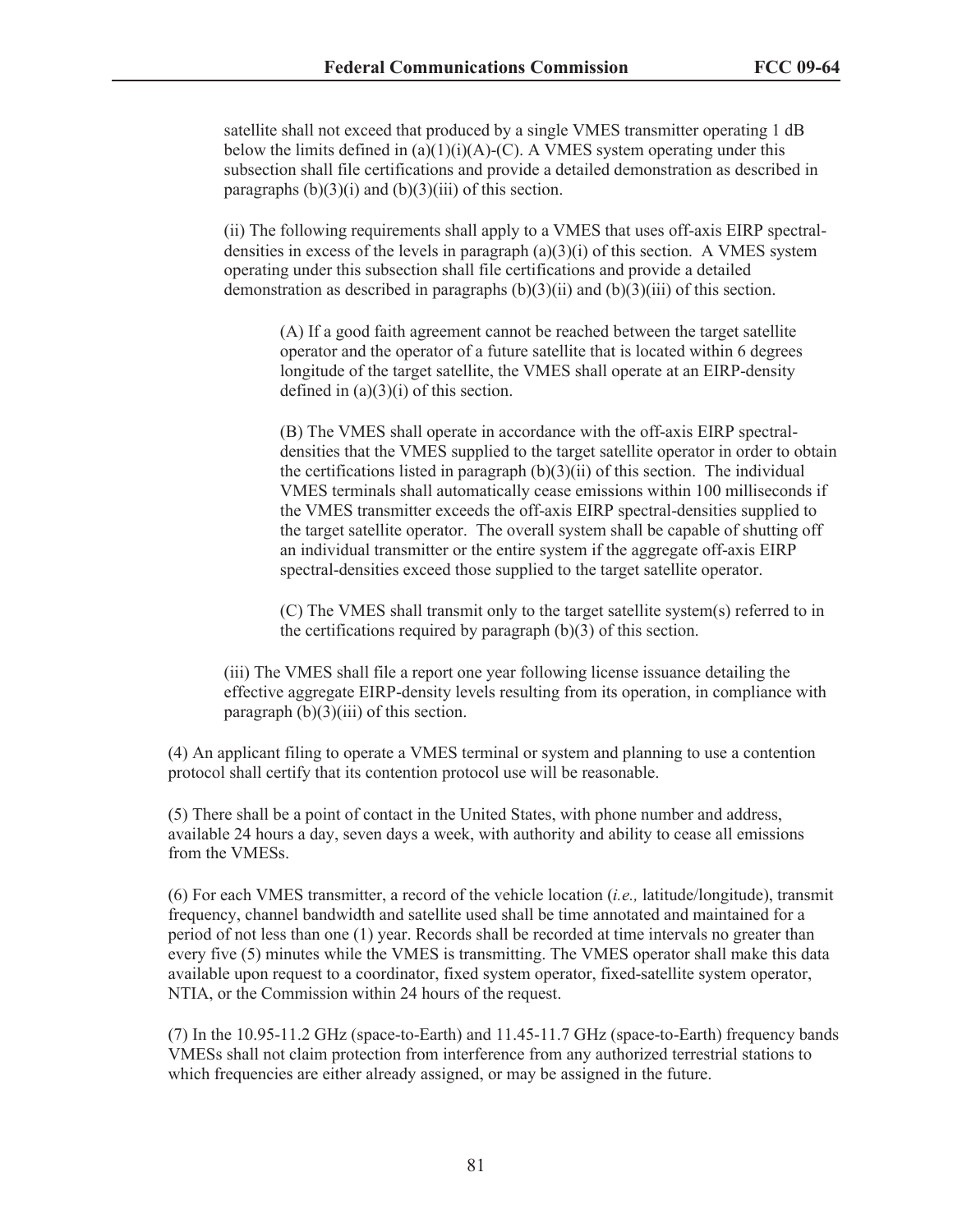satellite shall not exceed that produced by a single VMES transmitter operating 1 dB below the limits defined in  $(a)(1)(i)(A)-(C)$ . A VMES system operating under this subsection shall file certifications and provide a detailed demonstration as described in paragraphs  $(b)(3)(i)$  and  $(b)(3)(iii)$  of this section.

(ii) The following requirements shall apply to a VMES that uses off-axis EIRP spectraldensities in excess of the levels in paragraph  $(a)(3)(i)$  of this section. A VMES system operating under this subsection shall file certifications and provide a detailed demonstration as described in paragraphs  $(b)(3)(ii)$  and  $(b)(3)(iii)$  of this section.

(A) If a good faith agreement cannot be reached between the target satellite operator and the operator of a future satellite that is located within 6 degrees longitude of the target satellite, the VMES shall operate at an EIRP-density defined in  $(a)(3)(i)$  of this section.

(B) The VMES shall operate in accordance with the off-axis EIRP spectraldensities that the VMES supplied to the target satellite operator in order to obtain the certifications listed in paragraph  $(b)(3)(ii)$  of this section. The individual VMES terminals shall automatically cease emissions within 100 milliseconds if the VMES transmitter exceeds the off-axis EIRP spectral-densities supplied to the target satellite operator. The overall system shall be capable of shutting off an individual transmitter or the entire system if the aggregate off-axis EIRP spectral-densities exceed those supplied to the target satellite operator.

(C) The VMES shall transmit only to the target satellite system(s) referred to in the certifications required by paragraph (b)(3) of this section.

(iii) The VMES shall file a report one year following license issuance detailing the effective aggregate EIRP-density levels resulting from its operation, in compliance with paragraph  $(b)(3)(iii)$  of this section.

(4) An applicant filing to operate a VMES terminal or system and planning to use a contention protocol shall certify that its contention protocol use will be reasonable.

(5) There shall be a point of contact in the United States, with phone number and address, available 24 hours a day, seven days a week, with authority and ability to cease all emissions from the VMESs.

(6) For each VMES transmitter, a record of the vehicle location (*i.e.,* latitude/longitude), transmit frequency, channel bandwidth and satellite used shall be time annotated and maintained for a period of not less than one (1) year. Records shall be recorded at time intervals no greater than every five (5) minutes while the VMES is transmitting. The VMES operator shall make this data available upon request to a coordinator, fixed system operator, fixed-satellite system operator, NTIA, or the Commission within 24 hours of the request.

(7) In the 10.95-11.2 GHz (space-to-Earth) and 11.45-11.7 GHz (space-to-Earth) frequency bands VMESs shall not claim protection from interference from any authorized terrestrial stations to which frequencies are either already assigned, or may be assigned in the future.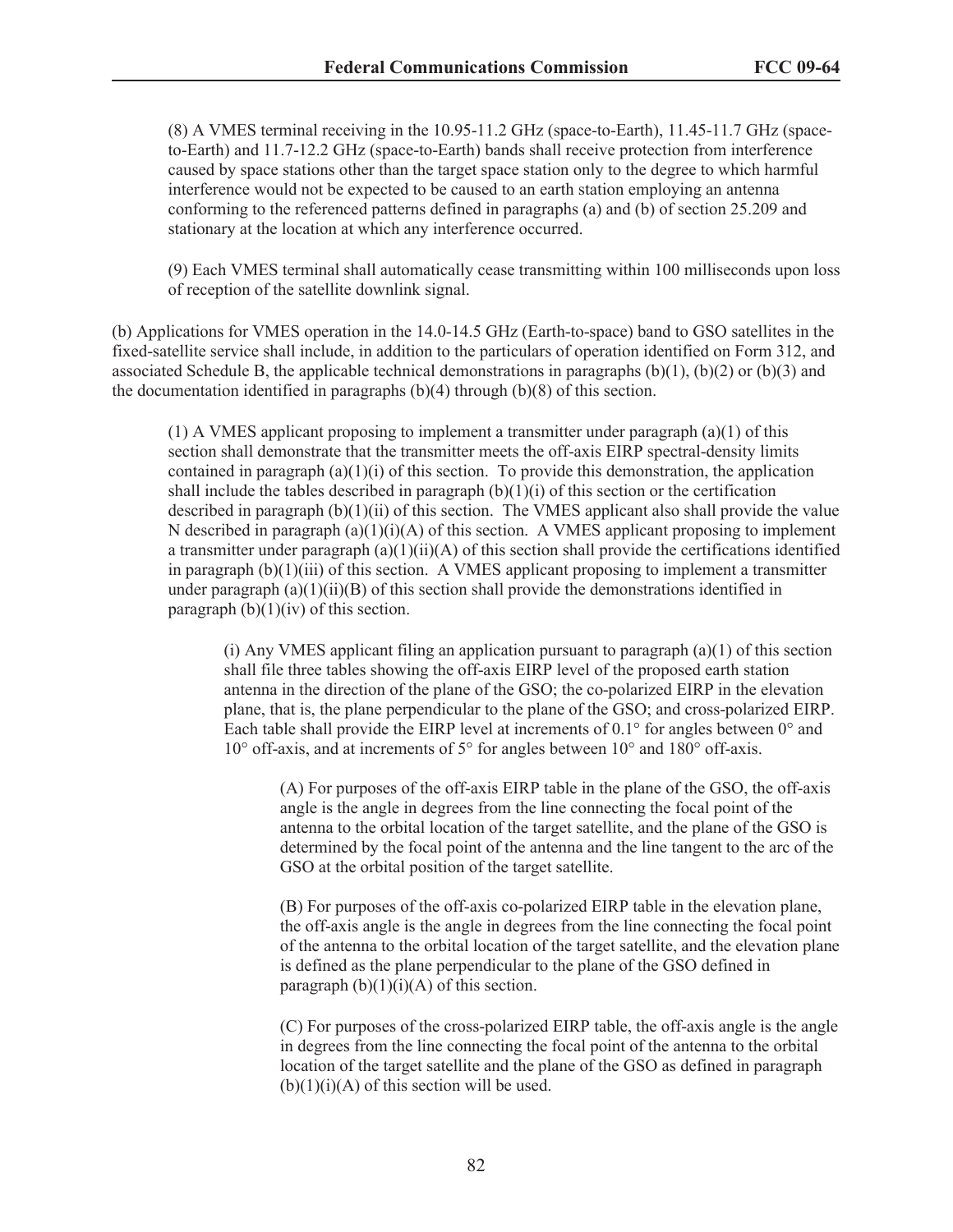(8) A VMES terminal receiving in the 10.95-11.2 GHz (space-to-Earth), 11.45-11.7 GHz (spaceto-Earth) and 11.7-12.2 GHz (space-to-Earth) bands shall receive protection from interference caused by space stations other than the target space station only to the degree to which harmful interference would not be expected to be caused to an earth station employing an antenna conforming to the referenced patterns defined in paragraphs (a) and (b) of section 25.209 and stationary at the location at which any interference occurred.

(9) Each VMES terminal shall automatically cease transmitting within 100 milliseconds upon loss of reception of the satellite downlink signal.

(b) Applications for VMES operation in the 14.0-14.5 GHz (Earth-to-space) band to GSO satellites in the fixed-satellite service shall include, in addition to the particulars of operation identified on Form 312, and associated Schedule B, the applicable technical demonstrations in paragraphs  $(b)(1)$ ,  $(b)(2)$  or  $(b)(3)$  and the documentation identified in paragraphs  $(b)(4)$  through  $(b)(8)$  of this section.

 $(1)$  A VMES applicant proposing to implement a transmitter under paragraph  $(a)(1)$  of this section shall demonstrate that the transmitter meets the off-axis EIRP spectral-density limits contained in paragraph  $(a)(1)(i)$  of this section. To provide this demonstration, the application shall include the tables described in paragraph  $(b)(1)(i)$  of this section or the certification described in paragraph (b)(1)(ii) of this section. The VMES applicant also shall provide the value N described in paragraph  $(a)(1)(i)(A)$  of this section. A VMES applicant proposing to implement a transmitter under paragraph  $(a)(1)(ii)(A)$  of this section shall provide the certifications identified in paragraph  $(b)(1)(iii)$  of this section. A VMES applicant proposing to implement a transmitter under paragraph  $(a)(1)(ii)(B)$  of this section shall provide the demonstrations identified in paragraph  $(b)(1)(iv)$  of this section.

(i) Any VMES applicant filing an application pursuant to paragraph  $(a)(1)$  of this section shall file three tables showing the off-axis EIRP level of the proposed earth station antenna in the direction of the plane of the GSO; the co-polarized EIRP in the elevation plane, that is, the plane perpendicular to the plane of the GSO; and cross-polarized EIRP. Each table shall provide the EIRP level at increments of  $0.1^{\circ}$  for angles between  $0^{\circ}$  and 10° off-axis, and at increments of 5° for angles between 10° and 180° off-axis.

(A) For purposes of the off-axis EIRP table in the plane of the GSO, the off-axis angle is the angle in degrees from the line connecting the focal point of the antenna to the orbital location of the target satellite, and the plane of the GSO is determined by the focal point of the antenna and the line tangent to the arc of the GSO at the orbital position of the target satellite.

(B) For purposes of the off-axis co-polarized EIRP table in the elevation plane, the off-axis angle is the angle in degrees from the line connecting the focal point of the antenna to the orbital location of the target satellite, and the elevation plane is defined as the plane perpendicular to the plane of the GSO defined in paragraph  $(b)(1)(i)(A)$  of this section.

(C) For purposes of the cross-polarized EIRP table, the off-axis angle is the angle in degrees from the line connecting the focal point of the antenna to the orbital location of the target satellite and the plane of the GSO as defined in paragraph  $(b)(1)(i)(A)$  of this section will be used.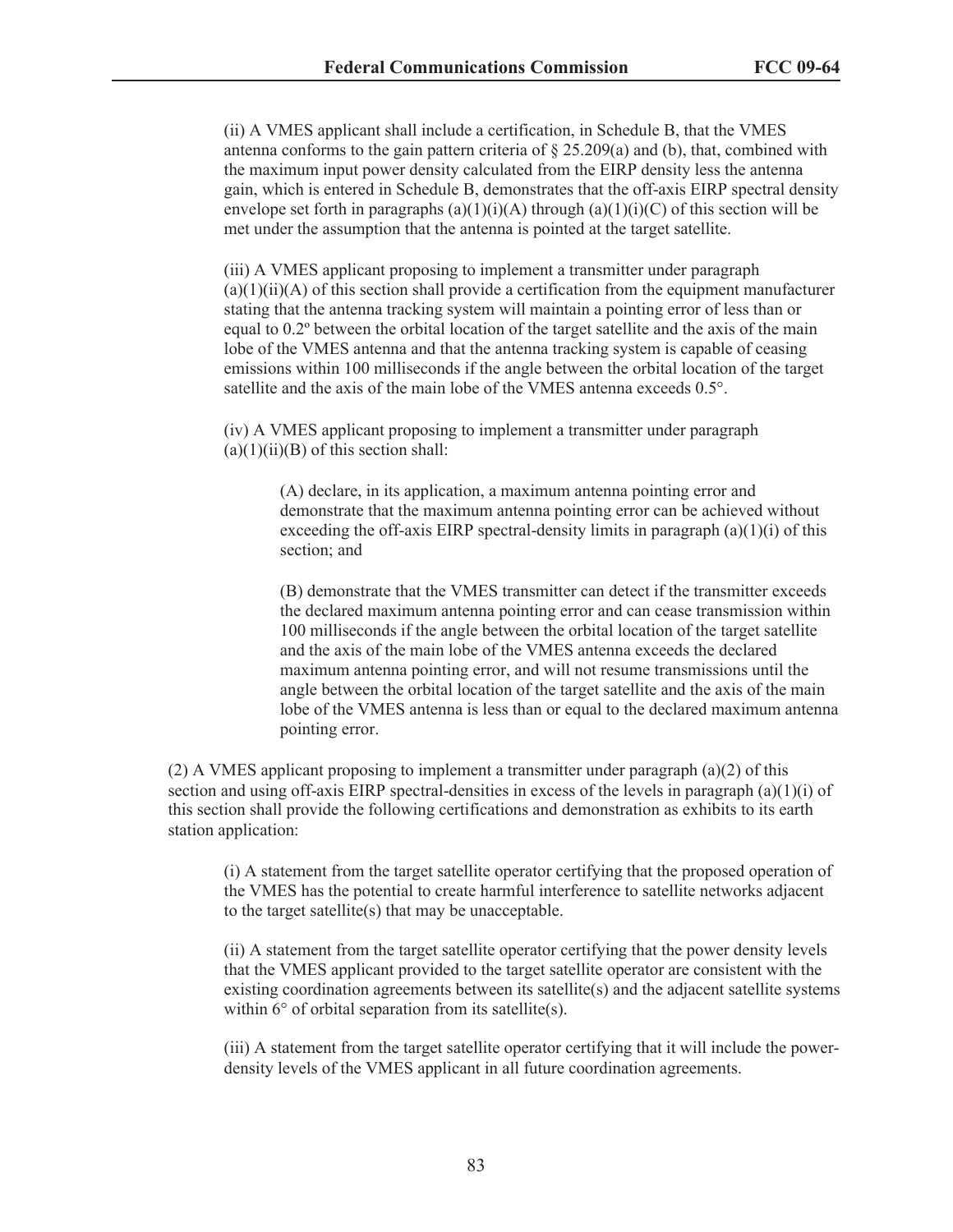(ii) A VMES applicant shall include a certification, in Schedule B, that the VMES antenna conforms to the gain pattern criteria of  $\S 25.209(a)$  and (b), that, combined with the maximum input power density calculated from the EIRP density less the antenna gain, which is entered in Schedule B, demonstrates that the off-axis EIRP spectral density envelope set forth in paragraphs (a)(1)(i)(A) through (a)(1)(i)(C) of this section will be met under the assumption that the antenna is pointed at the target satellite.

(iii) A VMES applicant proposing to implement a transmitter under paragraph  $(a)(1)(ii)(A)$  of this section shall provide a certification from the equipment manufacturer stating that the antenna tracking system will maintain a pointing error of less than or equal to 0.2º between the orbital location of the target satellite and the axis of the main lobe of the VMES antenna and that the antenna tracking system is capable of ceasing emissions within 100 milliseconds if the angle between the orbital location of the target satellite and the axis of the main lobe of the VMES antenna exceeds 0.5°.

(iv) A VMES applicant proposing to implement a transmitter under paragraph  $(a)(1)(ii)(B)$  of this section shall:

> (A) declare, in its application, a maximum antenna pointing error and demonstrate that the maximum antenna pointing error can be achieved without exceeding the off-axis EIRP spectral-density limits in paragraph  $(a)(1)(i)$  of this section; and

(B) demonstrate that the VMES transmitter can detect if the transmitter exceeds the declared maximum antenna pointing error and can cease transmission within 100 milliseconds if the angle between the orbital location of the target satellite and the axis of the main lobe of the VMES antenna exceeds the declared maximum antenna pointing error, and will not resume transmissions until the angle between the orbital location of the target satellite and the axis of the main lobe of the VMES antenna is less than or equal to the declared maximum antenna pointing error.

(2) A VMES applicant proposing to implement a transmitter under paragraph  $(a)(2)$  of this section and using off-axis EIRP spectral-densities in excess of the levels in paragraph (a)(1)(i) of this section shall provide the following certifications and demonstration as exhibits to its earth station application:

(i) A statement from the target satellite operator certifying that the proposed operation of the VMES has the potential to create harmful interference to satellite networks adjacent to the target satellite(s) that may be unacceptable.

(ii) A statement from the target satellite operator certifying that the power density levels that the VMES applicant provided to the target satellite operator are consistent with the existing coordination agreements between its satellite $(s)$  and the adjacent satellite systems within 6° of orbital separation from its satellite(s).

(iii) A statement from the target satellite operator certifying that it will include the powerdensity levels of the VMES applicant in all future coordination agreements.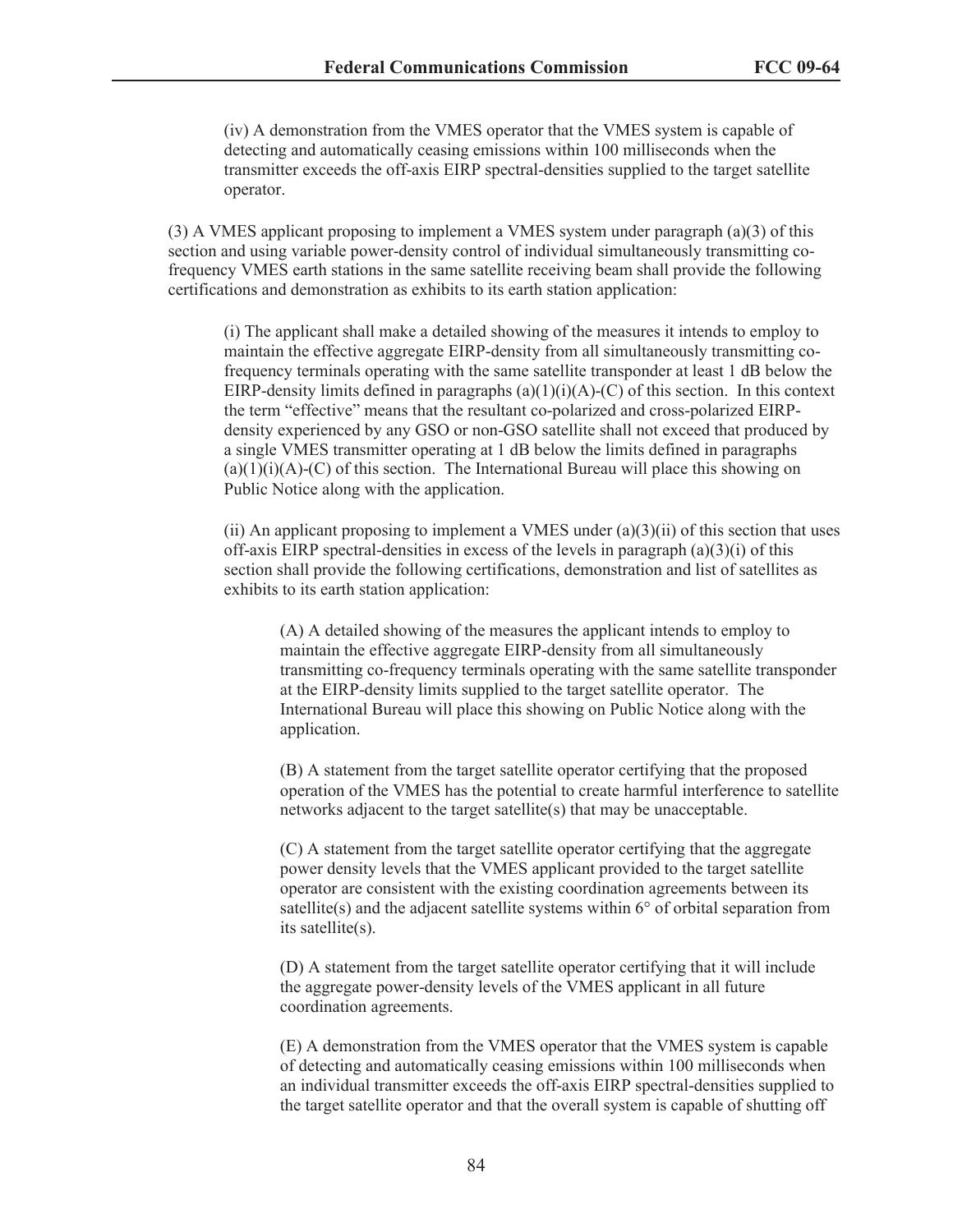(iv) A demonstration from the VMES operator that the VMES system is capable of detecting and automatically ceasing emissions within 100 milliseconds when the transmitter exceeds the off-axis EIRP spectral-densities supplied to the target satellite operator.

(3) A VMES applicant proposing to implement a VMES system under paragraph (a)(3) of this section and using variable power-density control of individual simultaneously transmitting cofrequency VMES earth stations in the same satellite receiving beam shall provide the following certifications and demonstration as exhibits to its earth station application:

(i) The applicant shall make a detailed showing of the measures it intends to employ to maintain the effective aggregate EIRP-density from all simultaneously transmitting cofrequency terminals operating with the same satellite transponder at least 1 dB below the EIRP-density limits defined in paragraphs  $(a)(1)(i)(A)-(C)$  of this section. In this context the term "effective" means that the resultant co-polarized and cross-polarized EIRPdensity experienced by any GSO or non-GSO satellite shall not exceed that produced by a single VMES transmitter operating at 1 dB below the limits defined in paragraphs  $(a)(1)(i)(A)-(C)$  of this section. The International Bureau will place this showing on Public Notice along with the application.

(ii) An applicant proposing to implement a VMES under  $(a)(3)(ii)$  of this section that uses off-axis EIRP spectral-densities in excess of the levels in paragraph (a)(3)(i) of this section shall provide the following certifications, demonstration and list of satellites as exhibits to its earth station application:

(A) A detailed showing of the measures the applicant intends to employ to maintain the effective aggregate EIRP-density from all simultaneously transmitting co-frequency terminals operating with the same satellite transponder at the EIRP-density limits supplied to the target satellite operator. The International Bureau will place this showing on Public Notice along with the application.

(B) A statement from the target satellite operator certifying that the proposed operation of the VMES has the potential to create harmful interference to satellite networks adjacent to the target satellite(s) that may be unacceptable.

(C) A statement from the target satellite operator certifying that the aggregate power density levels that the VMES applicant provided to the target satellite operator are consistent with the existing coordination agreements between its satellite(s) and the adjacent satellite systems within 6° of orbital separation from its satellite(s).

(D) A statement from the target satellite operator certifying that it will include the aggregate power-density levels of the VMES applicant in all future coordination agreements.

(E) A demonstration from the VMES operator that the VMES system is capable of detecting and automatically ceasing emissions within 100 milliseconds when an individual transmitter exceeds the off-axis EIRP spectral-densities supplied to the target satellite operator and that the overall system is capable of shutting off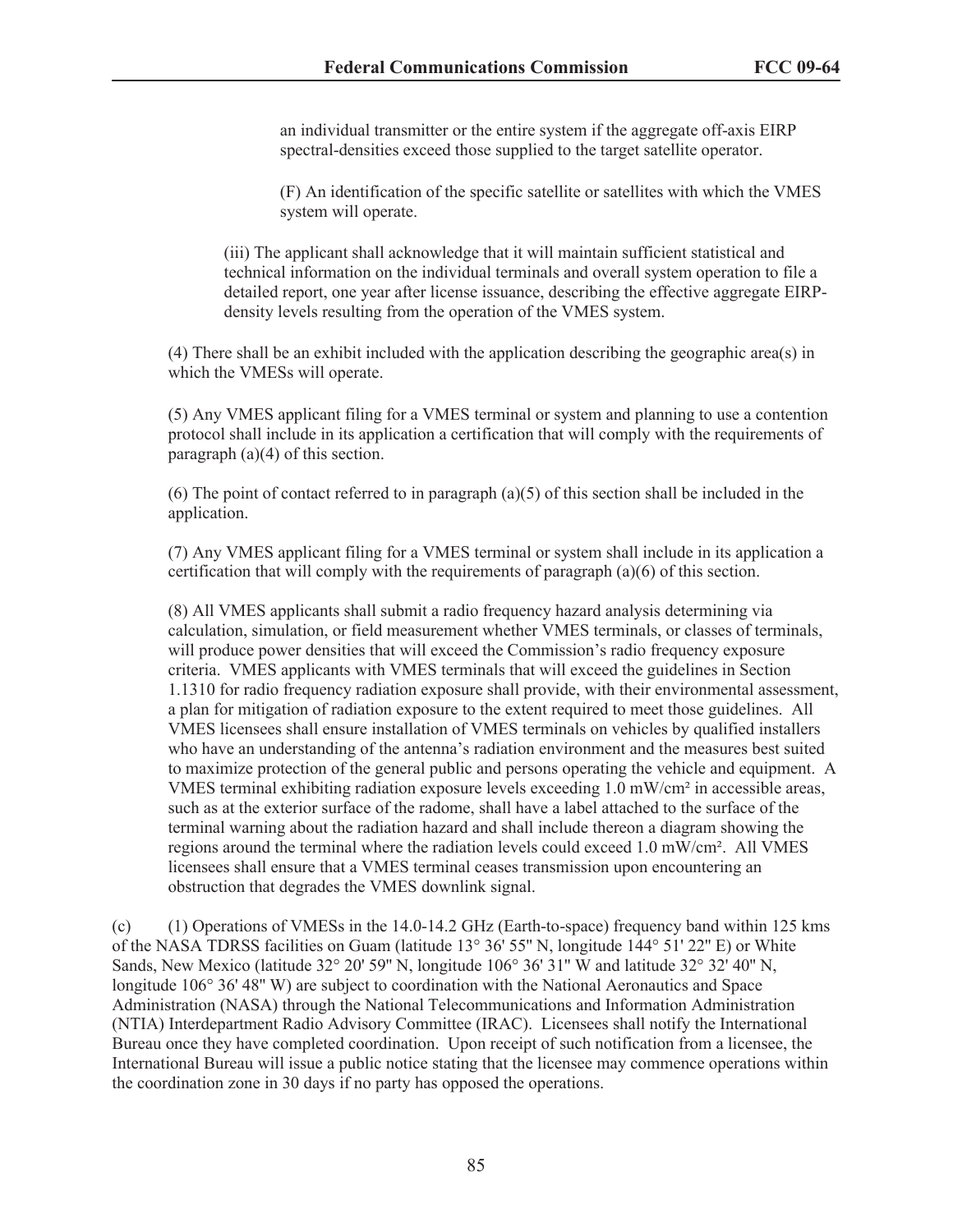an individual transmitter or the entire system if the aggregate off-axis EIRP spectral-densities exceed those supplied to the target satellite operator.

(F) An identification of the specific satellite or satellites with which the VMES system will operate.

(iii) The applicant shall acknowledge that it will maintain sufficient statistical and technical information on the individual terminals and overall system operation to file a detailed report, one year after license issuance, describing the effective aggregate EIRPdensity levels resulting from the operation of the VMES system.

(4) There shall be an exhibit included with the application describing the geographic area(s) in which the VMESs will operate.

(5) Any VMES applicant filing for a VMES terminal or system and planning to use a contention protocol shall include in its application a certification that will comply with the requirements of paragraph (a)(4) of this section.

(6) The point of contact referred to in paragraph (a)(5) of this section shall be included in the application.

(7) Any VMES applicant filing for a VMES terminal or system shall include in its application a certification that will comply with the requirements of paragraph (a)(6) of this section.

(8) All VMES applicants shall submit a radio frequency hazard analysis determining via calculation, simulation, or field measurement whether VMES terminals, or classes of terminals, will produce power densities that will exceed the Commission's radio frequency exposure criteria. VMES applicants with VMES terminals that will exceed the guidelines in Section 1.1310 for radio frequency radiation exposure shall provide, with their environmental assessment, a plan for mitigation of radiation exposure to the extent required to meet those guidelines. All VMES licensees shall ensure installation of VMES terminals on vehicles by qualified installers who have an understanding of the antenna's radiation environment and the measures best suited to maximize protection of the general public and persons operating the vehicle and equipment. A VMES terminal exhibiting radiation exposure levels exceeding 1.0 mW/cm² in accessible areas, such as at the exterior surface of the radome, shall have a label attached to the surface of the terminal warning about the radiation hazard and shall include thereon a diagram showing the regions around the terminal where the radiation levels could exceed 1.0 mW/cm². All VMES licensees shall ensure that a VMES terminal ceases transmission upon encountering an obstruction that degrades the VMES downlink signal.

(c) (1) Operations of VMESs in the 14.0-14.2 GHz (Earth-to-space) frequency band within 125 kms of the NASA TDRSS facilities on Guam (latitude 13° 36' 55'' N, longitude 144° 51' 22'' E) or White Sands, New Mexico (latitude 32° 20' 59'' N, longitude 106° 36' 31'' W and latitude 32° 32' 40'' N, longitude 106° 36' 48" W) are subject to coordination with the National Aeronautics and Space Administration (NASA) through the National Telecommunications and Information Administration (NTIA) Interdepartment Radio Advisory Committee (IRAC). Licensees shall notify the International Bureau once they have completed coordination. Upon receipt of such notification from a licensee, the International Bureau will issue a public notice stating that the licensee may commence operations within the coordination zone in 30 days if no party has opposed the operations.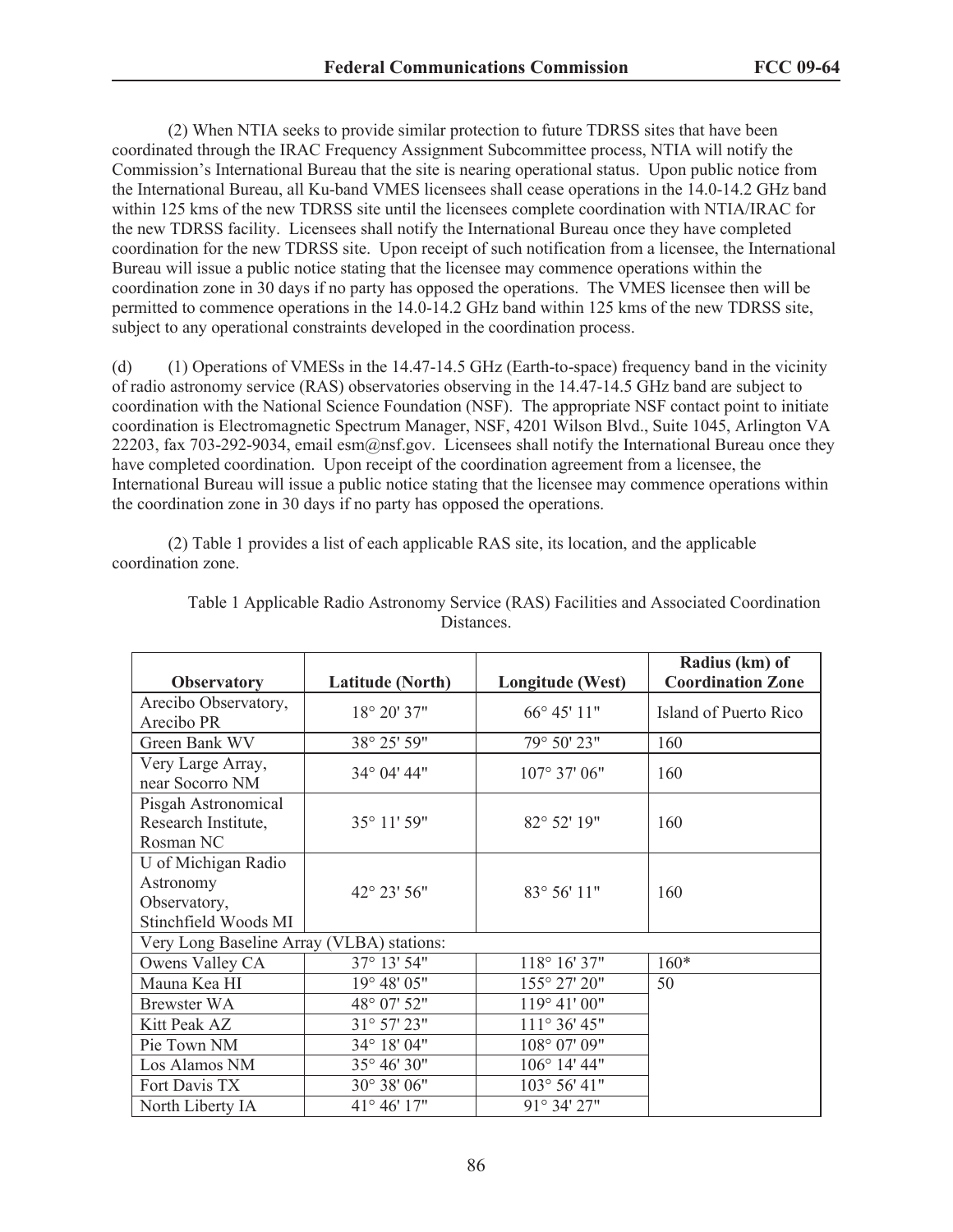(2) When NTIA seeks to provide similar protection to future TDRSS sites that have been coordinated through the IRAC Frequency Assignment Subcommittee process, NTIA will notify the Commission's International Bureau that the site is nearing operational status. Upon public notice from the International Bureau, all Ku-band VMES licensees shall cease operations in the 14.0-14.2 GHz band within 125 kms of the new TDRSS site until the licensees complete coordination with NTIA/IRAC for the new TDRSS facility. Licensees shall notify the International Bureau once they have completed coordination for the new TDRSS site. Upon receipt of such notification from a licensee, the International Bureau will issue a public notice stating that the licensee may commence operations within the coordination zone in 30 days if no party has opposed the operations. The VMES licensee then will be permitted to commence operations in the 14.0-14.2 GHz band within 125 kms of the new TDRSS site, subject to any operational constraints developed in the coordination process.

(d) (1) Operations of VMESs in the 14.47-14.5 GHz (Earth-to-space) frequency band in the vicinity of radio astronomy service (RAS) observatories observing in the 14.47-14.5 GHz band are subject to coordination with the National Science Foundation (NSF). The appropriate NSF contact point to initiate coordination is Electromagnetic Spectrum Manager, NSF, 4201 Wilson Blvd., Suite 1045, Arlington VA 22203, fax 703-292-9034, email esm@nsf.gov. Licensees shall notify the International Bureau once they have completed coordination. Upon receipt of the coordination agreement from a licensee, the International Bureau will issue a public notice stating that the licensee may commence operations within the coordination zone in 30 days if no party has opposed the operations.

(2) Table 1 provides a list of each applicable RAS site, its location, and the applicable coordination zone.

| <b>Observatory</b>                                                       | <b>Latitude (North)</b> | Longitude (West)      | Radius (km) of<br><b>Coordination Zone</b> |  |
|--------------------------------------------------------------------------|-------------------------|-----------------------|--------------------------------------------|--|
| Arecibo Observatory,<br>Arecibo PR                                       | 18° 20' 37"             | $66^{\circ} 45' 11''$ | Island of Puerto Rico                      |  |
| Green Bank WV                                                            | 38° 25' 59"             | 79° 50' 23"           | 160                                        |  |
| Very Large Array,<br>near Socorro NM                                     | 34° 04' 44"             | 107° 37' 06"          | 160                                        |  |
| Pisgah Astronomical<br>Research Institute,<br>Rosman NC                  | 35° 11' 59"             | 82° 52' 19"           | 160                                        |  |
| U of Michigan Radio<br>Astronomy<br>Observatory,<br>Stinchfield Woods MI | 42° 23' 56"             | 83° 56' 11"           | 160                                        |  |
| Very Long Baseline Array (VLBA) stations:                                |                         |                       |                                            |  |
| Owens Valley CA                                                          | 37° 13' 54"             | 118° 16' 37"          | $160*$                                     |  |
| Mauna Kea HI                                                             | 19° 48' 05"             | 155° 27' 20"          | 50                                         |  |
| <b>Brewster WA</b>                                                       | 48° 07' 52"             | 119° 41' 00"          |                                            |  |
| Kitt Peak AZ                                                             | 31° 57' 23"             | 111° 36' 45"          |                                            |  |
| Pie Town NM                                                              | 34° 18' 04"             | 108° 07' 09"          |                                            |  |
| Los Alamos NM                                                            | 35° 46' 30"             | 106° 14' 44"          |                                            |  |
| Fort Davis TX                                                            | 30° 38' 06"             | 103° 56' 41"          |                                            |  |
| North Liberty IA                                                         | 41° 46' 17"             | 91° 34' 27"           |                                            |  |

Table 1 Applicable Radio Astronomy Service (RAS) Facilities and Associated Coordination Distances.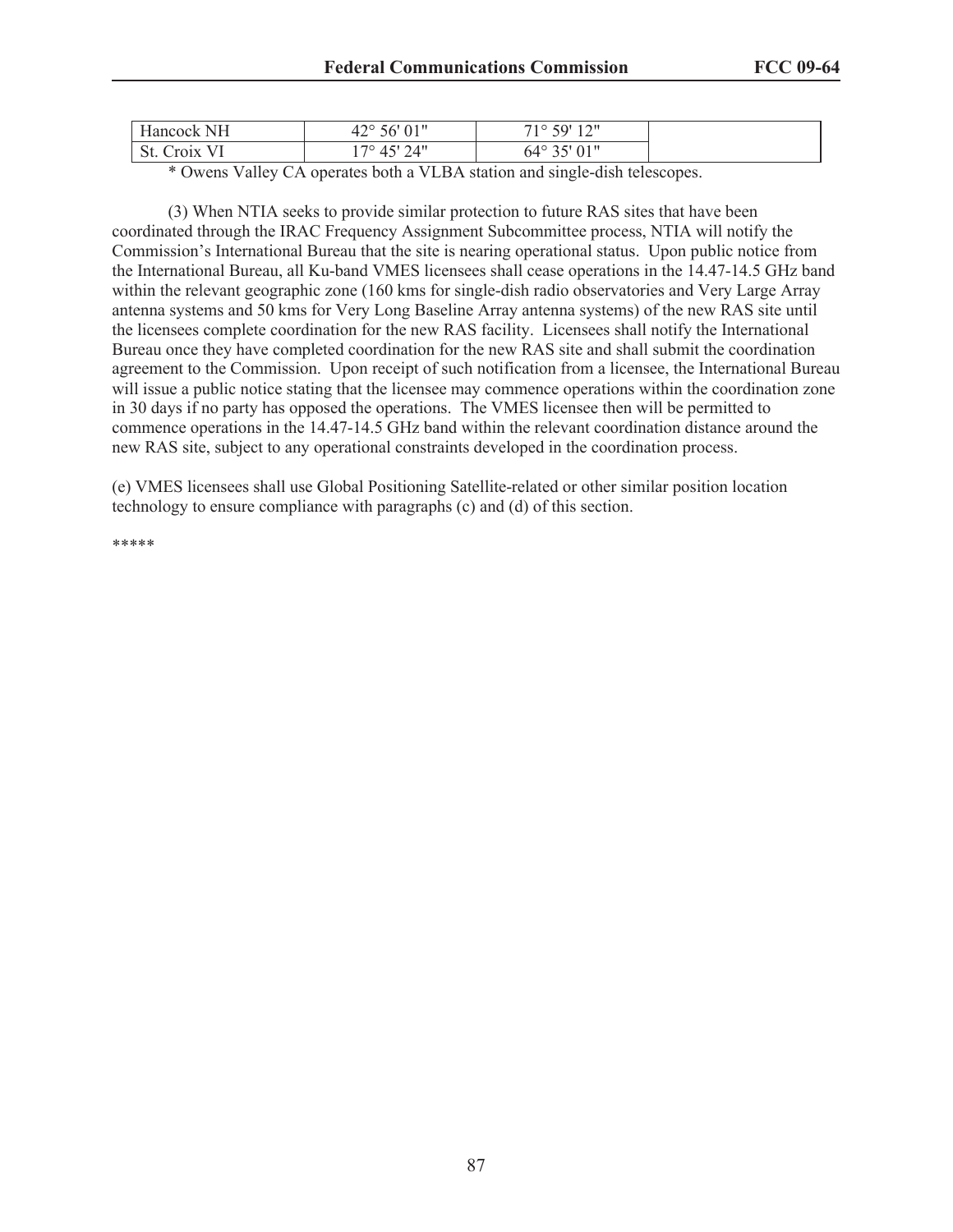| $-$<br>NΗ<br><b>Hancock</b>             | $\bigcap$ 1!<br>$\sim$<br>$\sim$ $\sim$ $\sim$<br>$26^{\circ}$<br>U1.<br>$+2$ | $1 \cap H$<br>50'<br>ി റ<br>$\overline{1}$ |  |
|-----------------------------------------|-------------------------------------------------------------------------------|--------------------------------------------|--|
| - --<br>$\Omega$<br>Croix<br>OL.<br>. . | 24"<br>$70^{\circ}$                                                           | $01$ II<br>$64^{\circ}$<br>V 1<br>ر ر      |  |

\* Owens Valley CA operates both a VLBA station and single-dish telescopes.

(3) When NTIA seeks to provide similar protection to future RAS sites that have been coordinated through the IRAC Frequency Assignment Subcommittee process, NTIA will notify the Commission's International Bureau that the site is nearing operational status. Upon public notice from the International Bureau, all Ku-band VMES licensees shall cease operations in the 14.47-14.5 GHz band within the relevant geographic zone (160 kms for single-dish radio observatories and Very Large Array antenna systems and 50 kms for Very Long Baseline Array antenna systems) of the new RAS site until the licensees complete coordination for the new RAS facility. Licensees shall notify the International Bureau once they have completed coordination for the new RAS site and shall submit the coordination agreement to the Commission. Upon receipt of such notification from a licensee, the International Bureau will issue a public notice stating that the licensee may commence operations within the coordination zone in 30 days if no party has opposed the operations. The VMES licensee then will be permitted to commence operations in the 14.47-14.5 GHz band within the relevant coordination distance around the new RAS site, subject to any operational constraints developed in the coordination process.

(e) VMES licensees shall use Global Positioning Satellite-related or other similar position location technology to ensure compliance with paragraphs (c) and (d) of this section.

\*\*\*\*\*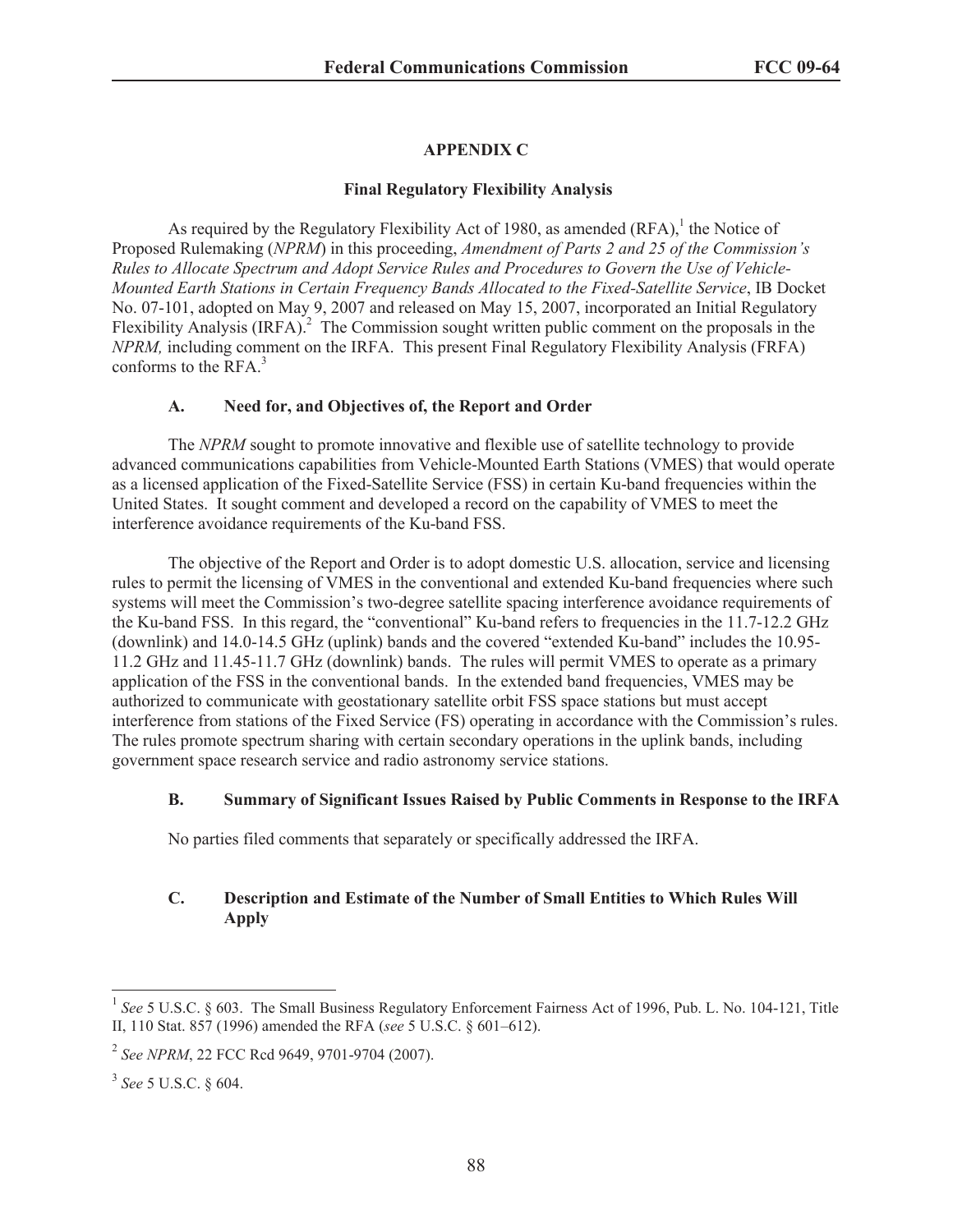# **APPENDIX C**

### **Final Regulatory Flexibility Analysis**

As required by the Regulatory Flexibility Act of 1980, as amended  $(RFA)$ , the Notice of Proposed Rulemaking (*NPRM*) in this proceeding, *Amendment of Parts 2 and 25 of the Commission's Rules to Allocate Spectrum and Adopt Service Rules and Procedures to Govern the Use of Vehicle-Mounted Earth Stations in Certain Frequency Bands Allocated to the Fixed-Satellite Service*, IB Docket No. 07-101, adopted on May 9, 2007 and released on May 15, 2007, incorporated an Initial Regulatory Flexibility Analysis (IRFA).<sup>2</sup> The Commission sought written public comment on the proposals in the *NPRM,* including comment on the IRFA. This present Final Regulatory Flexibility Analysis (FRFA) conforms to the RFA.<sup>3</sup>

# **A. Need for, and Objectives of, the Report and Order**

The *NPRM* sought to promote innovative and flexible use of satellite technology to provide advanced communications capabilities from Vehicle-Mounted Earth Stations (VMES) that would operate as a licensed application of the Fixed-Satellite Service (FSS) in certain Ku-band frequencies within the United States. It sought comment and developed a record on the capability of VMES to meet the interference avoidance requirements of the Ku-band FSS.

The objective of the Report and Order is to adopt domestic U.S. allocation, service and licensing rules to permit the licensing of VMES in the conventional and extended Ku-band frequencies where such systems will meet the Commission's two-degree satellite spacing interference avoidance requirements of the Ku-band FSS. In this regard, the "conventional" Ku-band refers to frequencies in the 11.7-12.2 GHz (downlink) and 14.0-14.5 GHz (uplink) bands and the covered "extended Ku-band" includes the 10.95- 11.2 GHz and 11.45-11.7 GHz (downlink) bands. The rules will permit VMES to operate as a primary application of the FSS in the conventional bands. In the extended band frequencies, VMES may be authorized to communicate with geostationary satellite orbit FSS space stations but must accept interference from stations of the Fixed Service (FS) operating in accordance with the Commission's rules. The rules promote spectrum sharing with certain secondary operations in the uplink bands, including government space research service and radio astronomy service stations.

# **B. Summary of Significant Issues Raised by Public Comments in Response to the IRFA**

No parties filed comments that separately or specifically addressed the IRFA.

# **C. Description and Estimate of the Number of Small Entities to Which Rules Will Apply**

<sup>&</sup>lt;sup>1</sup> See 5 U.S.C. § 603. The Small Business Regulatory Enforcement Fairness Act of 1996, Pub. L. No. 104-121, Title II, 110 Stat. 857 (1996) amended the RFA (*see* 5 U.S.C. § 601–612).

<sup>2</sup> *See NPRM*, 22 FCC Rcd 9649, 9701-9704 (2007).

<sup>3</sup> *See* 5 U.S.C. § 604.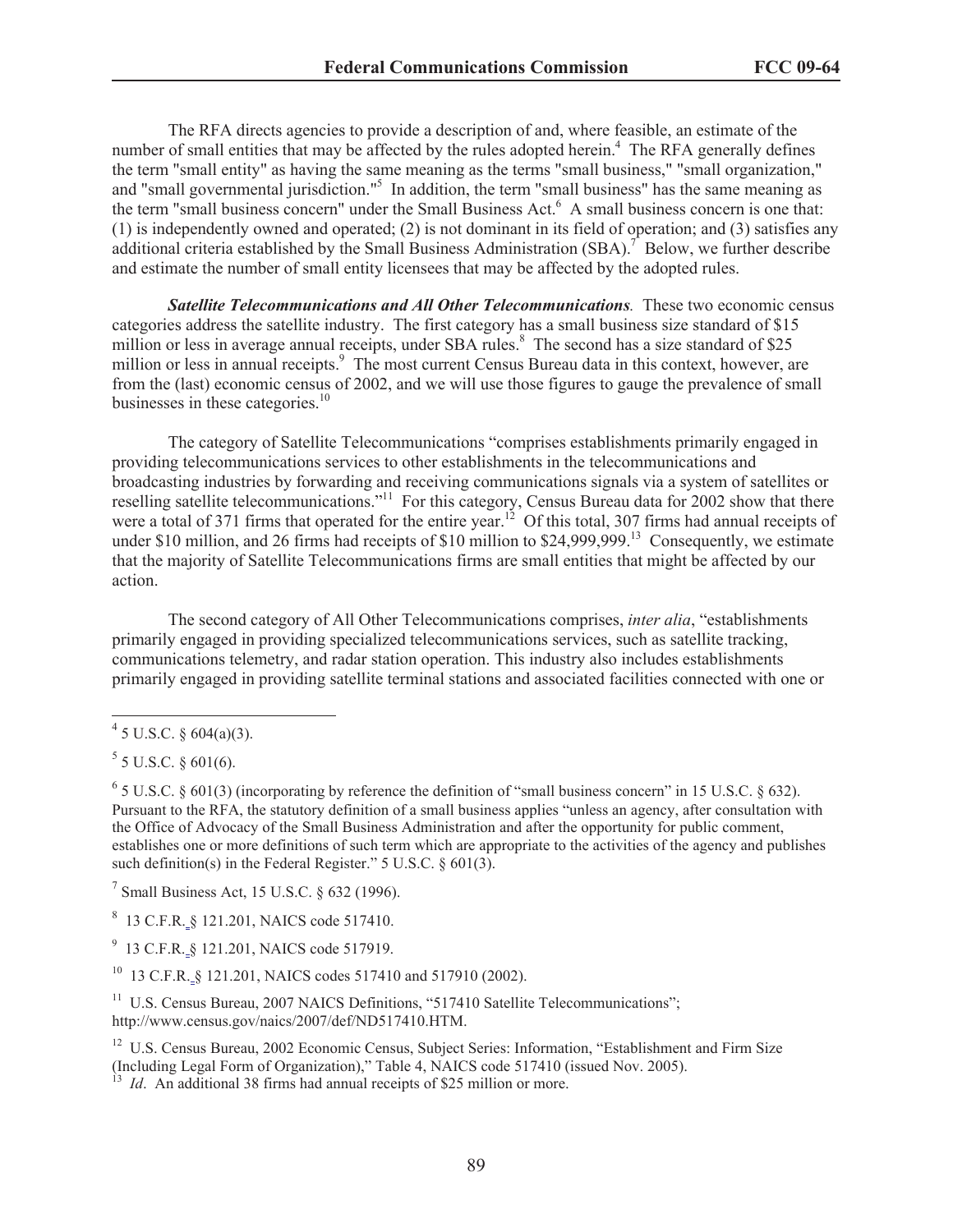The RFA directs agencies to provide a description of and, where feasible, an estimate of the number of small entities that may be affected by the rules adopted herein.<sup>4</sup> The RFA generally defines the term "small entity" as having the same meaning as the terms "small business," "small organization," and "small governmental jurisdiction."<sup>5</sup> In addition, the term "small business" has the same meaning as the term "small business concern" under the Small Business Act.<sup>6</sup> A small business concern is one that: (1) is independently owned and operated; (2) is not dominant in its field of operation; and (3) satisfies any additional criteria established by the Small Business Administration (SBA).<sup>7</sup> Below, we further describe and estimate the number of small entity licensees that may be affected by the adopted rules.

*Satellite Telecommunications and All Other Telecommunications.* These two economic census categories address the satellite industry. The first category has a small business size standard of \$15 million or less in average annual receipts, under SBA rules.<sup>8</sup> The second has a size standard of \$25 million or less in annual receipts.<sup>9</sup> The most current Census Bureau data in this context, however, are from the (last) economic census of 2002, and we will use those figures to gauge the prevalence of small businesses in these categories.<sup>10</sup>

The category of Satellite Telecommunications "comprises establishments primarily engaged in providing telecommunications services to other establishments in the telecommunications and broadcasting industries by forwarding and receiving communications signals via a system of satellites or reselling satellite telecommunications."<sup>11</sup> For this category, Census Bureau data for 2002 show that there were a total of 371 firms that operated for the entire year.<sup>12</sup> Of this total, 307 firms had annual receipts of under \$10 million, and 26 firms had receipts of \$10 million to \$24,999,999.<sup>13</sup> Consequently, we estimate that the majority of Satellite Telecommunications firms are small entities that might be affected by our action.

The second category of All Other Telecommunications comprises, *inter alia*, "establishments primarily engaged in providing specialized telecommunications services, such as satellite tracking, communications telemetry, and radar station operation. This industry also includes establishments primarily engaged in providing satellite terminal stations and associated facilities connected with one or

 $<sup>7</sup>$  Small Business Act, 15 U.S.C. § 632 (1996).</sup>

8 13 C.F.R. § 121.201, NAICS code 517410.

<sup>9</sup> 13 C.F.R. § 121.201, NAICS code 517919.

<sup>10</sup> 13 C.F.R. § 121.201, NAICS codes 517410 and 517910 (2002).

<sup>11</sup> U.S. Census Bureau, 2007 NAICS Definitions, "517410 Satellite Telecommunications"; http://www.census.gov/naics/2007/def/ND517410.HTM.

<sup>12</sup> U.S. Census Bureau, 2002 Economic Census, Subject Series: Information, "Establishment and Firm Size (Including Legal Form of Organization)," Table 4, NAICS code 517410 (issued Nov. 2005).

*Id.* An additional 38 firms had annual receipts of \$25 million or more.

 $4$  5 U.S.C. § 604(a)(3).

 $5$  5 U.S.C. § 601(6).

 $6$  5 U.S.C. § 601(3) (incorporating by reference the definition of "small business concern" in 15 U.S.C. § 632). Pursuant to the RFA, the statutory definition of a small business applies "unless an agency, after consultation with the Office of Advocacy of the Small Business Administration and after the opportunity for public comment, establishes one or more definitions of such term which are appropriate to the activities of the agency and publishes such definition(s) in the Federal Register." 5 U.S.C. § 601(3).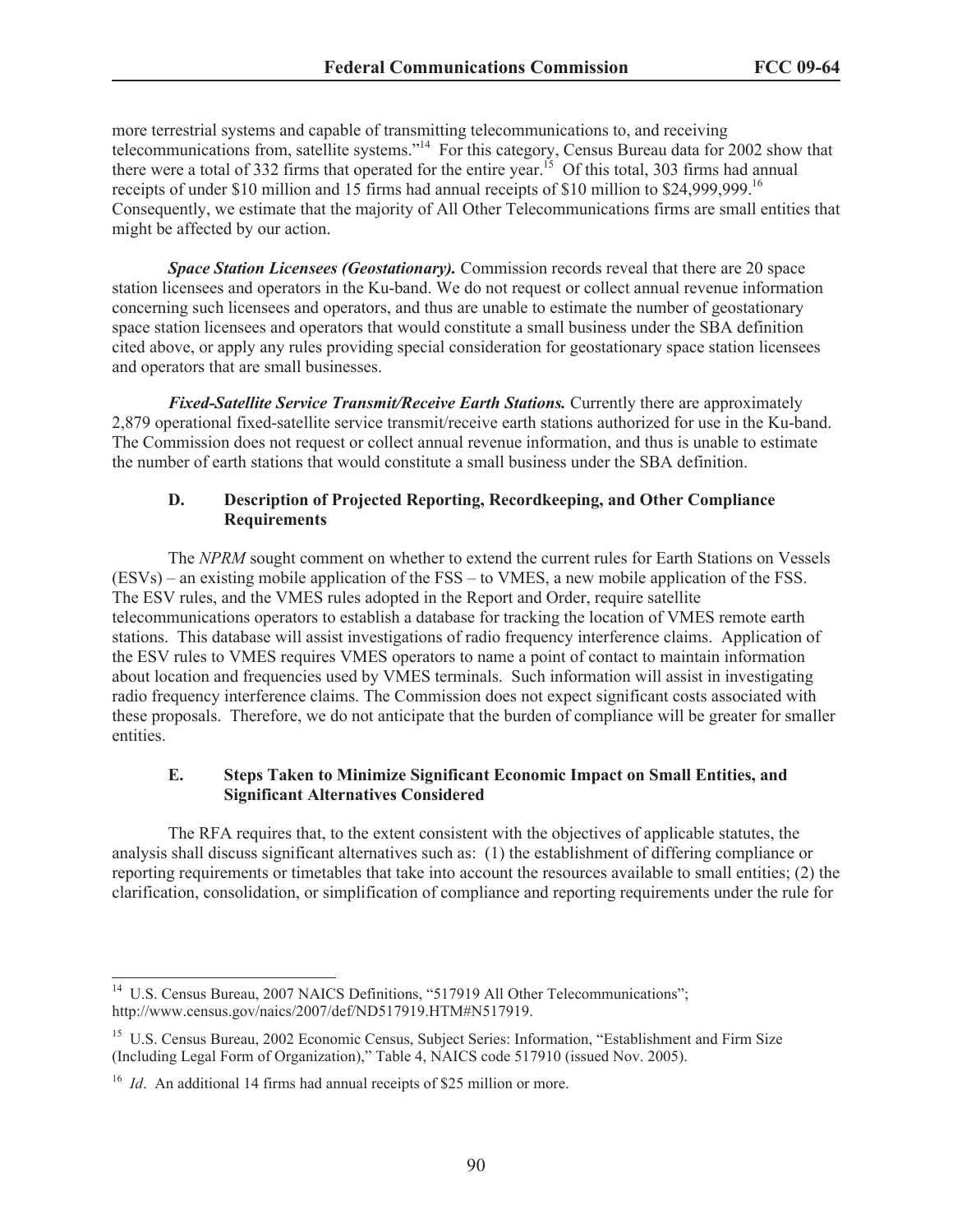more terrestrial systems and capable of transmitting telecommunications to, and receiving telecommunications from, satellite systems."<sup>14</sup> For this category, Census Bureau data for 2002 show that there were a total of 332 firms that operated for the entire year.<sup>15</sup> Of this total, 303 firms had annual receipts of under \$10 million and 15 firms had annual receipts of \$10 million to \$24,999,999.<sup>16</sup> Consequently, we estimate that the majority of All Other Telecommunications firms are small entities that might be affected by our action.

*Space Station Licensees (Geostationary).* Commission records reveal that there are 20 space station licensees and operators in the Ku-band. We do not request or collect annual revenue information concerning such licensees and operators, and thus are unable to estimate the number of geostationary space station licensees and operators that would constitute a small business under the SBA definition cited above, or apply any rules providing special consideration for geostationary space station licensees and operators that are small businesses.

*Fixed-Satellite Service Transmit/Receive Earth Stations.* Currently there are approximately 2,879 operational fixed-satellite service transmit/receive earth stations authorized for use in the Ku-band. The Commission does not request or collect annual revenue information, and thus is unable to estimate the number of earth stations that would constitute a small business under the SBA definition.

## **D. Description of Projected Reporting, Recordkeeping, and Other Compliance Requirements**

The *NPRM* sought comment on whether to extend the current rules for Earth Stations on Vessels (ESVs) – an existing mobile application of the FSS – to VMES, a new mobile application of the FSS. The ESV rules, and the VMES rules adopted in the Report and Order, require satellite telecommunications operators to establish a database for tracking the location of VMES remote earth stations. This database will assist investigations of radio frequency interference claims. Application of the ESV rules to VMES requires VMES operators to name a point of contact to maintain information about location and frequencies used by VMES terminals. Such information will assist in investigating radio frequency interference claims. The Commission does not expect significant costs associated with these proposals. Therefore, we do not anticipate that the burden of compliance will be greater for smaller entities.

# **E. Steps Taken to Minimize Significant Economic Impact on Small Entities, and Significant Alternatives Considered**

The RFA requires that, to the extent consistent with the objectives of applicable statutes, the analysis shall discuss significant alternatives such as: (1) the establishment of differing compliance or reporting requirements or timetables that take into account the resources available to small entities; (2) the clarification, consolidation, or simplification of compliance and reporting requirements under the rule for

<sup>&</sup>lt;sup>14</sup> U.S. Census Bureau, 2007 NAICS Definitions, "517919 All Other Telecommunications"; http://www.census.gov/naics/2007/def/ND517919.HTM#N517919.

<sup>&</sup>lt;sup>15</sup> U.S. Census Bureau, 2002 Economic Census, Subject Series: Information, "Establishment and Firm Size (Including Legal Form of Organization)," Table 4, NAICS code 517910 (issued Nov. 2005).

<sup>&</sup>lt;sup>16</sup> *Id.* An additional 14 firms had annual receipts of \$25 million or more.